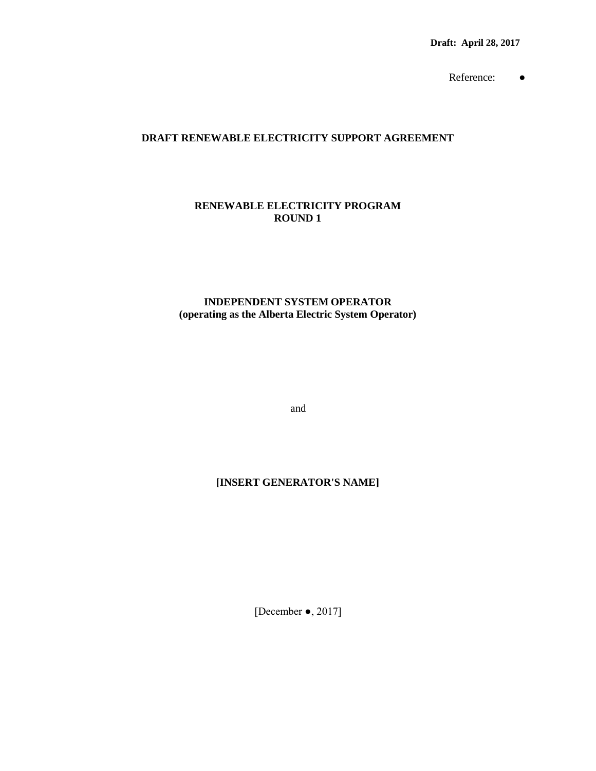**Draft: April 28, 2017**

Reference: ●

### **DRAFT RENEWABLE ELECTRICITY SUPPORT AGREEMENT**

### **RENEWABLE ELECTRICITY PROGRAM ROUND 1**

### **INDEPENDENT SYSTEM OPERATOR (operating as the Alberta Electric System Operator)**

and

## **[INSERT GENERATOR'S NAME]**

[December ●, 2017]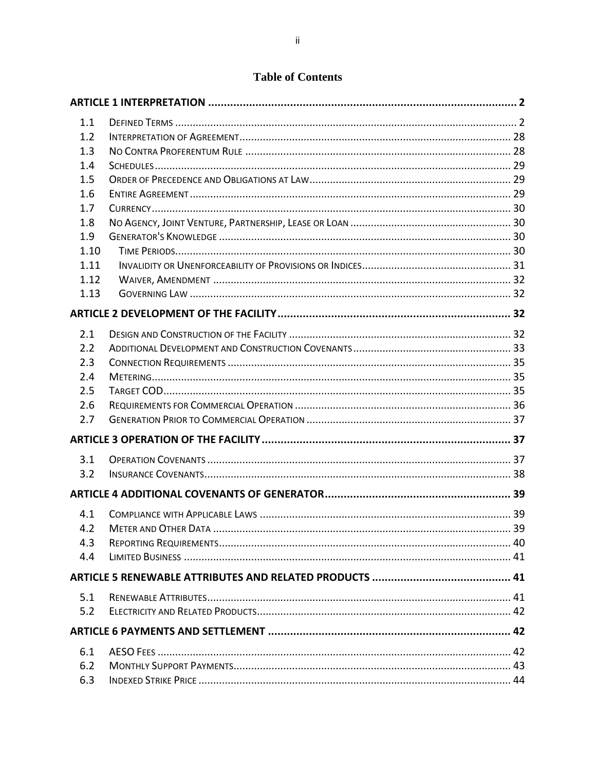# **Table of Contents**

| 1.1  |  |
|------|--|
| 1.2  |  |
| 1.3  |  |
| 1.4  |  |
| 1.5  |  |
| 1.6  |  |
| 1.7  |  |
| 1.8  |  |
| 1.9  |  |
| 1.10 |  |
| 1.11 |  |
| 1.12 |  |
| 1.13 |  |
|      |  |
| 2.1  |  |
| 2.2  |  |
| 2.3  |  |
| 2.4  |  |
| 2.5  |  |
| 2.6  |  |
| 2.7  |  |
|      |  |
| 3.1  |  |
| 3.2  |  |
|      |  |
| 4.1  |  |
| 4.2  |  |
| 4.3  |  |
| 4.4  |  |
|      |  |
| 5.1  |  |
| 5.2  |  |
|      |  |
| 6.1  |  |
| 6.2  |  |
| 6.3  |  |
|      |  |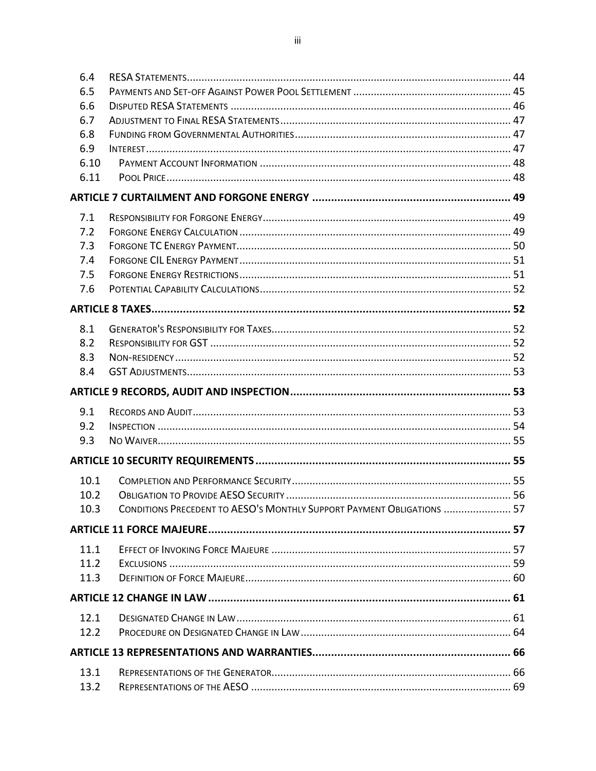| 6.4          |                                                                        |  |
|--------------|------------------------------------------------------------------------|--|
| 6.5          |                                                                        |  |
| 6.6          |                                                                        |  |
| 6.7          |                                                                        |  |
| 6.8          |                                                                        |  |
| 6.9          |                                                                        |  |
| 6.10         |                                                                        |  |
| 6.11         |                                                                        |  |
|              |                                                                        |  |
| 7.1          |                                                                        |  |
| 7.2          |                                                                        |  |
| 7.3          |                                                                        |  |
| 7.4          |                                                                        |  |
| 7.5          |                                                                        |  |
| 7.6          |                                                                        |  |
|              |                                                                        |  |
| 8.1          |                                                                        |  |
| 8.2          |                                                                        |  |
| 8.3          |                                                                        |  |
| 8.4          |                                                                        |  |
|              |                                                                        |  |
|              |                                                                        |  |
|              |                                                                        |  |
| 9.1          |                                                                        |  |
| 9.2          |                                                                        |  |
| 9.3          |                                                                        |  |
|              |                                                                        |  |
| 10.1         |                                                                        |  |
| 10.2         |                                                                        |  |
| 10.3         | CONDITIONS PRECEDENT TO AESO'S MONTHLY SUPPORT PAYMENT OBLIGATIONS  57 |  |
|              |                                                                        |  |
| 11.1         |                                                                        |  |
| 11.2         |                                                                        |  |
| 11.3         |                                                                        |  |
|              |                                                                        |  |
| 12.1         |                                                                        |  |
| 12.2         |                                                                        |  |
|              |                                                                        |  |
|              |                                                                        |  |
| 13.1<br>13.2 |                                                                        |  |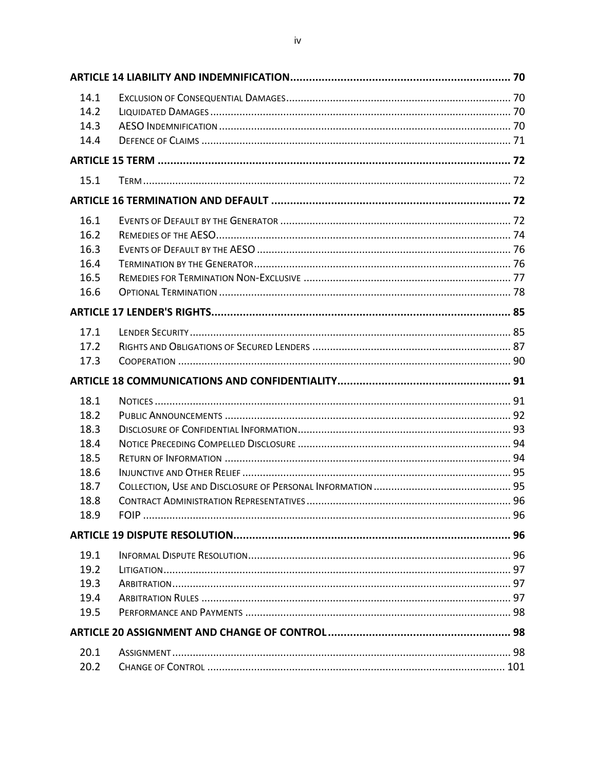| 14.1 |  |
|------|--|
| 14.2 |  |
| 14.3 |  |
| 14.4 |  |
|      |  |
| 15.1 |  |
|      |  |
| 16.1 |  |
| 16.2 |  |
| 16.3 |  |
| 16.4 |  |
| 16.5 |  |
| 16.6 |  |
|      |  |
| 17.1 |  |
| 17.2 |  |
| 17.3 |  |
|      |  |
|      |  |
| 18.1 |  |
| 18.2 |  |
| 18.3 |  |
| 18.4 |  |
| 18.5 |  |
| 18.6 |  |
| 18.7 |  |
| 18.8 |  |
| 18.9 |  |
|      |  |
| 19.1 |  |
| 19.2 |  |
| 19.3 |  |
| 19.4 |  |
| 19.5 |  |
|      |  |
| 20.1 |  |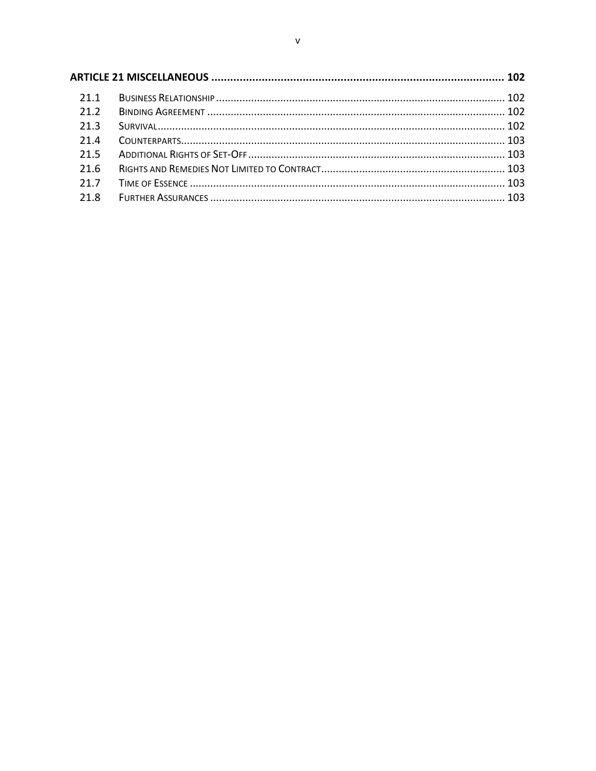| 21.1 |  |  |
|------|--|--|
| 21.2 |  |  |
| 21.3 |  |  |
| 21.4 |  |  |
| 21.5 |  |  |
| 21.6 |  |  |
| 21.7 |  |  |
| 21.8 |  |  |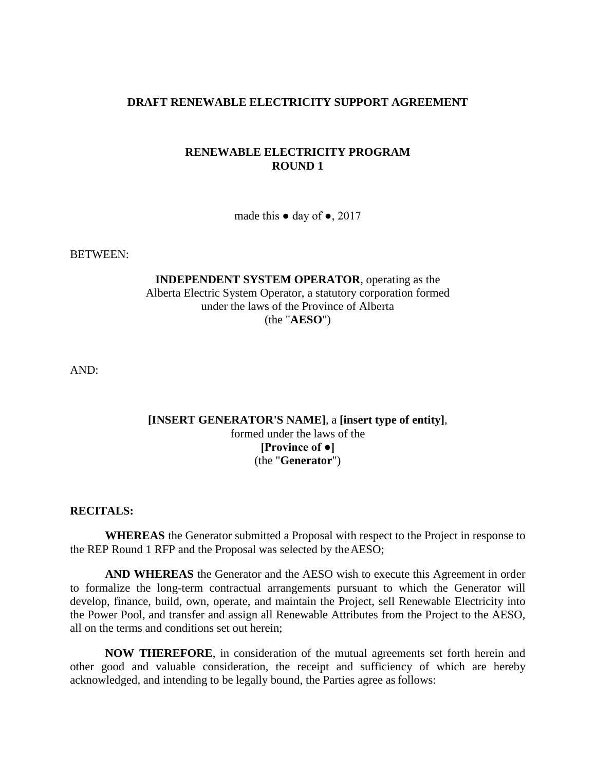### **DRAFT RENEWABLE ELECTRICITY SUPPORT AGREEMENT**

### **RENEWABLE ELECTRICITY PROGRAM ROUND 1**

made this  $\bullet$  day of  $\bullet$ , 2017

BETWEEN:

**INDEPENDENT SYSTEM OPERATOR**, operating as the Alberta Electric System Operator, a statutory corporation formed under the laws of the Province of Alberta (the "**AESO**")

AND:

## **[INSERT GENERATOR'S NAME]**, a **[insert type of entity]**, formed under the laws of the **[Province of ●]** (the "**Generator**")

### **RECITALS:**

**WHEREAS** the Generator submitted a Proposal with respect to the Project in response to the REP Round 1 RFP and the Proposal was selected by theAESO;

**AND WHEREAS** the Generator and the AESO wish to execute this Agreement in order to formalize the long-term contractual arrangements pursuant to which the Generator will develop, finance, build, own, operate, and maintain the Project, sell Renewable Electricity into the Power Pool, and transfer and assign all Renewable Attributes from the Project to the AESO, all on the terms and conditions set out herein;

**NOW THEREFORE**, in consideration of the mutual agreements set forth herein and other good and valuable consideration, the receipt and sufficiency of which are hereby acknowledged, and intending to be legally bound, the Parties agree asfollows: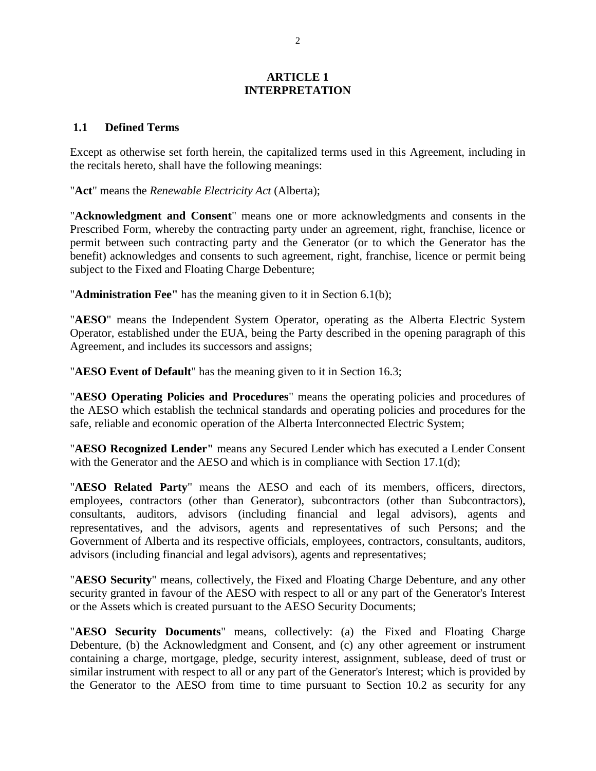### **ARTICLE 1 INTERPRETATION**

### <span id="page-6-1"></span><span id="page-6-0"></span>**1.1 Defined Terms**

Except as otherwise set forth herein, the capitalized terms used in this Agreement, including in the recitals hereto, shall have the following meanings:

"**Act**" means the *Renewable Electricity Act* (Alberta);

"**Acknowledgment and Consent**" means one or more acknowledgments and consents in the Prescribed Form, whereby the contracting party under an agreement, right, franchise, licence or permit between such contracting party and the Generator (or to which the Generator has the benefit) acknowledges and consents to such agreement, right, franchise, licence or permit being subject to the Fixed and Floating Charge Debenture;

"**Administration Fee"** has the meaning given to it in Section 6.1(b);

"**AESO**" means the Independent System Operator, operating as the Alberta Electric System Operator, established under the EUA, being the Party described in the opening paragraph of this Agreement, and includes its successors and assigns;

"**AESO Event of Default**" has the meaning given to it in Section 16.3;

"**AESO Operating Policies and Procedures**" means the operating policies and procedures of the AESO which establish the technical standards and operating policies and procedures for the safe, reliable and economic operation of the Alberta Interconnected Electric System;

"**AESO Recognized Lender"** means any Secured Lender which has executed a Lender Consent with the Generator and the AESO and which is in compliance with Section 17.1(d);

"**AESO Related Party**" means the AESO and each of its members, officers, directors, employees, contractors (other than Generator), subcontractors (other than Subcontractors), consultants, auditors, advisors (including financial and legal advisors), agents and representatives, and the advisors, agents and representatives of such Persons; and the Government of Alberta and its respective officials, employees, contractors, consultants, auditors, advisors (including financial and legal advisors), agents and representatives;

"**AESO Security**" means, collectively, the Fixed and Floating Charge Debenture, and any other security granted in favour of the AESO with respect to all or any part of the Generator's Interest or the Assets which is created pursuant to the AESO Security Documents;

"**AESO Security Documents**" means, collectively: (a) the Fixed and Floating Charge Debenture, (b) the Acknowledgment and Consent, and (c) any other agreement or instrument containing a charge, mortgage, pledge, security interest, assignment, sublease, deed of trust or similar instrument with respect to all or any part of the Generator's Interest; which is provided by the Generator to the AESO from time to time pursuant to Section 10.2 as security for any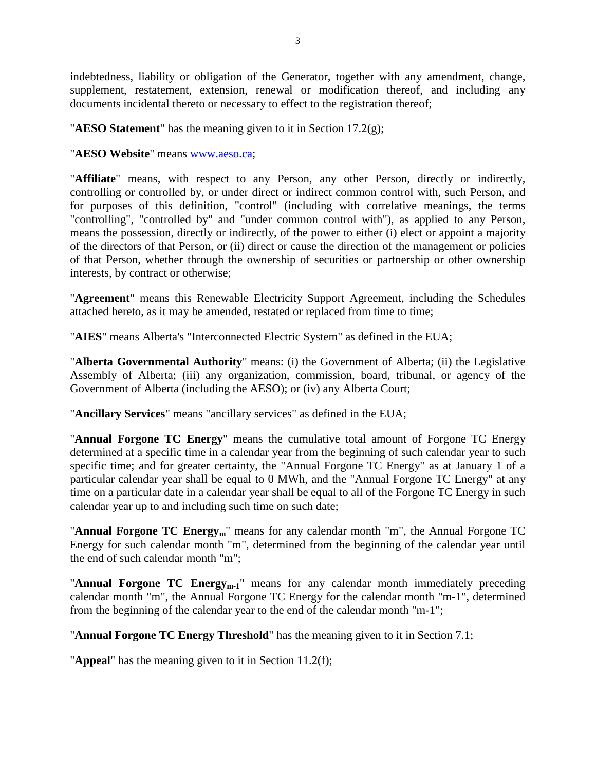indebtedness, liability or obligation of the Generator, together with any amendment, change, supplement, restatement, extension, renewal or modification thereof, and including any documents incidental thereto or necessary to effect to the registration thereof;

"**AESO Statement**" has the meaning given to it in Section 17.2(g);

"**AESO Website**" means [www.aeso.ca;](http://www.aeso.ca/)

"**Affiliate**" means, with respect to any Person, any other Person, directly or indirectly, controlling or controlled by, or under direct or indirect common control with, such Person, and for purposes of this definition, "control" (including with correlative meanings, the terms "controlling", "controlled by" and "under common control with"), as applied to any Person, means the possession, directly or indirectly, of the power to either (i) elect or appoint a majority of the directors of that Person, or (ii) direct or cause the direction of the management or policies of that Person, whether through the ownership of securities or partnership or other ownership interests, by contract or otherwise;

"**Agreement**" means this Renewable Electricity Support Agreement, including the Schedules attached hereto, as it may be amended, restated or replaced from time to time;

"**AIES**" means Alberta's "Interconnected Electric System" as defined in the EUA;

"**Alberta Governmental Authority**" means: (i) the Government of Alberta; (ii) the Legislative Assembly of Alberta; (iii) any organization, commission, board, tribunal, or agency of the Government of Alberta (including the AESO); or (iv) any Alberta Court;

"**Ancillary Services**" means "ancillary services" as defined in the EUA;

"**Annual Forgone TC Energy**" means the cumulative total amount of Forgone TC Energy determined at a specific time in a calendar year from the beginning of such calendar year to such specific time; and for greater certainty, the "Annual Forgone TC Energy" as at January 1 of a particular calendar year shall be equal to 0 MWh, and the "Annual Forgone TC Energy" at any time on a particular date in a calendar year shall be equal to all of the Forgone TC Energy in such calendar year up to and including such time on such date;

"**Annual Forgone TC Energy<sub>m</sub>**" means for any calendar month "m", the Annual Forgone TC Energy for such calendar month "m", determined from the beginning of the calendar year until the end of such calendar month "m";

"**Annual Forgone TC Energy<sub>m-1</sub>**" means for any calendar month immediately preceding calendar month "m", the Annual Forgone TC Energy for the calendar month "m-1", determined from the beginning of the calendar year to the end of the calendar month "m-1";

"**Annual Forgone TC Energy Threshold**" has the meaning given to it in Section 7.1;

"**Appeal**" has the meaning given to it in Section 11.2(f);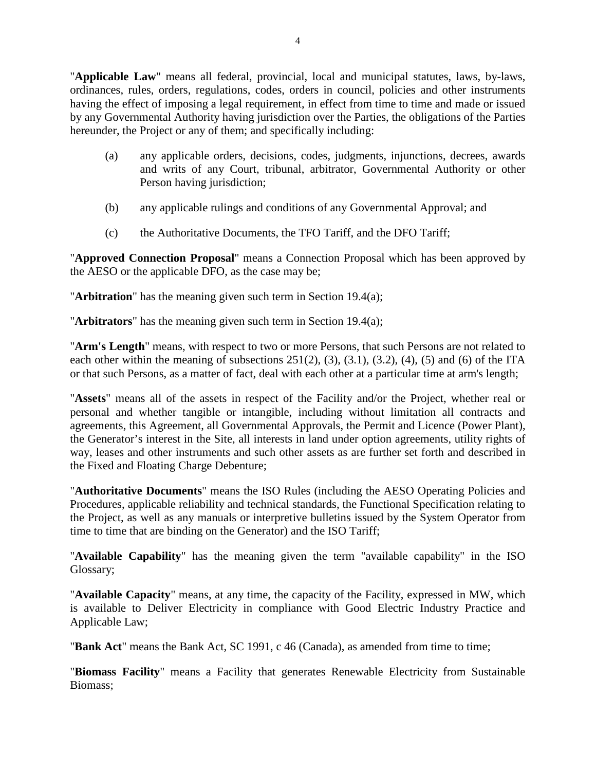"**Applicable Law**" means all federal, provincial, local and municipal statutes, laws, by-laws, ordinances, rules, orders, regulations, codes, orders in council, policies and other instruments having the effect of imposing a legal requirement, in effect from time to time and made or issued by any Governmental Authority having jurisdiction over the Parties, the obligations of the Parties hereunder, the Project or any of them; and specifically including:

- (a) any applicable orders, decisions, codes, judgments, injunctions, decrees, awards and writs of any Court, tribunal, arbitrator, Governmental Authority or other Person having jurisdiction;
- (b) any applicable rulings and conditions of any Governmental Approval; and
- (c) the Authoritative Documents, the TFO Tariff, and the DFO Tariff;

"**Approved Connection Proposal**" means a Connection Proposal which has been approved by the AESO or the applicable DFO, as the case may be;

"**Arbitration**" has the meaning given such term in Section 19.4(a);

"**Arbitrators**" has the meaning given such term in Section 19.4(a);

"**Arm's Length**" means, with respect to two or more Persons, that such Persons are not related to each other within the meaning of subsections  $251(2)$ ,  $(3)$ ,  $(3.1)$ ,  $(3.2)$ ,  $(4)$ ,  $(5)$  and  $(6)$  of the ITA or that such Persons, as a matter of fact, deal with each other at a particular time at arm's length;

"**Assets**" means all of the assets in respect of the Facility and/or the Project, whether real or personal and whether tangible or intangible, including without limitation all contracts and agreements, this Agreement, all Governmental Approvals, the Permit and Licence (Power Plant), the Generator's interest in the Site, all interests in land under option agreements, utility rights of way, leases and other instruments and such other assets as are further set forth and described in the Fixed and Floating Charge Debenture;

"**Authoritative Documents**" means the ISO Rules (including the AESO Operating Policies and Procedures, applicable reliability and technical standards, the Functional Specification relating to the Project, as well as any manuals or interpretive bulletins issued by the System Operator from time to time that are binding on the Generator) and the ISO Tariff;

"**Available Capability**" has the meaning given the term "available capability" in the ISO Glossary;

"**Available Capacity**" means, at any time, the capacity of the Facility, expressed in MW, which is available to Deliver Electricity in compliance with Good Electric Industry Practice and Applicable Law;

"**Bank Act**" means the Bank Act, SC 1991, c 46 (Canada), as amended from time to time;

"**Biomass Facility**" means a Facility that generates Renewable Electricity from Sustainable Biomass;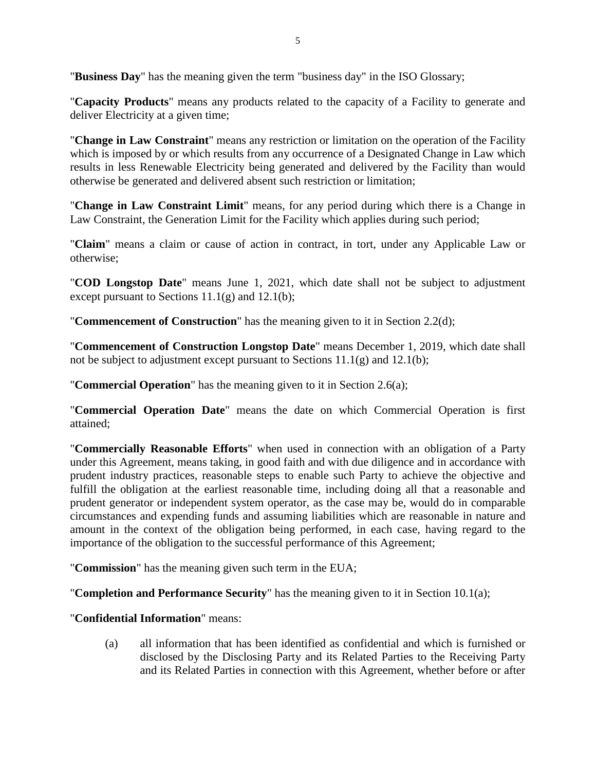"**Business Day**" has the meaning given the term "business day" in the ISO Glossary;

"**Capacity Products**" means any products related to the capacity of a Facility to generate and deliver Electricity at a given time;

"**Change in Law Constraint**" means any restriction or limitation on the operation of the Facility which is imposed by or which results from any occurrence of a Designated Change in Law which results in less Renewable Electricity being generated and delivered by the Facility than would otherwise be generated and delivered absent such restriction or limitation;

"**Change in Law Constraint Limit**" means, for any period during which there is a Change in Law Constraint, the Generation Limit for the Facility which applies during such period;

"**Claim**" means a claim or cause of action in contract, in tort, under any Applicable Law or otherwise;

"**COD Longstop Date**" means June 1, 2021, which date shall not be subject to adjustment except pursuant to Sections  $11.1(g)$  and  $12.1(b)$ ;

"**Commencement of Construction**" has the meaning given to it in Section 2.2(d);

"**Commencement of Construction Longstop Date**" means December 1, 2019, which date shall not be subject to adjustment except pursuant to Sections  $11.1(g)$  and  $12.1(b)$ ;

"**Commercial Operation**" has the meaning given to it in Section 2.6(a);

"**Commercial Operation Date**" means the date on which Commercial Operation is first attained;

"**Commercially Reasonable Efforts**" when used in connection with an obligation of a Party under this Agreement, means taking, in good faith and with due diligence and in accordance with prudent industry practices, reasonable steps to enable such Party to achieve the objective and fulfill the obligation at the earliest reasonable time, including doing all that a reasonable and prudent generator or independent system operator, as the case may be, would do in comparable circumstances and expending funds and assuming liabilities which are reasonable in nature and amount in the context of the obligation being performed, in each case, having regard to the importance of the obligation to the successful performance of this Agreement;

"**Commission**" has the meaning given such term in the EUA;

"**Completion and Performance Security**" has the meaning given to it in Section 10.1(a);

"**Confidential Information**" means:

(a) all information that has been identified as confidential and which is furnished or disclosed by the Disclosing Party and its Related Parties to the Receiving Party and its Related Parties in connection with this Agreement, whether before or after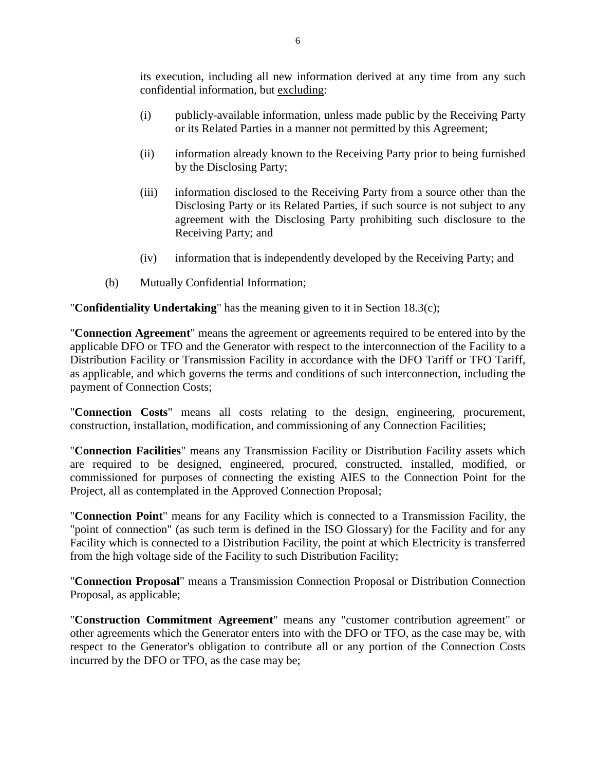its execution, including all new information derived at any time from any such confidential information, but excluding:

- (i) publicly-available information, unless made public by the Receiving Party or its Related Parties in a manner not permitted by this Agreement;
- (ii) information already known to the Receiving Party prior to being furnished by the Disclosing Party;
- (iii) information disclosed to the Receiving Party from a source other than the Disclosing Party or its Related Parties, if such source is not subject to any agreement with the Disclosing Party prohibiting such disclosure to the Receiving Party; and
- (iv) information that is independently developed by the Receiving Party; and
- (b) Mutually Confidential Information;

"**Confidentiality Undertaking**" has the meaning given to it in Section 18.3(c);

"**Connection Agreement**" means the agreement or agreements required to be entered into by the applicable DFO or TFO and the Generator with respect to the interconnection of the Facility to a Distribution Facility or Transmission Facility in accordance with the DFO Tariff or TFO Tariff, as applicable, and which governs the terms and conditions of such interconnection, including the payment of Connection Costs;

"**Connection Costs**" means all costs relating to the design, engineering, procurement, construction, installation, modification, and commissioning of any Connection Facilities;

"**Connection Facilities**" means any Transmission Facility or Distribution Facility assets which are required to be designed, engineered, procured, constructed, installed, modified, or commissioned for purposes of connecting the existing AIES to the Connection Point for the Project, all as contemplated in the Approved Connection Proposal;

"**Connection Point**" means for any Facility which is connected to a Transmission Facility, the "point of connection" (as such term is defined in the ISO Glossary) for the Facility and for any Facility which is connected to a Distribution Facility, the point at which Electricity is transferred from the high voltage side of the Facility to such Distribution Facility;

"**Connection Proposal**" means a Transmission Connection Proposal or Distribution Connection Proposal, as applicable;

"**Construction Commitment Agreement**" means any "customer contribution agreement" or other agreements which the Generator enters into with the DFO or TFO, as the case may be, with respect to the Generator's obligation to contribute all or any portion of the Connection Costs incurred by the DFO or TFO, as the case may be;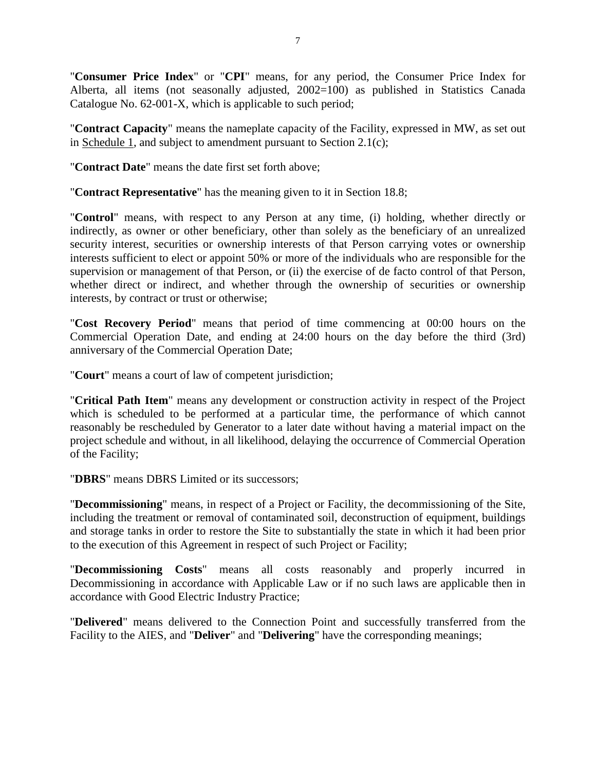"**Consumer Price Index**" or "**CPI**" means, for any period, the Consumer Price Index for Alberta, all items (not seasonally adjusted, 2002=100) as published in Statistics Canada Catalogue No. 62-001-X, which is applicable to such period;

"**Contract Capacity**" means the nameplate capacity of the Facility, expressed in MW, as set out in Schedule 1, and subject to amendment pursuant to Section 2.1(c);

"**Contract Date**" means the date first set forth above;

"**Contract Representative**" has the meaning given to it in Section 18.8;

"**Control**" means, with respect to any Person at any time, (i) holding, whether directly or indirectly, as owner or other beneficiary, other than solely as the beneficiary of an unrealized security interest, securities or ownership interests of that Person carrying votes or ownership interests sufficient to elect or appoint 50% or more of the individuals who are responsible for the supervision or management of that Person, or (ii) the exercise of de facto control of that Person, whether direct or indirect, and whether through the ownership of securities or ownership interests, by contract or trust or otherwise;

"**Cost Recovery Period**" means that period of time commencing at 00:00 hours on the Commercial Operation Date, and ending at 24:00 hours on the day before the third (3rd) anniversary of the Commercial Operation Date;

"**Court**" means a court of law of competent jurisdiction;

"**Critical Path Item**" means any development or construction activity in respect of the Project which is scheduled to be performed at a particular time, the performance of which cannot reasonably be rescheduled by Generator to a later date without having a material impact on the project schedule and without, in all likelihood, delaying the occurrence of Commercial Operation of the Facility;

"**DBRS**" means DBRS Limited or its successors;

"**Decommissioning**" means, in respect of a Project or Facility, the decommissioning of the Site, including the treatment or removal of contaminated soil, deconstruction of equipment, buildings and storage tanks in order to restore the Site to substantially the state in which it had been prior to the execution of this Agreement in respect of such Project or Facility;

"**Decommissioning Costs**" means all costs reasonably and properly incurred in Decommissioning in accordance with Applicable Law or if no such laws are applicable then in accordance with Good Electric Industry Practice;

"**Delivered**" means delivered to the Connection Point and successfully transferred from the Facility to the AIES, and "**Deliver**" and "**Delivering**" have the corresponding meanings;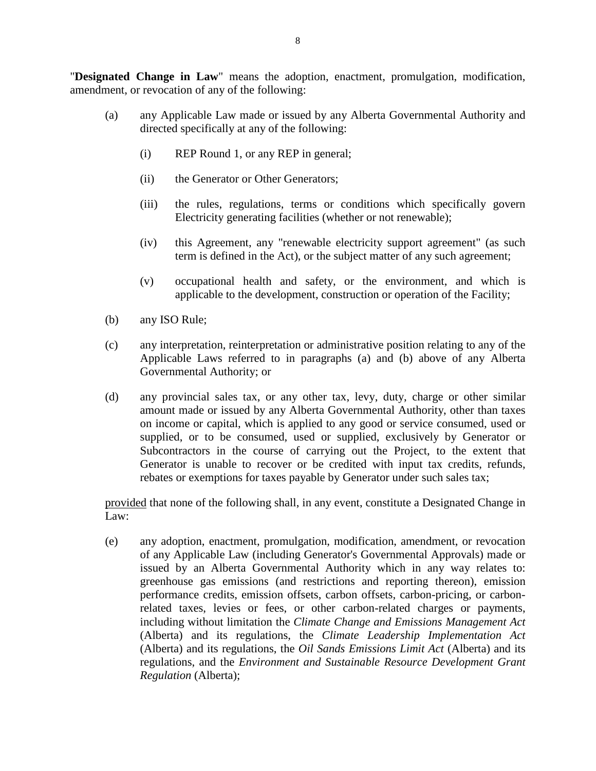"**Designated Change in Law**" means the adoption, enactment, promulgation, modification, amendment, or revocation of any of the following:

- (a) any Applicable Law made or issued by any Alberta Governmental Authority and directed specifically at any of the following:
	- (i) REP Round 1, or any REP in general;
	- (ii) the Generator or Other Generators;
	- (iii) the rules, regulations, terms or conditions which specifically govern Electricity generating facilities (whether or not renewable);
	- (iv) this Agreement, any "renewable electricity support agreement" (as such term is defined in the Act), or the subject matter of any such agreement;
	- (v) occupational health and safety, or the environment, and which is applicable to the development, construction or operation of the Facility;
- (b) any ISO Rule;
- (c) any interpretation, reinterpretation or administrative position relating to any of the Applicable Laws referred to in paragraphs (a) and (b) above of any Alberta Governmental Authority; or
- (d) any provincial sales tax, or any other tax, levy, duty, charge or other similar amount made or issued by any Alberta Governmental Authority, other than taxes on income or capital, which is applied to any good or service consumed, used or supplied, or to be consumed, used or supplied, exclusively by Generator or Subcontractors in the course of carrying out the Project, to the extent that Generator is unable to recover or be credited with input tax credits, refunds, rebates or exemptions for taxes payable by Generator under such sales tax;

provided that none of the following shall, in any event, constitute a Designated Change in Law:

(e) any adoption, enactment, promulgation, modification, amendment, or revocation of any Applicable Law (including Generator's Governmental Approvals) made or issued by an Alberta Governmental Authority which in any way relates to: greenhouse gas emissions (and restrictions and reporting thereon), emission performance credits, emission offsets, carbon offsets, carbon-pricing, or carbonrelated taxes, levies or fees, or other carbon-related charges or payments, including without limitation the *Climate Change and Emissions Management Act* (Alberta) and its regulations, the *Climate Leadership Implementation Act* (Alberta) and its regulations, the *Oil Sands Emissions Limit Act* (Alberta) and its regulations, and the *Environment and Sustainable Resource Development Grant Regulation* (Alberta);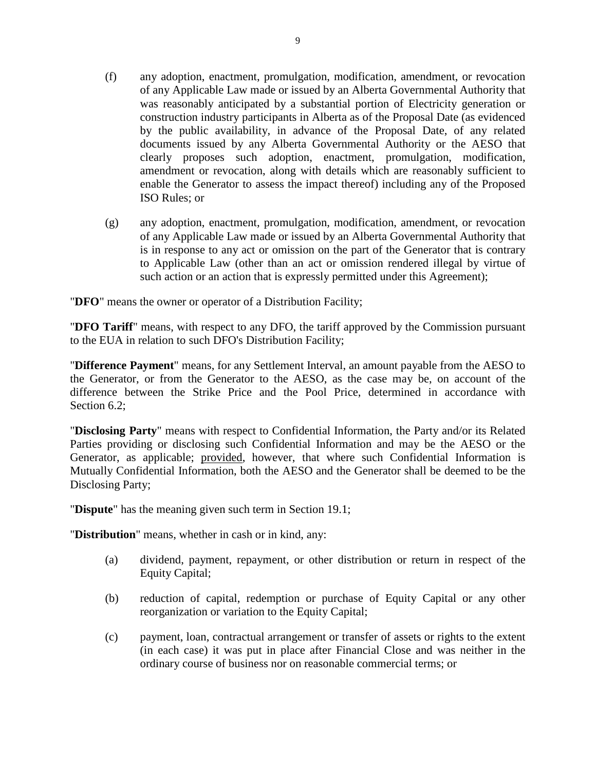- (f) any adoption, enactment, promulgation, modification, amendment, or revocation of any Applicable Law made or issued by an Alberta Governmental Authority that was reasonably anticipated by a substantial portion of Electricity generation or construction industry participants in Alberta as of the Proposal Date (as evidenced by the public availability, in advance of the Proposal Date, of any related documents issued by any Alberta Governmental Authority or the AESO that clearly proposes such adoption, enactment, promulgation, modification, amendment or revocation, along with details which are reasonably sufficient to enable the Generator to assess the impact thereof) including any of the Proposed ISO Rules; or
- (g) any adoption, enactment, promulgation, modification, amendment, or revocation of any Applicable Law made or issued by an Alberta Governmental Authority that is in response to any act or omission on the part of the Generator that is contrary to Applicable Law (other than an act or omission rendered illegal by virtue of such action or an action that is expressly permitted under this Agreement);

"**DFO**" means the owner or operator of a Distribution Facility;

"**DFO Tariff**" means, with respect to any DFO, the tariff approved by the Commission pursuant to the EUA in relation to such DFO's Distribution Facility;

"**Difference Payment**" means, for any Settlement Interval, an amount payable from the AESO to the Generator, or from the Generator to the AESO, as the case may be, on account of the difference between the Strike Price and the Pool Price, determined in accordance with Section 6.2:

"**Disclosing Party**" means with respect to Confidential Information, the Party and/or its Related Parties providing or disclosing such Confidential Information and may be the AESO or the Generator, as applicable; provided, however, that where such Confidential Information is Mutually Confidential Information, both the AESO and the Generator shall be deemed to be the Disclosing Party;

"**Dispute**" has the meaning given such term in Section 19.1;

"**Distribution**" means, whether in cash or in kind, any:

- (a) dividend, payment, repayment, or other distribution or return in respect of the Equity Capital;
- (b) reduction of capital, redemption or purchase of Equity Capital or any other reorganization or variation to the Equity Capital;
- (c) payment, loan, contractual arrangement or transfer of assets or rights to the extent (in each case) it was put in place after Financial Close and was neither in the ordinary course of business nor on reasonable commercial terms; or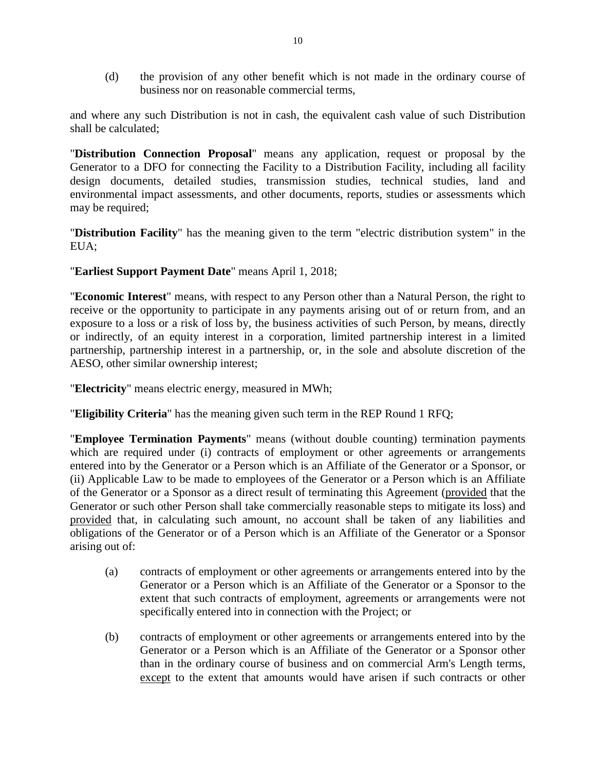(d) the provision of any other benefit which is not made in the ordinary course of business nor on reasonable commercial terms,

and where any such Distribution is not in cash, the equivalent cash value of such Distribution shall be calculated;

"**Distribution Connection Proposal**" means any application, request or proposal by the Generator to a DFO for connecting the Facility to a Distribution Facility, including all facility design documents, detailed studies, transmission studies, technical studies, land and environmental impact assessments, and other documents, reports, studies or assessments which may be required;

"**Distribution Facility**" has the meaning given to the term "electric distribution system" in the EUA;

## "**Earliest Support Payment Date**" means April 1, 2018;

"**Economic Interest**" means, with respect to any Person other than a Natural Person, the right to receive or the opportunity to participate in any payments arising out of or return from, and an exposure to a loss or a risk of loss by, the business activities of such Person, by means, directly or indirectly, of an equity interest in a corporation, limited partnership interest in a limited partnership, partnership interest in a partnership, or, in the sole and absolute discretion of the AESO, other similar ownership interest;

"**Electricity**" means electric energy, measured in MWh;

"**Eligibility Criteria**" has the meaning given such term in the REP Round 1 RFQ;

"**Employee Termination Payments**" means (without double counting) termination payments which are required under (i) contracts of employment or other agreements or arrangements entered into by the Generator or a Person which is an Affiliate of the Generator or a Sponsor, or (ii) Applicable Law to be made to employees of the Generator or a Person which is an Affiliate of the Generator or a Sponsor as a direct result of terminating this Agreement (provided that the Generator or such other Person shall take commercially reasonable steps to mitigate its loss) and provided that, in calculating such amount, no account shall be taken of any liabilities and obligations of the Generator or of a Person which is an Affiliate of the Generator or a Sponsor arising out of:

- (a) contracts of employment or other agreements or arrangements entered into by the Generator or a Person which is an Affiliate of the Generator or a Sponsor to the extent that such contracts of employment, agreements or arrangements were not specifically entered into in connection with the Project; or
- (b) contracts of employment or other agreements or arrangements entered into by the Generator or a Person which is an Affiliate of the Generator or a Sponsor other than in the ordinary course of business and on commercial Arm's Length terms, except to the extent that amounts would have arisen if such contracts or other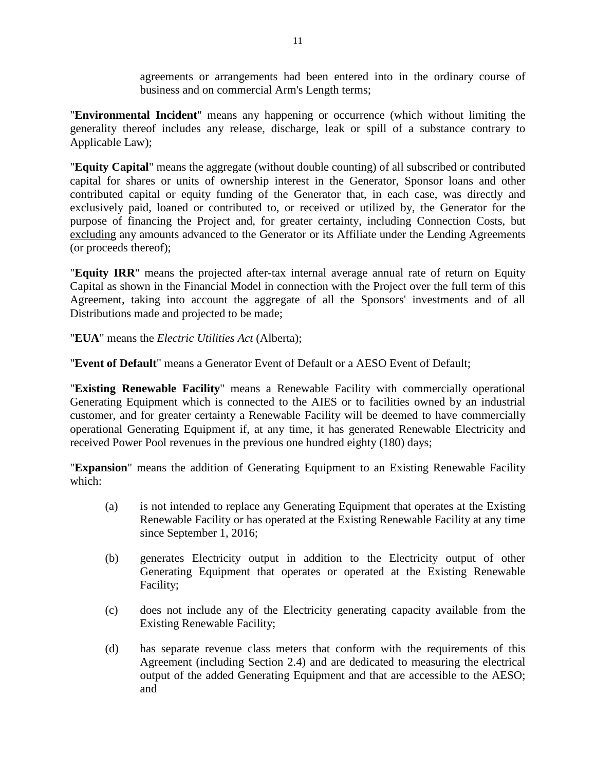agreements or arrangements had been entered into in the ordinary course of business and on commercial Arm's Length terms;

"**Environmental Incident**" means any happening or occurrence (which without limiting the generality thereof includes any release, discharge, leak or spill of a substance contrary to Applicable Law);

"**Equity Capital**" means the aggregate (without double counting) of all subscribed or contributed capital for shares or units of ownership interest in the Generator, Sponsor loans and other contributed capital or equity funding of the Generator that, in each case, was directly and exclusively paid, loaned or contributed to, or received or utilized by, the Generator for the purpose of financing the Project and, for greater certainty, including Connection Costs, but excluding any amounts advanced to the Generator or its Affiliate under the Lending Agreements (or proceeds thereof);

"**Equity IRR**" means the projected after-tax internal average annual rate of return on Equity Capital as shown in the Financial Model in connection with the Project over the full term of this Agreement, taking into account the aggregate of all the Sponsors' investments and of all Distributions made and projected to be made;

"**EUA**" means the *Electric Utilities Act* (Alberta);

"**Event of Default**" means a Generator Event of Default or a AESO Event of Default;

"**Existing Renewable Facility**" means a Renewable Facility with commercially operational Generating Equipment which is connected to the AIES or to facilities owned by an industrial customer, and for greater certainty a Renewable Facility will be deemed to have commercially operational Generating Equipment if, at any time, it has generated Renewable Electricity and received Power Pool revenues in the previous one hundred eighty (180) days;

"**Expansion**" means the addition of Generating Equipment to an Existing Renewable Facility which:

- (a) is not intended to replace any Generating Equipment that operates at the Existing Renewable Facility or has operated at the Existing Renewable Facility at any time since September 1, 2016;
- (b) generates Electricity output in addition to the Electricity output of other Generating Equipment that operates or operated at the Existing Renewable Facility;
- (c) does not include any of the Electricity generating capacity available from the Existing Renewable Facility;
- (d) has separate revenue class meters that conform with the requirements of this Agreement (including Section 2.4) and are dedicated to measuring the electrical output of the added Generating Equipment and that are accessible to the AESO; and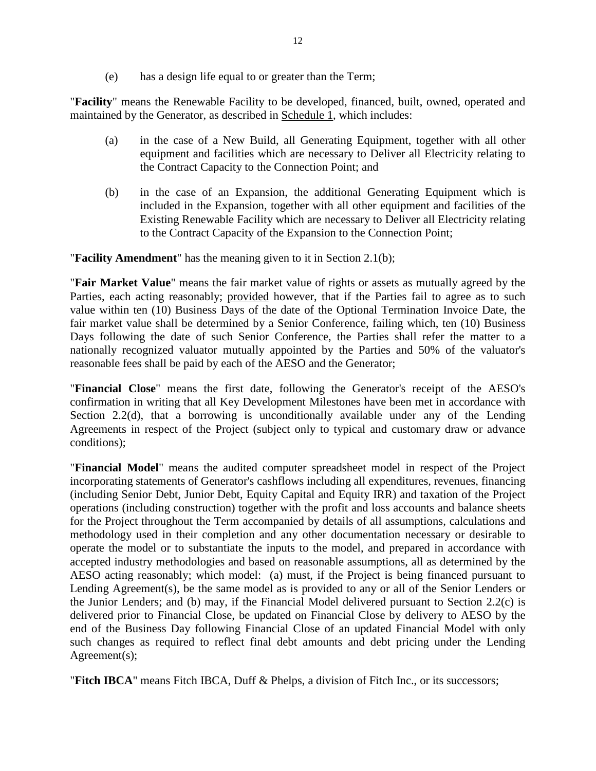(e) has a design life equal to or greater than the Term;

"**Facility**" means the Renewable Facility to be developed, financed, built, owned, operated and maintained by the Generator, as described in Schedule 1, which includes:

- (a) in the case of a New Build, all Generating Equipment, together with all other equipment and facilities which are necessary to Deliver all Electricity relating to the Contract Capacity to the Connection Point; and
- (b) in the case of an Expansion, the additional Generating Equipment which is included in the Expansion, together with all other equipment and facilities of the Existing Renewable Facility which are necessary to Deliver all Electricity relating to the Contract Capacity of the Expansion to the Connection Point;

"**Facility Amendment**" has the meaning given to it in Section 2.1(b);

"**Fair Market Value**" means the fair market value of rights or assets as mutually agreed by the Parties, each acting reasonably; provided however, that if the Parties fail to agree as to such value within ten (10) Business Days of the date of the Optional Termination Invoice Date, the fair market value shall be determined by a Senior Conference, failing which, ten (10) Business Days following the date of such Senior Conference, the Parties shall refer the matter to a nationally recognized valuator mutually appointed by the Parties and 50% of the valuator's reasonable fees shall be paid by each of the AESO and the Generator;

"**Financial Close**" means the first date, following the Generator's receipt of the AESO's confirmation in writing that all Key Development Milestones have been met in accordance with Section 2.2(d), that a borrowing is unconditionally available under any of the Lending Agreements in respect of the Project (subject only to typical and customary draw or advance conditions);

"**Financial Model**" means the audited computer spreadsheet model in respect of the Project incorporating statements of Generator's cashflows including all expenditures, revenues, financing (including Senior Debt, Junior Debt, Equity Capital and Equity IRR) and taxation of the Project operations (including construction) together with the profit and loss accounts and balance sheets for the Project throughout the Term accompanied by details of all assumptions, calculations and methodology used in their completion and any other documentation necessary or desirable to operate the model or to substantiate the inputs to the model, and prepared in accordance with accepted industry methodologies and based on reasonable assumptions, all as determined by the AESO acting reasonably; which model: (a) must, if the Project is being financed pursuant to Lending Agreement(s), be the same model as is provided to any or all of the Senior Lenders or the Junior Lenders; and (b) may, if the Financial Model delivered pursuant to Section 2.2(c) is delivered prior to Financial Close, be updated on Financial Close by delivery to AESO by the end of the Business Day following Financial Close of an updated Financial Model with only such changes as required to reflect final debt amounts and debt pricing under the Lending Agreement(s);

"**Fitch IBCA**" means Fitch IBCA, Duff & Phelps, a division of Fitch Inc., or its successors;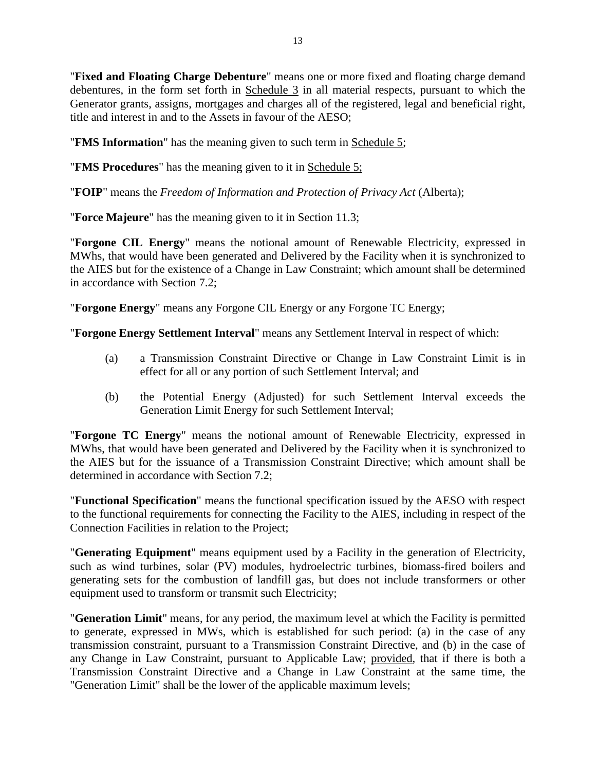"**Fixed and Floating Charge Debenture**" means one or more fixed and floating charge demand debentures, in the form set forth in Schedule 3 in all material respects, pursuant to which the Generator grants, assigns, mortgages and charges all of the registered, legal and beneficial right, title and interest in and to the Assets in favour of the AESO;

"**FMS Information**" has the meaning given to such term in Schedule 5;

"**FMS Procedures**" has the meaning given to it in Schedule 5;

"**FOIP**" means the *Freedom of Information and Protection of Privacy Act* (Alberta);

"**Force Majeure**" has the meaning given to it in Section 11.3;

"**Forgone CIL Energy**" means the notional amount of Renewable Electricity, expressed in MWhs, that would have been generated and Delivered by the Facility when it is synchronized to the AIES but for the existence of a Change in Law Constraint; which amount shall be determined in accordance with Section 7.2;

"**Forgone Energy**" means any Forgone CIL Energy or any Forgone TC Energy;

"**Forgone Energy Settlement Interval**" means any Settlement Interval in respect of which:

- (a) a Transmission Constraint Directive or Change in Law Constraint Limit is in effect for all or any portion of such Settlement Interval; and
- (b) the Potential Energy (Adjusted) for such Settlement Interval exceeds the Generation Limit Energy for such Settlement Interval;

"**Forgone TC Energy**" means the notional amount of Renewable Electricity, expressed in MWhs, that would have been generated and Delivered by the Facility when it is synchronized to the AIES but for the issuance of a Transmission Constraint Directive; which amount shall be determined in accordance with Section 7.2;

"**Functional Specification**" means the functional specification issued by the AESO with respect to the functional requirements for connecting the Facility to the AIES, including in respect of the Connection Facilities in relation to the Project;

"**Generating Equipment**" means equipment used by a Facility in the generation of Electricity, such as wind turbines, solar (PV) modules, hydroelectric turbines, biomass-fired boilers and generating sets for the combustion of landfill gas, but does not include transformers or other equipment used to transform or transmit such Electricity;

"**Generation Limit**" means, for any period, the maximum level at which the Facility is permitted to generate, expressed in MWs, which is established for such period: (a) in the case of any transmission constraint, pursuant to a Transmission Constraint Directive, and (b) in the case of any Change in Law Constraint, pursuant to Applicable Law; provided, that if there is both a Transmission Constraint Directive and a Change in Law Constraint at the same time, the "Generation Limit" shall be the lower of the applicable maximum levels;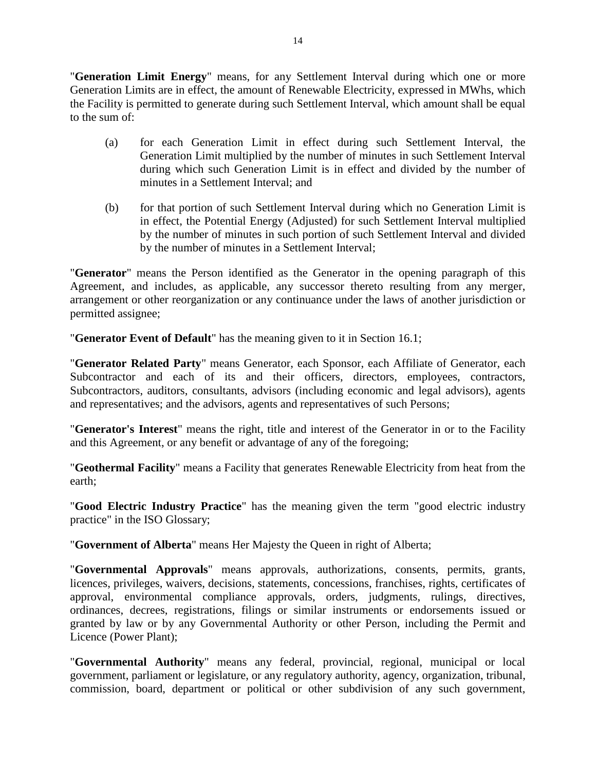"**Generation Limit Energy**" means, for any Settlement Interval during which one or more Generation Limits are in effect, the amount of Renewable Electricity, expressed in MWhs, which the Facility is permitted to generate during such Settlement Interval, which amount shall be equal to the sum of:

- (a) for each Generation Limit in effect during such Settlement Interval, the Generation Limit multiplied by the number of minutes in such Settlement Interval during which such Generation Limit is in effect and divided by the number of minutes in a Settlement Interval; and
- (b) for that portion of such Settlement Interval during which no Generation Limit is in effect, the Potential Energy (Adjusted) for such Settlement Interval multiplied by the number of minutes in such portion of such Settlement Interval and divided by the number of minutes in a Settlement Interval;

"**Generator**" means the Person identified as the Generator in the opening paragraph of this Agreement, and includes, as applicable, any successor thereto resulting from any merger, arrangement or other reorganization or any continuance under the laws of another jurisdiction or permitted assignee;

"**Generator Event of Default**" has the meaning given to it in Section 16.1;

"**Generator Related Party**" means Generator, each Sponsor, each Affiliate of Generator, each Subcontractor and each of its and their officers, directors, employees, contractors, Subcontractors, auditors, consultants, advisors (including economic and legal advisors), agents and representatives; and the advisors, agents and representatives of such Persons;

"**Generator's Interest**" means the right, title and interest of the Generator in or to the Facility and this Agreement, or any benefit or advantage of any of the foregoing;

"**Geothermal Facility**" means a Facility that generates Renewable Electricity from heat from the earth;

"**Good Electric Industry Practice**" has the meaning given the term "good electric industry practice" in the ISO Glossary;

"**Government of Alberta**" means Her Majesty the Queen in right of Alberta;

"**Governmental Approvals**" means approvals, authorizations, consents, permits, grants, licences, privileges, waivers, decisions, statements, concessions, franchises, rights, certificates of approval, environmental compliance approvals, orders, judgments, rulings, directives, ordinances, decrees, registrations, filings or similar instruments or endorsements issued or granted by law or by any Governmental Authority or other Person, including the Permit and Licence (Power Plant);

"**Governmental Authority**" means any federal, provincial, regional, municipal or local government, parliament or legislature, or any regulatory authority, agency, organization, tribunal, commission, board, department or political or other subdivision of any such government,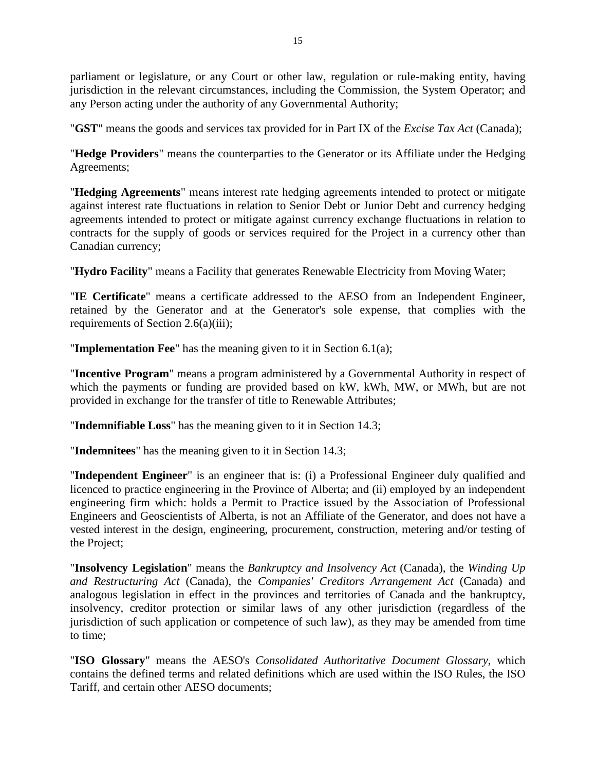parliament or legislature, or any Court or other law, regulation or rule-making entity, having jurisdiction in the relevant circumstances, including the Commission, the System Operator; and any Person acting under the authority of any Governmental Authority;

"**GST**" means the goods and services tax provided for in Part IX of the *Excise Tax Act* (Canada);

"**Hedge Providers**" means the counterparties to the Generator or its Affiliate under the Hedging Agreements;

"**Hedging Agreements**" means interest rate hedging agreements intended to protect or mitigate against interest rate fluctuations in relation to Senior Debt or Junior Debt and currency hedging agreements intended to protect or mitigate against currency exchange fluctuations in relation to contracts for the supply of goods or services required for the Project in a currency other than Canadian currency;

"**Hydro Facility**" means a Facility that generates Renewable Electricity from Moving Water;

"**IE Certificate**" means a certificate addressed to the AESO from an Independent Engineer, retained by the Generator and at the Generator's sole expense, that complies with the requirements of Section 2.6(a)(iii);

"**Implementation Fee**" has the meaning given to it in Section 6.1(a);

"**Incentive Program**" means a program administered by a Governmental Authority in respect of which the payments or funding are provided based on kW, kWh, MW, or MWh, but are not provided in exchange for the transfer of title to Renewable Attributes;

"**Indemnifiable Loss**" has the meaning given to it in Section 14.3;

"**Indemnitees**" has the meaning given to it in Section 14.3;

"**Independent Engineer**" is an engineer that is: (i) a Professional Engineer duly qualified and licenced to practice engineering in the Province of Alberta; and (ii) employed by an independent engineering firm which: holds a Permit to Practice issued by the Association of Professional Engineers and Geoscientists of Alberta, is not an Affiliate of the Generator, and does not have a vested interest in the design, engineering, procurement, construction, metering and/or testing of the Project;

"**Insolvency Legislation**" means the *Bankruptcy and Insolvency Act* (Canada), the *Winding Up and Restructuring Act* (Canada), the *Companies' Creditors Arrangement Act* (Canada) and analogous legislation in effect in the provinces and territories of Canada and the bankruptcy, insolvency, creditor protection or similar laws of any other jurisdiction (regardless of the jurisdiction of such application or competence of such law), as they may be amended from time to time;

"**ISO Glossary**" means the AESO's *Consolidated Authoritative Document Glossary*, which contains the defined terms and related definitions which are used within the ISO Rules, the ISO Tariff, and certain other AESO documents;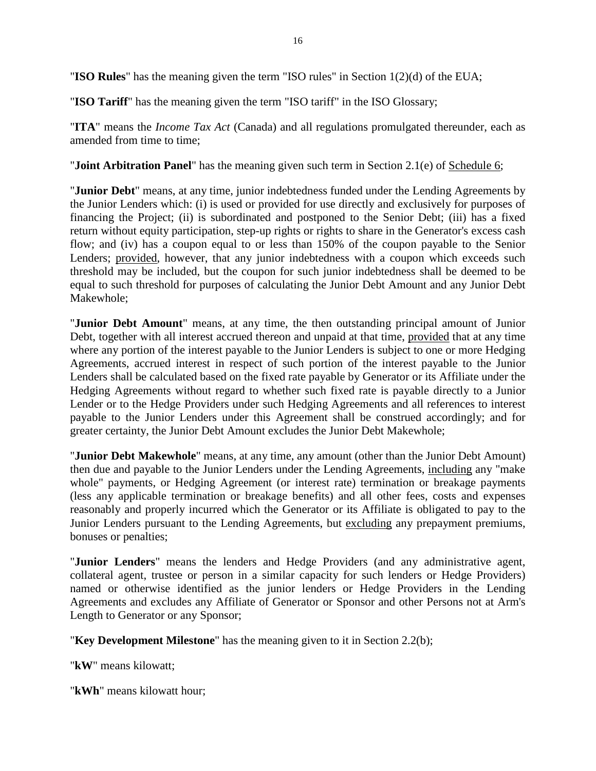"**ISO Rules**" has the meaning given the term "ISO rules" in Section 1(2)(d) of the EUA;

"**ISO Tariff**" has the meaning given the term "ISO tariff" in the ISO Glossary;

"**ITA**" means the *Income Tax Act* (Canada) and all regulations promulgated thereunder, each as amended from time to time;

"**Joint Arbitration Panel**" has the meaning given such term in Section 2.1(e) of <u>Schedule 6</u>;

"**Junior Debt**" means, at any time, junior indebtedness funded under the Lending Agreements by the Junior Lenders which: (i) is used or provided for use directly and exclusively for purposes of financing the Project; (ii) is subordinated and postponed to the Senior Debt; (iii) has a fixed return without equity participation, step-up rights or rights to share in the Generator's excess cash flow; and (iv) has a coupon equal to or less than 150% of the coupon payable to the Senior Lenders; provided, however, that any junior indebtedness with a coupon which exceeds such threshold may be included, but the coupon for such junior indebtedness shall be deemed to be equal to such threshold for purposes of calculating the Junior Debt Amount and any Junior Debt Makewhole;

"**Junior Debt Amount**" means, at any time, the then outstanding principal amount of Junior Debt, together with all interest accrued thereon and unpaid at that time, provided that at any time where any portion of the interest payable to the Junior Lenders is subject to one or more Hedging Agreements, accrued interest in respect of such portion of the interest payable to the Junior Lenders shall be calculated based on the fixed rate payable by Generator or its Affiliate under the Hedging Agreements without regard to whether such fixed rate is payable directly to a Junior Lender or to the Hedge Providers under such Hedging Agreements and all references to interest payable to the Junior Lenders under this Agreement shall be construed accordingly; and for greater certainty, the Junior Debt Amount excludes the Junior Debt Makewhole;

"**Junior Debt Makewhole**" means, at any time, any amount (other than the Junior Debt Amount) then due and payable to the Junior Lenders under the Lending Agreements, including any "make whole" payments, or Hedging Agreement (or interest rate) termination or breakage payments (less any applicable termination or breakage benefits) and all other fees, costs and expenses reasonably and properly incurred which the Generator or its Affiliate is obligated to pay to the Junior Lenders pursuant to the Lending Agreements, but excluding any prepayment premiums, bonuses or penalties;

"**Junior Lenders**" means the lenders and Hedge Providers (and any administrative agent, collateral agent, trustee or person in a similar capacity for such lenders or Hedge Providers) named or otherwise identified as the junior lenders or Hedge Providers in the Lending Agreements and excludes any Affiliate of Generator or Sponsor and other Persons not at Arm's Length to Generator or any Sponsor;

"**Key Development Milestone**" has the meaning given to it in Section 2.2(b);

"**kW**" means kilowatt;

"**kWh**" means kilowatt hour;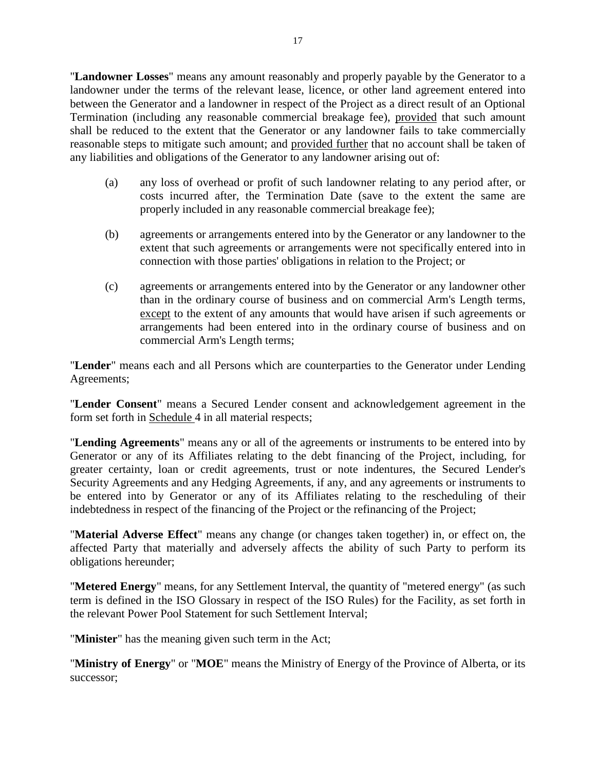"**Landowner Losses**" means any amount reasonably and properly payable by the Generator to a landowner under the terms of the relevant lease, licence, or other land agreement entered into between the Generator and a landowner in respect of the Project as a direct result of an Optional Termination (including any reasonable commercial breakage fee), provided that such amount shall be reduced to the extent that the Generator or any landowner fails to take commercially reasonable steps to mitigate such amount; and provided further that no account shall be taken of any liabilities and obligations of the Generator to any landowner arising out of:

- (a) any loss of overhead or profit of such landowner relating to any period after, or costs incurred after, the Termination Date (save to the extent the same are properly included in any reasonable commercial breakage fee);
- (b) agreements or arrangements entered into by the Generator or any landowner to the extent that such agreements or arrangements were not specifically entered into in connection with those parties' obligations in relation to the Project; or
- (c) agreements or arrangements entered into by the Generator or any landowner other than in the ordinary course of business and on commercial Arm's Length terms, except to the extent of any amounts that would have arisen if such agreements or arrangements had been entered into in the ordinary course of business and on commercial Arm's Length terms;

"**Lender**" means each and all Persons which are counterparties to the Generator under Lending Agreements;

"**Lender Consent**" means a Secured Lender consent and acknowledgement agreement in the form set forth in Schedule 4 in all material respects;

"**Lending Agreements**" means any or all of the agreements or instruments to be entered into by Generator or any of its Affiliates relating to the debt financing of the Project, including, for greater certainty, loan or credit agreements, trust or note indentures, the Secured Lender's Security Agreements and any Hedging Agreements, if any, and any agreements or instruments to be entered into by Generator or any of its Affiliates relating to the rescheduling of their indebtedness in respect of the financing of the Project or the refinancing of the Project;

"**Material Adverse Effect**" means any change (or changes taken together) in, or effect on, the affected Party that materially and adversely affects the ability of such Party to perform its obligations hereunder;

"**Metered Energy**" means, for any Settlement Interval, the quantity of "metered energy" (as such term is defined in the ISO Glossary in respect of the ISO Rules) for the Facility, as set forth in the relevant Power Pool Statement for such Settlement Interval;

"**Minister**" has the meaning given such term in the Act;

"**Ministry of Energy**" or "**MOE**" means the Ministry of Energy of the Province of Alberta, or its successor;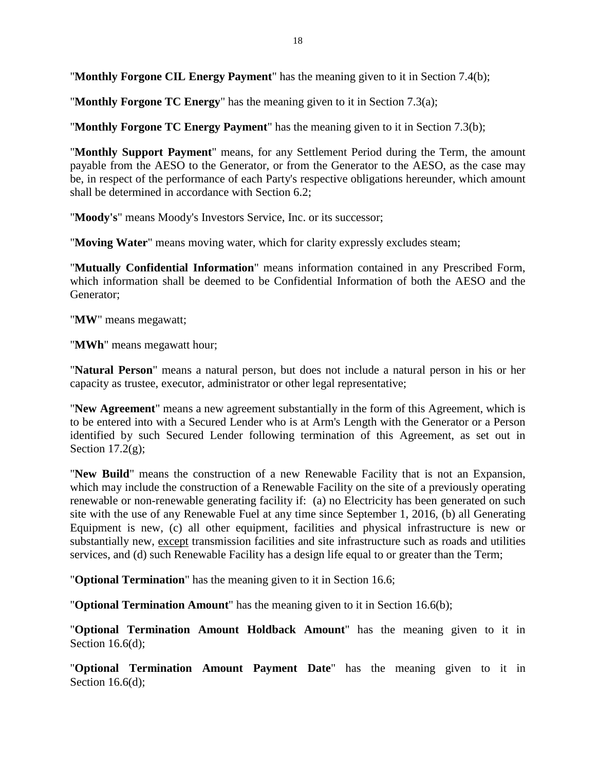"**Monthly Forgone CIL Energy Payment**" has the meaning given to it in Section 7.4(b);

"**Monthly Forgone TC Energy**" has the meaning given to it in Section 7.3(a);

"**Monthly Forgone TC Energy Payment**" has the meaning given to it in Section 7.3(b);

"**Monthly Support Payment**" means, for any Settlement Period during the Term, the amount payable from the AESO to the Generator, or from the Generator to the AESO, as the case may be, in respect of the performance of each Party's respective obligations hereunder, which amount shall be determined in accordance with Section 6.2;

"**Moody's**" means Moody's Investors Service, Inc. or its successor;

"**Moving Water**" means moving water, which for clarity expressly excludes steam;

"**Mutually Confidential Information**" means information contained in any Prescribed Form, which information shall be deemed to be Confidential Information of both the AESO and the Generator;

"**MW**" means megawatt;

"**MWh**" means megawatt hour;

"**Natural Person**" means a natural person, but does not include a natural person in his or her capacity as trustee, executor, administrator or other legal representative;

"**New Agreement**" means a new agreement substantially in the form of this Agreement, which is to be entered into with a Secured Lender who is at Arm's Length with the Generator or a Person identified by such Secured Lender following termination of this Agreement, as set out in Section  $17.2(g)$ ;

"**New Build**" means the construction of a new Renewable Facility that is not an Expansion, which may include the construction of a Renewable Facility on the site of a previously operating renewable or non-renewable generating facility if: (a) no Electricity has been generated on such site with the use of any Renewable Fuel at any time since September 1, 2016, (b) all Generating Equipment is new, (c) all other equipment, facilities and physical infrastructure is new or substantially new, except transmission facilities and site infrastructure such as roads and utilities services, and (d) such Renewable Facility has a design life equal to or greater than the Term;

"**Optional Termination**" has the meaning given to it in Section 16.6;

"**Optional Termination Amount**" has the meaning given to it in Section 16.6(b);

"**Optional Termination Amount Holdback Amount**" has the meaning given to it in Section 16.6(d);

"**Optional Termination Amount Payment Date**" has the meaning given to it in Section 16.6(d):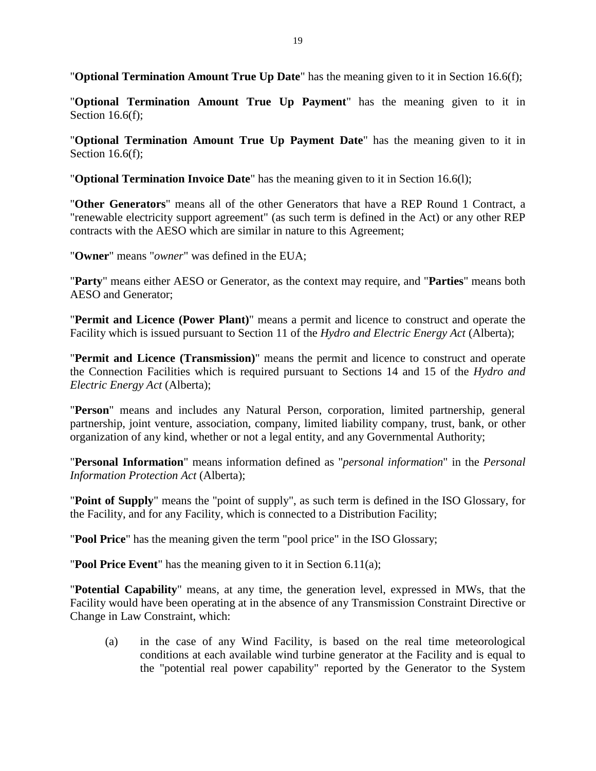"**Optional Termination Amount True Up Date**" has the meaning given to it in Section 16.6(f);

"**Optional Termination Amount True Up Payment**" has the meaning given to it in Section 16.6(f);

"**Optional Termination Amount True Up Payment Date**" has the meaning given to it in Section 16.6(f);

"**Optional Termination Invoice Date**" has the meaning given to it in Section 16.6(l);

"**Other Generators**" means all of the other Generators that have a REP Round 1 Contract, a "renewable electricity support agreement" (as such term is defined in the Act) or any other REP contracts with the AESO which are similar in nature to this Agreement;

"**Owner**" means "*owner*" was defined in the EUA;

"**Party**" means either AESO or Generator, as the context may require, and "**Parties**" means both AESO and Generator;

"**Permit and Licence (Power Plant)**" means a permit and licence to construct and operate the Facility which is issued pursuant to Section 11 of the *Hydro and Electric Energy Act* (Alberta);

"**Permit and Licence (Transmission)**" means the permit and licence to construct and operate the Connection Facilities which is required pursuant to Sections 14 and 15 of the *Hydro and Electric Energy Act* (Alberta);

"**Person**" means and includes any Natural Person, corporation, limited partnership, general partnership, joint venture, association, company, limited liability company, trust, bank, or other organization of any kind, whether or not a legal entity, and any Governmental Authority;

"**Personal Information**" means information defined as "*personal information*" in the *Personal Information Protection Act* (Alberta);

"**Point of Supply**" means the "point of supply", as such term is defined in the ISO Glossary, for the Facility, and for any Facility, which is connected to a Distribution Facility;

"**Pool Price**" has the meaning given the term "pool price" in the ISO Glossary;

"**Pool Price Event**" has the meaning given to it in Section 6.11(a);

"**Potential Capability**" means, at any time, the generation level, expressed in MWs, that the Facility would have been operating at in the absence of any Transmission Constraint Directive or Change in Law Constraint, which:

(a) in the case of any Wind Facility, is based on the real time meteorological conditions at each available wind turbine generator at the Facility and is equal to the "potential real power capability" reported by the Generator to the System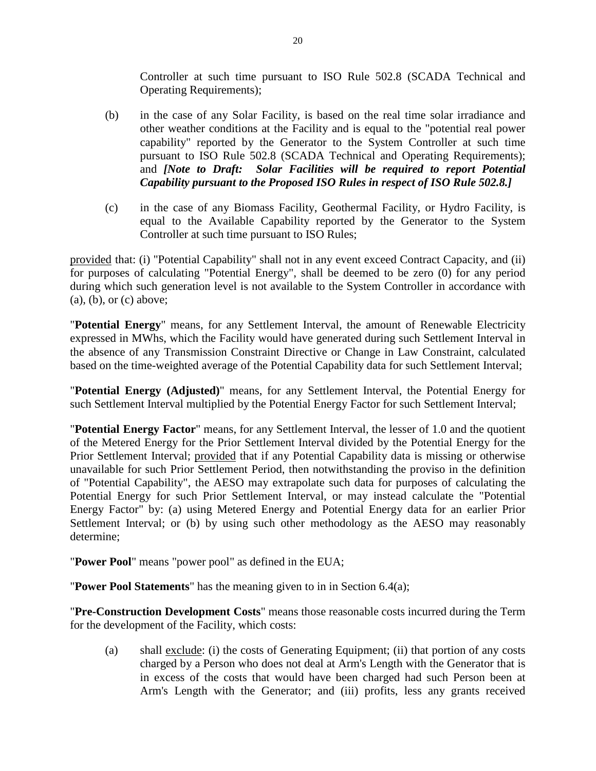Controller at such time pursuant to ISO Rule 502.8 (SCADA Technical and Operating Requirements);

- (b) in the case of any Solar Facility, is based on the real time solar irradiance and other weather conditions at the Facility and is equal to the "potential real power capability" reported by the Generator to the System Controller at such time pursuant to ISO Rule 502.8 (SCADA Technical and Operating Requirements); and *[Note to Draft: Solar Facilities will be required to report Potential Capability pursuant to the Proposed ISO Rules in respect of ISO Rule 502.8.]*
- (c) in the case of any Biomass Facility, Geothermal Facility, or Hydro Facility, is equal to the Available Capability reported by the Generator to the System Controller at such time pursuant to ISO Rules;

provided that: (i) "Potential Capability" shall not in any event exceed Contract Capacity, and (ii) for purposes of calculating "Potential Energy", shall be deemed to be zero (0) for any period during which such generation level is not available to the System Controller in accordance with (a), (b), or (c) above;

"**Potential Energy**" means, for any Settlement Interval, the amount of Renewable Electricity expressed in MWhs, which the Facility would have generated during such Settlement Interval in the absence of any Transmission Constraint Directive or Change in Law Constraint, calculated based on the time-weighted average of the Potential Capability data for such Settlement Interval;

"**Potential Energy (Adjusted)**" means, for any Settlement Interval, the Potential Energy for such Settlement Interval multiplied by the Potential Energy Factor for such Settlement Interval;

"**Potential Energy Factor**" means, for any Settlement Interval, the lesser of 1.0 and the quotient of the Metered Energy for the Prior Settlement Interval divided by the Potential Energy for the Prior Settlement Interval; provided that if any Potential Capability data is missing or otherwise unavailable for such Prior Settlement Period, then notwithstanding the proviso in the definition of "Potential Capability", the AESO may extrapolate such data for purposes of calculating the Potential Energy for such Prior Settlement Interval, or may instead calculate the "Potential Energy Factor" by: (a) using Metered Energy and Potential Energy data for an earlier Prior Settlement Interval; or (b) by using such other methodology as the AESO may reasonably determine;

"**Power Pool**" means "power pool" as defined in the EUA;

"**Power Pool Statements**" has the meaning given to in in Section 6.4(a);

"**Pre-Construction Development Costs**" means those reasonable costs incurred during the Term for the development of the Facility, which costs:

(a) shall exclude: (i) the costs of Generating Equipment; (ii) that portion of any costs charged by a Person who does not deal at Arm's Length with the Generator that is in excess of the costs that would have been charged had such Person been at Arm's Length with the Generator; and (iii) profits, less any grants received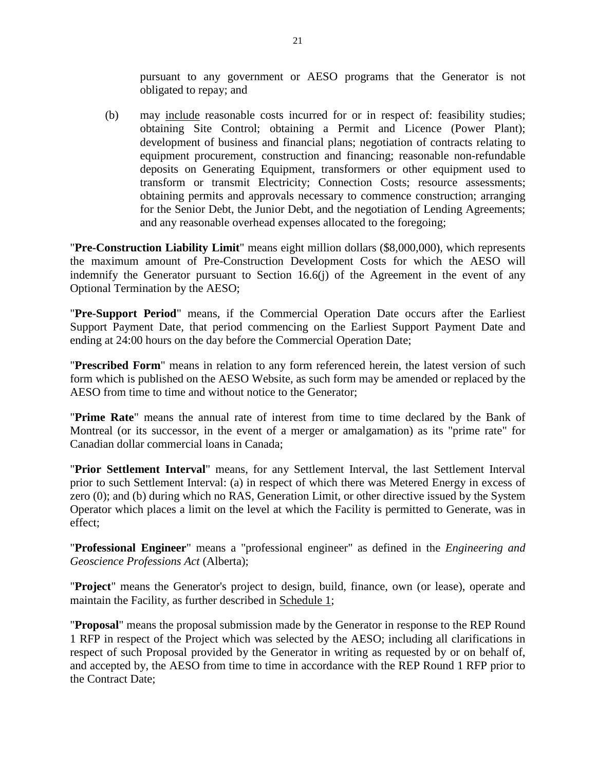pursuant to any government or AESO programs that the Generator is not obligated to repay; and

(b) may include reasonable costs incurred for or in respect of: feasibility studies; obtaining Site Control; obtaining a Permit and Licence (Power Plant); development of business and financial plans; negotiation of contracts relating to equipment procurement, construction and financing; reasonable non-refundable deposits on Generating Equipment, transformers or other equipment used to transform or transmit Electricity; Connection Costs; resource assessments; obtaining permits and approvals necessary to commence construction; arranging for the Senior Debt, the Junior Debt, and the negotiation of Lending Agreements; and any reasonable overhead expenses allocated to the foregoing;

"**Pre-Construction Liability Limit**" means eight million dollars (\$8,000,000), which represents the maximum amount of Pre-Construction Development Costs for which the AESO will indemnify the Generator pursuant to Section 16.6(j) of the Agreement in the event of any Optional Termination by the AESO;

"**Pre-Support Period**" means, if the Commercial Operation Date occurs after the Earliest Support Payment Date, that period commencing on the Earliest Support Payment Date and ending at 24:00 hours on the day before the Commercial Operation Date;

"**Prescribed Form**" means in relation to any form referenced herein, the latest version of such form which is published on the AESO Website, as such form may be amended or replaced by the AESO from time to time and without notice to the Generator;

"**Prime Rate**" means the annual rate of interest from time to time declared by the Bank of Montreal (or its successor, in the event of a merger or amalgamation) as its "prime rate" for Canadian dollar commercial loans in Canada;

"**Prior Settlement Interval**" means, for any Settlement Interval, the last Settlement Interval prior to such Settlement Interval: (a) in respect of which there was Metered Energy in excess of zero (0); and (b) during which no RAS, Generation Limit, or other directive issued by the System Operator which places a limit on the level at which the Facility is permitted to Generate, was in effect;

"**Professional Engineer**" means a "professional engineer" as defined in the *Engineering and Geoscience Professions Act* (Alberta);

"**Project**" means the Generator's project to design, build, finance, own (or lease), operate and maintain the Facility, as further described in Schedule 1;

"**Proposal**" means the proposal submission made by the Generator in response to the REP Round 1 RFP in respect of the Project which was selected by the AESO; including all clarifications in respect of such Proposal provided by the Generator in writing as requested by or on behalf of, and accepted by, the AESO from time to time in accordance with the REP Round 1 RFP prior to the Contract Date;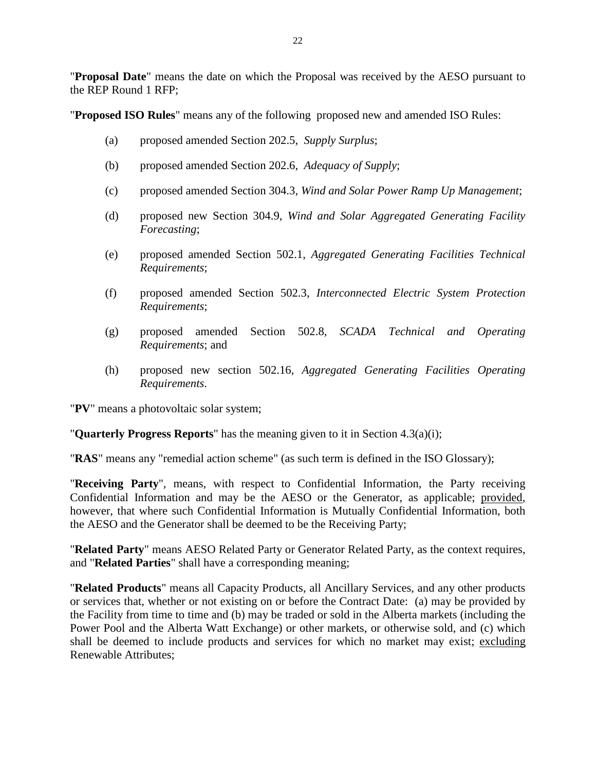"**Proposal Date**" means the date on which the Proposal was received by the AESO pursuant to the REP Round 1 RFP;

"**Proposed ISO Rules**" means any of the following proposed new and amended ISO Rules:

- (a) proposed amended Section 202.5, *Supply Surplus*;
- (b) proposed amended Section 202.6, *Adequacy of Supply*;
- (c) proposed amended Section 304.3, *Wind and Solar Power Ramp Up Management*;
- (d) proposed new Section 304.9, *Wind and Solar Aggregated Generating Facility Forecasting*;
- (e) proposed amended Section 502.1, *Aggregated Generating Facilities Technical Requirements*;
- (f) proposed amended Section 502.3, *Interconnected Electric System Protection Requirements*;
- (g) proposed amended Section 502.8, *SCADA Technical and Operating Requirements*; and
- (h) proposed new section 502.16, *Aggregated Generating Facilities Operating Requirements*.

"**PV**" means a photovoltaic solar system;

"**Quarterly Progress Reports**" has the meaning given to it in Section 4.3(a)(i);

"**RAS**" means any "remedial action scheme" (as such term is defined in the ISO Glossary);

"**Receiving Party**", means, with respect to Confidential Information, the Party receiving Confidential Information and may be the AESO or the Generator, as applicable; provided, however, that where such Confidential Information is Mutually Confidential Information, both the AESO and the Generator shall be deemed to be the Receiving Party;

"**Related Party**" means AESO Related Party or Generator Related Party, as the context requires, and "**Related Parties**" shall have a corresponding meaning;

"**Related Products**" means all Capacity Products, all Ancillary Services, and any other products or services that, whether or not existing on or before the Contract Date: (a) may be provided by the Facility from time to time and (b) may be traded or sold in the Alberta markets (including the Power Pool and the Alberta Watt Exchange) or other markets, or otherwise sold, and (c) which shall be deemed to include products and services for which no market may exist; excluding Renewable Attributes;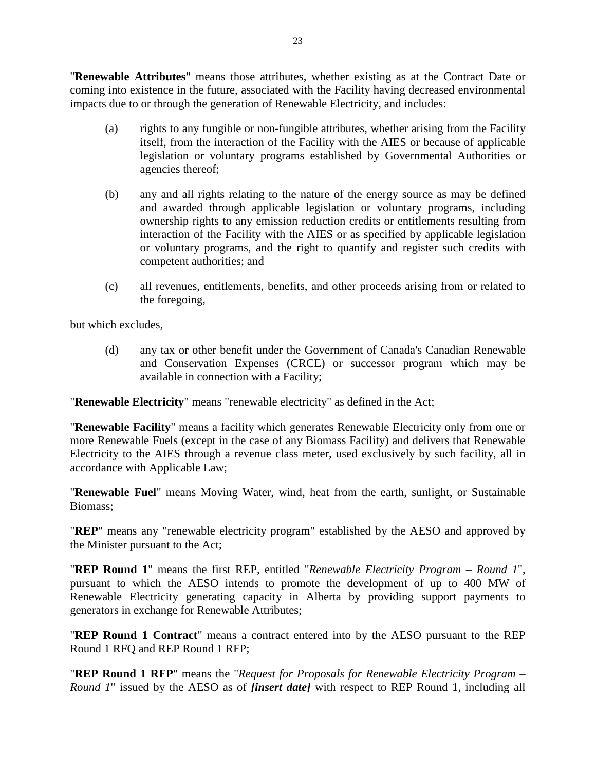"**Renewable Attributes**" means those attributes, whether existing as at the Contract Date or coming into existence in the future, associated with the Facility having decreased environmental impacts due to or through the generation of Renewable Electricity, and includes:

- (a) rights to any fungible or non-fungible attributes, whether arising from the Facility itself, from the interaction of the Facility with the AIES or because of applicable legislation or voluntary programs established by Governmental Authorities or agencies thereof;
- (b) any and all rights relating to the nature of the energy source as may be defined and awarded through applicable legislation or voluntary programs, including ownership rights to any emission reduction credits or entitlements resulting from interaction of the Facility with the AIES or as specified by applicable legislation or voluntary programs, and the right to quantify and register such credits with competent authorities; and
- (c) all revenues, entitlements, benefits, and other proceeds arising from or related to the foregoing,

but which excludes,

(d) any tax or other benefit under the Government of Canada's Canadian Renewable and Conservation Expenses (CRCE) or successor program which may be available in connection with a Facility;

"**Renewable Electricity**" means "renewable electricity" as defined in the Act;

"**Renewable Facility**" means a facility which generates Renewable Electricity only from one or more Renewable Fuels (except in the case of any Biomass Facility) and delivers that Renewable Electricity to the AIES through a revenue class meter, used exclusively by such facility, all in accordance with Applicable Law;

"**Renewable Fuel**" means Moving Water, wind, heat from the earth, sunlight, or Sustainable Biomass;

"**REP**" means any "renewable electricity program" established by the AESO and approved by the Minister pursuant to the Act;

"**REP Round 1**" means the first REP, entitled "*Renewable Electricity Program – Round 1*", pursuant to which the AESO intends to promote the development of up to 400 MW of Renewable Electricity generating capacity in Alberta by providing support payments to generators in exchange for Renewable Attributes;

"**REP Round 1 Contract**" means a contract entered into by the AESO pursuant to the REP Round 1 RFQ and REP Round 1 RFP;

"**REP Round 1 RFP**" means the "*Request for Proposals for Renewable Electricity Program – Round 1*" issued by the AESO as of *[insert date]* with respect to REP Round 1, including all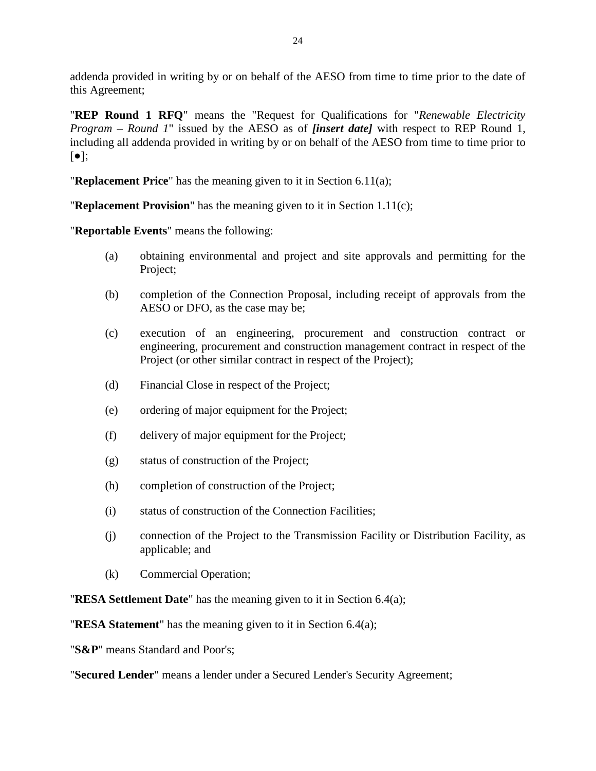addenda provided in writing by or on behalf of the AESO from time to time prior to the date of this Agreement;

"**REP Round 1 RFQ**" means the "Request for Qualifications for "*Renewable Electricity Program – Round 1*" issued by the AESO as of *[insert date]* with respect to REP Round 1, including all addenda provided in writing by or on behalf of the AESO from time to time prior to  $\lceil \bullet \rceil;$ 

"**Replacement Price**" has the meaning given to it in Section 6.11(a);

"**Replacement Provision**" has the meaning given to it in Section 1.11(c);

"**Reportable Events**" means the following:

- (a) obtaining environmental and project and site approvals and permitting for the Project;
- (b) completion of the Connection Proposal, including receipt of approvals from the AESO or DFO, as the case may be;
- (c) execution of an engineering, procurement and construction contract or engineering, procurement and construction management contract in respect of the Project (or other similar contract in respect of the Project);
- (d) Financial Close in respect of the Project;
- (e) ordering of major equipment for the Project;
- (f) delivery of major equipment for the Project;
- (g) status of construction of the Project;
- (h) completion of construction of the Project;
- (i) status of construction of the Connection Facilities;
- (j) connection of the Project to the Transmission Facility or Distribution Facility, as applicable; and
- (k) Commercial Operation;

"**RESA Settlement Date**" has the meaning given to it in Section 6.4(a);

"**RESA Statement**" has the meaning given to it in Section 6.4(a);

"**S&P**" means Standard and Poor's;

"**Secured Lender**" means a lender under a Secured Lender's Security Agreement;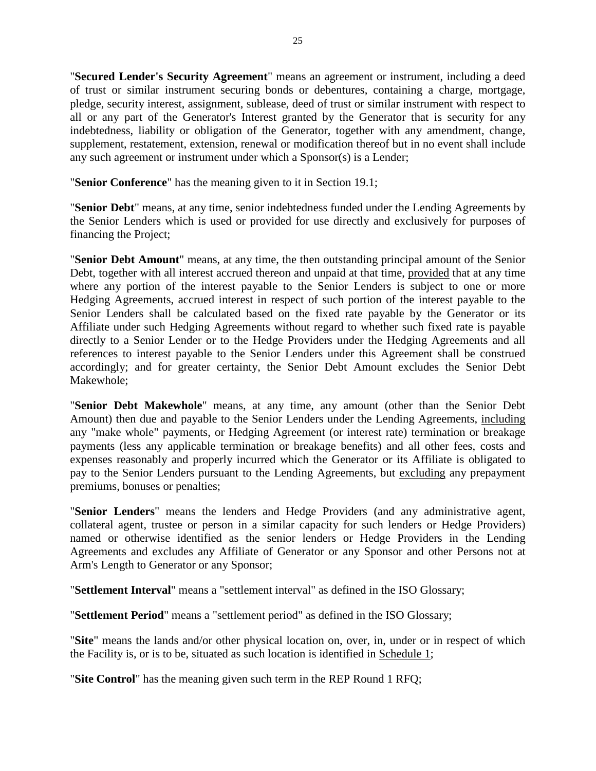"**Secured Lender's Security Agreement**" means an agreement or instrument, including a deed of trust or similar instrument securing bonds or debentures, containing a charge, mortgage, pledge, security interest, assignment, sublease, deed of trust or similar instrument with respect to all or any part of the Generator's Interest granted by the Generator that is security for any indebtedness, liability or obligation of the Generator, together with any amendment, change, supplement, restatement, extension, renewal or modification thereof but in no event shall include any such agreement or instrument under which a Sponsor(s) is a Lender;

"**Senior Conference**" has the meaning given to it in Section 19.1;

"**Senior Debt**" means, at any time, senior indebtedness funded under the Lending Agreements by the Senior Lenders which is used or provided for use directly and exclusively for purposes of financing the Project;

"**Senior Debt Amount**" means, at any time, the then outstanding principal amount of the Senior Debt, together with all interest accrued thereon and unpaid at that time, provided that at any time where any portion of the interest payable to the Senior Lenders is subject to one or more Hedging Agreements, accrued interest in respect of such portion of the interest payable to the Senior Lenders shall be calculated based on the fixed rate payable by the Generator or its Affiliate under such Hedging Agreements without regard to whether such fixed rate is payable directly to a Senior Lender or to the Hedge Providers under the Hedging Agreements and all references to interest payable to the Senior Lenders under this Agreement shall be construed accordingly; and for greater certainty, the Senior Debt Amount excludes the Senior Debt Makewhole;

"**Senior Debt Makewhole**" means, at any time, any amount (other than the Senior Debt Amount) then due and payable to the Senior Lenders under the Lending Agreements, including any "make whole" payments, or Hedging Agreement (or interest rate) termination or breakage payments (less any applicable termination or breakage benefits) and all other fees, costs and expenses reasonably and properly incurred which the Generator or its Affiliate is obligated to pay to the Senior Lenders pursuant to the Lending Agreements, but excluding any prepayment premiums, bonuses or penalties;

"**Senior Lenders**" means the lenders and Hedge Providers (and any administrative agent, collateral agent, trustee or person in a similar capacity for such lenders or Hedge Providers) named or otherwise identified as the senior lenders or Hedge Providers in the Lending Agreements and excludes any Affiliate of Generator or any Sponsor and other Persons not at Arm's Length to Generator or any Sponsor;

"**Settlement Interval**" means a "settlement interval" as defined in the ISO Glossary;

"**Settlement Period**" means a "settlement period" as defined in the ISO Glossary;

"**Site**" means the lands and/or other physical location on, over, in, under or in respect of which the Facility is, or is to be, situated as such location is identified in Schedule 1;

"**Site Control**" has the meaning given such term in the REP Round 1 RFQ;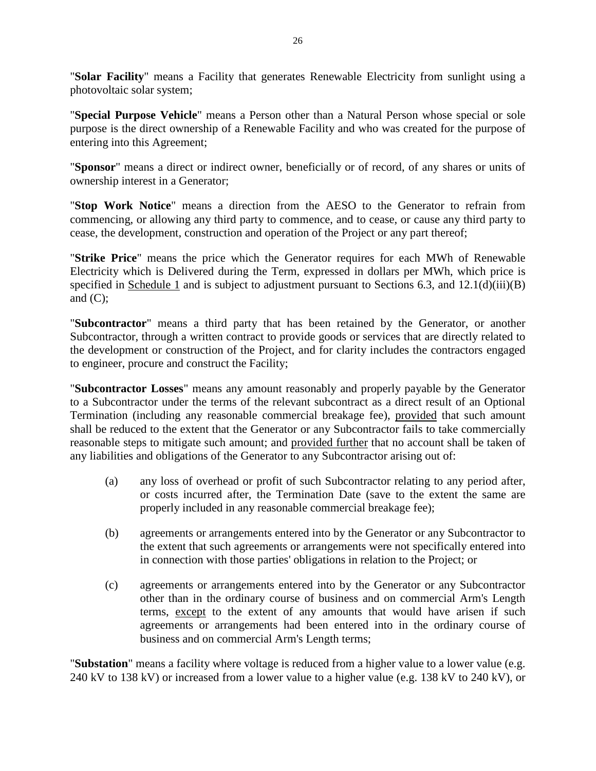"**Solar Facility**" means a Facility that generates Renewable Electricity from sunlight using a photovoltaic solar system;

"**Special Purpose Vehicle**" means a Person other than a Natural Person whose special or sole purpose is the direct ownership of a Renewable Facility and who was created for the purpose of entering into this Agreement;

"**Sponsor**" means a direct or indirect owner, beneficially or of record, of any shares or units of ownership interest in a Generator;

"**Stop Work Notice**" means a direction from the AESO to the Generator to refrain from commencing, or allowing any third party to commence, and to cease, or cause any third party to cease, the development, construction and operation of the Project or any part thereof;

"**Strike Price**" means the price which the Generator requires for each MWh of Renewable Electricity which is Delivered during the Term, expressed in dollars per MWh, which price is specified in Schedule 1 and is subject to adjustment pursuant to Sections 6.3, and 12.1(d)(iii)(B) and  $(C)$ :

"**Subcontractor**" means a third party that has been retained by the Generator, or another Subcontractor, through a written contract to provide goods or services that are directly related to the development or construction of the Project, and for clarity includes the contractors engaged to engineer, procure and construct the Facility;

"**Subcontractor Losses**" means any amount reasonably and properly payable by the Generator to a Subcontractor under the terms of the relevant subcontract as a direct result of an Optional Termination (including any reasonable commercial breakage fee), provided that such amount shall be reduced to the extent that the Generator or any Subcontractor fails to take commercially reasonable steps to mitigate such amount; and provided further that no account shall be taken of any liabilities and obligations of the Generator to any Subcontractor arising out of:

- (a) any loss of overhead or profit of such Subcontractor relating to any period after, or costs incurred after, the Termination Date (save to the extent the same are properly included in any reasonable commercial breakage fee);
- (b) agreements or arrangements entered into by the Generator or any Subcontractor to the extent that such agreements or arrangements were not specifically entered into in connection with those parties' obligations in relation to the Project; or
- (c) agreements or arrangements entered into by the Generator or any Subcontractor other than in the ordinary course of business and on commercial Arm's Length terms, except to the extent of any amounts that would have arisen if such agreements or arrangements had been entered into in the ordinary course of business and on commercial Arm's Length terms;

"**Substation**" means a facility where voltage is reduced from a higher value to a lower value (e.g. 240 kV to 138 kV) or increased from a lower value to a higher value (e.g. 138 kV to 240 kV), or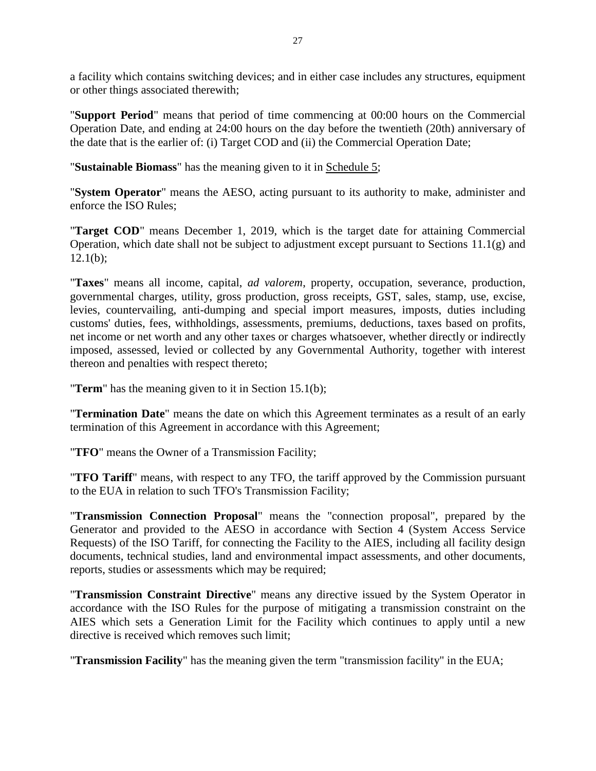a facility which contains switching devices; and in either case includes any structures, equipment or other things associated therewith;

"**Support Period**" means that period of time commencing at 00:00 hours on the Commercial Operation Date, and ending at 24:00 hours on the day before the twentieth (20th) anniversary of the date that is the earlier of: (i) Target COD and (ii) the Commercial Operation Date;

"**Sustainable Biomass**" has the meaning given to it in Schedule 5;

"**System Operator**" means the AESO, acting pursuant to its authority to make, administer and enforce the ISO Rules;

"**Target COD**" means December 1, 2019, which is the target date for attaining Commercial Operation, which date shall not be subject to adjustment except pursuant to Sections 11.1(g) and  $12.1(b)$ ;

"**Taxes**" means all income, capital, *ad valorem*, property, occupation, severance, production, governmental charges, utility, gross production, gross receipts, GST, sales, stamp, use, excise, levies, countervailing, anti-dumping and special import measures, imposts, duties including customs' duties, fees, withholdings, assessments, premiums, deductions, taxes based on profits, net income or net worth and any other taxes or charges whatsoever, whether directly or indirectly imposed, assessed, levied or collected by any Governmental Authority, together with interest thereon and penalties with respect thereto;

"**Term**" has the meaning given to it in Section 15.1(b);

"**Termination Date**" means the date on which this Agreement terminates as a result of an early termination of this Agreement in accordance with this Agreement;

"**TFO**" means the Owner of a Transmission Facility;

"**TFO Tariff**" means, with respect to any TFO, the tariff approved by the Commission pursuant to the EUA in relation to such TFO's Transmission Facility;

"**Transmission Connection Proposal**" means the "connection proposal", prepared by the Generator and provided to the AESO in accordance with Section 4 (System Access Service Requests) of the ISO Tariff, for connecting the Facility to the AIES, including all facility design documents, technical studies, land and environmental impact assessments, and other documents, reports, studies or assessments which may be required;

"**Transmission Constraint Directive**" means any directive issued by the System Operator in accordance with the ISO Rules for the purpose of mitigating a transmission constraint on the AIES which sets a Generation Limit for the Facility which continues to apply until a new directive is received which removes such limit;

"**Transmission Facility**" has the meaning given the term "transmission facility" in the EUA;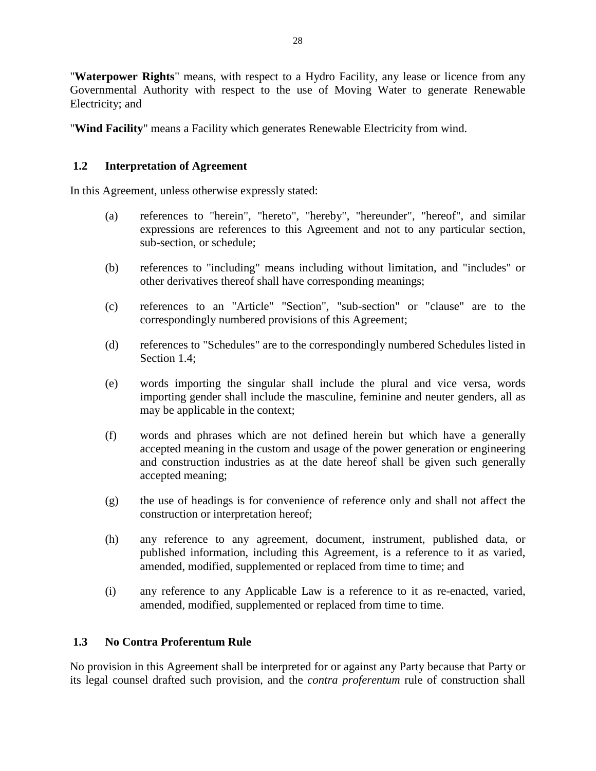"**Waterpower Rights**" means, with respect to a Hydro Facility, any lease or licence from any Governmental Authority with respect to the use of Moving Water to generate Renewable Electricity; and

"**Wind Facility**" means a Facility which generates Renewable Electricity from wind.

## <span id="page-32-0"></span>**1.2 Interpretation of Agreement**

In this Agreement, unless otherwise expressly stated:

- (a) references to "herein", "hereto", "hereby", "hereunder", "hereof", and similar expressions are references to this Agreement and not to any particular section, sub-section, or schedule;
- (b) references to "including" means including without limitation, and "includes" or other derivatives thereof shall have corresponding meanings;
- (c) references to an "Article" "Section", "sub-section" or "clause" are to the correspondingly numbered provisions of this Agreement;
- (d) references to "Schedules" are to the correspondingly numbered Schedules listed in Section 1.4;
- (e) words importing the singular shall include the plural and vice versa, words importing gender shall include the masculine, feminine and neuter genders, all as may be applicable in the context;
- (f) words and phrases which are not defined herein but which have a generally accepted meaning in the custom and usage of the power generation or engineering and construction industries as at the date hereof shall be given such generally accepted meaning;
- (g) the use of headings is for convenience of reference only and shall not affect the construction or interpretation hereof;
- (h) any reference to any agreement, document, instrument, published data, or published information, including this Agreement, is a reference to it as varied, amended, modified, supplemented or replaced from time to time; and
- (i) any reference to any Applicable Law is a reference to it as re-enacted, varied, amended, modified, supplemented or replaced from time to time.

## <span id="page-32-1"></span>**1.3 No Contra Proferentum Rule**

No provision in this Agreement shall be interpreted for or against any Party because that Party or its legal counsel drafted such provision, and the *contra proferentum* rule of construction shall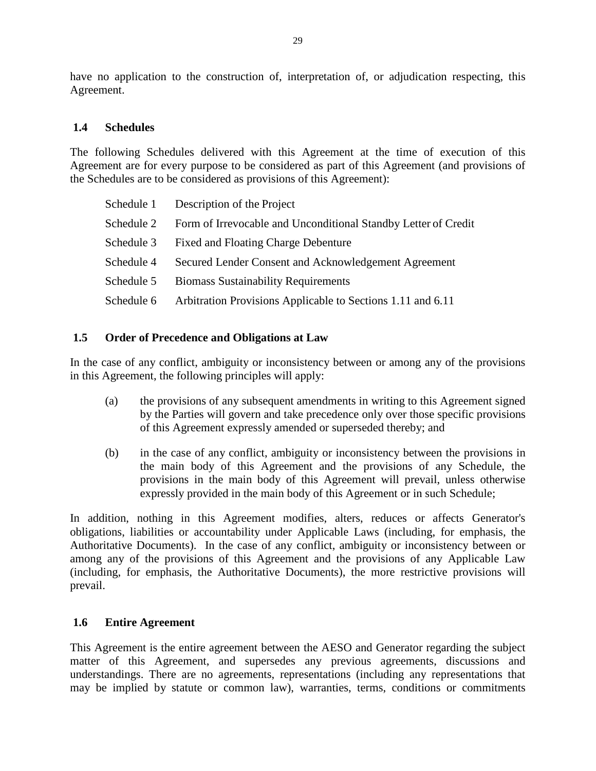have no application to the construction of, interpretation of, or adjudication respecting, this Agreement.

### <span id="page-33-0"></span>**1.4 Schedules**

The following Schedules delivered with this Agreement at the time of execution of this Agreement are for every purpose to be considered as part of this Agreement (and provisions of the Schedules are to be considered as provisions of this Agreement):

|            | Schedule 1 Description of the Project                          |
|------------|----------------------------------------------------------------|
| Schedule 2 | Form of Irrevocable and Unconditional Standby Letter of Credit |
| Schedule 3 | <b>Fixed and Floating Charge Debenture</b>                     |
| Schedule 4 | Secured Lender Consent and Acknowledgement Agreement           |
| Schedule 5 | <b>Biomass Sustainability Requirements</b>                     |
| Schedule 6 | Arbitration Provisions Applicable to Sections 1.11 and 6.11    |

## <span id="page-33-1"></span>**1.5 Order of Precedence and Obligations at Law**

In the case of any conflict, ambiguity or inconsistency between or among any of the provisions in this Agreement, the following principles will apply:

- (a) the provisions of any subsequent amendments in writing to this Agreement signed by the Parties will govern and take precedence only over those specific provisions of this Agreement expressly amended or superseded thereby; and
- (b) in the case of any conflict, ambiguity or inconsistency between the provisions in the main body of this Agreement and the provisions of any Schedule, the provisions in the main body of this Agreement will prevail, unless otherwise expressly provided in the main body of this Agreement or in such Schedule;

In addition, nothing in this Agreement modifies, alters, reduces or affects Generator's obligations, liabilities or accountability under Applicable Laws (including, for emphasis, the Authoritative Documents). In the case of any conflict, ambiguity or inconsistency between or among any of the provisions of this Agreement and the provisions of any Applicable Law (including, for emphasis, the Authoritative Documents), the more restrictive provisions will prevail.

### <span id="page-33-2"></span>**1.6 Entire Agreement**

This Agreement is the entire agreement between the AESO and Generator regarding the subject matter of this Agreement, and supersedes any previous agreements, discussions and understandings. There are no agreements, representations (including any representations that may be implied by statute or common law), warranties, terms, conditions or commitments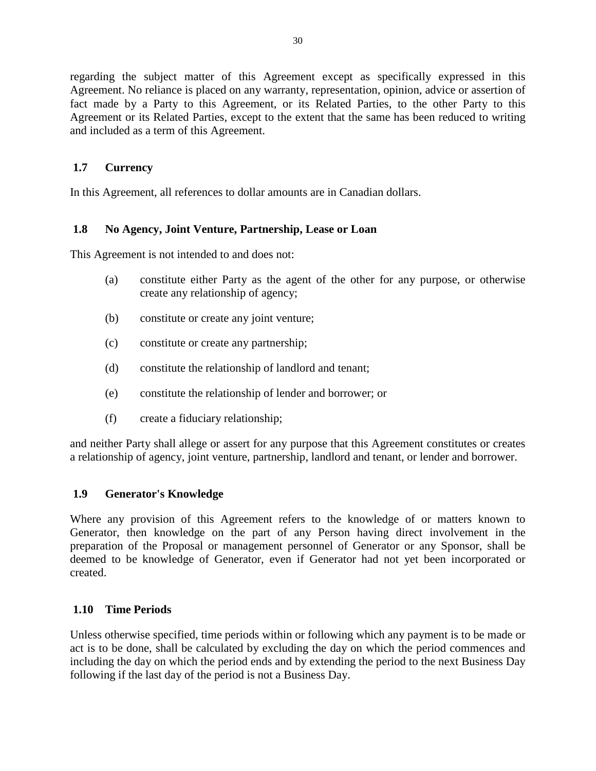regarding the subject matter of this Agreement except as specifically expressed in this Agreement. No reliance is placed on any warranty, representation, opinion, advice or assertion of fact made by a Party to this Agreement, or its Related Parties, to the other Party to this Agreement or its Related Parties, except to the extent that the same has been reduced to writing and included as a term of this Agreement.

## <span id="page-34-0"></span>**1.7 Currency**

In this Agreement, all references to dollar amounts are in Canadian dollars.

## <span id="page-34-1"></span>**1.8 No Agency, Joint Venture, Partnership, Lease or Loan**

This Agreement is not intended to and does not:

- (a) constitute either Party as the agent of the other for any purpose, or otherwise create any relationship of agency;
- (b) constitute or create any joint venture;
- (c) constitute or create any partnership;
- (d) constitute the relationship of landlord and tenant;
- (e) constitute the relationship of lender and borrower; or
- (f) create a fiduciary relationship;

and neither Party shall allege or assert for any purpose that this Agreement constitutes or creates a relationship of agency, joint venture, partnership, landlord and tenant, or lender and borrower.

### <span id="page-34-2"></span>**1.9 Generator's Knowledge**

Where any provision of this Agreement refers to the knowledge of or matters known to Generator, then knowledge on the part of any Person having direct involvement in the preparation of the Proposal or management personnel of Generator or any Sponsor, shall be deemed to be knowledge of Generator, even if Generator had not yet been incorporated or created.

### <span id="page-34-3"></span>**1.10 Time Periods**

Unless otherwise specified, time periods within or following which any payment is to be made or act is to be done, shall be calculated by excluding the day on which the period commences and including the day on which the period ends and by extending the period to the next Business Day following if the last day of the period is not a Business Day.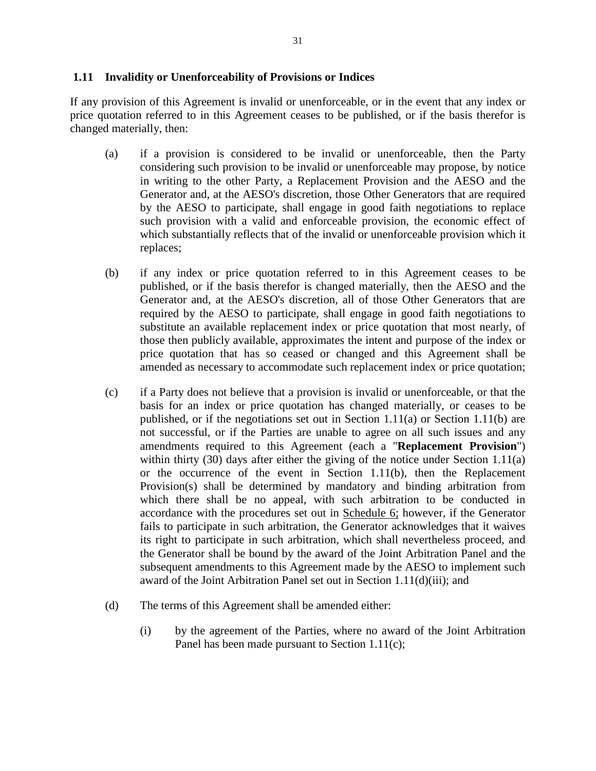### <span id="page-35-0"></span>**1.11 Invalidity or Unenforceability of Provisions or Indices**

If any provision of this Agreement is invalid or unenforceable, or in the event that any index or price quotation referred to in this Agreement ceases to be published, or if the basis therefor is changed materially, then:

- (a) if a provision is considered to be invalid or unenforceable, then the Party considering such provision to be invalid or unenforceable may propose, by notice in writing to the other Party, a Replacement Provision and the AESO and the Generator and, at the AESO's discretion, those Other Generators that are required by the AESO to participate, shall engage in good faith negotiations to replace such provision with a valid and enforceable provision, the economic effect of which substantially reflects that of the invalid or unenforceable provision which it replaces;
- (b) if any index or price quotation referred to in this Agreement ceases to be published, or if the basis therefor is changed materially, then the AESO and the Generator and, at the AESO's discretion, all of those Other Generators that are required by the AESO to participate, shall engage in good faith negotiations to substitute an available replacement index or price quotation that most nearly, of those then publicly available, approximates the intent and purpose of the index or price quotation that has so ceased or changed and this Agreement shall be amended as necessary to accommodate such replacement index or price quotation;
- (c) if a Party does not believe that a provision is invalid or unenforceable, or that the basis for an index or price quotation has changed materially, or ceases to be published, or if the negotiations set out in Section 1.11(a) or Section 1.11(b) are not successful, or if the Parties are unable to agree on all such issues and any amendments required to this Agreement (each a "**Replacement Provision**") within thirty (30) days after either the giving of the notice under Section 1.11(a) or the occurrence of the event in Section 1.11(b), then the Replacement Provision(s) shall be determined by mandatory and binding arbitration from which there shall be no appeal, with such arbitration to be conducted in accordance with the procedures set out in Schedule 6; however, if the Generator fails to participate in such arbitration, the Generator acknowledges that it waives its right to participate in such arbitration, which shall nevertheless proceed, and the Generator shall be bound by the award of the Joint Arbitration Panel and the subsequent amendments to this Agreement made by the AESO to implement such award of the Joint Arbitration Panel set out in Section 1.11(d)(iii); and
- (d) The terms of this Agreement shall be amended either:
	- (i) by the agreement of the Parties, where no award of the Joint Arbitration Panel has been made pursuant to Section 1.11(c);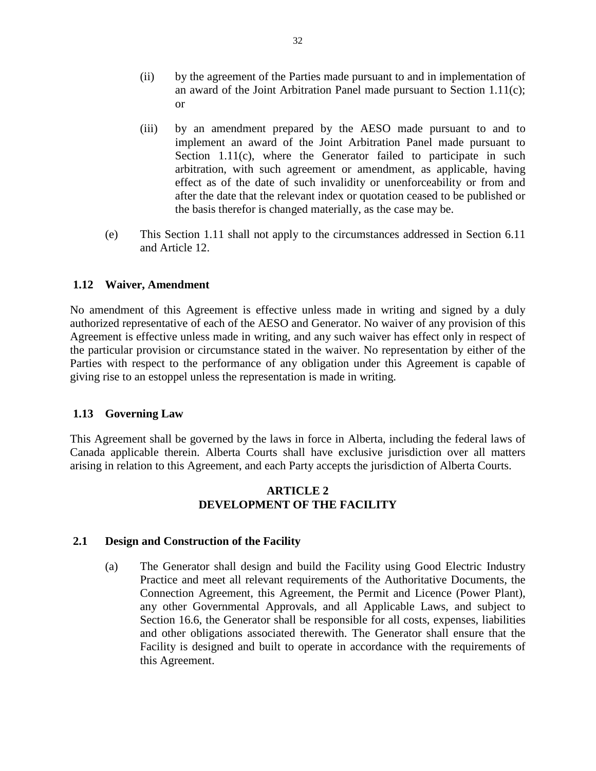- (ii) by the agreement of the Parties made pursuant to and in implementation of an award of the Joint Arbitration Panel made pursuant to Section 1.11(c); or
- (iii) by an amendment prepared by the AESO made pursuant to and to implement an award of the Joint Arbitration Panel made pursuant to Section 1.11(c), where the Generator failed to participate in such arbitration, with such agreement or amendment, as applicable, having effect as of the date of such invalidity or unenforceability or from and after the date that the relevant index or quotation ceased to be published or the basis therefor is changed materially, as the case may be.
- (e) This Section 1.11 shall not apply to the circumstances addressed in Section 6.11 and Article 12.

### **1.12 Waiver, Amendment**

No amendment of this Agreement is effective unless made in writing and signed by a duly authorized representative of each of the AESO and Generator. No waiver of any provision of this Agreement is effective unless made in writing, and any such waiver has effect only in respect of the particular provision or circumstance stated in the waiver. No representation by either of the Parties with respect to the performance of any obligation under this Agreement is capable of giving rise to an estoppel unless the representation is made in writing.

### **1.13 Governing Law**

This Agreement shall be governed by the laws in force in Alberta, including the federal laws of Canada applicable therein. Alberta Courts shall have exclusive jurisdiction over all matters arising in relation to this Agreement, and each Party accepts the jurisdiction of Alberta Courts.

### **ARTICLE 2 DEVELOPMENT OF THE FACILITY**

### **2.1 Design and Construction of the Facility**

(a) The Generator shall design and build the Facility using Good Electric Industry Practice and meet all relevant requirements of the Authoritative Documents, the Connection Agreement, this Agreement, the Permit and Licence (Power Plant), any other Governmental Approvals, and all Applicable Laws, and subject to Section 16.6, the Generator shall be responsible for all costs, expenses, liabilities and other obligations associated therewith. The Generator shall ensure that the Facility is designed and built to operate in accordance with the requirements of this Agreement.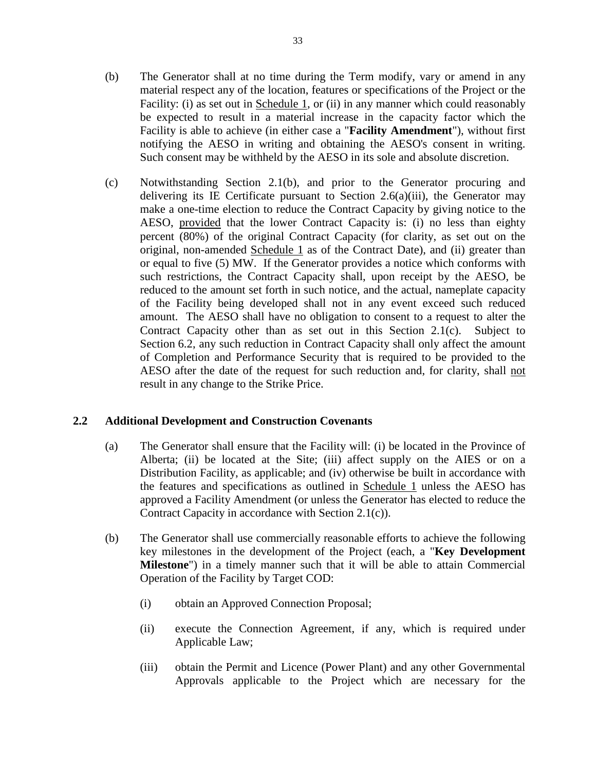- (b) The Generator shall at no time during the Term modify, vary or amend in any material respect any of the location, features or specifications of the Project or the Facility: (i) as set out in Schedule 1, or (ii) in any manner which could reasonably be expected to result in a material increase in the capacity factor which the Facility is able to achieve (in either case a "**Facility Amendment**"), without first notifying the AESO in writing and obtaining the AESO's consent in writing. Such consent may be withheld by the AESO in its sole and absolute discretion.
- (c) Notwithstanding Section 2.1(b), and prior to the Generator procuring and delivering its IE Certificate pursuant to Section 2.6(a)(iii), the Generator may make a one-time election to reduce the Contract Capacity by giving notice to the AESO, provided that the lower Contract Capacity is: (i) no less than eighty percent (80%) of the original Contract Capacity (for clarity, as set out on the original, non-amended Schedule 1 as of the Contract Date), and (ii) greater than or equal to five (5) MW. If the Generator provides a notice which conforms with such restrictions, the Contract Capacity shall, upon receipt by the AESO, be reduced to the amount set forth in such notice, and the actual, nameplate capacity of the Facility being developed shall not in any event exceed such reduced amount. The AESO shall have no obligation to consent to a request to alter the Contract Capacity other than as set out in this Section 2.1(c). Subject to Section 6.2, any such reduction in Contract Capacity shall only affect the amount of Completion and Performance Security that is required to be provided to the AESO after the date of the request for such reduction and, for clarity, shall not result in any change to the Strike Price.

### **2.2 Additional Development and Construction Covenants**

- (a) The Generator shall ensure that the Facility will: (i) be located in the Province of Alberta; (ii) be located at the Site; (iii) affect supply on the AIES or on a Distribution Facility, as applicable; and (iv) otherwise be built in accordance with the features and specifications as outlined in Schedule 1 unless the AESO has approved a Facility Amendment (or unless the Generator has elected to reduce the Contract Capacity in accordance with Section 2.1(c)).
- (b) The Generator shall use commercially reasonable efforts to achieve the following key milestones in the development of the Project (each, a "**Key Development Milestone**") in a timely manner such that it will be able to attain Commercial Operation of the Facility by Target COD:
	- (i) obtain an Approved Connection Proposal;
	- (ii) execute the Connection Agreement, if any, which is required under Applicable Law;
	- (iii) obtain the Permit and Licence (Power Plant) and any other Governmental Approvals applicable to the Project which are necessary for the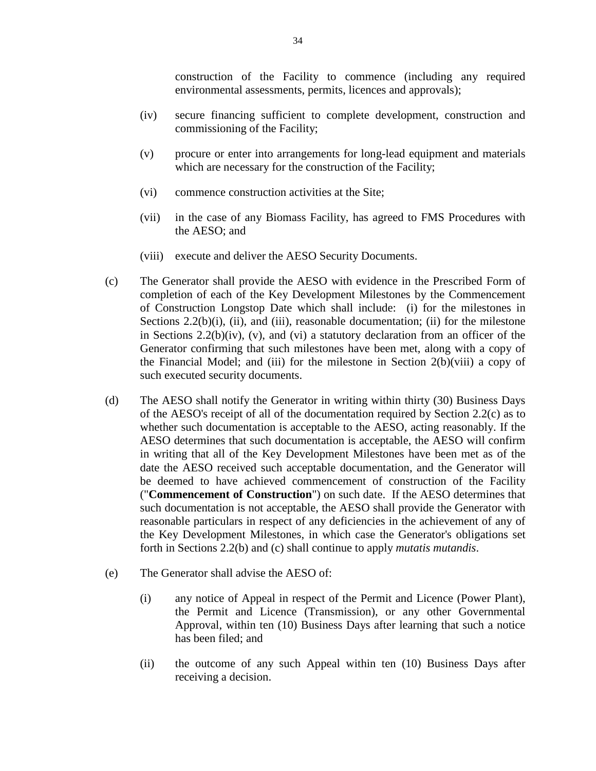construction of the Facility to commence (including any required environmental assessments, permits, licences and approvals);

- (iv) secure financing sufficient to complete development, construction and commissioning of the Facility;
- (v) procure or enter into arrangements for long-lead equipment and materials which are necessary for the construction of the Facility;
- (vi) commence construction activities at the Site;
- (vii) in the case of any Biomass Facility, has agreed to FMS Procedures with the AESO; and
- (viii) execute and deliver the AESO Security Documents.
- (c) The Generator shall provide the AESO with evidence in the Prescribed Form of completion of each of the Key Development Milestones by the Commencement of Construction Longstop Date which shall include: (i) for the milestones in Sections  $2.2(b)(i)$ , (ii), and (iii), reasonable documentation; (ii) for the milestone in Sections  $2.2(b)(iv)$ ,  $(v)$ , and  $(vi)$  a statutory declaration from an officer of the Generator confirming that such milestones have been met, along with a copy of the Financial Model; and (iii) for the milestone in Section 2(b)(viii) a copy of such executed security documents.
- (d) The AESO shall notify the Generator in writing within thirty (30) Business Days of the AESO's receipt of all of the documentation required by Section 2.2(c) as to whether such documentation is acceptable to the AESO, acting reasonably. If the AESO determines that such documentation is acceptable, the AESO will confirm in writing that all of the Key Development Milestones have been met as of the date the AESO received such acceptable documentation, and the Generator will be deemed to have achieved commencement of construction of the Facility ("**Commencement of Construction**") on such date. If the AESO determines that such documentation is not acceptable, the AESO shall provide the Generator with reasonable particulars in respect of any deficiencies in the achievement of any of the Key Development Milestones, in which case the Generator's obligations set forth in Sections 2.2(b) and (c) shall continue to apply *mutatis mutandis*.
- (e) The Generator shall advise the AESO of:
	- (i) any notice of Appeal in respect of the Permit and Licence (Power Plant), the Permit and Licence (Transmission), or any other Governmental Approval, within ten (10) Business Days after learning that such a notice has been filed; and
	- (ii) the outcome of any such Appeal within ten (10) Business Days after receiving a decision.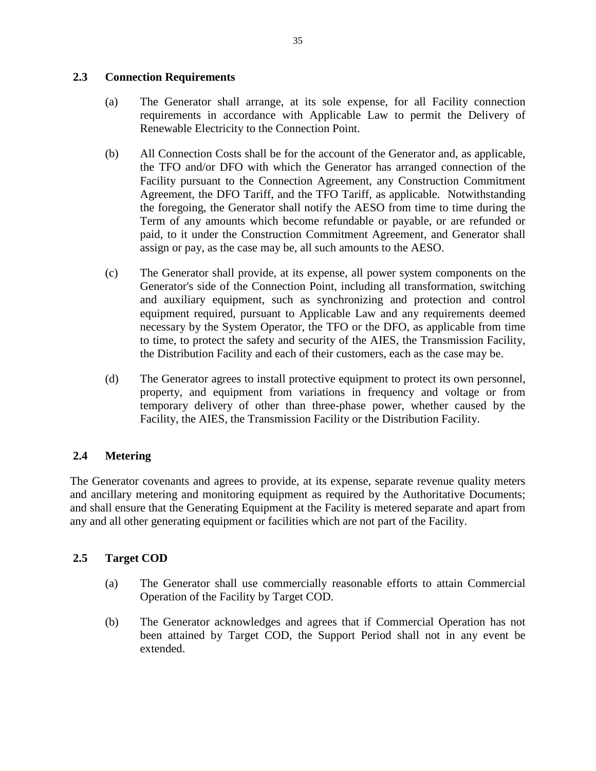## **2.3 Connection Requirements**

- (a) The Generator shall arrange, at its sole expense, for all Facility connection requirements in accordance with Applicable Law to permit the Delivery of Renewable Electricity to the Connection Point.
- (b) All Connection Costs shall be for the account of the Generator and, as applicable, the TFO and/or DFO with which the Generator has arranged connection of the Facility pursuant to the Connection Agreement, any Construction Commitment Agreement, the DFO Tariff, and the TFO Tariff, as applicable. Notwithstanding the foregoing, the Generator shall notify the AESO from time to time during the Term of any amounts which become refundable or payable, or are refunded or paid, to it under the Construction Commitment Agreement, and Generator shall assign or pay, as the case may be, all such amounts to the AESO.
- (c) The Generator shall provide, at its expense, all power system components on the Generator's side of the Connection Point, including all transformation, switching and auxiliary equipment, such as synchronizing and protection and control equipment required, pursuant to Applicable Law and any requirements deemed necessary by the System Operator, the TFO or the DFO, as applicable from time to time, to protect the safety and security of the AIES, the Transmission Facility, the Distribution Facility and each of their customers, each as the case may be.
- (d) The Generator agrees to install protective equipment to protect its own personnel, property, and equipment from variations in frequency and voltage or from temporary delivery of other than three-phase power, whether caused by the Facility, the AIES, the Transmission Facility or the Distribution Facility.

# **2.4 Metering**

The Generator covenants and agrees to provide, at its expense, separate revenue quality meters and ancillary metering and monitoring equipment as required by the Authoritative Documents; and shall ensure that the Generating Equipment at the Facility is metered separate and apart from any and all other generating equipment or facilities which are not part of the Facility.

# **2.5 Target COD**

- (a) The Generator shall use commercially reasonable efforts to attain Commercial Operation of the Facility by Target COD.
- (b) The Generator acknowledges and agrees that if Commercial Operation has not been attained by Target COD, the Support Period shall not in any event be extended.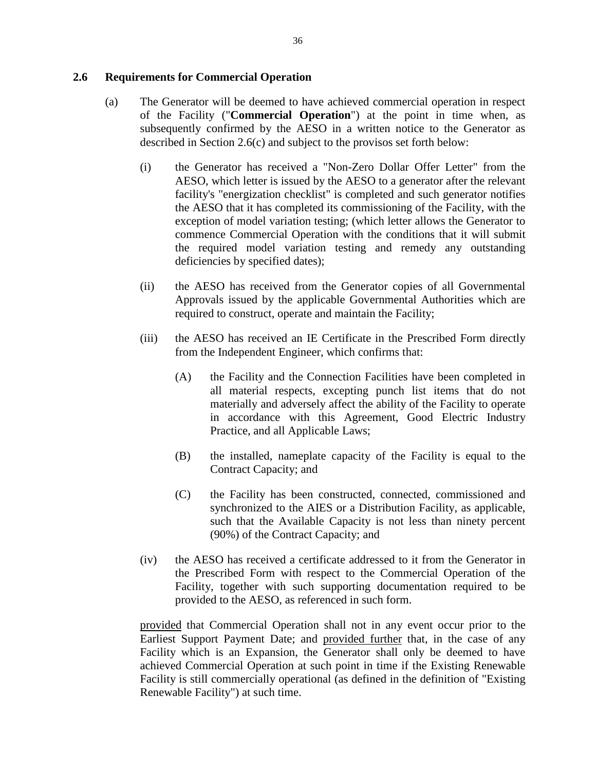### **2.6 Requirements for Commercial Operation**

- (a) The Generator will be deemed to have achieved commercial operation in respect of the Facility ("**Commercial Operation**") at the point in time when, as subsequently confirmed by the AESO in a written notice to the Generator as described in Section 2.6(c) and subject to the provisos set forth below:
	- (i) the Generator has received a "Non-Zero Dollar Offer Letter" from the AESO, which letter is issued by the AESO to a generator after the relevant facility's "energization checklist" is completed and such generator notifies the AESO that it has completed its commissioning of the Facility, with the exception of model variation testing; (which letter allows the Generator to commence Commercial Operation with the conditions that it will submit the required model variation testing and remedy any outstanding deficiencies by specified dates);
	- (ii) the AESO has received from the Generator copies of all Governmental Approvals issued by the applicable Governmental Authorities which are required to construct, operate and maintain the Facility;
	- (iii) the AESO has received an IE Certificate in the Prescribed Form directly from the Independent Engineer, which confirms that:
		- (A) the Facility and the Connection Facilities have been completed in all material respects, excepting punch list items that do not materially and adversely affect the ability of the Facility to operate in accordance with this Agreement, Good Electric Industry Practice, and all Applicable Laws;
		- (B) the installed, nameplate capacity of the Facility is equal to the Contract Capacity; and
		- (C) the Facility has been constructed, connected, commissioned and synchronized to the AIES or a Distribution Facility, as applicable, such that the Available Capacity is not less than ninety percent (90%) of the Contract Capacity; and
	- (iv) the AESO has received a certificate addressed to it from the Generator in the Prescribed Form with respect to the Commercial Operation of the Facility, together with such supporting documentation required to be provided to the AESO, as referenced in such form.

provided that Commercial Operation shall not in any event occur prior to the Earliest Support Payment Date; and provided further that, in the case of any Facility which is an Expansion, the Generator shall only be deemed to have achieved Commercial Operation at such point in time if the Existing Renewable Facility is still commercially operational (as defined in the definition of "Existing Renewable Facility") at such time.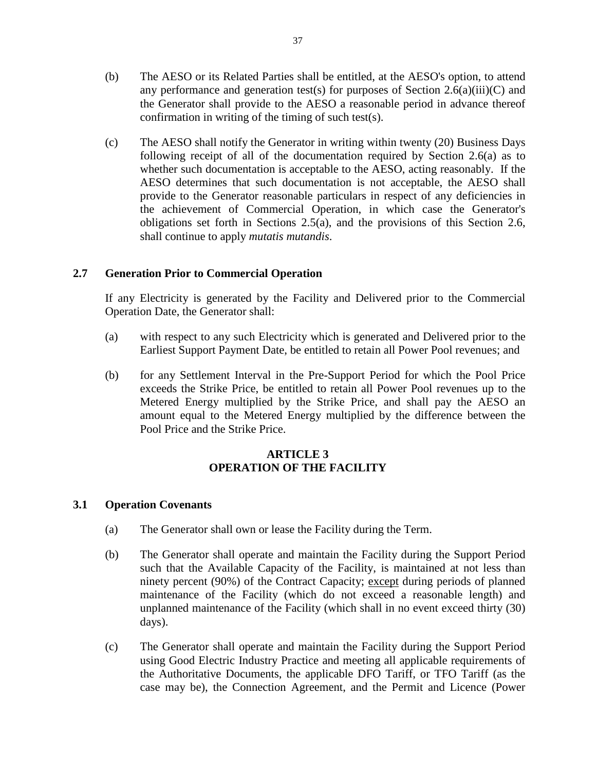(c) The AESO shall notify the Generator in writing within twenty (20) Business Days following receipt of all of the documentation required by Section 2.6(a) as to whether such documentation is acceptable to the AESO, acting reasonably. If the AESO determines that such documentation is not acceptable, the AESO shall provide to the Generator reasonable particulars in respect of any deficiencies in the achievement of Commercial Operation, in which case the Generator's obligations set forth in Sections 2.5(a), and the provisions of this Section 2.6, shall continue to apply *mutatis mutandis*.

# **2.7 Generation Prior to Commercial Operation**

If any Electricity is generated by the Facility and Delivered prior to the Commercial Operation Date, the Generator shall:

- (a) with respect to any such Electricity which is generated and Delivered prior to the Earliest Support Payment Date, be entitled to retain all Power Pool revenues; and
- (b) for any Settlement Interval in the Pre-Support Period for which the Pool Price exceeds the Strike Price, be entitled to retain all Power Pool revenues up to the Metered Energy multiplied by the Strike Price, and shall pay the AESO an amount equal to the Metered Energy multiplied by the difference between the Pool Price and the Strike Price.

# **ARTICLE 3 OPERATION OF THE FACILITY**

# **3.1 Operation Covenants**

- (a) The Generator shall own or lease the Facility during the Term.
- (b) The Generator shall operate and maintain the Facility during the Support Period such that the Available Capacity of the Facility, is maintained at not less than ninety percent (90%) of the Contract Capacity; except during periods of planned maintenance of the Facility (which do not exceed a reasonable length) and unplanned maintenance of the Facility (which shall in no event exceed thirty (30) days).
- (c) The Generator shall operate and maintain the Facility during the Support Period using Good Electric Industry Practice and meeting all applicable requirements of the Authoritative Documents, the applicable DFO Tariff, or TFO Tariff (as the case may be), the Connection Agreement, and the Permit and Licence (Power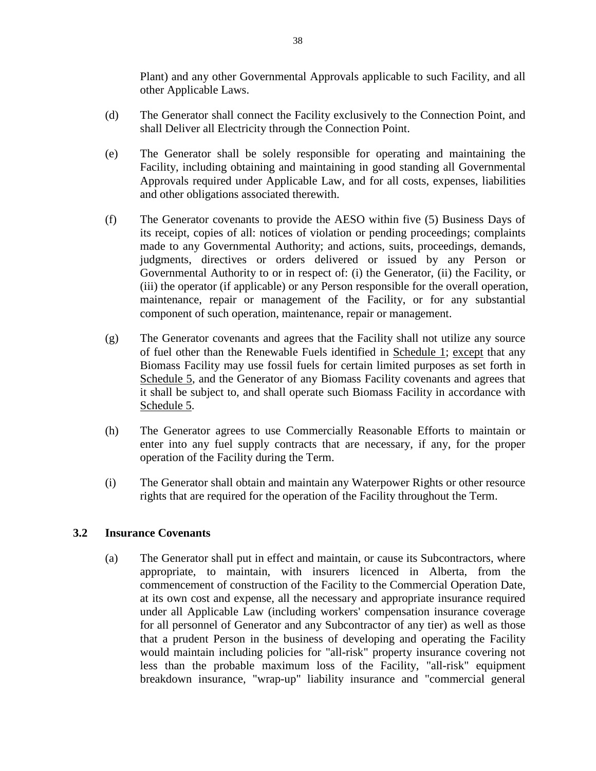Plant) and any other Governmental Approvals applicable to such Facility, and all other Applicable Laws.

- (d) The Generator shall connect the Facility exclusively to the Connection Point, and shall Deliver all Electricity through the Connection Point.
- (e) The Generator shall be solely responsible for operating and maintaining the Facility, including obtaining and maintaining in good standing all Governmental Approvals required under Applicable Law, and for all costs, expenses, liabilities and other obligations associated therewith.
- (f) The Generator covenants to provide the AESO within five (5) Business Days of its receipt, copies of all: notices of violation or pending proceedings; complaints made to any Governmental Authority; and actions, suits, proceedings, demands, judgments, directives or orders delivered or issued by any Person or Governmental Authority to or in respect of: (i) the Generator, (ii) the Facility, or (iii) the operator (if applicable) or any Person responsible for the overall operation, maintenance, repair or management of the Facility, or for any substantial component of such operation, maintenance, repair or management.
- (g) The Generator covenants and agrees that the Facility shall not utilize any source of fuel other than the Renewable Fuels identified in Schedule 1; except that any Biomass Facility may use fossil fuels for certain limited purposes as set forth in Schedule 5, and the Generator of any Biomass Facility covenants and agrees that it shall be subject to, and shall operate such Biomass Facility in accordance with Schedule 5.
- (h) The Generator agrees to use Commercially Reasonable Efforts to maintain or enter into any fuel supply contracts that are necessary, if any, for the proper operation of the Facility during the Term.
- (i) The Generator shall obtain and maintain any Waterpower Rights or other resource rights that are required for the operation of the Facility throughout the Term.

### **3.2 Insurance Covenants**

(a) The Generator shall put in effect and maintain, or cause its Subcontractors, where appropriate, to maintain, with insurers licenced in Alberta, from the commencement of construction of the Facility to the Commercial Operation Date, at its own cost and expense, all the necessary and appropriate insurance required under all Applicable Law (including workers' compensation insurance coverage for all personnel of Generator and any Subcontractor of any tier) as well as those that a prudent Person in the business of developing and operating the Facility would maintain including policies for "all-risk" property insurance covering not less than the probable maximum loss of the Facility, "all-risk" equipment breakdown insurance, "wrap-up" liability insurance and "commercial general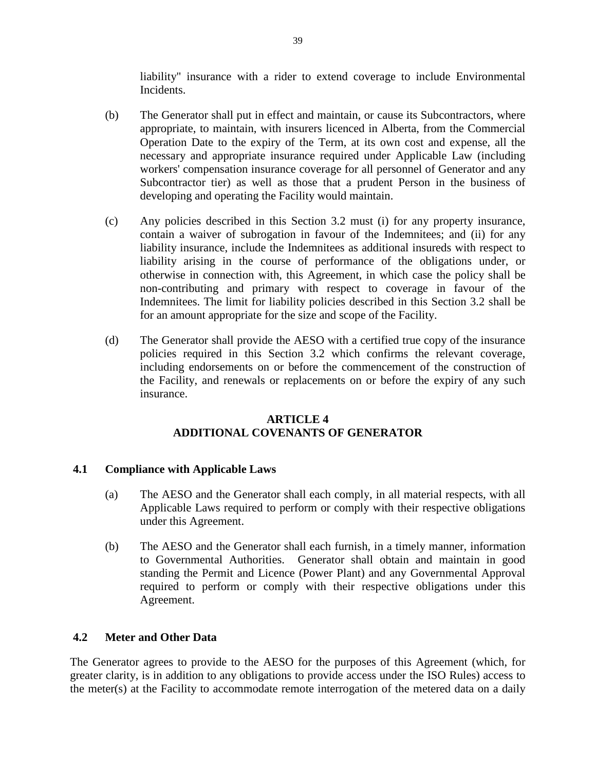liability" insurance with a rider to extend coverage to include Environmental Incidents.

- (b) The Generator shall put in effect and maintain, or cause its Subcontractors, where appropriate, to maintain, with insurers licenced in Alberta, from the Commercial Operation Date to the expiry of the Term, at its own cost and expense, all the necessary and appropriate insurance required under Applicable Law (including workers' compensation insurance coverage for all personnel of Generator and any Subcontractor tier) as well as those that a prudent Person in the business of developing and operating the Facility would maintain.
- (c) Any policies described in this Section 3.2 must (i) for any property insurance, contain a waiver of subrogation in favour of the Indemnitees; and (ii) for any liability insurance, include the Indemnitees as additional insureds with respect to liability arising in the course of performance of the obligations under, or otherwise in connection with, this Agreement, in which case the policy shall be non-contributing and primary with respect to coverage in favour of the Indemnitees. The limit for liability policies described in this Section 3.2 shall be for an amount appropriate for the size and scope of the Facility.
- (d) The Generator shall provide the AESO with a certified true copy of the insurance policies required in this Section 3.2 which confirms the relevant coverage, including endorsements on or before the commencement of the construction of the Facility, and renewals or replacements on or before the expiry of any such insurance.

## **ARTICLE 4 ADDITIONAL COVENANTS OF GENERATOR**

# **4.1 Compliance with Applicable Laws**

- (a) The AESO and the Generator shall each comply, in all material respects, with all Applicable Laws required to perform or comply with their respective obligations under this Agreement.
- (b) The AESO and the Generator shall each furnish, in a timely manner, information to Governmental Authorities. Generator shall obtain and maintain in good standing the Permit and Licence (Power Plant) and any Governmental Approval required to perform or comply with their respective obligations under this Agreement.

### **4.2 Meter and Other Data**

The Generator agrees to provide to the AESO for the purposes of this Agreement (which, for greater clarity, is in addition to any obligations to provide access under the ISO Rules) access to the meter(s) at the Facility to accommodate remote interrogation of the metered data on a daily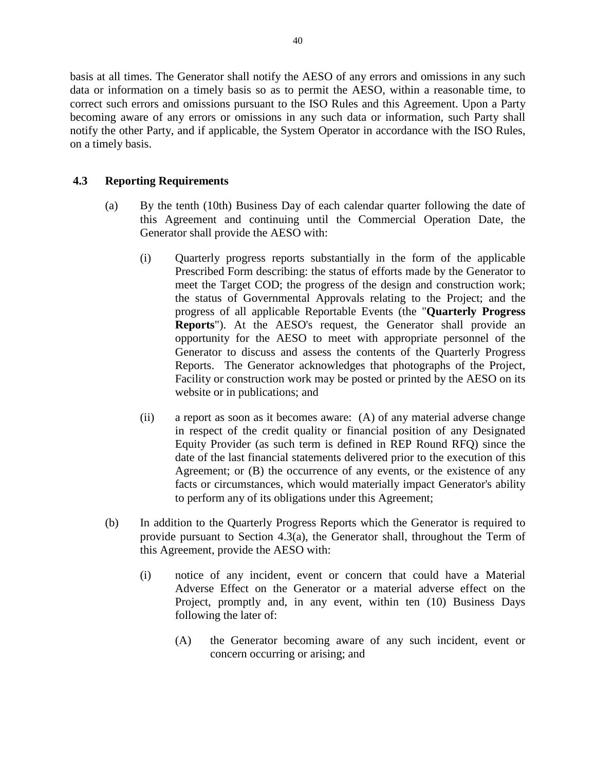basis at all times. The Generator shall notify the AESO of any errors and omissions in any such data or information on a timely basis so as to permit the AESO, within a reasonable time, to correct such errors and omissions pursuant to the ISO Rules and this Agreement. Upon a Party becoming aware of any errors or omissions in any such data or information, such Party shall notify the other Party, and if applicable, the System Operator in accordance with the ISO Rules, on a timely basis.

## **4.3 Reporting Requirements**

- (a) By the tenth (10th) Business Day of each calendar quarter following the date of this Agreement and continuing until the Commercial Operation Date, the Generator shall provide the AESO with:
	- (i) Quarterly progress reports substantially in the form of the applicable Prescribed Form describing: the status of efforts made by the Generator to meet the Target COD; the progress of the design and construction work; the status of Governmental Approvals relating to the Project; and the progress of all applicable Reportable Events (the "**Quarterly Progress Reports**"). At the AESO's request, the Generator shall provide an opportunity for the AESO to meet with appropriate personnel of the Generator to discuss and assess the contents of the Quarterly Progress Reports. The Generator acknowledges that photographs of the Project, Facility or construction work may be posted or printed by the AESO on its website or in publications; and
	- (ii) a report as soon as it becomes aware: (A) of any material adverse change in respect of the credit quality or financial position of any Designated Equity Provider (as such term is defined in REP Round RFQ) since the date of the last financial statements delivered prior to the execution of this Agreement; or (B) the occurrence of any events, or the existence of any facts or circumstances, which would materially impact Generator's ability to perform any of its obligations under this Agreement;
- (b) In addition to the Quarterly Progress Reports which the Generator is required to provide pursuant to Section 4.3(a), the Generator shall, throughout the Term of this Agreement, provide the AESO with:
	- (i) notice of any incident, event or concern that could have a Material Adverse Effect on the Generator or a material adverse effect on the Project, promptly and, in any event, within ten (10) Business Days following the later of:
		- (A) the Generator becoming aware of any such incident, event or concern occurring or arising; and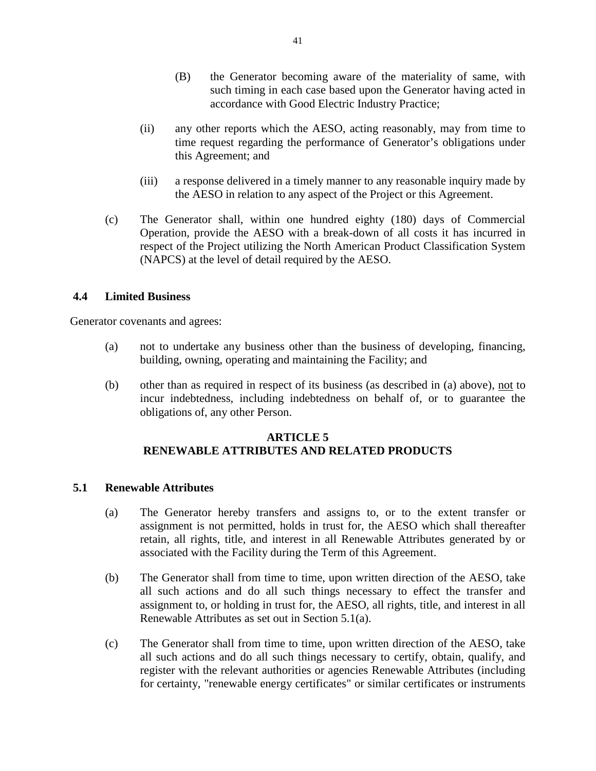- (B) the Generator becoming aware of the materiality of same, with such timing in each case based upon the Generator having acted in accordance with Good Electric Industry Practice;
- (ii) any other reports which the AESO, acting reasonably, may from time to time request regarding the performance of Generator's obligations under this Agreement; and
- (iii) a response delivered in a timely manner to any reasonable inquiry made by the AESO in relation to any aspect of the Project or this Agreement.
- (c) The Generator shall, within one hundred eighty (180) days of Commercial Operation, provide the AESO with a break-down of all costs it has incurred in respect of the Project utilizing the North American Product Classification System (NAPCS) at the level of detail required by the AESO.

### **4.4 Limited Business**

Generator covenants and agrees:

- (a) not to undertake any business other than the business of developing, financing, building, owning, operating and maintaining the Facility; and
- (b) other than as required in respect of its business (as described in (a) above), not to incur indebtedness, including indebtedness on behalf of, or to guarantee the obligations of, any other Person.

# **ARTICLE 5 RENEWABLE ATTRIBUTES AND RELATED PRODUCTS**

### **5.1 Renewable Attributes**

- (a) The Generator hereby transfers and assigns to, or to the extent transfer or assignment is not permitted, holds in trust for, the AESO which shall thereafter retain, all rights, title, and interest in all Renewable Attributes generated by or associated with the Facility during the Term of this Agreement.
- (b) The Generator shall from time to time, upon written direction of the AESO, take all such actions and do all such things necessary to effect the transfer and assignment to, or holding in trust for, the AESO, all rights, title, and interest in all Renewable Attributes as set out in Section 5.1(a).
- (c) The Generator shall from time to time, upon written direction of the AESO, take all such actions and do all such things necessary to certify, obtain, qualify, and register with the relevant authorities or agencies Renewable Attributes (including for certainty, "renewable energy certificates" or similar certificates or instruments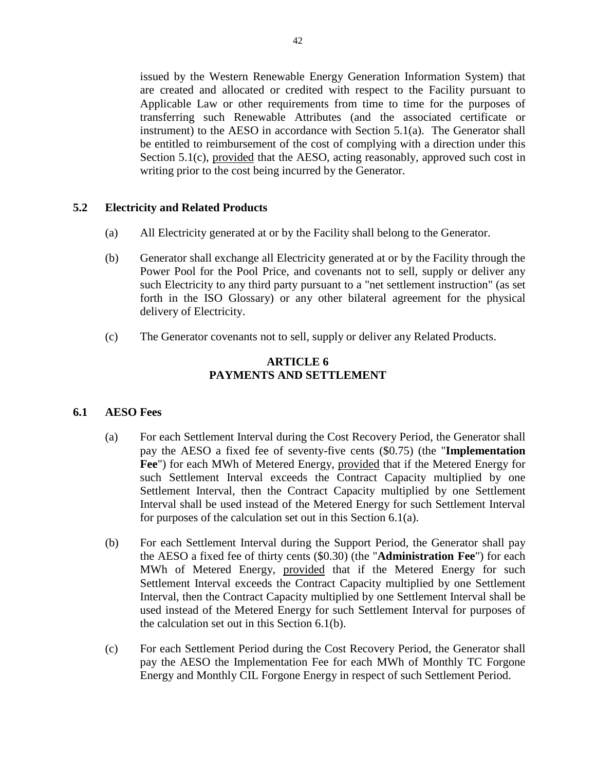issued by the Western Renewable Energy Generation Information System) that are created and allocated or credited with respect to the Facility pursuant to Applicable Law or other requirements from time to time for the purposes of transferring such Renewable Attributes (and the associated certificate or instrument) to the AESO in accordance with Section 5.1(a). The Generator shall be entitled to reimbursement of the cost of complying with a direction under this Section 5.1(c), provided that the AESO, acting reasonably, approved such cost in writing prior to the cost being incurred by the Generator.

## **5.2 Electricity and Related Products**

- (a) All Electricity generated at or by the Facility shall belong to the Generator.
- (b) Generator shall exchange all Electricity generated at or by the Facility through the Power Pool for the Pool Price, and covenants not to sell, supply or deliver any such Electricity to any third party pursuant to a "net settlement instruction" (as set forth in the ISO Glossary) or any other bilateral agreement for the physical delivery of Electricity.
- (c) The Generator covenants not to sell, supply or deliver any Related Products.

# **ARTICLE 6 PAYMENTS AND SETTLEMENT**

### **6.1 AESO Fees**

- (a) For each Settlement Interval during the Cost Recovery Period, the Generator shall pay the AESO a fixed fee of seventy-five cents (\$0.75) (the "**Implementation Fee**") for each MWh of Metered Energy, provided that if the Metered Energy for such Settlement Interval exceeds the Contract Capacity multiplied by one Settlement Interval, then the Contract Capacity multiplied by one Settlement Interval shall be used instead of the Metered Energy for such Settlement Interval for purposes of the calculation set out in this Section 6.1(a).
- (b) For each Settlement Interval during the Support Period, the Generator shall pay the AESO a fixed fee of thirty cents (\$0.30) (the "**Administration Fee**") for each MWh of Metered Energy, provided that if the Metered Energy for such Settlement Interval exceeds the Contract Capacity multiplied by one Settlement Interval, then the Contract Capacity multiplied by one Settlement Interval shall be used instead of the Metered Energy for such Settlement Interval for purposes of the calculation set out in this Section 6.1(b).
- (c) For each Settlement Period during the Cost Recovery Period, the Generator shall pay the AESO the Implementation Fee for each MWh of Monthly TC Forgone Energy and Monthly CIL Forgone Energy in respect of such Settlement Period.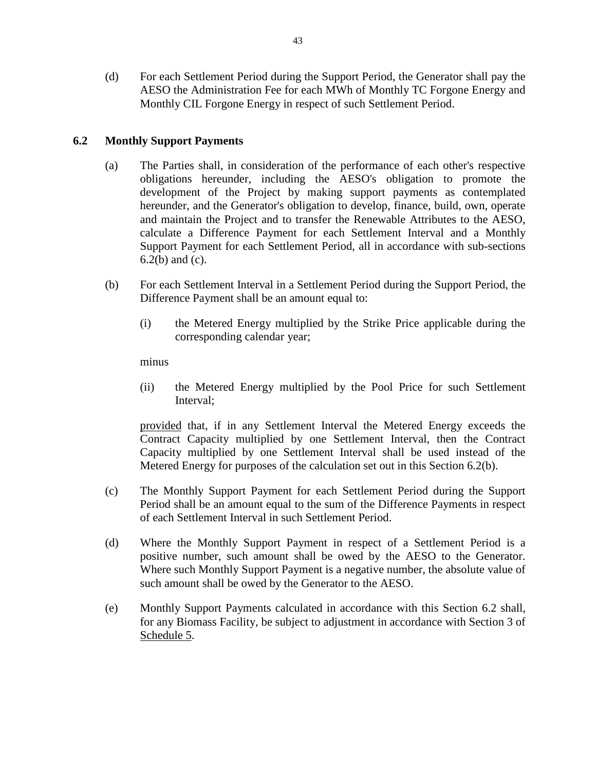(d) For each Settlement Period during the Support Period, the Generator shall pay the AESO the Administration Fee for each MWh of Monthly TC Forgone Energy and Monthly CIL Forgone Energy in respect of such Settlement Period.

## **6.2 Monthly Support Payments**

- (a) The Parties shall, in consideration of the performance of each other's respective obligations hereunder, including the AESO's obligation to promote the development of the Project by making support payments as contemplated hereunder, and the Generator's obligation to develop, finance, build, own, operate and maintain the Project and to transfer the Renewable Attributes to the AESO, calculate a Difference Payment for each Settlement Interval and a Monthly Support Payment for each Settlement Period, all in accordance with sub-sections 6.2(b) and (c).
- (b) For each Settlement Interval in a Settlement Period during the Support Period, the Difference Payment shall be an amount equal to:
	- (i) the Metered Energy multiplied by the Strike Price applicable during the corresponding calendar year;

minus

(ii) the Metered Energy multiplied by the Pool Price for such Settlement Interval;

provided that, if in any Settlement Interval the Metered Energy exceeds the Contract Capacity multiplied by one Settlement Interval, then the Contract Capacity multiplied by one Settlement Interval shall be used instead of the Metered Energy for purposes of the calculation set out in this Section 6.2(b).

- (c) The Monthly Support Payment for each Settlement Period during the Support Period shall be an amount equal to the sum of the Difference Payments in respect of each Settlement Interval in such Settlement Period.
- (d) Where the Monthly Support Payment in respect of a Settlement Period is a positive number, such amount shall be owed by the AESO to the Generator. Where such Monthly Support Payment is a negative number, the absolute value of such amount shall be owed by the Generator to the AESO.
- (e) Monthly Support Payments calculated in accordance with this Section 6.2 shall, for any Biomass Facility, be subject to adjustment in accordance with Section 3 of Schedule 5.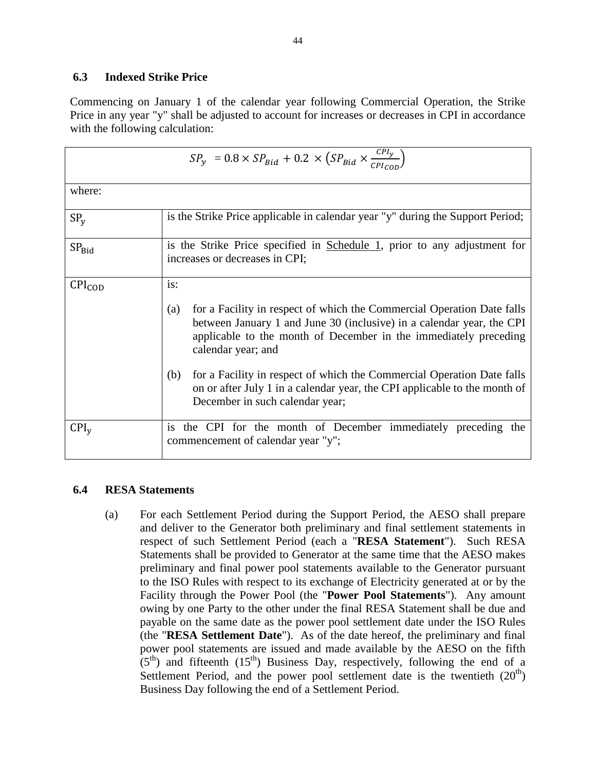# **6.3 Indexed Strike Price**

Commencing on January 1 of the calendar year following Commercial Operation, the Strike Price in any year "y" shall be adjusted to account for increases or decreases in CPI in accordance with the following calculation:

| $SP_y = 0.8 \times SP_{Bid} + 0.2 \times (SP_{Bid} \times \frac{CP_{ly}}{CP_{Local}})$ |                                                                                                                                                                                                                                                                                                                                                                                                                                                          |  |
|----------------------------------------------------------------------------------------|----------------------------------------------------------------------------------------------------------------------------------------------------------------------------------------------------------------------------------------------------------------------------------------------------------------------------------------------------------------------------------------------------------------------------------------------------------|--|
| where:                                                                                 |                                                                                                                                                                                                                                                                                                                                                                                                                                                          |  |
| SP <sub>v</sub>                                                                        | is the Strike Price applicable in calendar year "y" during the Support Period;                                                                                                                                                                                                                                                                                                                                                                           |  |
| SP <sub>Bid</sub>                                                                      | is the Strike Price specified in Schedule 1, prior to any adjustment for<br>increases or decreases in CPI;                                                                                                                                                                                                                                                                                                                                               |  |
| $CPI_{COD}$                                                                            | is:<br>for a Facility in respect of which the Commercial Operation Date falls<br>(a)<br>between January 1 and June 30 (inclusive) in a calendar year, the CPI<br>applicable to the month of December in the immediately preceding<br>calendar year; and<br>for a Facility in respect of which the Commercial Operation Date falls<br>(b)<br>on or after July 1 in a calendar year, the CPI applicable to the month of<br>December in such calendar year; |  |
| $\text{CPI}_\text{v}$                                                                  | the CPI for the month of December immediately preceding the<br>1S<br>commencement of calendar year "y";                                                                                                                                                                                                                                                                                                                                                  |  |

# **6.4 RESA Statements**

(a) For each Settlement Period during the Support Period, the AESO shall prepare and deliver to the Generator both preliminary and final settlement statements in respect of such Settlement Period (each a "**RESA Statement**"). Such RESA Statements shall be provided to Generator at the same time that the AESO makes preliminary and final power pool statements available to the Generator pursuant to the ISO Rules with respect to its exchange of Electricity generated at or by the Facility through the Power Pool (the "**Power Pool Statements**"). Any amount owing by one Party to the other under the final RESA Statement shall be due and payable on the same date as the power pool settlement date under the ISO Rules (the "**RESA Settlement Date**"). As of the date hereof, the preliminary and final power pool statements are issued and made available by the AESO on the fifth  $(5<sup>th</sup>)$  and fifteenth  $(15<sup>th</sup>)$  Business Day, respectively, following the end of a Settlement Period, and the power pool settlement date is the twentieth  $(20<sup>th</sup>)$ Business Day following the end of a Settlement Period.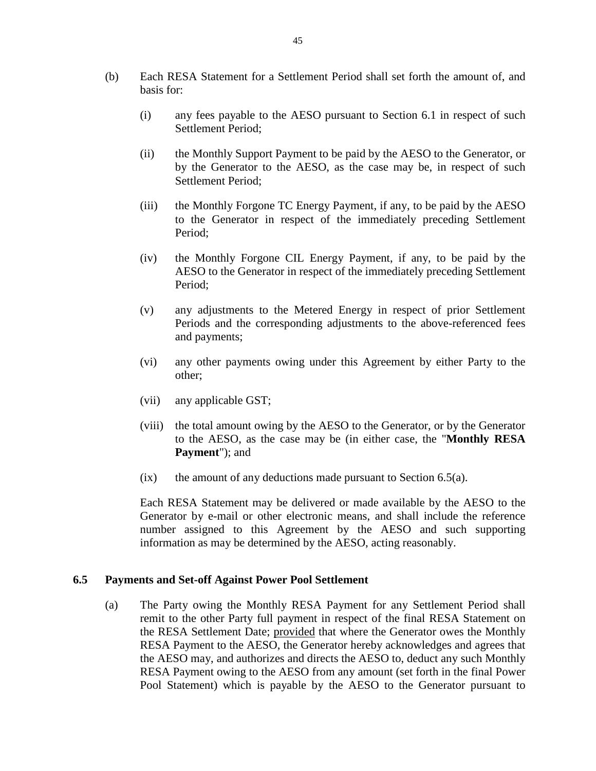- (b) Each RESA Statement for a Settlement Period shall set forth the amount of, and basis for:
	- (i) any fees payable to the AESO pursuant to Section 6.1 in respect of such Settlement Period;
	- (ii) the Monthly Support Payment to be paid by the AESO to the Generator, or by the Generator to the AESO, as the case may be, in respect of such Settlement Period;
	- (iii) the Monthly Forgone TC Energy Payment, if any, to be paid by the AESO to the Generator in respect of the immediately preceding Settlement Period;
	- (iv) the Monthly Forgone CIL Energy Payment, if any, to be paid by the AESO to the Generator in respect of the immediately preceding Settlement Period;
	- (v) any adjustments to the Metered Energy in respect of prior Settlement Periods and the corresponding adjustments to the above-referenced fees and payments;
	- (vi) any other payments owing under this Agreement by either Party to the other;
	- (vii) any applicable GST;
	- (viii) the total amount owing by the AESO to the Generator, or by the Generator to the AESO, as the case may be (in either case, the "**Monthly RESA Payment**"); and
	- $(ix)$  the amount of any deductions made pursuant to Section 6.5(a).

Each RESA Statement may be delivered or made available by the AESO to the Generator by e-mail or other electronic means, and shall include the reference number assigned to this Agreement by the AESO and such supporting information as may be determined by the AESO, acting reasonably.

#### **6.5 Payments and Set-off Against Power Pool Settlement**

(a) The Party owing the Monthly RESA Payment for any Settlement Period shall remit to the other Party full payment in respect of the final RESA Statement on the RESA Settlement Date; provided that where the Generator owes the Monthly RESA Payment to the AESO, the Generator hereby acknowledges and agrees that the AESO may, and authorizes and directs the AESO to, deduct any such Monthly RESA Payment owing to the AESO from any amount (set forth in the final Power Pool Statement) which is payable by the AESO to the Generator pursuant to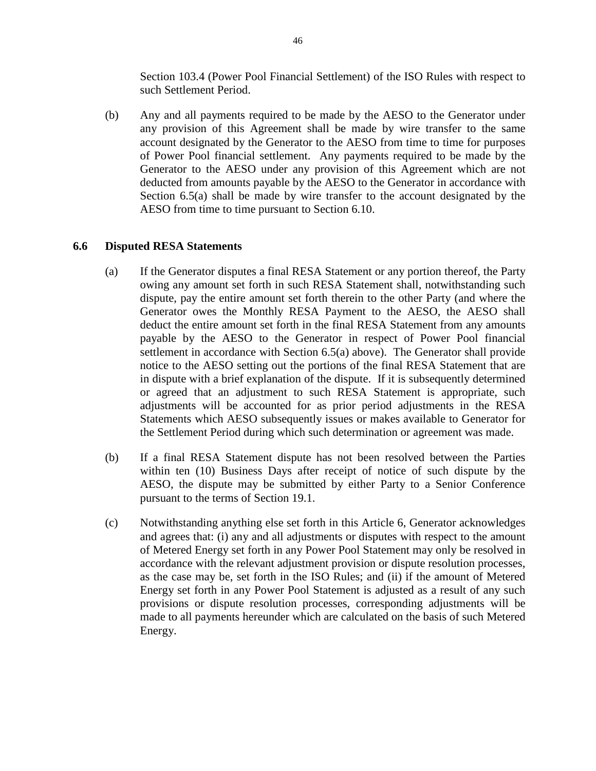Section 103.4 (Power Pool Financial Settlement) of the ISO Rules with respect to such Settlement Period.

(b) Any and all payments required to be made by the AESO to the Generator under any provision of this Agreement shall be made by wire transfer to the same account designated by the Generator to the AESO from time to time for purposes of Power Pool financial settlement. Any payments required to be made by the Generator to the AESO under any provision of this Agreement which are not deducted from amounts payable by the AESO to the Generator in accordance with Section 6.5(a) shall be made by wire transfer to the account designated by the AESO from time to time pursuant to Section 6.10.

## **6.6 Disputed RESA Statements**

- (a) If the Generator disputes a final RESA Statement or any portion thereof, the Party owing any amount set forth in such RESA Statement shall, notwithstanding such dispute, pay the entire amount set forth therein to the other Party (and where the Generator owes the Monthly RESA Payment to the AESO, the AESO shall deduct the entire amount set forth in the final RESA Statement from any amounts payable by the AESO to the Generator in respect of Power Pool financial settlement in accordance with Section 6.5(a) above). The Generator shall provide notice to the AESO setting out the portions of the final RESA Statement that are in dispute with a brief explanation of the dispute. If it is subsequently determined or agreed that an adjustment to such RESA Statement is appropriate, such adjustments will be accounted for as prior period adjustments in the RESA Statements which AESO subsequently issues or makes available to Generator for the Settlement Period during which such determination or agreement was made.
- (b) If a final RESA Statement dispute has not been resolved between the Parties within ten (10) Business Days after receipt of notice of such dispute by the AESO, the dispute may be submitted by either Party to a Senior Conference pursuant to the terms of Section 19.1.
- (c) Notwithstanding anything else set forth in this Article 6, Generator acknowledges and agrees that: (i) any and all adjustments or disputes with respect to the amount of Metered Energy set forth in any Power Pool Statement may only be resolved in accordance with the relevant adjustment provision or dispute resolution processes, as the case may be, set forth in the ISO Rules; and (ii) if the amount of Metered Energy set forth in any Power Pool Statement is adjusted as a result of any such provisions or dispute resolution processes, corresponding adjustments will be made to all payments hereunder which are calculated on the basis of such Metered Energy.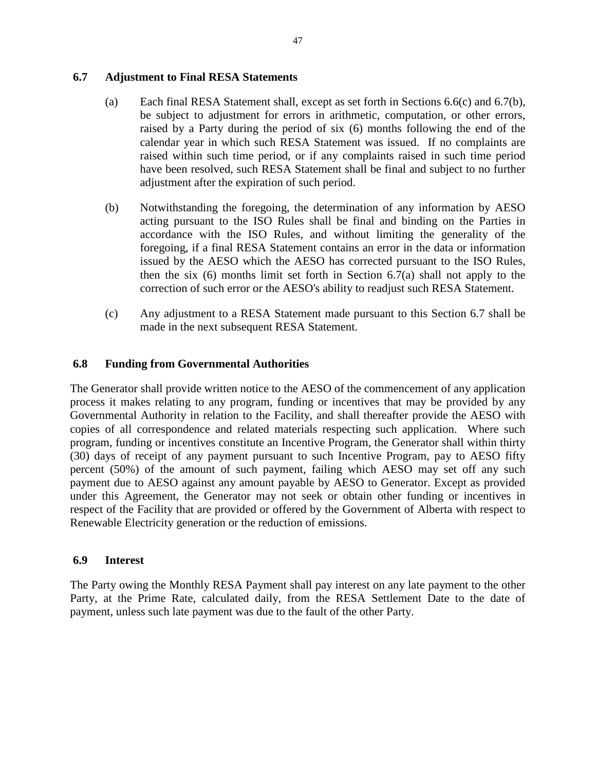### **6.7 Adjustment to Final RESA Statements**

- (a) Each final RESA Statement shall, except as set forth in Sections 6.6(c) and 6.7(b), be subject to adjustment for errors in arithmetic, computation, or other errors, raised by a Party during the period of six (6) months following the end of the calendar year in which such RESA Statement was issued. If no complaints are raised within such time period, or if any complaints raised in such time period have been resolved, such RESA Statement shall be final and subject to no further adjustment after the expiration of such period.
- (b) Notwithstanding the foregoing, the determination of any information by AESO acting pursuant to the ISO Rules shall be final and binding on the Parties in accordance with the ISO Rules, and without limiting the generality of the foregoing, if a final RESA Statement contains an error in the data or information issued by the AESO which the AESO has corrected pursuant to the ISO Rules, then the six (6) months limit set forth in Section 6.7(a) shall not apply to the correction of such error or the AESO's ability to readjust such RESA Statement.
- (c) Any adjustment to a RESA Statement made pursuant to this Section 6.7 shall be made in the next subsequent RESA Statement.

### **6.8 Funding from Governmental Authorities**

The Generator shall provide written notice to the AESO of the commencement of any application process it makes relating to any program, funding or incentives that may be provided by any Governmental Authority in relation to the Facility, and shall thereafter provide the AESO with copies of all correspondence and related materials respecting such application. Where such program, funding or incentives constitute an Incentive Program, the Generator shall within thirty (30) days of receipt of any payment pursuant to such Incentive Program, pay to AESO fifty percent (50%) of the amount of such payment, failing which AESO may set off any such payment due to AESO against any amount payable by AESO to Generator. Except as provided under this Agreement, the Generator may not seek or obtain other funding or incentives in respect of the Facility that are provided or offered by the Government of Alberta with respect to Renewable Electricity generation or the reduction of emissions.

#### **6.9 Interest**

The Party owing the Monthly RESA Payment shall pay interest on any late payment to the other Party, at the Prime Rate, calculated daily, from the RESA Settlement Date to the date of payment, unless such late payment was due to the fault of the other Party.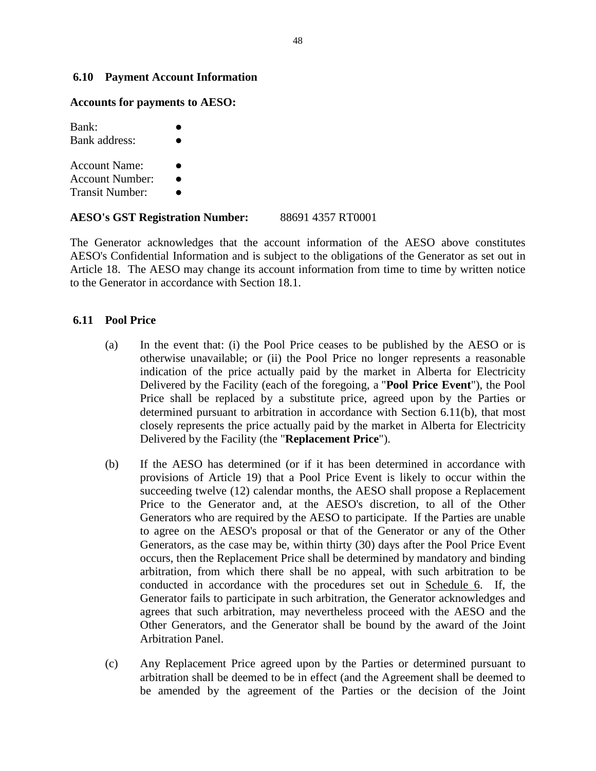#### **6.10 Payment Account Information**

#### **Accounts for payments to AESO:**

| Bank:<br>Bank address:                                            |  |
|-------------------------------------------------------------------|--|
| <b>Account Name:</b><br>Account Number:<br><b>Transit Number:</b> |  |

**AESO's GST Registration Number:** 88691 4357 RT0001

The Generator acknowledges that the account information of the AESO above constitutes AESO's Confidential Information and is subject to the obligations of the Generator as set out in Article 18. The AESO may change its account information from time to time by written notice to the Generator in accordance with Section 18.1.

#### **6.11 Pool Price**

- (a) In the event that: (i) the Pool Price ceases to be published by the AESO or is otherwise unavailable; or (ii) the Pool Price no longer represents a reasonable indication of the price actually paid by the market in Alberta for Electricity Delivered by the Facility (each of the foregoing, a "**Pool Price Event**"), the Pool Price shall be replaced by a substitute price, agreed upon by the Parties or determined pursuant to arbitration in accordance with Section 6.11(b), that most closely represents the price actually paid by the market in Alberta for Electricity Delivered by the Facility (the "**Replacement Price**").
- (b) If the AESO has determined (or if it has been determined in accordance with provisions of Article 19) that a Pool Price Event is likely to occur within the succeeding twelve (12) calendar months, the AESO shall propose a Replacement Price to the Generator and, at the AESO's discretion, to all of the Other Generators who are required by the AESO to participate. If the Parties are unable to agree on the AESO's proposal or that of the Generator or any of the Other Generators, as the case may be, within thirty (30) days after the Pool Price Event occurs, then the Replacement Price shall be determined by mandatory and binding arbitration, from which there shall be no appeal, with such arbitration to be conducted in accordance with the procedures set out in Schedule 6. If, the Generator fails to participate in such arbitration, the Generator acknowledges and agrees that such arbitration, may nevertheless proceed with the AESO and the Other Generators, and the Generator shall be bound by the award of the Joint Arbitration Panel.
- (c) Any Replacement Price agreed upon by the Parties or determined pursuant to arbitration shall be deemed to be in effect (and the Agreement shall be deemed to be amended by the agreement of the Parties or the decision of the Joint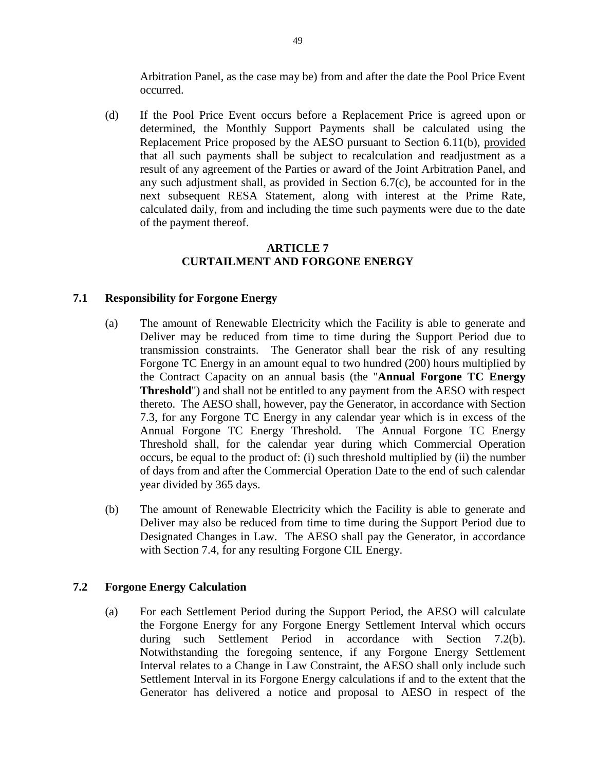Arbitration Panel, as the case may be) from and after the date the Pool Price Event occurred.

(d) If the Pool Price Event occurs before a Replacement Price is agreed upon or determined, the Monthly Support Payments shall be calculated using the Replacement Price proposed by the AESO pursuant to Section 6.11(b), provided that all such payments shall be subject to recalculation and readjustment as a result of any agreement of the Parties or award of the Joint Arbitration Panel, and any such adjustment shall, as provided in Section 6.7(c), be accounted for in the next subsequent RESA Statement, along with interest at the Prime Rate, calculated daily, from and including the time such payments were due to the date of the payment thereof.

## **ARTICLE 7 CURTAILMENT AND FORGONE ENERGY**

## **7.1 Responsibility for Forgone Energy**

- (a) The amount of Renewable Electricity which the Facility is able to generate and Deliver may be reduced from time to time during the Support Period due to transmission constraints. The Generator shall bear the risk of any resulting Forgone TC Energy in an amount equal to two hundred (200) hours multiplied by the Contract Capacity on an annual basis (the "**Annual Forgone TC Energy Threshold**") and shall not be entitled to any payment from the AESO with respect thereto. The AESO shall, however, pay the Generator, in accordance with Section 7.3, for any Forgone TC Energy in any calendar year which is in excess of the Annual Forgone TC Energy Threshold. The Annual Forgone TC Energy Threshold shall, for the calendar year during which Commercial Operation occurs, be equal to the product of: (i) such threshold multiplied by (ii) the number of days from and after the Commercial Operation Date to the end of such calendar year divided by 365 days.
- (b) The amount of Renewable Electricity which the Facility is able to generate and Deliver may also be reduced from time to time during the Support Period due to Designated Changes in Law. The AESO shall pay the Generator, in accordance with Section 7.4, for any resulting Forgone CIL Energy.

### **7.2 Forgone Energy Calculation**

(a) For each Settlement Period during the Support Period, the AESO will calculate the Forgone Energy for any Forgone Energy Settlement Interval which occurs during such Settlement Period in accordance with Section 7.2(b). Notwithstanding the foregoing sentence, if any Forgone Energy Settlement Interval relates to a Change in Law Constraint, the AESO shall only include such Settlement Interval in its Forgone Energy calculations if and to the extent that the Generator has delivered a notice and proposal to AESO in respect of the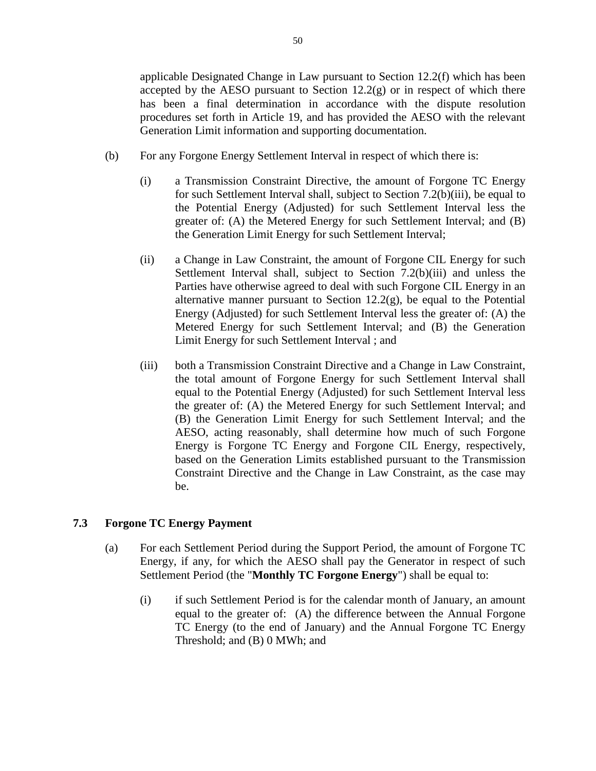applicable Designated Change in Law pursuant to Section 12.2(f) which has been accepted by the AESO pursuant to Section  $12.2(g)$  or in respect of which there has been a final determination in accordance with the dispute resolution procedures set forth in Article 19, and has provided the AESO with the relevant Generation Limit information and supporting documentation.

- (b) For any Forgone Energy Settlement Interval in respect of which there is:
	- (i) a Transmission Constraint Directive, the amount of Forgone TC Energy for such Settlement Interval shall, subject to Section 7.2(b)(iii), be equal to the Potential Energy (Adjusted) for such Settlement Interval less the greater of: (A) the Metered Energy for such Settlement Interval; and (B) the Generation Limit Energy for such Settlement Interval;
	- (ii) a Change in Law Constraint, the amount of Forgone CIL Energy for such Settlement Interval shall, subject to Section 7.2(b)(iii) and unless the Parties have otherwise agreed to deal with such Forgone CIL Energy in an alternative manner pursuant to Section  $12.2(g)$ , be equal to the Potential Energy (Adjusted) for such Settlement Interval less the greater of: (A) the Metered Energy for such Settlement Interval; and (B) the Generation Limit Energy for such Settlement Interval ; and
	- (iii) both a Transmission Constraint Directive and a Change in Law Constraint, the total amount of Forgone Energy for such Settlement Interval shall equal to the Potential Energy (Adjusted) for such Settlement Interval less the greater of: (A) the Metered Energy for such Settlement Interval; and (B) the Generation Limit Energy for such Settlement Interval; and the AESO, acting reasonably, shall determine how much of such Forgone Energy is Forgone TC Energy and Forgone CIL Energy, respectively, based on the Generation Limits established pursuant to the Transmission Constraint Directive and the Change in Law Constraint, as the case may be.

# **7.3 Forgone TC Energy Payment**

- (a) For each Settlement Period during the Support Period, the amount of Forgone TC Energy, if any, for which the AESO shall pay the Generator in respect of such Settlement Period (the "**Monthly TC Forgone Energy**") shall be equal to:
	- (i) if such Settlement Period is for the calendar month of January, an amount equal to the greater of: (A) the difference between the Annual Forgone TC Energy (to the end of January) and the Annual Forgone TC Energy Threshold; and (B) 0 MWh; and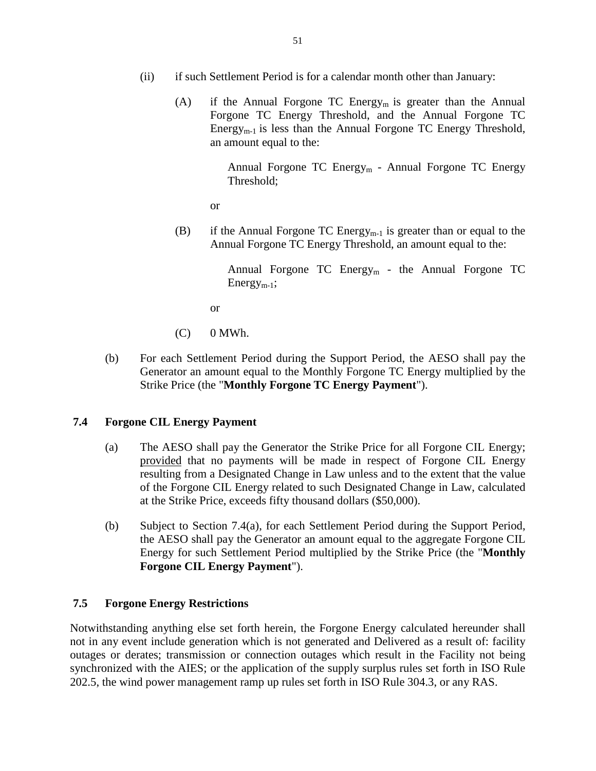- (ii) if such Settlement Period is for a calendar month other than January:
	- (A) if the Annual Forgone TC Energy<sub>m</sub> is greater than the Annual Forgone TC Energy Threshold, and the Annual Forgone TC Energy<sub>m-1</sub> is less than the Annual Forgone TC Energy Threshold, an amount equal to the:

Annual Forgone TC Energy<sub>m</sub> - Annual Forgone TC Energy Threshold;

or

(B) if the Annual Forgone TC Energy<sub>m-1</sub> is greater than or equal to the Annual Forgone TC Energy Threshold, an amount equal to the:

> Annual Forgone TC Energy<sub>m</sub> - the Annual Forgone TC  $Energy_{m-1};$

or

- $(C)$  0 MWh.
- (b) For each Settlement Period during the Support Period, the AESO shall pay the Generator an amount equal to the Monthly Forgone TC Energy multiplied by the Strike Price (the "**Monthly Forgone TC Energy Payment**").

### **7.4 Forgone CIL Energy Payment**

- (a) The AESO shall pay the Generator the Strike Price for all Forgone CIL Energy; provided that no payments will be made in respect of Forgone CIL Energy resulting from a Designated Change in Law unless and to the extent that the value of the Forgone CIL Energy related to such Designated Change in Law, calculated at the Strike Price, exceeds fifty thousand dollars (\$50,000).
- (b) Subject to Section 7.4(a), for each Settlement Period during the Support Period, the AESO shall pay the Generator an amount equal to the aggregate Forgone CIL Energy for such Settlement Period multiplied by the Strike Price (the "**Monthly Forgone CIL Energy Payment**").

# **7.5 Forgone Energy Restrictions**

Notwithstanding anything else set forth herein, the Forgone Energy calculated hereunder shall not in any event include generation which is not generated and Delivered as a result of: facility outages or derates; transmission or connection outages which result in the Facility not being synchronized with the AIES; or the application of the supply surplus rules set forth in ISO Rule 202.5, the wind power management ramp up rules set forth in ISO Rule 304.3, or any RAS.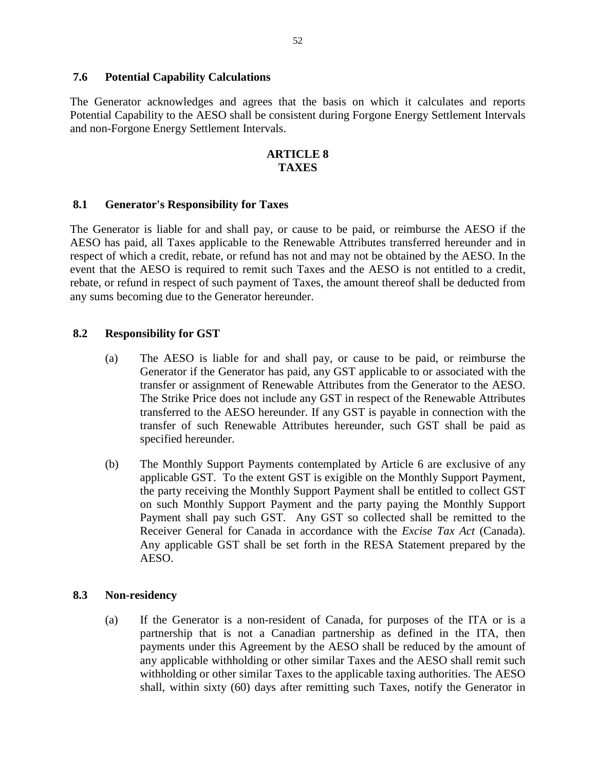### **7.6 Potential Capability Calculations**

The Generator acknowledges and agrees that the basis on which it calculates and reports Potential Capability to the AESO shall be consistent during Forgone Energy Settlement Intervals and non-Forgone Energy Settlement Intervals.

## **ARTICLE 8 TAXES**

### **8.1 Generator's Responsibility for Taxes**

The Generator is liable for and shall pay, or cause to be paid, or reimburse the AESO if the AESO has paid, all Taxes applicable to the Renewable Attributes transferred hereunder and in respect of which a credit, rebate, or refund has not and may not be obtained by the AESO. In the event that the AESO is required to remit such Taxes and the AESO is not entitled to a credit, rebate, or refund in respect of such payment of Taxes, the amount thereof shall be deducted from any sums becoming due to the Generator hereunder.

#### **8.2 Responsibility for GST**

- (a) The AESO is liable for and shall pay, or cause to be paid, or reimburse the Generator if the Generator has paid, any GST applicable to or associated with the transfer or assignment of Renewable Attributes from the Generator to the AESO. The Strike Price does not include any GST in respect of the Renewable Attributes transferred to the AESO hereunder. If any GST is payable in connection with the transfer of such Renewable Attributes hereunder, such GST shall be paid as specified hereunder.
- (b) The Monthly Support Payments contemplated by Article 6 are exclusive of any applicable GST. To the extent GST is exigible on the Monthly Support Payment, the party receiving the Monthly Support Payment shall be entitled to collect GST on such Monthly Support Payment and the party paying the Monthly Support Payment shall pay such GST. Any GST so collected shall be remitted to the Receiver General for Canada in accordance with the *Excise Tax Act* (Canada). Any applicable GST shall be set forth in the RESA Statement prepared by the AESO.

### **8.3 Non-residency**

(a) If the Generator is a non-resident of Canada, for purposes of the ITA or is a partnership that is not a Canadian partnership as defined in the ITA, then payments under this Agreement by the AESO shall be reduced by the amount of any applicable withholding or other similar Taxes and the AESO shall remit such withholding or other similar Taxes to the applicable taxing authorities. The AESO shall, within sixty (60) days after remitting such Taxes, notify the Generator in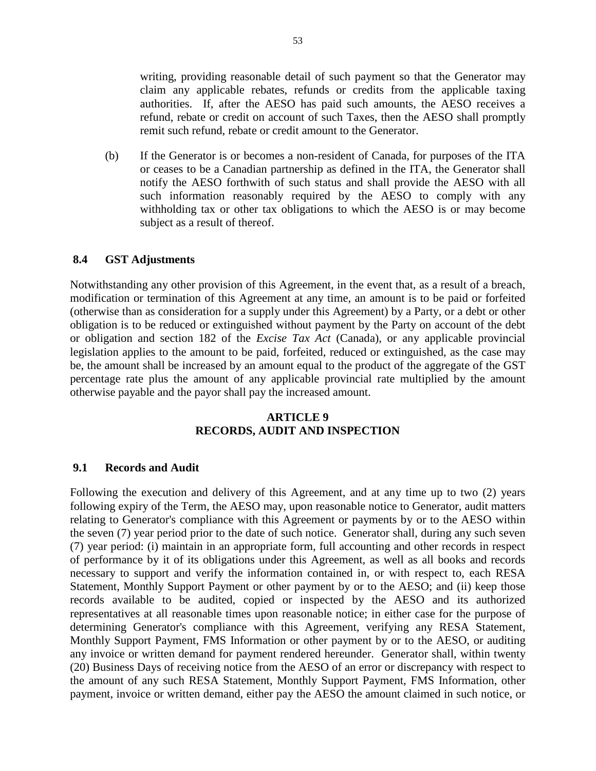writing, providing reasonable detail of such payment so that the Generator may claim any applicable rebates, refunds or credits from the applicable taxing authorities. If, after the AESO has paid such amounts, the AESO receives a refund, rebate or credit on account of such Taxes, then the AESO shall promptly remit such refund, rebate or credit amount to the Generator.

(b) If the Generator is or becomes a non-resident of Canada, for purposes of the ITA or ceases to be a Canadian partnership as defined in the ITA, the Generator shall notify the AESO forthwith of such status and shall provide the AESO with all such information reasonably required by the AESO to comply with any withholding tax or other tax obligations to which the AESO is or may become subject as a result of thereof.

#### **8.4 GST Adjustments**

Notwithstanding any other provision of this Agreement, in the event that, as a result of a breach, modification or termination of this Agreement at any time, an amount is to be paid or forfeited (otherwise than as consideration for a supply under this Agreement) by a Party, or a debt or other obligation is to be reduced or extinguished without payment by the Party on account of the debt or obligation and section 182 of the *Excise Tax Act* (Canada), or any applicable provincial legislation applies to the amount to be paid, forfeited, reduced or extinguished, as the case may be, the amount shall be increased by an amount equal to the product of the aggregate of the GST percentage rate plus the amount of any applicable provincial rate multiplied by the amount otherwise payable and the payor shall pay the increased amount.

### **ARTICLE 9 RECORDS, AUDIT AND INSPECTION**

#### **9.1 Records and Audit**

Following the execution and delivery of this Agreement, and at any time up to two (2) years following expiry of the Term, the AESO may, upon reasonable notice to Generator, audit matters relating to Generator's compliance with this Agreement or payments by or to the AESO within the seven (7) year period prior to the date of such notice. Generator shall, during any such seven (7) year period: (i) maintain in an appropriate form, full accounting and other records in respect of performance by it of its obligations under this Agreement, as well as all books and records necessary to support and verify the information contained in, or with respect to, each RESA Statement, Monthly Support Payment or other payment by or to the AESO; and (ii) keep those records available to be audited, copied or inspected by the AESO and its authorized representatives at all reasonable times upon reasonable notice; in either case for the purpose of determining Generator's compliance with this Agreement, verifying any RESA Statement, Monthly Support Payment, FMS Information or other payment by or to the AESO, or auditing any invoice or written demand for payment rendered hereunder. Generator shall, within twenty (20) Business Days of receiving notice from the AESO of an error or discrepancy with respect to the amount of any such RESA Statement, Monthly Support Payment, FMS Information, other payment, invoice or written demand, either pay the AESO the amount claimed in such notice, or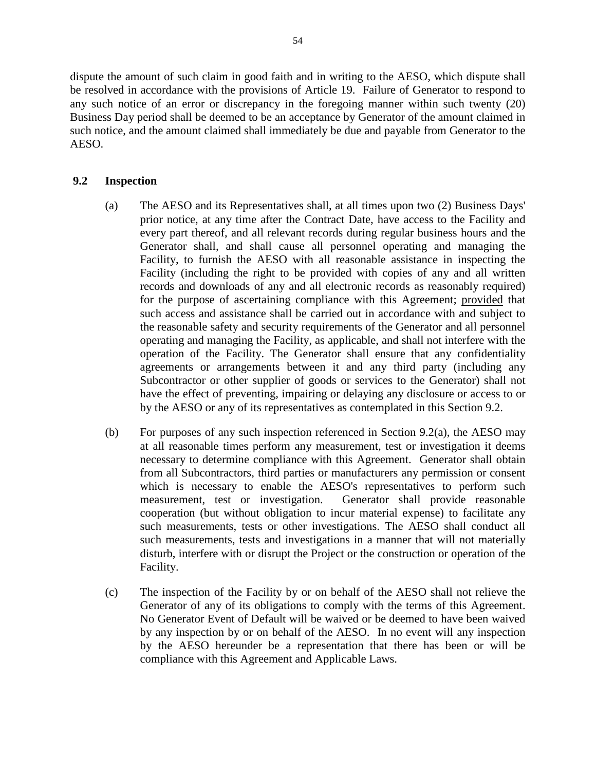dispute the amount of such claim in good faith and in writing to the AESO, which dispute shall be resolved in accordance with the provisions of Article 19. Failure of Generator to respond to any such notice of an error or discrepancy in the foregoing manner within such twenty (20) Business Day period shall be deemed to be an acceptance by Generator of the amount claimed in such notice, and the amount claimed shall immediately be due and payable from Generator to the AESO.

# **9.2 Inspection**

- (a) The AESO and its Representatives shall, at all times upon two (2) Business Days' prior notice, at any time after the Contract Date, have access to the Facility and every part thereof, and all relevant records during regular business hours and the Generator shall, and shall cause all personnel operating and managing the Facility, to furnish the AESO with all reasonable assistance in inspecting the Facility (including the right to be provided with copies of any and all written records and downloads of any and all electronic records as reasonably required) for the purpose of ascertaining compliance with this Agreement; provided that such access and assistance shall be carried out in accordance with and subject to the reasonable safety and security requirements of the Generator and all personnel operating and managing the Facility, as applicable, and shall not interfere with the operation of the Facility. The Generator shall ensure that any confidentiality agreements or arrangements between it and any third party (including any Subcontractor or other supplier of goods or services to the Generator) shall not have the effect of preventing, impairing or delaying any disclosure or access to or by the AESO or any of its representatives as contemplated in this Section 9.2.
- (b) For purposes of any such inspection referenced in Section 9.2(a), the AESO may at all reasonable times perform any measurement, test or investigation it deems necessary to determine compliance with this Agreement. Generator shall obtain from all Subcontractors, third parties or manufacturers any permission or consent which is necessary to enable the AESO's representatives to perform such measurement, test or investigation. Generator shall provide reasonable cooperation (but without obligation to incur material expense) to facilitate any such measurements, tests or other investigations. The AESO shall conduct all such measurements, tests and investigations in a manner that will not materially disturb, interfere with or disrupt the Project or the construction or operation of the Facility.
- (c) The inspection of the Facility by or on behalf of the AESO shall not relieve the Generator of any of its obligations to comply with the terms of this Agreement. No Generator Event of Default will be waived or be deemed to have been waived by any inspection by or on behalf of the AESO. In no event will any inspection by the AESO hereunder be a representation that there has been or will be compliance with this Agreement and Applicable Laws.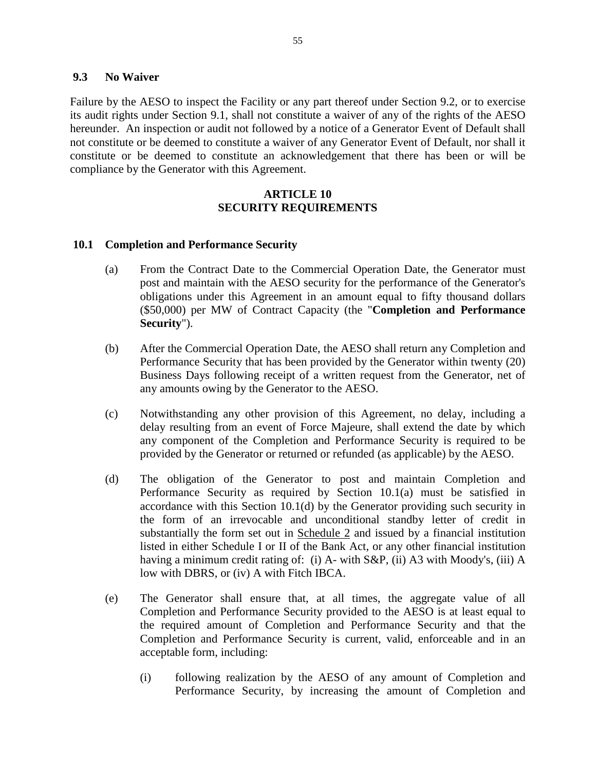#### **9.3 No Waiver**

Failure by the AESO to inspect the Facility or any part thereof under Section 9.2, or to exercise its audit rights under Section 9.1, shall not constitute a waiver of any of the rights of the AESO hereunder. An inspection or audit not followed by a notice of a Generator Event of Default shall not constitute or be deemed to constitute a waiver of any Generator Event of Default, nor shall it constitute or be deemed to constitute an acknowledgement that there has been or will be compliance by the Generator with this Agreement.

#### **ARTICLE 10 SECURITY REQUIREMENTS**

### **10.1 Completion and Performance Security**

- (a) From the Contract Date to the Commercial Operation Date, the Generator must post and maintain with the AESO security for the performance of the Generator's obligations under this Agreement in an amount equal to fifty thousand dollars (\$50,000) per MW of Contract Capacity (the "**Completion and Performance Security**").
- (b) After the Commercial Operation Date, the AESO shall return any Completion and Performance Security that has been provided by the Generator within twenty (20) Business Days following receipt of a written request from the Generator, net of any amounts owing by the Generator to the AESO.
- (c) Notwithstanding any other provision of this Agreement, no delay, including a delay resulting from an event of Force Majeure, shall extend the date by which any component of the Completion and Performance Security is required to be provided by the Generator or returned or refunded (as applicable) by the AESO.
- (d) The obligation of the Generator to post and maintain Completion and Performance Security as required by Section 10.1(a) must be satisfied in accordance with this Section 10.1(d) by the Generator providing such security in the form of an irrevocable and unconditional standby letter of credit in substantially the form set out in Schedule 2 and issued by a financial institution listed in either Schedule I or II of the Bank Act, or any other financial institution having a minimum credit rating of: (i) A- with S&P, (ii) A3 with Moody's, (iii) A low with DBRS, or (iv) A with Fitch IBCA.
- (e) The Generator shall ensure that, at all times, the aggregate value of all Completion and Performance Security provided to the AESO is at least equal to the required amount of Completion and Performance Security and that the Completion and Performance Security is current, valid, enforceable and in an acceptable form, including:
	- (i) following realization by the AESO of any amount of Completion and Performance Security, by increasing the amount of Completion and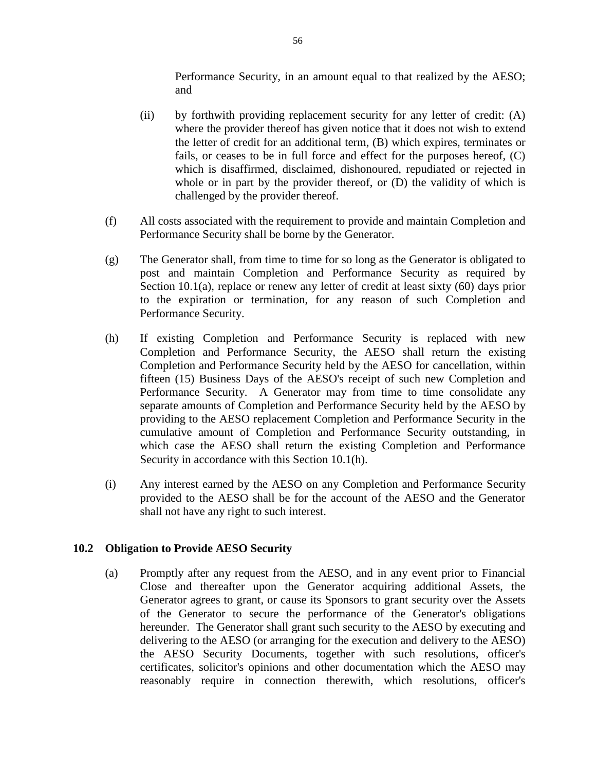Performance Security, in an amount equal to that realized by the AESO; and

- (ii) by forthwith providing replacement security for any letter of credit: (A) where the provider thereof has given notice that it does not wish to extend the letter of credit for an additional term, (B) which expires, terminates or fails, or ceases to be in full force and effect for the purposes hereof, (C) which is disaffirmed, disclaimed, dishonoured, repudiated or rejected in whole or in part by the provider thereof, or  $(D)$  the validity of which is challenged by the provider thereof.
- (f) All costs associated with the requirement to provide and maintain Completion and Performance Security shall be borne by the Generator.
- (g) The Generator shall, from time to time for so long as the Generator is obligated to post and maintain Completion and Performance Security as required by Section 10.1(a), replace or renew any letter of credit at least sixty (60) days prior to the expiration or termination, for any reason of such Completion and Performance Security.
- (h) If existing Completion and Performance Security is replaced with new Completion and Performance Security, the AESO shall return the existing Completion and Performance Security held by the AESO for cancellation, within fifteen (15) Business Days of the AESO's receipt of such new Completion and Performance Security. A Generator may from time to time consolidate any separate amounts of Completion and Performance Security held by the AESO by providing to the AESO replacement Completion and Performance Security in the cumulative amount of Completion and Performance Security outstanding, in which case the AESO shall return the existing Completion and Performance Security in accordance with this Section 10.1(h).
- (i) Any interest earned by the AESO on any Completion and Performance Security provided to the AESO shall be for the account of the AESO and the Generator shall not have any right to such interest.

### **10.2 Obligation to Provide AESO Security**

(a) Promptly after any request from the AESO, and in any event prior to Financial Close and thereafter upon the Generator acquiring additional Assets, the Generator agrees to grant, or cause its Sponsors to grant security over the Assets of the Generator to secure the performance of the Generator's obligations hereunder. The Generator shall grant such security to the AESO by executing and delivering to the AESO (or arranging for the execution and delivery to the AESO) the AESO Security Documents, together with such resolutions, officer's certificates, solicitor's opinions and other documentation which the AESO may reasonably require in connection therewith, which resolutions, officer's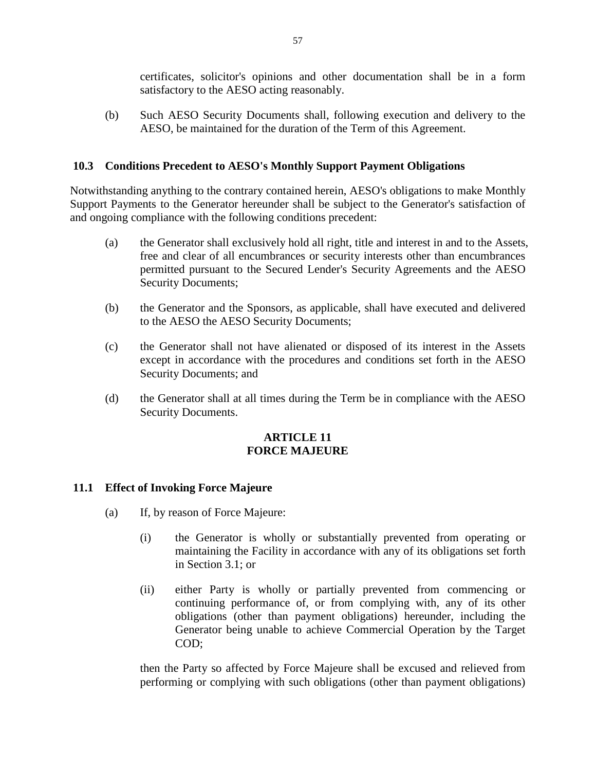certificates, solicitor's opinions and other documentation shall be in a form satisfactory to the AESO acting reasonably.

(b) Such AESO Security Documents shall, following execution and delivery to the AESO, be maintained for the duration of the Term of this Agreement.

## **10.3 Conditions Precedent to AESO's Monthly Support Payment Obligations**

Notwithstanding anything to the contrary contained herein, AESO's obligations to make Monthly Support Payments to the Generator hereunder shall be subject to the Generator's satisfaction of and ongoing compliance with the following conditions precedent:

- (a) the Generator shall exclusively hold all right, title and interest in and to the Assets, free and clear of all encumbrances or security interests other than encumbrances permitted pursuant to the Secured Lender's Security Agreements and the AESO Security Documents;
- (b) the Generator and the Sponsors, as applicable, shall have executed and delivered to the AESO the AESO Security Documents;
- (c) the Generator shall not have alienated or disposed of its interest in the Assets except in accordance with the procedures and conditions set forth in the AESO Security Documents; and
- (d) the Generator shall at all times during the Term be in compliance with the AESO Security Documents.

### **ARTICLE 11 FORCE MAJEURE**

### **11.1 Effect of Invoking Force Majeure**

- (a) If, by reason of Force Majeure:
	- (i) the Generator is wholly or substantially prevented from operating or maintaining the Facility in accordance with any of its obligations set forth in Section 3.1; or
	- (ii) either Party is wholly or partially prevented from commencing or continuing performance of, or from complying with, any of its other obligations (other than payment obligations) hereunder, including the Generator being unable to achieve Commercial Operation by the Target COD;

then the Party so affected by Force Majeure shall be excused and relieved from performing or complying with such obligations (other than payment obligations)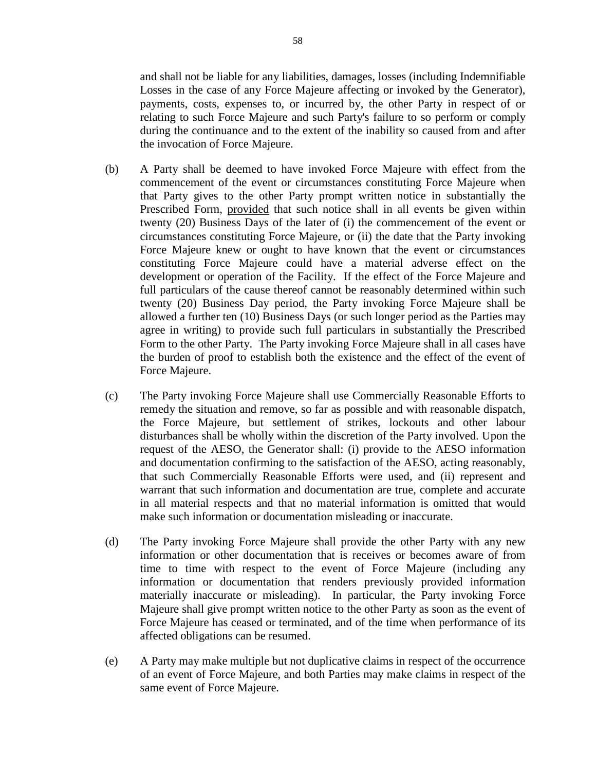and shall not be liable for any liabilities, damages, losses (including Indemnifiable Losses in the case of any Force Majeure affecting or invoked by the Generator), payments, costs, expenses to, or incurred by, the other Party in respect of or relating to such Force Majeure and such Party's failure to so perform or comply during the continuance and to the extent of the inability so caused from and after the invocation of Force Majeure.

- (b) A Party shall be deemed to have invoked Force Majeure with effect from the commencement of the event or circumstances constituting Force Majeure when that Party gives to the other Party prompt written notice in substantially the Prescribed Form, provided that such notice shall in all events be given within twenty (20) Business Days of the later of (i) the commencement of the event or circumstances constituting Force Majeure, or (ii) the date that the Party invoking Force Majeure knew or ought to have known that the event or circumstances constituting Force Majeure could have a material adverse effect on the development or operation of the Facility. If the effect of the Force Majeure and full particulars of the cause thereof cannot be reasonably determined within such twenty (20) Business Day period, the Party invoking Force Majeure shall be allowed a further ten (10) Business Days (or such longer period as the Parties may agree in writing) to provide such full particulars in substantially the Prescribed Form to the other Party. The Party invoking Force Majeure shall in all cases have the burden of proof to establish both the existence and the effect of the event of Force Majeure.
- (c) The Party invoking Force Majeure shall use Commercially Reasonable Efforts to remedy the situation and remove, so far as possible and with reasonable dispatch, the Force Majeure, but settlement of strikes, lockouts and other labour disturbances shall be wholly within the discretion of the Party involved. Upon the request of the AESO, the Generator shall: (i) provide to the AESO information and documentation confirming to the satisfaction of the AESO, acting reasonably, that such Commercially Reasonable Efforts were used, and (ii) represent and warrant that such information and documentation are true, complete and accurate in all material respects and that no material information is omitted that would make such information or documentation misleading or inaccurate.
- (d) The Party invoking Force Majeure shall provide the other Party with any new information or other documentation that is receives or becomes aware of from time to time with respect to the event of Force Majeure (including any information or documentation that renders previously provided information materially inaccurate or misleading). In particular, the Party invoking Force Majeure shall give prompt written notice to the other Party as soon as the event of Force Majeure has ceased or terminated, and of the time when performance of its affected obligations can be resumed.
- (e) A Party may make multiple but not duplicative claims in respect of the occurrence of an event of Force Majeure, and both Parties may make claims in respect of the same event of Force Majeure.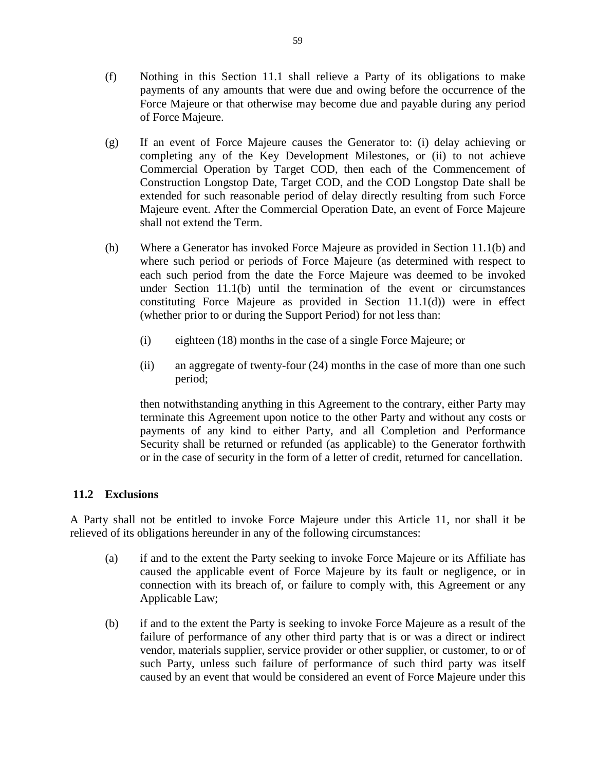- (f) Nothing in this Section 11.1 shall relieve a Party of its obligations to make payments of any amounts that were due and owing before the occurrence of the Force Majeure or that otherwise may become due and payable during any period of Force Majeure.
- (g) If an event of Force Majeure causes the Generator to: (i) delay achieving or completing any of the Key Development Milestones, or (ii) to not achieve Commercial Operation by Target COD, then each of the Commencement of Construction Longstop Date, Target COD, and the COD Longstop Date shall be extended for such reasonable period of delay directly resulting from such Force Majeure event. After the Commercial Operation Date, an event of Force Majeure shall not extend the Term.
- (h) Where a Generator has invoked Force Majeure as provided in Section 11.1(b) and where such period or periods of Force Majeure (as determined with respect to each such period from the date the Force Majeure was deemed to be invoked under Section 11.1(b) until the termination of the event or circumstances constituting Force Majeure as provided in Section  $11.1(d)$  were in effect (whether prior to or during the Support Period) for not less than:
	- (i) eighteen (18) months in the case of a single Force Majeure; or
	- (ii) an aggregate of twenty-four (24) months in the case of more than one such period;

then notwithstanding anything in this Agreement to the contrary, either Party may terminate this Agreement upon notice to the other Party and without any costs or payments of any kind to either Party, and all Completion and Performance Security shall be returned or refunded (as applicable) to the Generator forthwith or in the case of security in the form of a letter of credit, returned for cancellation.

# **11.2 Exclusions**

A Party shall not be entitled to invoke Force Majeure under this Article 11, nor shall it be relieved of its obligations hereunder in any of the following circumstances:

- (a) if and to the extent the Party seeking to invoke Force Majeure or its Affiliate has caused the applicable event of Force Majeure by its fault or negligence, or in connection with its breach of, or failure to comply with, this Agreement or any Applicable Law;
- (b) if and to the extent the Party is seeking to invoke Force Majeure as a result of the failure of performance of any other third party that is or was a direct or indirect vendor, materials supplier, service provider or other supplier, or customer, to or of such Party, unless such failure of performance of such third party was itself caused by an event that would be considered an event of Force Majeure under this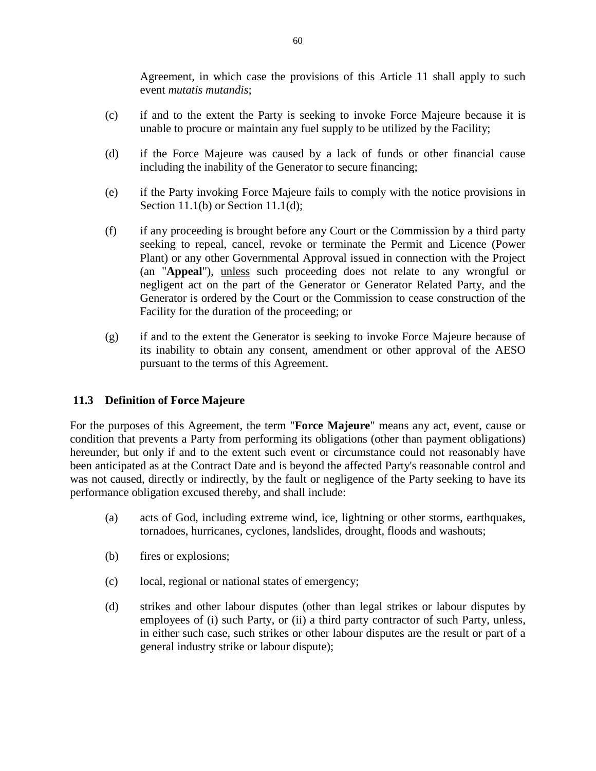Agreement, in which case the provisions of this Article 11 shall apply to such event *mutatis mutandis*;

- (c) if and to the extent the Party is seeking to invoke Force Majeure because it is unable to procure or maintain any fuel supply to be utilized by the Facility;
- (d) if the Force Majeure was caused by a lack of funds or other financial cause including the inability of the Generator to secure financing;
- (e) if the Party invoking Force Majeure fails to comply with the notice provisions in Section 11.1(b) or Section 11.1(d);
- (f) if any proceeding is brought before any Court or the Commission by a third party seeking to repeal, cancel, revoke or terminate the Permit and Licence (Power Plant) or any other Governmental Approval issued in connection with the Project (an "**Appeal**"), unless such proceeding does not relate to any wrongful or negligent act on the part of the Generator or Generator Related Party, and the Generator is ordered by the Court or the Commission to cease construction of the Facility for the duration of the proceeding; or
- (g) if and to the extent the Generator is seeking to invoke Force Majeure because of its inability to obtain any consent, amendment or other approval of the AESO pursuant to the terms of this Agreement.

# **11.3 Definition of Force Majeure**

For the purposes of this Agreement, the term "**Force Majeure**" means any act, event, cause or condition that prevents a Party from performing its obligations (other than payment obligations) hereunder, but only if and to the extent such event or circumstance could not reasonably have been anticipated as at the Contract Date and is beyond the affected Party's reasonable control and was not caused, directly or indirectly, by the fault or negligence of the Party seeking to have its performance obligation excused thereby, and shall include:

- (a) acts of God, including extreme wind, ice, lightning or other storms, earthquakes, tornadoes, hurricanes, cyclones, landslides, drought, floods and washouts;
- (b) fires or explosions;
- (c) local, regional or national states of emergency;
- (d) strikes and other labour disputes (other than legal strikes or labour disputes by employees of (i) such Party, or (ii) a third party contractor of such Party, unless, in either such case, such strikes or other labour disputes are the result or part of a general industry strike or labour dispute);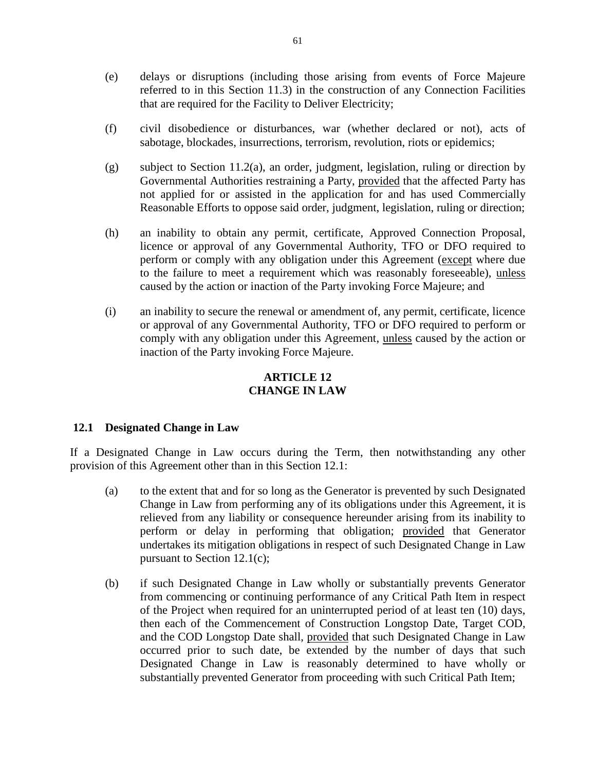- (e) delays or disruptions (including those arising from events of Force Majeure referred to in this Section 11.3) in the construction of any Connection Facilities that are required for the Facility to Deliver Electricity;
- (f) civil disobedience or disturbances, war (whether declared or not), acts of sabotage, blockades, insurrections, terrorism, revolution, riots or epidemics;
- (g) subject to Section 11.2(a), an order, judgment, legislation, ruling or direction by Governmental Authorities restraining a Party, provided that the affected Party has not applied for or assisted in the application for and has used Commercially Reasonable Efforts to oppose said order, judgment, legislation, ruling or direction;
- (h) an inability to obtain any permit, certificate, Approved Connection Proposal, licence or approval of any Governmental Authority, TFO or DFO required to perform or comply with any obligation under this Agreement (except where due to the failure to meet a requirement which was reasonably foreseeable), unless caused by the action or inaction of the Party invoking Force Majeure; and
- (i) an inability to secure the renewal or amendment of, any permit, certificate, licence or approval of any Governmental Authority, TFO or DFO required to perform or comply with any obligation under this Agreement, unless caused by the action or inaction of the Party invoking Force Majeure.

# **ARTICLE 12 CHANGE IN LAW**

# **12.1 Designated Change in Law**

If a Designated Change in Law occurs during the Term, then notwithstanding any other provision of this Agreement other than in this Section 12.1:

- (a) to the extent that and for so long as the Generator is prevented by such Designated Change in Law from performing any of its obligations under this Agreement, it is relieved from any liability or consequence hereunder arising from its inability to perform or delay in performing that obligation; provided that Generator undertakes its mitigation obligations in respect of such Designated Change in Law pursuant to Section 12.1(c);
- (b) if such Designated Change in Law wholly or substantially prevents Generator from commencing or continuing performance of any Critical Path Item in respect of the Project when required for an uninterrupted period of at least ten (10) days, then each of the Commencement of Construction Longstop Date, Target COD, and the COD Longstop Date shall, provided that such Designated Change in Law occurred prior to such date, be extended by the number of days that such Designated Change in Law is reasonably determined to have wholly or substantially prevented Generator from proceeding with such Critical Path Item;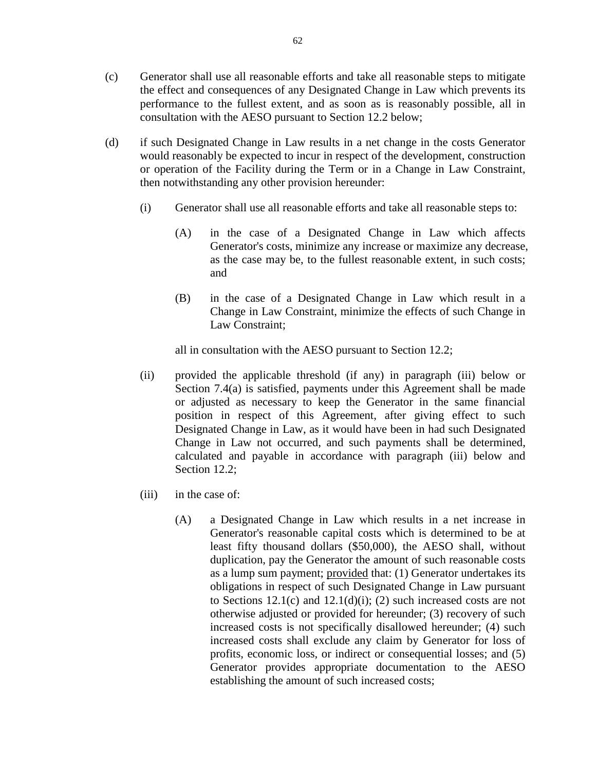- (c) Generator shall use all reasonable efforts and take all reasonable steps to mitigate the effect and consequences of any Designated Change in Law which prevents its performance to the fullest extent, and as soon as is reasonably possible, all in consultation with the AESO pursuant to Section 12.2 below;
- (d) if such Designated Change in Law results in a net change in the costs Generator would reasonably be expected to incur in respect of the development, construction or operation of the Facility during the Term or in a Change in Law Constraint, then notwithstanding any other provision hereunder:
	- (i) Generator shall use all reasonable efforts and take all reasonable steps to:
		- (A) in the case of a Designated Change in Law which affects Generator's costs, minimize any increase or maximize any decrease, as the case may be, to the fullest reasonable extent, in such costs; and
		- (B) in the case of a Designated Change in Law which result in a Change in Law Constraint, minimize the effects of such Change in Law Constraint;

all in consultation with the AESO pursuant to Section 12.2;

- (ii) provided the applicable threshold (if any) in paragraph (iii) below or Section 7.4(a) is satisfied, payments under this Agreement shall be made or adjusted as necessary to keep the Generator in the same financial position in respect of this Agreement, after giving effect to such Designated Change in Law, as it would have been in had such Designated Change in Law not occurred, and such payments shall be determined, calculated and payable in accordance with paragraph (iii) below and Section 12.2;
- (iii) in the case of:
	- (A) a Designated Change in Law which results in a net increase in Generator's reasonable capital costs which is determined to be at least fifty thousand dollars (\$50,000), the AESO shall, without duplication, pay the Generator the amount of such reasonable costs as a lump sum payment; provided that: (1) Generator undertakes its obligations in respect of such Designated Change in Law pursuant to Sections  $12.1(c)$  and  $12.1(d)(i)$ ; (2) such increased costs are not otherwise adjusted or provided for hereunder; (3) recovery of such increased costs is not specifically disallowed hereunder; (4) such increased costs shall exclude any claim by Generator for loss of profits, economic loss, or indirect or consequential losses; and (5) Generator provides appropriate documentation to the AESO establishing the amount of such increased costs;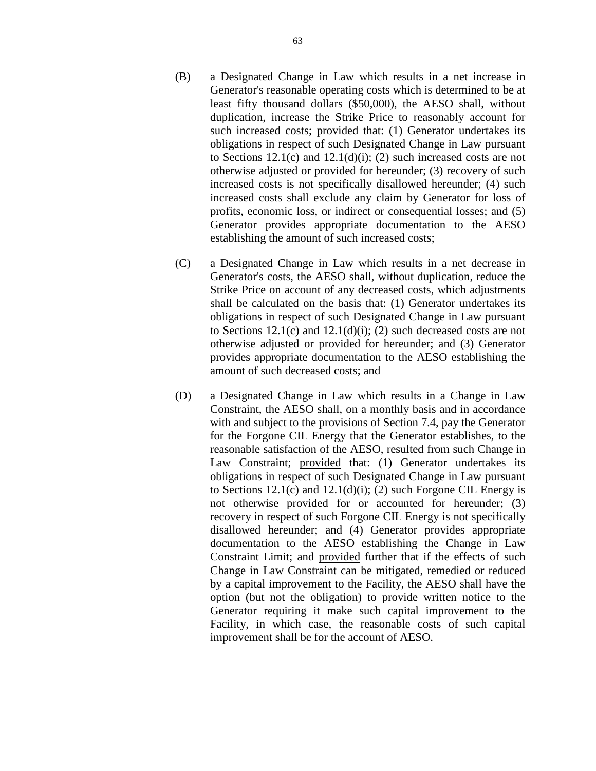- (B) a Designated Change in Law which results in a net increase in Generator's reasonable operating costs which is determined to be at least fifty thousand dollars (\$50,000), the AESO shall, without duplication, increase the Strike Price to reasonably account for such increased costs; provided that: (1) Generator undertakes its obligations in respect of such Designated Change in Law pursuant to Sections 12.1(c) and 12.1(d)(i); (2) such increased costs are not otherwise adjusted or provided for hereunder; (3) recovery of such increased costs is not specifically disallowed hereunder; (4) such increased costs shall exclude any claim by Generator for loss of profits, economic loss, or indirect or consequential losses; and (5) Generator provides appropriate documentation to the AESO establishing the amount of such increased costs;
- (C) a Designated Change in Law which results in a net decrease in Generator's costs, the AESO shall, without duplication, reduce the Strike Price on account of any decreased costs, which adjustments shall be calculated on the basis that: (1) Generator undertakes its obligations in respect of such Designated Change in Law pursuant to Sections  $12.1(c)$  and  $12.1(d)(i)$ ; (2) such decreased costs are not otherwise adjusted or provided for hereunder; and (3) Generator provides appropriate documentation to the AESO establishing the amount of such decreased costs; and
- (D) a Designated Change in Law which results in a Change in Law Constraint, the AESO shall, on a monthly basis and in accordance with and subject to the provisions of Section 7.4, pay the Generator for the Forgone CIL Energy that the Generator establishes, to the reasonable satisfaction of the AESO, resulted from such Change in Law Constraint; provided that: (1) Generator undertakes its obligations in respect of such Designated Change in Law pursuant to Sections  $12.1(c)$  and  $12.1(d)(i)$ ; (2) such Forgone CIL Energy is not otherwise provided for or accounted for hereunder; (3) recovery in respect of such Forgone CIL Energy is not specifically disallowed hereunder; and (4) Generator provides appropriate documentation to the AESO establishing the Change in Law Constraint Limit; and provided further that if the effects of such Change in Law Constraint can be mitigated, remedied or reduced by a capital improvement to the Facility, the AESO shall have the option (but not the obligation) to provide written notice to the Generator requiring it make such capital improvement to the Facility, in which case, the reasonable costs of such capital improvement shall be for the account of AESO.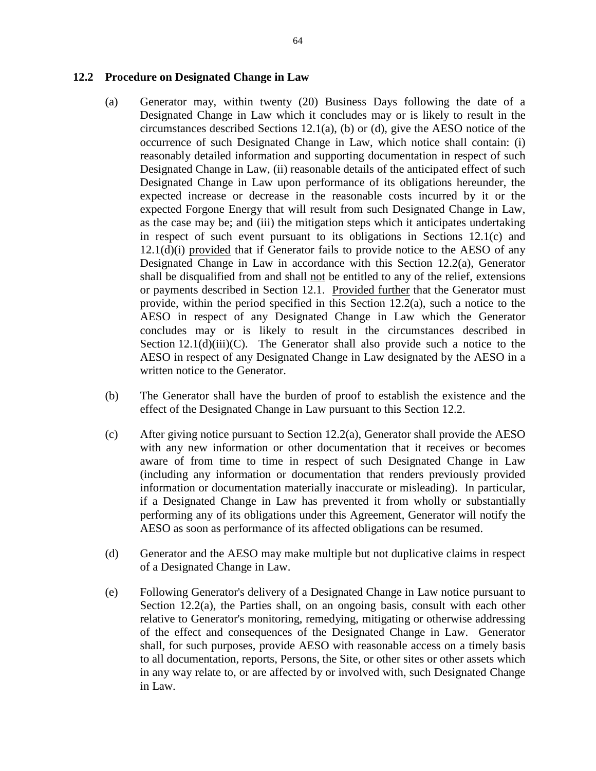#### **12.2 Procedure on Designated Change in Law**

- (a) Generator may, within twenty (20) Business Days following the date of a Designated Change in Law which it concludes may or is likely to result in the circumstances described Sections 12.1(a), (b) or (d), give the AESO notice of the occurrence of such Designated Change in Law, which notice shall contain: (i) reasonably detailed information and supporting documentation in respect of such Designated Change in Law, (ii) reasonable details of the anticipated effect of such Designated Change in Law upon performance of its obligations hereunder, the expected increase or decrease in the reasonable costs incurred by it or the expected Forgone Energy that will result from such Designated Change in Law, as the case may be; and (iii) the mitigation steps which it anticipates undertaking in respect of such event pursuant to its obligations in Sections 12.1(c) and 12.1(d)(i) provided that if Generator fails to provide notice to the AESO of any Designated Change in Law in accordance with this Section 12.2(a), Generator shall be disqualified from and shall not be entitled to any of the relief, extensions or payments described in Section 12.1. Provided further that the Generator must provide, within the period specified in this Section  $12.2(a)$ , such a notice to the AESO in respect of any Designated Change in Law which the Generator concludes may or is likely to result in the circumstances described in Section  $12.1(d)(iii)(C)$ . The Generator shall also provide such a notice to the AESO in respect of any Designated Change in Law designated by the AESO in a written notice to the Generator.
- (b) The Generator shall have the burden of proof to establish the existence and the effect of the Designated Change in Law pursuant to this Section 12.2.
- (c) After giving notice pursuant to Section 12.2(a), Generator shall provide the AESO with any new information or other documentation that it receives or becomes aware of from time to time in respect of such Designated Change in Law (including any information or documentation that renders previously provided information or documentation materially inaccurate or misleading). In particular, if a Designated Change in Law has prevented it from wholly or substantially performing any of its obligations under this Agreement, Generator will notify the AESO as soon as performance of its affected obligations can be resumed.
- (d) Generator and the AESO may make multiple but not duplicative claims in respect of a Designated Change in Law.
- (e) Following Generator's delivery of a Designated Change in Law notice pursuant to Section 12.2(a), the Parties shall, on an ongoing basis, consult with each other relative to Generator's monitoring, remedying, mitigating or otherwise addressing of the effect and consequences of the Designated Change in Law. Generator shall, for such purposes, provide AESO with reasonable access on a timely basis to all documentation, reports, Persons, the Site, or other sites or other assets which in any way relate to, or are affected by or involved with, such Designated Change in Law.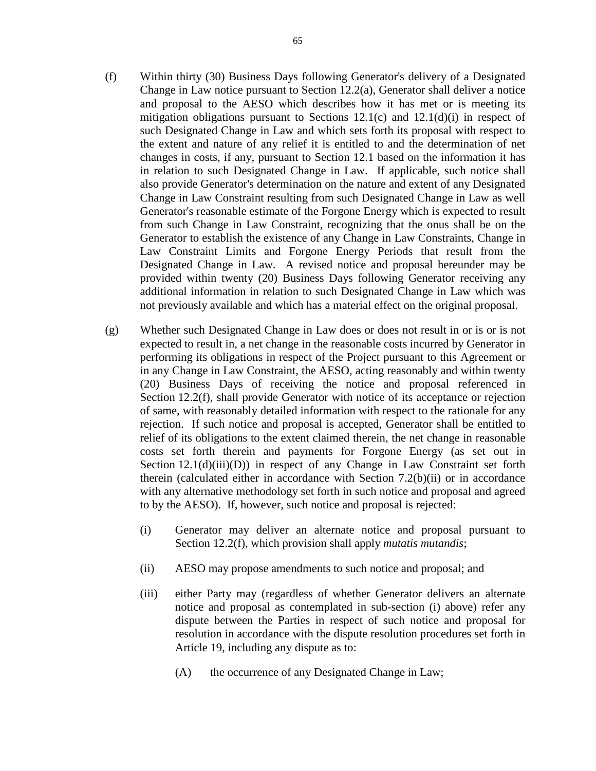- (f) Within thirty (30) Business Days following Generator's delivery of a Designated Change in Law notice pursuant to Section 12.2(a), Generator shall deliver a notice and proposal to the AESO which describes how it has met or is meeting its mitigation obligations pursuant to Sections  $12.1(c)$  and  $12.1(d)(i)$  in respect of such Designated Change in Law and which sets forth its proposal with respect to the extent and nature of any relief it is entitled to and the determination of net changes in costs, if any, pursuant to Section 12.1 based on the information it has in relation to such Designated Change in Law. If applicable, such notice shall also provide Generator's determination on the nature and extent of any Designated Change in Law Constraint resulting from such Designated Change in Law as well Generator's reasonable estimate of the Forgone Energy which is expected to result from such Change in Law Constraint, recognizing that the onus shall be on the Generator to establish the existence of any Change in Law Constraints, Change in Law Constraint Limits and Forgone Energy Periods that result from the Designated Change in Law. A revised notice and proposal hereunder may be provided within twenty (20) Business Days following Generator receiving any additional information in relation to such Designated Change in Law which was not previously available and which has a material effect on the original proposal.
- (g) Whether such Designated Change in Law does or does not result in or is or is not expected to result in, a net change in the reasonable costs incurred by Generator in performing its obligations in respect of the Project pursuant to this Agreement or in any Change in Law Constraint, the AESO, acting reasonably and within twenty (20) Business Days of receiving the notice and proposal referenced in Section 12.2(f), shall provide Generator with notice of its acceptance or rejection of same, with reasonably detailed information with respect to the rationale for any rejection. If such notice and proposal is accepted, Generator shall be entitled to relief of its obligations to the extent claimed therein, the net change in reasonable costs set forth therein and payments for Forgone Energy (as set out in Section  $12.1(d)(iii)(D)$  in respect of any Change in Law Constraint set forth therein (calculated either in accordance with Section 7.2(b)(ii) or in accordance with any alternative methodology set forth in such notice and proposal and agreed to by the AESO). If, however, such notice and proposal is rejected:
	- (i) Generator may deliver an alternate notice and proposal pursuant to Section 12.2(f), which provision shall apply *mutatis mutandis*;
	- (ii) AESO may propose amendments to such notice and proposal; and
	- (iii) either Party may (regardless of whether Generator delivers an alternate notice and proposal as contemplated in sub-section (i) above) refer any dispute between the Parties in respect of such notice and proposal for resolution in accordance with the dispute resolution procedures set forth in Article 19, including any dispute as to:
		- (A) the occurrence of any Designated Change in Law;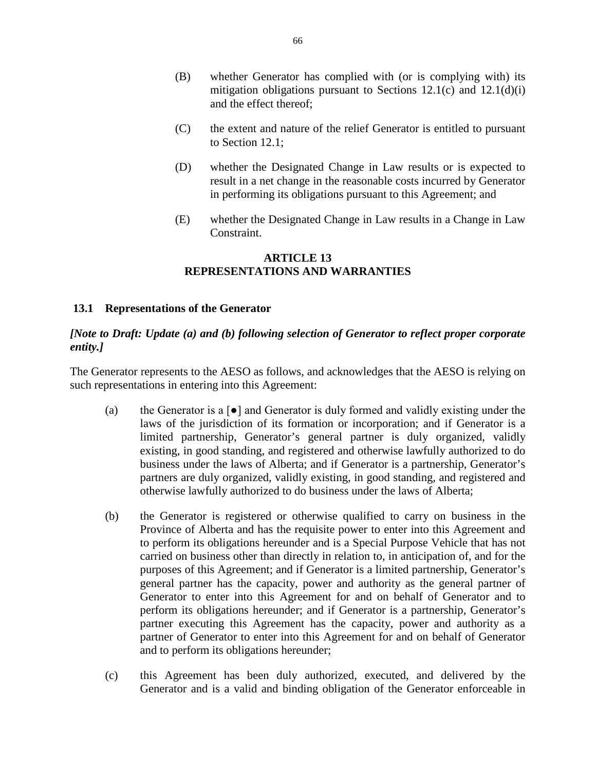- (B) whether Generator has complied with (or is complying with) its mitigation obligations pursuant to Sections  $12.1(c)$  and  $12.1(d)(i)$ and the effect thereof;
- (C) the extent and nature of the relief Generator is entitled to pursuant to Section 12.1;
- (D) whether the Designated Change in Law results or is expected to result in a net change in the reasonable costs incurred by Generator in performing its obligations pursuant to this Agreement; and
- (E) whether the Designated Change in Law results in a Change in Law Constraint.

### **ARTICLE 13 REPRESENTATIONS AND WARRANTIES**

### **13.1 Representations of the Generator**

## *[Note to Draft: Update (a) and (b) following selection of Generator to reflect proper corporate entity.]*

The Generator represents to the AESO as follows, and acknowledges that the AESO is relying on such representations in entering into this Agreement:

- (a) the Generator is a  $\lceil \bullet \rceil$  and Generator is duly formed and validly existing under the laws of the jurisdiction of its formation or incorporation; and if Generator is a limited partnership, Generator's general partner is duly organized, validly existing, in good standing, and registered and otherwise lawfully authorized to do business under the laws of Alberta; and if Generator is a partnership, Generator's partners are duly organized, validly existing, in good standing, and registered and otherwise lawfully authorized to do business under the laws of Alberta;
- (b) the Generator is registered or otherwise qualified to carry on business in the Province of Alberta and has the requisite power to enter into this Agreement and to perform its obligations hereunder and is a Special Purpose Vehicle that has not carried on business other than directly in relation to, in anticipation of, and for the purposes of this Agreement; and if Generator is a limited partnership, Generator's general partner has the capacity, power and authority as the general partner of Generator to enter into this Agreement for and on behalf of Generator and to perform its obligations hereunder; and if Generator is a partnership, Generator's partner executing this Agreement has the capacity, power and authority as a partner of Generator to enter into this Agreement for and on behalf of Generator and to perform its obligations hereunder;
- (c) this Agreement has been duly authorized, executed, and delivered by the Generator and is a valid and binding obligation of the Generator enforceable in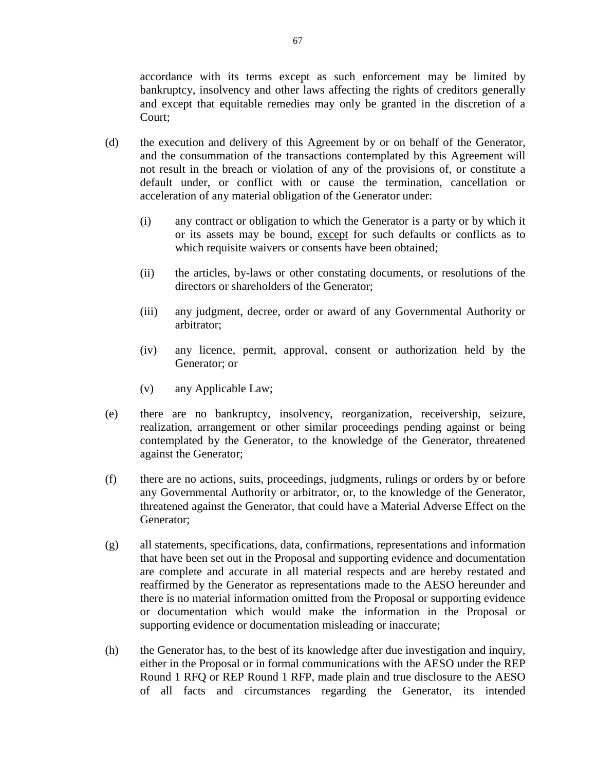accordance with its terms except as such enforcement may be limited by bankruptcy, insolvency and other laws affecting the rights of creditors generally and except that equitable remedies may only be granted in the discretion of a Court;

- (d) the execution and delivery of this Agreement by or on behalf of the Generator, and the consummation of the transactions contemplated by this Agreement will not result in the breach or violation of any of the provisions of, or constitute a default under, or conflict with or cause the termination, cancellation or acceleration of any material obligation of the Generator under:
	- (i) any contract or obligation to which the Generator is a party or by which it or its assets may be bound, except for such defaults or conflicts as to which requisite waivers or consents have been obtained;
	- (ii) the articles, by-laws or other constating documents, or resolutions of the directors or shareholders of the Generator;
	- (iii) any judgment, decree, order or award of any Governmental Authority or arbitrator;
	- (iv) any licence, permit, approval, consent or authorization held by the Generator; or
	- (v) any Applicable Law;
- (e) there are no bankruptcy, insolvency, reorganization, receivership, seizure, realization, arrangement or other similar proceedings pending against or being contemplated by the Generator, to the knowledge of the Generator, threatened against the Generator;
- (f) there are no actions, suits, proceedings, judgments, rulings or orders by or before any Governmental Authority or arbitrator, or, to the knowledge of the Generator, threatened against the Generator, that could have a Material Adverse Effect on the Generator;
- (g) all statements, specifications, data, confirmations, representations and information that have been set out in the Proposal and supporting evidence and documentation are complete and accurate in all material respects and are hereby restated and reaffirmed by the Generator as representations made to the AESO hereunder and there is no material information omitted from the Proposal or supporting evidence or documentation which would make the information in the Proposal or supporting evidence or documentation misleading or inaccurate;
- (h) the Generator has, to the best of its knowledge after due investigation and inquiry, either in the Proposal or in formal communications with the AESO under the REP Round 1 RFQ or REP Round 1 RFP, made plain and true disclosure to the AESO of all facts and circumstances regarding the Generator, its intended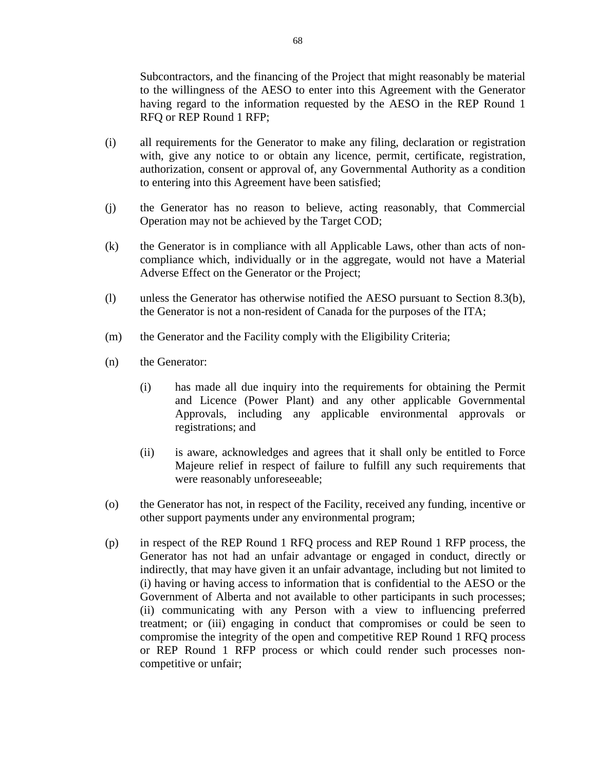Subcontractors, and the financing of the Project that might reasonably be material to the willingness of the AESO to enter into this Agreement with the Generator having regard to the information requested by the AESO in the REP Round 1 RFQ or REP Round 1 RFP;

- (i) all requirements for the Generator to make any filing, declaration or registration with, give any notice to or obtain any licence, permit, certificate, registration, authorization, consent or approval of, any Governmental Authority as a condition to entering into this Agreement have been satisfied;
- (j) the Generator has no reason to believe, acting reasonably, that Commercial Operation may not be achieved by the Target COD;
- (k) the Generator is in compliance with all Applicable Laws, other than acts of noncompliance which, individually or in the aggregate, would not have a Material Adverse Effect on the Generator or the Project;
- (l) unless the Generator has otherwise notified the AESO pursuant to Section 8.3(b), the Generator is not a non-resident of Canada for the purposes of the ITA;
- (m) the Generator and the Facility comply with the Eligibility Criteria;
- (n) the Generator:
	- (i) has made all due inquiry into the requirements for obtaining the Permit and Licence (Power Plant) and any other applicable Governmental Approvals, including any applicable environmental approvals or registrations; and
	- (ii) is aware, acknowledges and agrees that it shall only be entitled to Force Majeure relief in respect of failure to fulfill any such requirements that were reasonably unforeseeable;
- (o) the Generator has not, in respect of the Facility, received any funding, incentive or other support payments under any environmental program;
- (p) in respect of the REP Round 1 RFQ process and REP Round 1 RFP process, the Generator has not had an unfair advantage or engaged in conduct, directly or indirectly, that may have given it an unfair advantage, including but not limited to (i) having or having access to information that is confidential to the AESO or the Government of Alberta and not available to other participants in such processes; (ii) communicating with any Person with a view to influencing preferred treatment; or (iii) engaging in conduct that compromises or could be seen to compromise the integrity of the open and competitive REP Round 1 RFQ process or REP Round 1 RFP process or which could render such processes noncompetitive or unfair;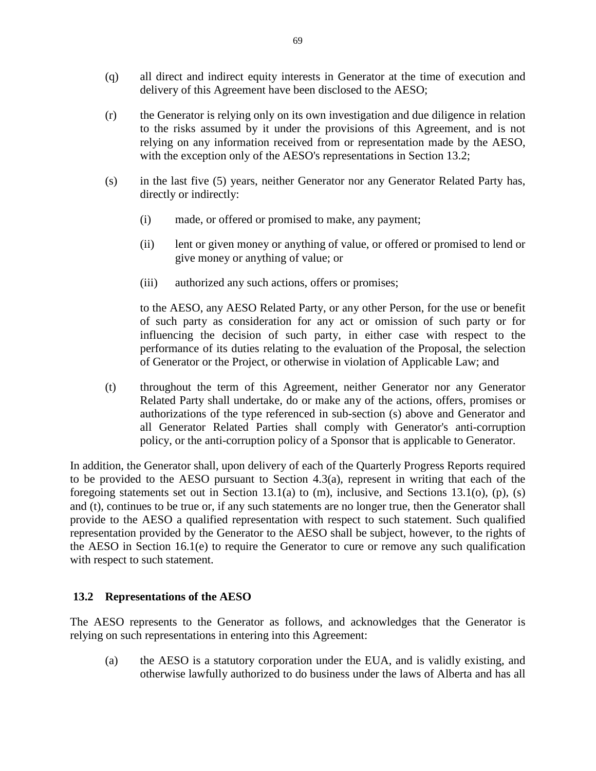- (q) all direct and indirect equity interests in Generator at the time of execution and delivery of this Agreement have been disclosed to the AESO;
- (r) the Generator is relying only on its own investigation and due diligence in relation to the risks assumed by it under the provisions of this Agreement, and is not relying on any information received from or representation made by the AESO, with the exception only of the AESO's representations in Section 13.2;
- (s) in the last five (5) years, neither Generator nor any Generator Related Party has, directly or indirectly:
	- (i) made, or offered or promised to make, any payment;
	- (ii) lent or given money or anything of value, or offered or promised to lend or give money or anything of value; or
	- (iii) authorized any such actions, offers or promises;

to the AESO, any AESO Related Party, or any other Person, for the use or benefit of such party as consideration for any act or omission of such party or for influencing the decision of such party, in either case with respect to the performance of its duties relating to the evaluation of the Proposal, the selection of Generator or the Project, or otherwise in violation of Applicable Law; and

(t) throughout the term of this Agreement, neither Generator nor any Generator Related Party shall undertake, do or make any of the actions, offers, promises or authorizations of the type referenced in sub-section (s) above and Generator and all Generator Related Parties shall comply with Generator's anti-corruption policy, or the anti-corruption policy of a Sponsor that is applicable to Generator.

In addition, the Generator shall, upon delivery of each of the Quarterly Progress Reports required to be provided to the AESO pursuant to Section 4.3(a), represent in writing that each of the foregoing statements set out in Section 13.1(a) to (m), inclusive, and Sections 13.1(o), (p), (s) and (t), continues to be true or, if any such statements are no longer true, then the Generator shall provide to the AESO a qualified representation with respect to such statement. Such qualified representation provided by the Generator to the AESO shall be subject, however, to the rights of the AESO in Section 16.1(e) to require the Generator to cure or remove any such qualification with respect to such statement.

# **13.2 Representations of the AESO**

The AESO represents to the Generator as follows, and acknowledges that the Generator is relying on such representations in entering into this Agreement:

(a) the AESO is a statutory corporation under the EUA, and is validly existing, and otherwise lawfully authorized to do business under the laws of Alberta and has all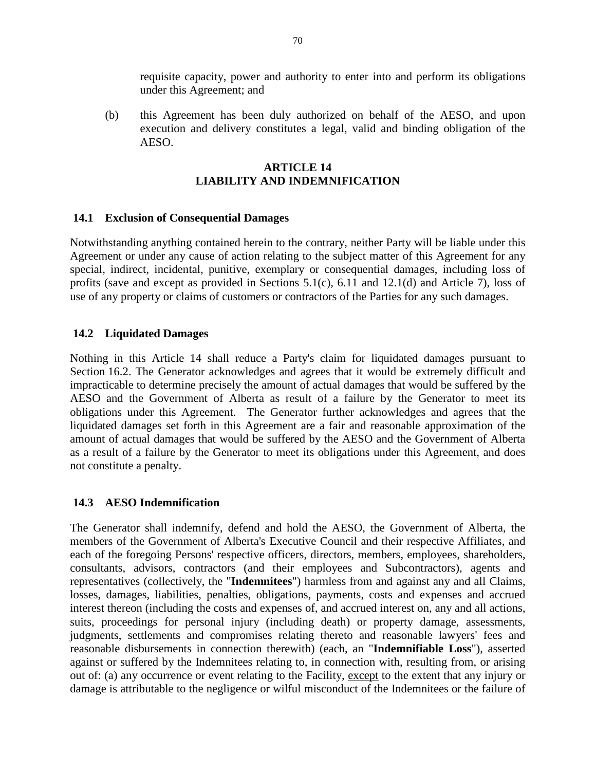requisite capacity, power and authority to enter into and perform its obligations under this Agreement; and

(b) this Agreement has been duly authorized on behalf of the AESO, and upon execution and delivery constitutes a legal, valid and binding obligation of the AESO.

# **ARTICLE 14 LIABILITY AND INDEMNIFICATION**

# **14.1 Exclusion of Consequential Damages**

Notwithstanding anything contained herein to the contrary, neither Party will be liable under this Agreement or under any cause of action relating to the subject matter of this Agreement for any special, indirect, incidental, punitive, exemplary or consequential damages, including loss of profits (save and except as provided in Sections 5.1(c), 6.11 and 12.1(d) and Article 7), loss of use of any property or claims of customers or contractors of the Parties for any such damages.

## **14.2 Liquidated Damages**

Nothing in this Article 14 shall reduce a Party's claim for liquidated damages pursuant to Section 16.2. The Generator acknowledges and agrees that it would be extremely difficult and impracticable to determine precisely the amount of actual damages that would be suffered by the AESO and the Government of Alberta as result of a failure by the Generator to meet its obligations under this Agreement. The Generator further acknowledges and agrees that the liquidated damages set forth in this Agreement are a fair and reasonable approximation of the amount of actual damages that would be suffered by the AESO and the Government of Alberta as a result of a failure by the Generator to meet its obligations under this Agreement, and does not constitute a penalty.

# **14.3 AESO Indemnification**

The Generator shall indemnify, defend and hold the AESO, the Government of Alberta, the members of the Government of Alberta's Executive Council and their respective Affiliates, and each of the foregoing Persons' respective officers, directors, members, employees, shareholders, consultants, advisors, contractors (and their employees and Subcontractors), agents and representatives (collectively, the "**Indemnitees**") harmless from and against any and all Claims, losses, damages, liabilities, penalties, obligations, payments, costs and expenses and accrued interest thereon (including the costs and expenses of, and accrued interest on, any and all actions, suits, proceedings for personal injury (including death) or property damage, assessments, judgments, settlements and compromises relating thereto and reasonable lawyers' fees and reasonable disbursements in connection therewith) (each, an "**Indemnifiable Loss**"), asserted against or suffered by the Indemnitees relating to, in connection with, resulting from, or arising out of: (a) any occurrence or event relating to the Facility, except to the extent that any injury or damage is attributable to the negligence or wilful misconduct of the Indemnitees or the failure of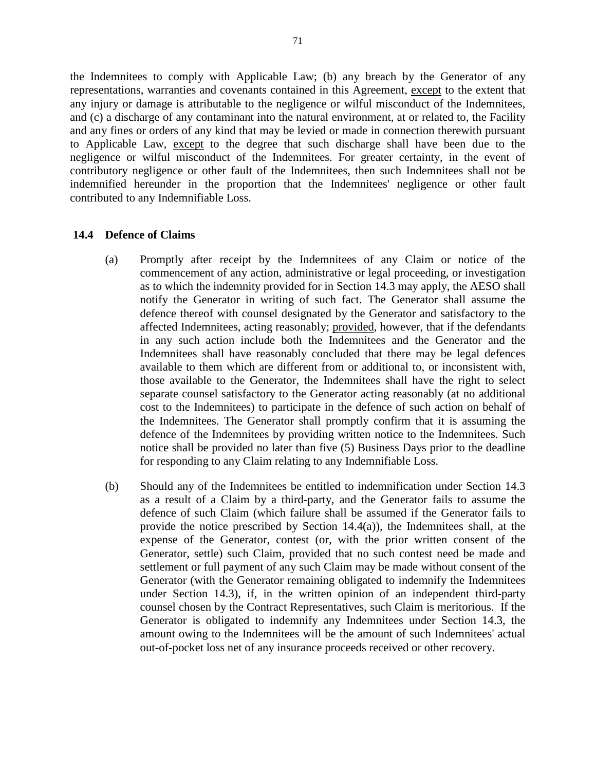the Indemnitees to comply with Applicable Law; (b) any breach by the Generator of any representations, warranties and covenants contained in this Agreement, except to the extent that any injury or damage is attributable to the negligence or wilful misconduct of the Indemnitees, and (c) a discharge of any contaminant into the natural environment, at or related to, the Facility and any fines or orders of any kind that may be levied or made in connection therewith pursuant to Applicable Law, except to the degree that such discharge shall have been due to the negligence or wilful misconduct of the Indemnitees. For greater certainty, in the event of contributory negligence or other fault of the Indemnitees, then such Indemnitees shall not be indemnified hereunder in the proportion that the Indemnitees' negligence or other fault contributed to any Indemnifiable Loss.

#### **14.4 Defence of Claims**

- (a) Promptly after receipt by the Indemnitees of any Claim or notice of the commencement of any action, administrative or legal proceeding, or investigation as to which the indemnity provided for in Section 14.3 may apply, the AESO shall notify the Generator in writing of such fact. The Generator shall assume the defence thereof with counsel designated by the Generator and satisfactory to the affected Indemnitees, acting reasonably; provided, however, that if the defendants in any such action include both the Indemnitees and the Generator and the Indemnitees shall have reasonably concluded that there may be legal defences available to them which are different from or additional to, or inconsistent with, those available to the Generator, the Indemnitees shall have the right to select separate counsel satisfactory to the Generator acting reasonably (at no additional cost to the Indemnitees) to participate in the defence of such action on behalf of the Indemnitees. The Generator shall promptly confirm that it is assuming the defence of the Indemnitees by providing written notice to the Indemnitees. Such notice shall be provided no later than five (5) Business Days prior to the deadline for responding to any Claim relating to any Indemnifiable Loss.
- (b) Should any of the Indemnitees be entitled to indemnification under Section 14.3 as a result of a Claim by a third-party, and the Generator fails to assume the defence of such Claim (which failure shall be assumed if the Generator fails to provide the notice prescribed by Section 14.4(a)), the Indemnitees shall, at the expense of the Generator, contest (or, with the prior written consent of the Generator, settle) such Claim, provided that no such contest need be made and settlement or full payment of any such Claim may be made without consent of the Generator (with the Generator remaining obligated to indemnify the Indemnitees under Section 14.3), if, in the written opinion of an independent third-party counsel chosen by the Contract Representatives, such Claim is meritorious. If the Generator is obligated to indemnify any Indemnitees under Section 14.3, the amount owing to the Indemnitees will be the amount of such Indemnitees' actual out-of-pocket loss net of any insurance proceeds received or other recovery.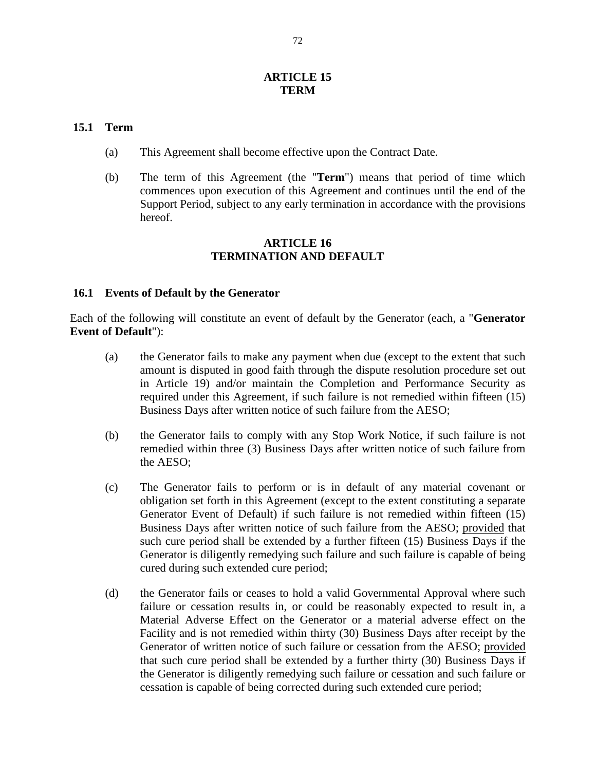## **ARTICLE 15 TERM**

#### **15.1 Term**

- (a) This Agreement shall become effective upon the Contract Date.
- (b) The term of this Agreement (the "**Term**") means that period of time which commences upon execution of this Agreement and continues until the end of the Support Period, subject to any early termination in accordance with the provisions hereof.

### **ARTICLE 16 TERMINATION AND DEFAULT**

## **16.1 Events of Default by the Generator**

Each of the following will constitute an event of default by the Generator (each, a "**Generator Event of Default**"):

- (a) the Generator fails to make any payment when due (except to the extent that such amount is disputed in good faith through the dispute resolution procedure set out in Article 19) and/or maintain the Completion and Performance Security as required under this Agreement, if such failure is not remedied within fifteen (15) Business Days after written notice of such failure from the AESO;
- (b) the Generator fails to comply with any Stop Work Notice, if such failure is not remedied within three (3) Business Days after written notice of such failure from the AESO;
- (c) The Generator fails to perform or is in default of any material covenant or obligation set forth in this Agreement (except to the extent constituting a separate Generator Event of Default) if such failure is not remedied within fifteen (15) Business Days after written notice of such failure from the AESO; provided that such cure period shall be extended by a further fifteen (15) Business Days if the Generator is diligently remedying such failure and such failure is capable of being cured during such extended cure period;
- (d) the Generator fails or ceases to hold a valid Governmental Approval where such failure or cessation results in, or could be reasonably expected to result in, a Material Adverse Effect on the Generator or a material adverse effect on the Facility and is not remedied within thirty (30) Business Days after receipt by the Generator of written notice of such failure or cessation from the AESO; provided that such cure period shall be extended by a further thirty (30) Business Days if the Generator is diligently remedying such failure or cessation and such failure or cessation is capable of being corrected during such extended cure period;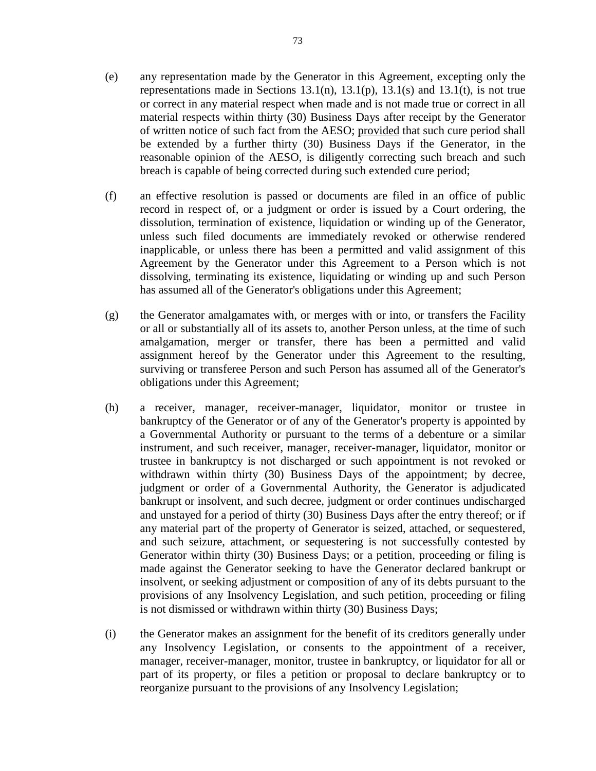- (e) any representation made by the Generator in this Agreement, excepting only the representations made in Sections  $13.1(n)$ ,  $13.1(p)$ ,  $13.1(s)$  and  $13.1(t)$ , is not true or correct in any material respect when made and is not made true or correct in all material respects within thirty (30) Business Days after receipt by the Generator of written notice of such fact from the AESO; provided that such cure period shall be extended by a further thirty (30) Business Days if the Generator, in the reasonable opinion of the AESO, is diligently correcting such breach and such breach is capable of being corrected during such extended cure period;
- (f) an effective resolution is passed or documents are filed in an office of public record in respect of, or a judgment or order is issued by a Court ordering, the dissolution, termination of existence, liquidation or winding up of the Generator, unless such filed documents are immediately revoked or otherwise rendered inapplicable, or unless there has been a permitted and valid assignment of this Agreement by the Generator under this Agreement to a Person which is not dissolving, terminating its existence, liquidating or winding up and such Person has assumed all of the Generator's obligations under this Agreement;
- (g) the Generator amalgamates with, or merges with or into, or transfers the Facility or all or substantially all of its assets to, another Person unless, at the time of such amalgamation, merger or transfer, there has been a permitted and valid assignment hereof by the Generator under this Agreement to the resulting, surviving or transferee Person and such Person has assumed all of the Generator's obligations under this Agreement;
- (h) a receiver, manager, receiver-manager, liquidator, monitor or trustee in bankruptcy of the Generator or of any of the Generator's property is appointed by a Governmental Authority or pursuant to the terms of a debenture or a similar instrument, and such receiver, manager, receiver-manager, liquidator, monitor or trustee in bankruptcy is not discharged or such appointment is not revoked or withdrawn within thirty (30) Business Days of the appointment; by decree, judgment or order of a Governmental Authority, the Generator is adjudicated bankrupt or insolvent, and such decree, judgment or order continues undischarged and unstayed for a period of thirty (30) Business Days after the entry thereof; or if any material part of the property of Generator is seized, attached, or sequestered, and such seizure, attachment, or sequestering is not successfully contested by Generator within thirty (30) Business Days; or a petition, proceeding or filing is made against the Generator seeking to have the Generator declared bankrupt or insolvent, or seeking adjustment or composition of any of its debts pursuant to the provisions of any Insolvency Legislation, and such petition, proceeding or filing is not dismissed or withdrawn within thirty (30) Business Days;
- (i) the Generator makes an assignment for the benefit of its creditors generally under any Insolvency Legislation, or consents to the appointment of a receiver, manager, receiver-manager, monitor, trustee in bankruptcy, or liquidator for all or part of its property, or files a petition or proposal to declare bankruptcy or to reorganize pursuant to the provisions of any Insolvency Legislation;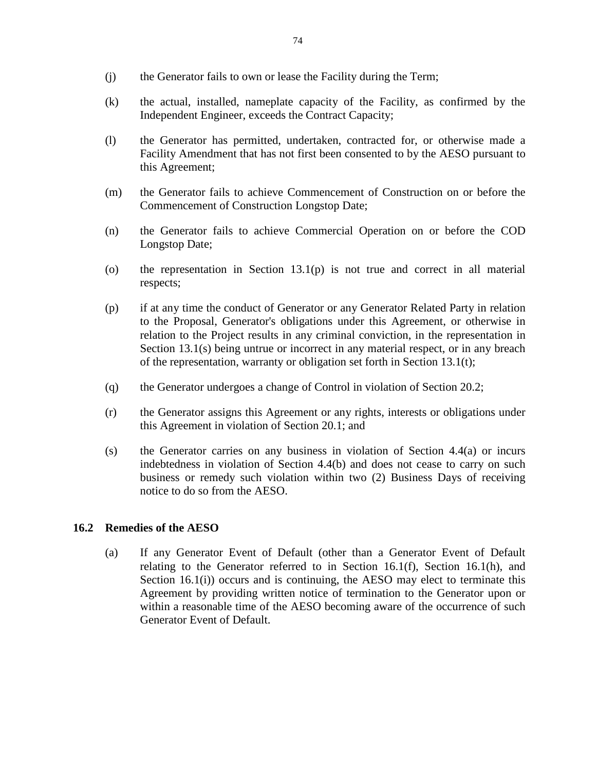- (j) the Generator fails to own or lease the Facility during the Term;
- (k) the actual, installed, nameplate capacity of the Facility, as confirmed by the Independent Engineer, exceeds the Contract Capacity;
- (l) the Generator has permitted, undertaken, contracted for, or otherwise made a Facility Amendment that has not first been consented to by the AESO pursuant to this Agreement;
- (m) the Generator fails to achieve Commencement of Construction on or before the Commencement of Construction Longstop Date;
- (n) the Generator fails to achieve Commercial Operation on or before the COD Longstop Date;
- (o) the representation in Section  $13.1(p)$  is not true and correct in all material respects;
- (p) if at any time the conduct of Generator or any Generator Related Party in relation to the Proposal, Generator's obligations under this Agreement, or otherwise in relation to the Project results in any criminal conviction, in the representation in Section 13.1(s) being untrue or incorrect in any material respect, or in any breach of the representation, warranty or obligation set forth in Section 13.1(t);
- (q) the Generator undergoes a change of Control in violation of Section 20.2;
- (r) the Generator assigns this Agreement or any rights, interests or obligations under this Agreement in violation of Section 20.1; and
- (s) the Generator carries on any business in violation of Section 4.4(a) or incurs indebtedness in violation of Section 4.4(b) and does not cease to carry on such business or remedy such violation within two (2) Business Days of receiving notice to do so from the AESO.

# **16.2 Remedies of the AESO**

(a) If any Generator Event of Default (other than a Generator Event of Default relating to the Generator referred to in Section 16.1(f), Section 16.1(h), and Section 16.1(i)) occurs and is continuing, the AESO may elect to terminate this Agreement by providing written notice of termination to the Generator upon or within a reasonable time of the AESO becoming aware of the occurrence of such Generator Event of Default.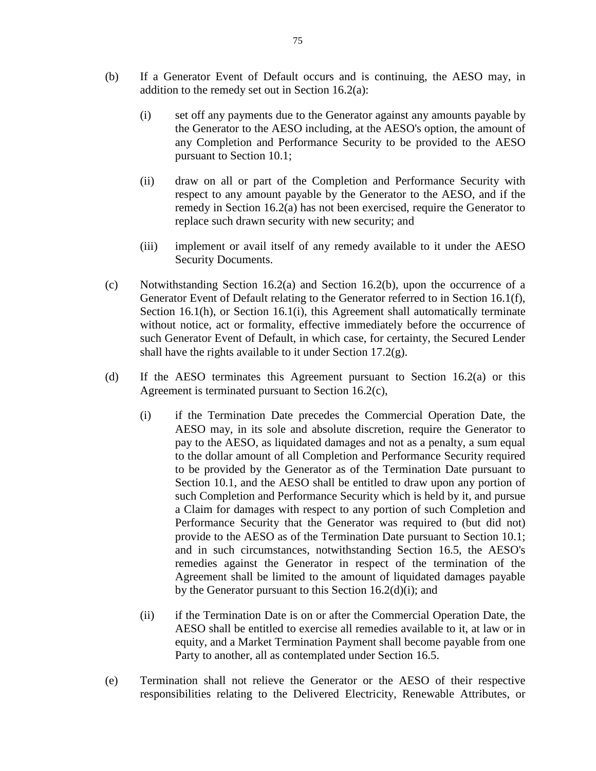- (b) If a Generator Event of Default occurs and is continuing, the AESO may, in addition to the remedy set out in Section 16.2(a):
	- (i) set off any payments due to the Generator against any amounts payable by the Generator to the AESO including, at the AESO's option, the amount of any Completion and Performance Security to be provided to the AESO pursuant to Section 10.1;
	- (ii) draw on all or part of the Completion and Performance Security with respect to any amount payable by the Generator to the AESO, and if the remedy in Section 16.2(a) has not been exercised, require the Generator to replace such drawn security with new security; and
	- (iii) implement or avail itself of any remedy available to it under the AESO Security Documents.
- (c) Notwithstanding Section 16.2(a) and Section 16.2(b), upon the occurrence of a Generator Event of Default relating to the Generator referred to in Section 16.1(f), Section 16.1(h), or Section 16.1(i), this Agreement shall automatically terminate without notice, act or formality, effective immediately before the occurrence of such Generator Event of Default, in which case, for certainty, the Secured Lender shall have the rights available to it under Section 17.2(g).
- (d) If the AESO terminates this Agreement pursuant to Section 16.2(a) or this Agreement is terminated pursuant to Section 16.2(c),
	- (i) if the Termination Date precedes the Commercial Operation Date, the AESO may, in its sole and absolute discretion, require the Generator to pay to the AESO, as liquidated damages and not as a penalty, a sum equal to the dollar amount of all Completion and Performance Security required to be provided by the Generator as of the Termination Date pursuant to Section 10.1, and the AESO shall be entitled to draw upon any portion of such Completion and Performance Security which is held by it, and pursue a Claim for damages with respect to any portion of such Completion and Performance Security that the Generator was required to (but did not) provide to the AESO as of the Termination Date pursuant to Section 10.1; and in such circumstances, notwithstanding Section 16.5, the AESO's remedies against the Generator in respect of the termination of the Agreement shall be limited to the amount of liquidated damages payable by the Generator pursuant to this Section 16.2(d)(i); and
	- (ii) if the Termination Date is on or after the Commercial Operation Date, the AESO shall be entitled to exercise all remedies available to it, at law or in equity, and a Market Termination Payment shall become payable from one Party to another, all as contemplated under Section 16.5.
- (e) Termination shall not relieve the Generator or the AESO of their respective responsibilities relating to the Delivered Electricity, Renewable Attributes, or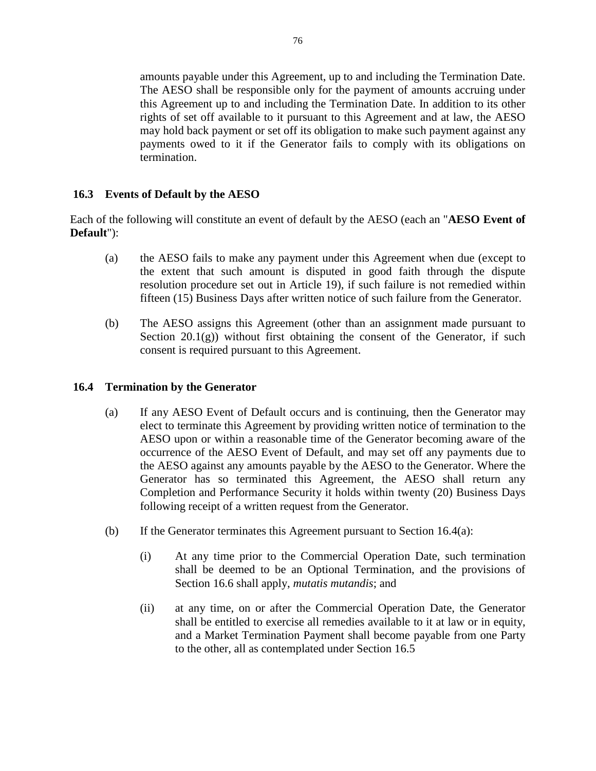amounts payable under this Agreement, up to and including the Termination Date. The AESO shall be responsible only for the payment of amounts accruing under this Agreement up to and including the Termination Date. In addition to its other rights of set off available to it pursuant to this Agreement and at law, the AESO may hold back payment or set off its obligation to make such payment against any payments owed to it if the Generator fails to comply with its obligations on termination.

# **16.3 Events of Default by the AESO**

Each of the following will constitute an event of default by the AESO (each an "**AESO Event of Default**"):

- (a) the AESO fails to make any payment under this Agreement when due (except to the extent that such amount is disputed in good faith through the dispute resolution procedure set out in Article 19), if such failure is not remedied within fifteen (15) Business Days after written notice of such failure from the Generator.
- (b) The AESO assigns this Agreement (other than an assignment made pursuant to Section  $20.1(g)$ ) without first obtaining the consent of the Generator, if such consent is required pursuant to this Agreement.

## **16.4 Termination by the Generator**

- (a) If any AESO Event of Default occurs and is continuing, then the Generator may elect to terminate this Agreement by providing written notice of termination to the AESO upon or within a reasonable time of the Generator becoming aware of the occurrence of the AESO Event of Default, and may set off any payments due to the AESO against any amounts payable by the AESO to the Generator. Where the Generator has so terminated this Agreement, the AESO shall return any Completion and Performance Security it holds within twenty (20) Business Days following receipt of a written request from the Generator.
- (b) If the Generator terminates this Agreement pursuant to Section  $16.4(a)$ :
	- (i) At any time prior to the Commercial Operation Date, such termination shall be deemed to be an Optional Termination, and the provisions of Section 16.6 shall apply, *mutatis mutandis*; and
	- (ii) at any time, on or after the Commercial Operation Date, the Generator shall be entitled to exercise all remedies available to it at law or in equity, and a Market Termination Payment shall become payable from one Party to the other, all as contemplated under Section 16.5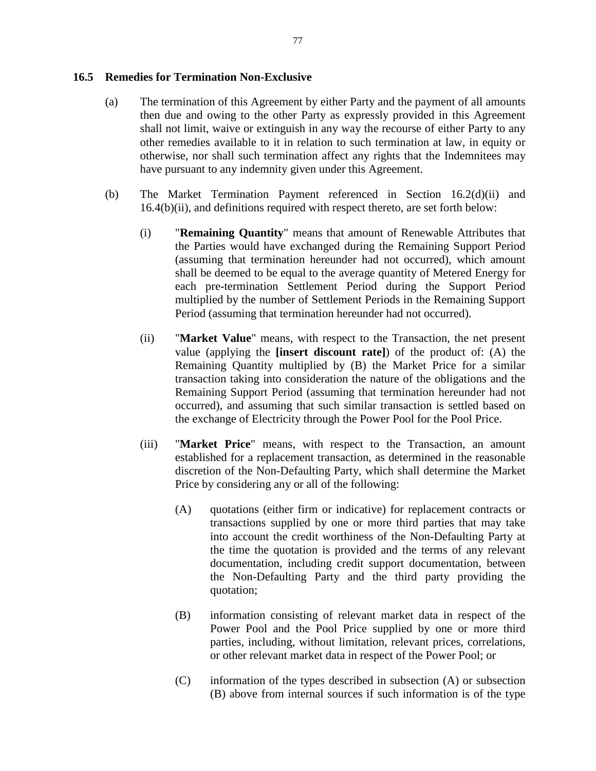## **16.5 Remedies for Termination Non-Exclusive**

- (a) The termination of this Agreement by either Party and the payment of all amounts then due and owing to the other Party as expressly provided in this Agreement shall not limit, waive or extinguish in any way the recourse of either Party to any other remedies available to it in relation to such termination at law, in equity or otherwise, nor shall such termination affect any rights that the Indemnitees may have pursuant to any indemnity given under this Agreement.
- (b) The Market Termination Payment referenced in Section 16.2(d)(ii) and 16.4(b)(ii), and definitions required with respect thereto, are set forth below:
	- (i) "**Remaining Quantity**" means that amount of Renewable Attributes that the Parties would have exchanged during the Remaining Support Period (assuming that termination hereunder had not occurred), which amount shall be deemed to be equal to the average quantity of Metered Energy for each pre-termination Settlement Period during the Support Period multiplied by the number of Settlement Periods in the Remaining Support Period (assuming that termination hereunder had not occurred).
	- (ii) "**Market Value**" means, with respect to the Transaction, the net present value (applying the **[insert discount rate]**) of the product of: (A) the Remaining Quantity multiplied by (B) the Market Price for a similar transaction taking into consideration the nature of the obligations and the Remaining Support Period (assuming that termination hereunder had not occurred), and assuming that such similar transaction is settled based on the exchange of Electricity through the Power Pool for the Pool Price.
	- (iii) "**Market Price**" means, with respect to the Transaction, an amount established for a replacement transaction, as determined in the reasonable discretion of the Non-Defaulting Party, which shall determine the Market Price by considering any or all of the following:
		- (A) quotations (either firm or indicative) for replacement contracts or transactions supplied by one or more third parties that may take into account the credit worthiness of the Non-Defaulting Party at the time the quotation is provided and the terms of any relevant documentation, including credit support documentation, between the Non-Defaulting Party and the third party providing the quotation;
		- (B) information consisting of relevant market data in respect of the Power Pool and the Pool Price supplied by one or more third parties, including, without limitation, relevant prices, correlations, or other relevant market data in respect of the Power Pool; or
		- (C) information of the types described in subsection (A) or subsection (B) above from internal sources if such information is of the type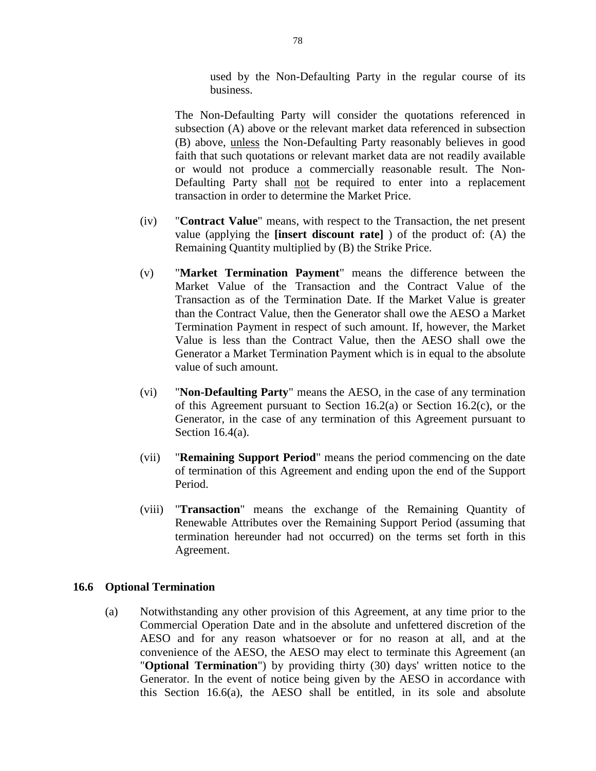used by the Non-Defaulting Party in the regular course of its business.

The Non-Defaulting Party will consider the quotations referenced in subsection (A) above or the relevant market data referenced in subsection (B) above, unless the Non-Defaulting Party reasonably believes in good faith that such quotations or relevant market data are not readily available or would not produce a commercially reasonable result. The Non-Defaulting Party shall not be required to enter into a replacement transaction in order to determine the Market Price.

- (iv) "**Contract Value**" means, with respect to the Transaction, the net present value (applying the **[insert discount rate]** ) of the product of: (A) the Remaining Quantity multiplied by (B) the Strike Price.
- (v) "**Market Termination Payment**" means the difference between the Market Value of the Transaction and the Contract Value of the Transaction as of the Termination Date. If the Market Value is greater than the Contract Value, then the Generator shall owe the AESO a Market Termination Payment in respect of such amount. If, however, the Market Value is less than the Contract Value, then the AESO shall owe the Generator a Market Termination Payment which is in equal to the absolute value of such amount.
- (vi) "**Non-Defaulting Party**" means the AESO, in the case of any termination of this Agreement pursuant to Section 16.2(a) or Section 16.2(c), or the Generator, in the case of any termination of this Agreement pursuant to Section 16.4(a).
- (vii) "**Remaining Support Period**" means the period commencing on the date of termination of this Agreement and ending upon the end of the Support Period.
- (viii) "**Transaction**" means the exchange of the Remaining Quantity of Renewable Attributes over the Remaining Support Period (assuming that termination hereunder had not occurred) on the terms set forth in this Agreement.

#### **16.6 Optional Termination**

(a) Notwithstanding any other provision of this Agreement, at any time prior to the Commercial Operation Date and in the absolute and unfettered discretion of the AESO and for any reason whatsoever or for no reason at all, and at the convenience of the AESO, the AESO may elect to terminate this Agreement (an "**Optional Termination**") by providing thirty (30) days' written notice to the Generator. In the event of notice being given by the AESO in accordance with this Section 16.6(a), the AESO shall be entitled, in its sole and absolute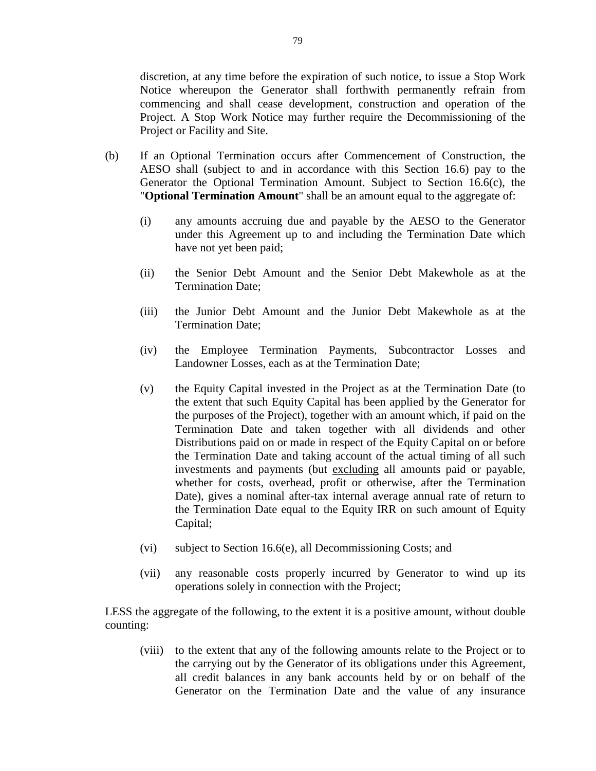discretion, at any time before the expiration of such notice, to issue a Stop Work Notice whereupon the Generator shall forthwith permanently refrain from commencing and shall cease development, construction and operation of the Project. A Stop Work Notice may further require the Decommissioning of the Project or Facility and Site.

- (b) If an Optional Termination occurs after Commencement of Construction, the AESO shall (subject to and in accordance with this Section 16.6) pay to the Generator the Optional Termination Amount. Subject to Section 16.6(c), the "**Optional Termination Amount**" shall be an amount equal to the aggregate of:
	- (i) any amounts accruing due and payable by the AESO to the Generator under this Agreement up to and including the Termination Date which have not yet been paid;
	- (ii) the Senior Debt Amount and the Senior Debt Makewhole as at the Termination Date;
	- (iii) the Junior Debt Amount and the Junior Debt Makewhole as at the Termination Date;
	- (iv) the Employee Termination Payments, Subcontractor Losses and Landowner Losses, each as at the Termination Date;
	- (v) the Equity Capital invested in the Project as at the Termination Date (to the extent that such Equity Capital has been applied by the Generator for the purposes of the Project), together with an amount which, if paid on the Termination Date and taken together with all dividends and other Distributions paid on or made in respect of the Equity Capital on or before the Termination Date and taking account of the actual timing of all such investments and payments (but excluding all amounts paid or payable, whether for costs, overhead, profit or otherwise, after the Termination Date), gives a nominal after-tax internal average annual rate of return to the Termination Date equal to the Equity IRR on such amount of Equity Capital;
	- (vi) subject to Section 16.6(e), all Decommissioning Costs; and
	- (vii) any reasonable costs properly incurred by Generator to wind up its operations solely in connection with the Project;

LESS the aggregate of the following, to the extent it is a positive amount, without double counting:

(viii) to the extent that any of the following amounts relate to the Project or to the carrying out by the Generator of its obligations under this Agreement, all credit balances in any bank accounts held by or on behalf of the Generator on the Termination Date and the value of any insurance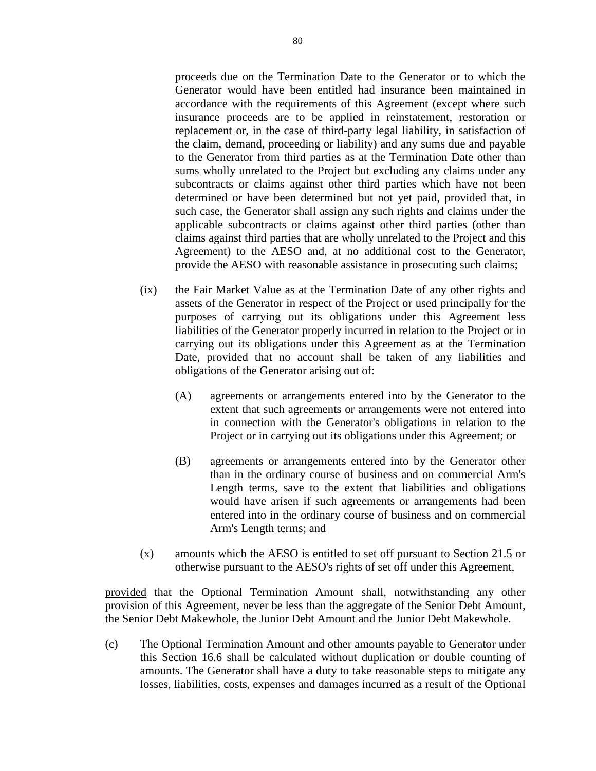proceeds due on the Termination Date to the Generator or to which the Generator would have been entitled had insurance been maintained in accordance with the requirements of this Agreement (except where such insurance proceeds are to be applied in reinstatement, restoration or replacement or, in the case of third-party legal liability, in satisfaction of the claim, demand, proceeding or liability) and any sums due and payable to the Generator from third parties as at the Termination Date other than sums wholly unrelated to the Project but excluding any claims under any subcontracts or claims against other third parties which have not been determined or have been determined but not yet paid, provided that, in such case, the Generator shall assign any such rights and claims under the applicable subcontracts or claims against other third parties (other than claims against third parties that are wholly unrelated to the Project and this Agreement) to the AESO and, at no additional cost to the Generator, provide the AESO with reasonable assistance in prosecuting such claims;

- (ix) the Fair Market Value as at the Termination Date of any other rights and assets of the Generator in respect of the Project or used principally for the purposes of carrying out its obligations under this Agreement less liabilities of the Generator properly incurred in relation to the Project or in carrying out its obligations under this Agreement as at the Termination Date, provided that no account shall be taken of any liabilities and obligations of the Generator arising out of:
	- (A) agreements or arrangements entered into by the Generator to the extent that such agreements or arrangements were not entered into in connection with the Generator's obligations in relation to the Project or in carrying out its obligations under this Agreement; or
	- (B) agreements or arrangements entered into by the Generator other than in the ordinary course of business and on commercial Arm's Length terms, save to the extent that liabilities and obligations would have arisen if such agreements or arrangements had been entered into in the ordinary course of business and on commercial Arm's Length terms; and
- (x) amounts which the AESO is entitled to set off pursuant to Section 21.5 or otherwise pursuant to the AESO's rights of set off under this Agreement,

provided that the Optional Termination Amount shall, notwithstanding any other provision of this Agreement, never be less than the aggregate of the Senior Debt Amount, the Senior Debt Makewhole, the Junior Debt Amount and the Junior Debt Makewhole.

(c) The Optional Termination Amount and other amounts payable to Generator under this Section 16.6 shall be calculated without duplication or double counting of amounts. The Generator shall have a duty to take reasonable steps to mitigate any losses, liabilities, costs, expenses and damages incurred as a result of the Optional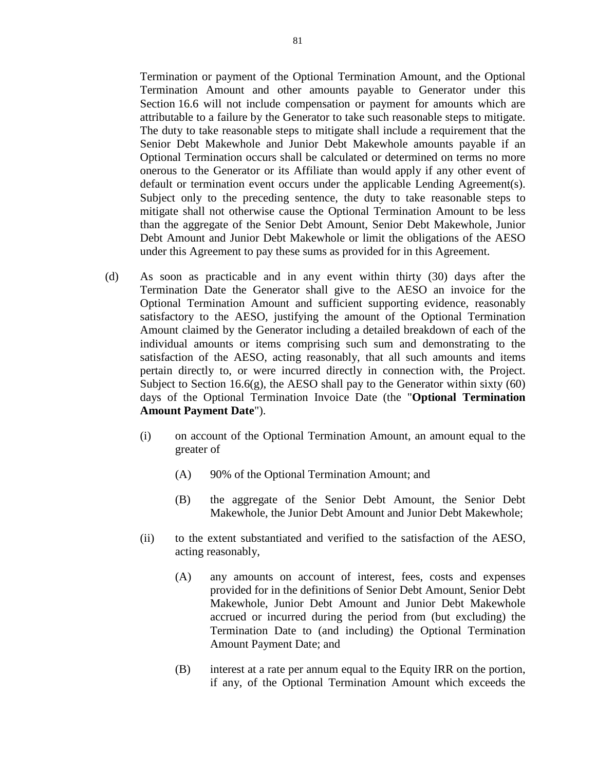Termination or payment of the Optional Termination Amount, and the Optional Termination Amount and other amounts payable to Generator under this Section 16.6 will not include compensation or payment for amounts which are attributable to a failure by the Generator to take such reasonable steps to mitigate. The duty to take reasonable steps to mitigate shall include a requirement that the Senior Debt Makewhole and Junior Debt Makewhole amounts payable if an Optional Termination occurs shall be calculated or determined on terms no more onerous to the Generator or its Affiliate than would apply if any other event of default or termination event occurs under the applicable Lending Agreement(s). Subject only to the preceding sentence, the duty to take reasonable steps to mitigate shall not otherwise cause the Optional Termination Amount to be less than the aggregate of the Senior Debt Amount, Senior Debt Makewhole, Junior Debt Amount and Junior Debt Makewhole or limit the obligations of the AESO under this Agreement to pay these sums as provided for in this Agreement.

- (d) As soon as practicable and in any event within thirty (30) days after the Termination Date the Generator shall give to the AESO an invoice for the Optional Termination Amount and sufficient supporting evidence, reasonably satisfactory to the AESO, justifying the amount of the Optional Termination Amount claimed by the Generator including a detailed breakdown of each of the individual amounts or items comprising such sum and demonstrating to the satisfaction of the AESO, acting reasonably, that all such amounts and items pertain directly to, or were incurred directly in connection with, the Project. Subject to Section  $16.6(g)$ , the AESO shall pay to the Generator within sixty  $(60)$ days of the Optional Termination Invoice Date (the "**Optional Termination Amount Payment Date**").
	- (i) on account of the Optional Termination Amount, an amount equal to the greater of
		- (A) 90% of the Optional Termination Amount; and
		- (B) the aggregate of the Senior Debt Amount, the Senior Debt Makewhole, the Junior Debt Amount and Junior Debt Makewhole;
	- (ii) to the extent substantiated and verified to the satisfaction of the AESO, acting reasonably,
		- (A) any amounts on account of interest, fees, costs and expenses provided for in the definitions of Senior Debt Amount, Senior Debt Makewhole, Junior Debt Amount and Junior Debt Makewhole accrued or incurred during the period from (but excluding) the Termination Date to (and including) the Optional Termination Amount Payment Date; and
		- (B) interest at a rate per annum equal to the Equity IRR on the portion, if any, of the Optional Termination Amount which exceeds the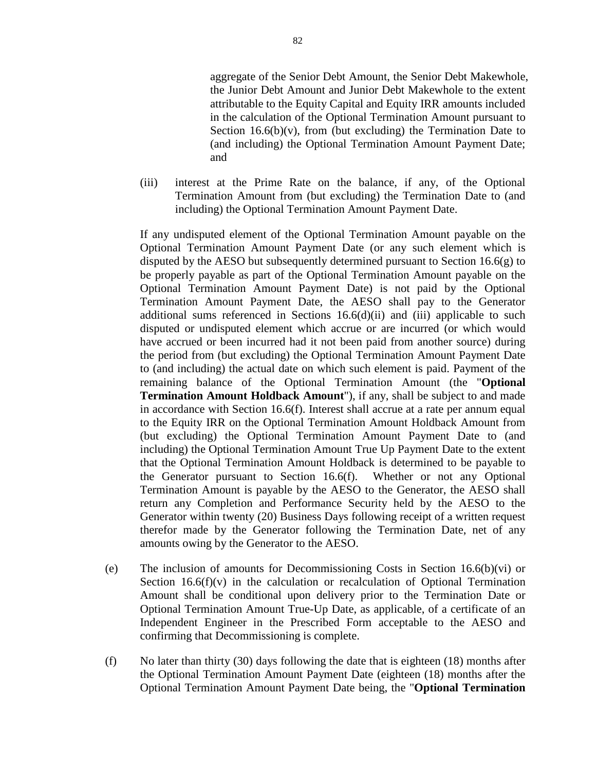aggregate of the Senior Debt Amount, the Senior Debt Makewhole, the Junior Debt Amount and Junior Debt Makewhole to the extent attributable to the Equity Capital and Equity IRR amounts included in the calculation of the Optional Termination Amount pursuant to Section  $16.6(b)(v)$ , from (but excluding) the Termination Date to (and including) the Optional Termination Amount Payment Date; and

(iii) interest at the Prime Rate on the balance, if any, of the Optional Termination Amount from (but excluding) the Termination Date to (and including) the Optional Termination Amount Payment Date.

If any undisputed element of the Optional Termination Amount payable on the Optional Termination Amount Payment Date (or any such element which is disputed by the AESO but subsequently determined pursuant to Section 16.6(g) to be properly payable as part of the Optional Termination Amount payable on the Optional Termination Amount Payment Date) is not paid by the Optional Termination Amount Payment Date, the AESO shall pay to the Generator additional sums referenced in Sections  $16.6(d)(ii)$  and (iii) applicable to such disputed or undisputed element which accrue or are incurred (or which would have accrued or been incurred had it not been paid from another source) during the period from (but excluding) the Optional Termination Amount Payment Date to (and including) the actual date on which such element is paid. Payment of the remaining balance of the Optional Termination Amount (the "**Optional Termination Amount Holdback Amount**"), if any, shall be subject to and made in accordance with Section 16.6(f). Interest shall accrue at a rate per annum equal to the Equity IRR on the Optional Termination Amount Holdback Amount from (but excluding) the Optional Termination Amount Payment Date to (and including) the Optional Termination Amount True Up Payment Date to the extent that the Optional Termination Amount Holdback is determined to be payable to the Generator pursuant to Section 16.6(f). Whether or not any Optional Termination Amount is payable by the AESO to the Generator, the AESO shall return any Completion and Performance Security held by the AESO to the Generator within twenty (20) Business Days following receipt of a written request therefor made by the Generator following the Termination Date, net of any amounts owing by the Generator to the AESO.

- (e) The inclusion of amounts for Decommissioning Costs in Section 16.6(b)(vi) or Section  $16.6(f)(v)$  in the calculation or recalculation of Optional Termination Amount shall be conditional upon delivery prior to the Termination Date or Optional Termination Amount True-Up Date, as applicable, of a certificate of an Independent Engineer in the Prescribed Form acceptable to the AESO and confirming that Decommissioning is complete.
- (f) No later than thirty (30) days following the date that is eighteen (18) months after the Optional Termination Amount Payment Date (eighteen (18) months after the Optional Termination Amount Payment Date being, the "**Optional Termination**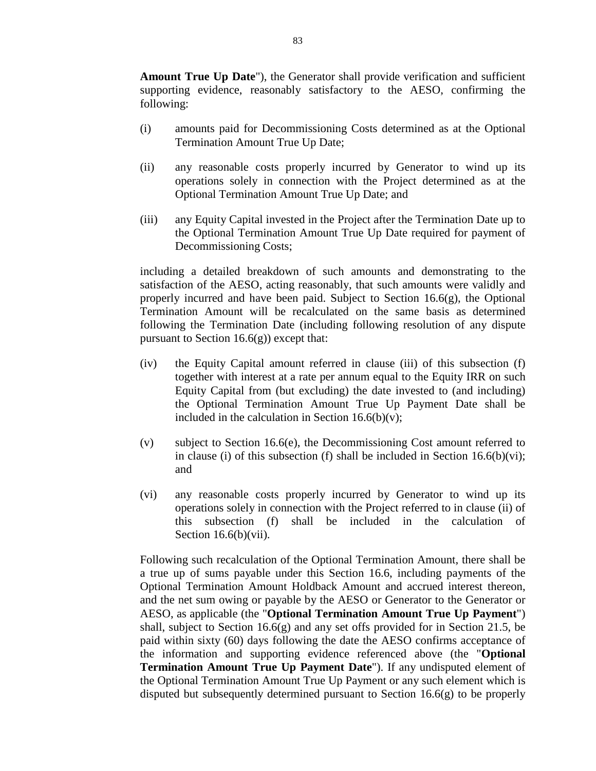**Amount True Up Date**"), the Generator shall provide verification and sufficient supporting evidence, reasonably satisfactory to the AESO, confirming the following:

- (i) amounts paid for Decommissioning Costs determined as at the Optional Termination Amount True Up Date;
- (ii) any reasonable costs properly incurred by Generator to wind up its operations solely in connection with the Project determined as at the Optional Termination Amount True Up Date; and
- (iii) any Equity Capital invested in the Project after the Termination Date up to the Optional Termination Amount True Up Date required for payment of Decommissioning Costs;

including a detailed breakdown of such amounts and demonstrating to the satisfaction of the AESO, acting reasonably, that such amounts were validly and properly incurred and have been paid. Subject to Section 16.6(g), the Optional Termination Amount will be recalculated on the same basis as determined following the Termination Date (including following resolution of any dispute pursuant to Section  $16.6(g)$ ) except that:

- (iv) the Equity Capital amount referred in clause (iii) of this subsection (f) together with interest at a rate per annum equal to the Equity IRR on such Equity Capital from (but excluding) the date invested to (and including) the Optional Termination Amount True Up Payment Date shall be included in the calculation in Section  $16.6(b)(v)$ ;
- (v) subject to Section 16.6(e), the Decommissioning Cost amount referred to in clause (i) of this subsection (f) shall be included in Section  $16.6(b)(vi)$ ; and
- (vi) any reasonable costs properly incurred by Generator to wind up its operations solely in connection with the Project referred to in clause (ii) of this subsection (f) shall be included in the calculation of Section 16.6(b)(vii).

Following such recalculation of the Optional Termination Amount, there shall be a true up of sums payable under this Section 16.6, including payments of the Optional Termination Amount Holdback Amount and accrued interest thereon, and the net sum owing or payable by the AESO or Generator to the Generator or AESO, as applicable (the "**Optional Termination Amount True Up Payment**") shall, subject to Section 16.6(g) and any set offs provided for in Section 21.5, be paid within sixty (60) days following the date the AESO confirms acceptance of the information and supporting evidence referenced above (the "**Optional Termination Amount True Up Payment Date**"). If any undisputed element of the Optional Termination Amount True Up Payment or any such element which is disputed but subsequently determined pursuant to Section 16.6(g) to be properly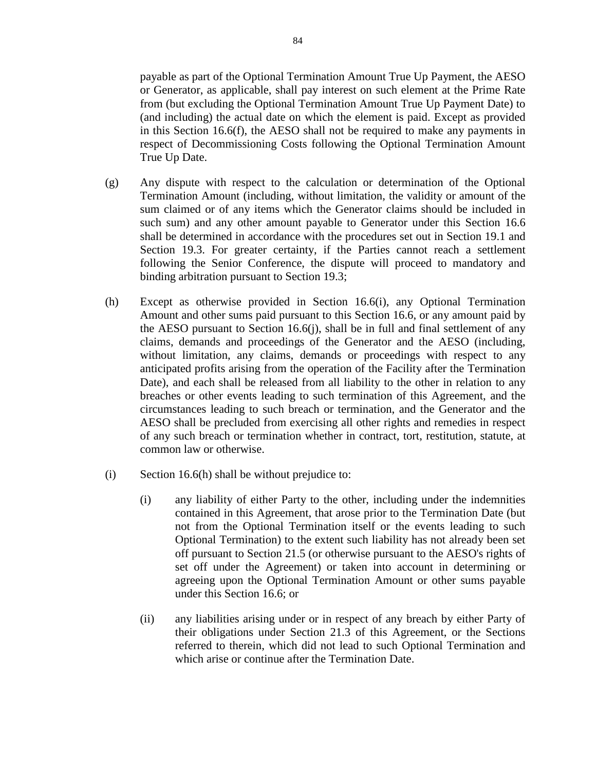payable as part of the Optional Termination Amount True Up Payment, the AESO or Generator, as applicable, shall pay interest on such element at the Prime Rate from (but excluding the Optional Termination Amount True Up Payment Date) to (and including) the actual date on which the element is paid. Except as provided in this Section 16.6(f), the AESO shall not be required to make any payments in respect of Decommissioning Costs following the Optional Termination Amount True Up Date.

- (g) Any dispute with respect to the calculation or determination of the Optional Termination Amount (including, without limitation, the validity or amount of the sum claimed or of any items which the Generator claims should be included in such sum) and any other amount payable to Generator under this Section 16.6 shall be determined in accordance with the procedures set out in Section 19.1 and Section 19.3. For greater certainty, if the Parties cannot reach a settlement following the Senior Conference, the dispute will proceed to mandatory and binding arbitration pursuant to Section 19.3;
- (h) Except as otherwise provided in Section 16.6(i), any Optional Termination Amount and other sums paid pursuant to this Section 16.6, or any amount paid by the AESO pursuant to Section 16.6(j), shall be in full and final settlement of any claims, demands and proceedings of the Generator and the AESO (including, without limitation, any claims, demands or proceedings with respect to any anticipated profits arising from the operation of the Facility after the Termination Date), and each shall be released from all liability to the other in relation to any breaches or other events leading to such termination of this Agreement, and the circumstances leading to such breach or termination, and the Generator and the AESO shall be precluded from exercising all other rights and remedies in respect of any such breach or termination whether in contract, tort, restitution, statute, at common law or otherwise.
- (i) Section 16.6(h) shall be without prejudice to:
	- (i) any liability of either Party to the other, including under the indemnities contained in this Agreement, that arose prior to the Termination Date (but not from the Optional Termination itself or the events leading to such Optional Termination) to the extent such liability has not already been set off pursuant to Section 21.5 (or otherwise pursuant to the AESO's rights of set off under the Agreement) or taken into account in determining or agreeing upon the Optional Termination Amount or other sums payable under this Section 16.6; or
	- (ii) any liabilities arising under or in respect of any breach by either Party of their obligations under Section 21.3 of this Agreement, or the Sections referred to therein, which did not lead to such Optional Termination and which arise or continue after the Termination Date.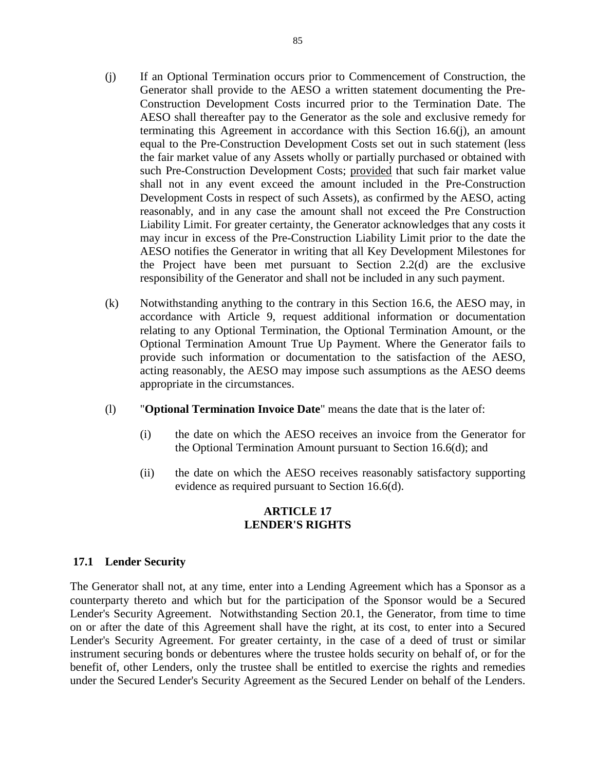- (j) If an Optional Termination occurs prior to Commencement of Construction, the Generator shall provide to the AESO a written statement documenting the Pre-Construction Development Costs incurred prior to the Termination Date. The AESO shall thereafter pay to the Generator as the sole and exclusive remedy for terminating this Agreement in accordance with this Section 16.6(j), an amount equal to the Pre-Construction Development Costs set out in such statement (less the fair market value of any Assets wholly or partially purchased or obtained with such Pre-Construction Development Costs; provided that such fair market value shall not in any event exceed the amount included in the Pre-Construction Development Costs in respect of such Assets), as confirmed by the AESO, acting reasonably, and in any case the amount shall not exceed the Pre Construction Liability Limit. For greater certainty, the Generator acknowledges that any costs it may incur in excess of the Pre-Construction Liability Limit prior to the date the AESO notifies the Generator in writing that all Key Development Milestones for the Project have been met pursuant to Section 2.2(d) are the exclusive responsibility of the Generator and shall not be included in any such payment.
- (k) Notwithstanding anything to the contrary in this Section 16.6, the AESO may, in accordance with Article 9, request additional information or documentation relating to any Optional Termination, the Optional Termination Amount, or the Optional Termination Amount True Up Payment. Where the Generator fails to provide such information or documentation to the satisfaction of the AESO, acting reasonably, the AESO may impose such assumptions as the AESO deems appropriate in the circumstances.
- (l) "**Optional Termination Invoice Date**" means the date that is the later of:
	- (i) the date on which the AESO receives an invoice from the Generator for the Optional Termination Amount pursuant to Section 16.6(d); and
	- (ii) the date on which the AESO receives reasonably satisfactory supporting evidence as required pursuant to Section 16.6(d).

# **ARTICLE 17 LENDER'S RIGHTS**

# **17.1 Lender Security**

The Generator shall not, at any time, enter into a Lending Agreement which has a Sponsor as a counterparty thereto and which but for the participation of the Sponsor would be a Secured Lender's Security Agreement. Notwithstanding Section 20.1, the Generator, from time to time on or after the date of this Agreement shall have the right, at its cost, to enter into a Secured Lender's Security Agreement. For greater certainty, in the case of a deed of trust or similar instrument securing bonds or debentures where the trustee holds security on behalf of, or for the benefit of, other Lenders, only the trustee shall be entitled to exercise the rights and remedies under the Secured Lender's Security Agreement as the Secured Lender on behalf of the Lenders.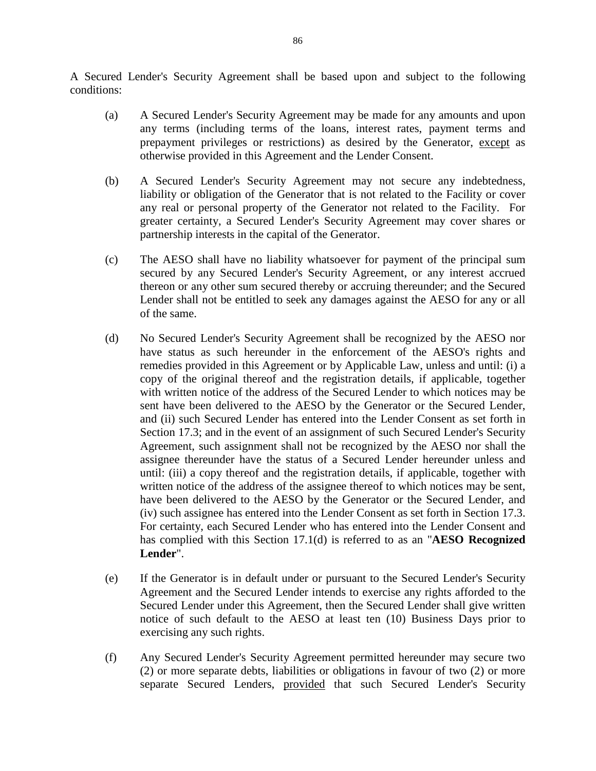A Secured Lender's Security Agreement shall be based upon and subject to the following conditions:

- (a) A Secured Lender's Security Agreement may be made for any amounts and upon any terms (including terms of the loans, interest rates, payment terms and prepayment privileges or restrictions) as desired by the Generator, except as otherwise provided in this Agreement and the Lender Consent.
- (b) A Secured Lender's Security Agreement may not secure any indebtedness, liability or obligation of the Generator that is not related to the Facility or cover any real or personal property of the Generator not related to the Facility. For greater certainty, a Secured Lender's Security Agreement may cover shares or partnership interests in the capital of the Generator.
- (c) The AESO shall have no liability whatsoever for payment of the principal sum secured by any Secured Lender's Security Agreement, or any interest accrued thereon or any other sum secured thereby or accruing thereunder; and the Secured Lender shall not be entitled to seek any damages against the AESO for any or all of the same.
- (d) No Secured Lender's Security Agreement shall be recognized by the AESO nor have status as such hereunder in the enforcement of the AESO's rights and remedies provided in this Agreement or by Applicable Law, unless and until: (i) a copy of the original thereof and the registration details, if applicable, together with written notice of the address of the Secured Lender to which notices may be sent have been delivered to the AESO by the Generator or the Secured Lender, and (ii) such Secured Lender has entered into the Lender Consent as set forth in Section 17.3; and in the event of an assignment of such Secured Lender's Security Agreement, such assignment shall not be recognized by the AESO nor shall the assignee thereunder have the status of a Secured Lender hereunder unless and until: (iii) a copy thereof and the registration details, if applicable, together with written notice of the address of the assignee thereof to which notices may be sent, have been delivered to the AESO by the Generator or the Secured Lender, and (iv) such assignee has entered into the Lender Consent as set forth in Section 17.3. For certainty, each Secured Lender who has entered into the Lender Consent and has complied with this Section 17.1(d) is referred to as an "**AESO Recognized Lender**".
- (e) If the Generator is in default under or pursuant to the Secured Lender's Security Agreement and the Secured Lender intends to exercise any rights afforded to the Secured Lender under this Agreement, then the Secured Lender shall give written notice of such default to the AESO at least ten (10) Business Days prior to exercising any such rights.
- (f) Any Secured Lender's Security Agreement permitted hereunder may secure two (2) or more separate debts, liabilities or obligations in favour of two (2) or more separate Secured Lenders, provided that such Secured Lender's Security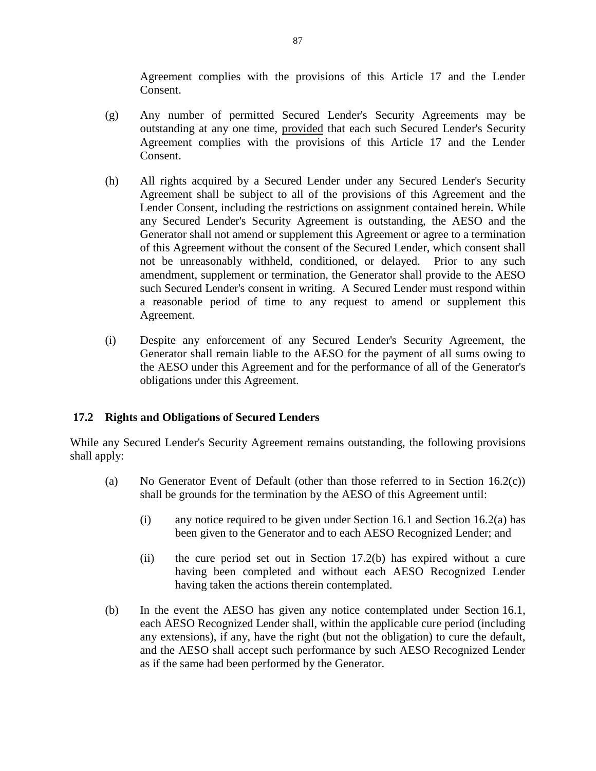Agreement complies with the provisions of this Article 17 and the Lender Consent.

- (g) Any number of permitted Secured Lender's Security Agreements may be outstanding at any one time, provided that each such Secured Lender's Security Agreement complies with the provisions of this Article 17 and the Lender Consent.
- (h) All rights acquired by a Secured Lender under any Secured Lender's Security Agreement shall be subject to all of the provisions of this Agreement and the Lender Consent, including the restrictions on assignment contained herein. While any Secured Lender's Security Agreement is outstanding, the AESO and the Generator shall not amend or supplement this Agreement or agree to a termination of this Agreement without the consent of the Secured Lender, which consent shall not be unreasonably withheld, conditioned, or delayed. Prior to any such amendment, supplement or termination, the Generator shall provide to the AESO such Secured Lender's consent in writing. A Secured Lender must respond within a reasonable period of time to any request to amend or supplement this Agreement.
- (i) Despite any enforcement of any Secured Lender's Security Agreement, the Generator shall remain liable to the AESO for the payment of all sums owing to the AESO under this Agreement and for the performance of all of the Generator's obligations under this Agreement.

# **17.2 Rights and Obligations of Secured Lenders**

While any Secured Lender's Security Agreement remains outstanding, the following provisions shall apply:

- (a) No Generator Event of Default (other than those referred to in Section 16.2(c)) shall be grounds for the termination by the AESO of this Agreement until:
	- (i) any notice required to be given under Section 16.1 and Section 16.2(a) has been given to the Generator and to each AESO Recognized Lender; and
	- (ii) the cure period set out in Section 17.2(b) has expired without a cure having been completed and without each AESO Recognized Lender having taken the actions therein contemplated.
- (b) In the event the AESO has given any notice contemplated under Section 16.1, each AESO Recognized Lender shall, within the applicable cure period (including any extensions), if any, have the right (but not the obligation) to cure the default, and the AESO shall accept such performance by such AESO Recognized Lender as if the same had been performed by the Generator.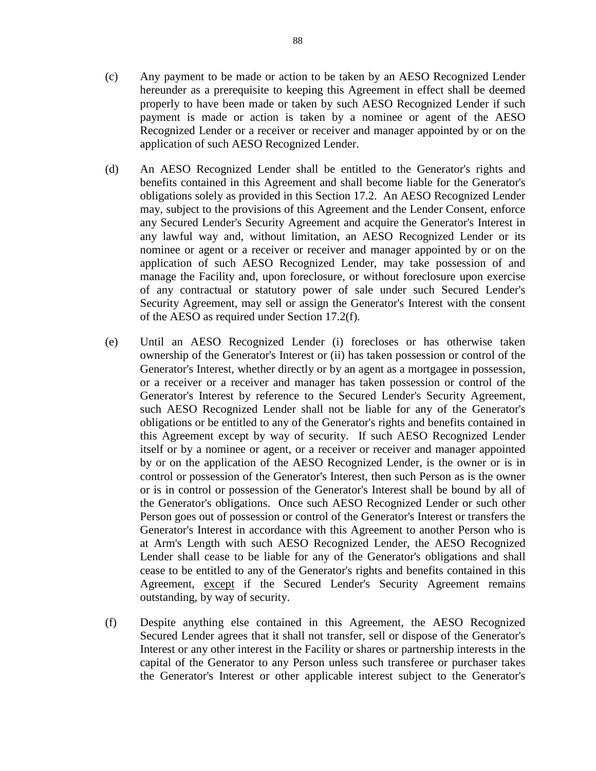- (c) Any payment to be made or action to be taken by an AESO Recognized Lender hereunder as a prerequisite to keeping this Agreement in effect shall be deemed properly to have been made or taken by such AESO Recognized Lender if such payment is made or action is taken by a nominee or agent of the AESO Recognized Lender or a receiver or receiver and manager appointed by or on the application of such AESO Recognized Lender.
- (d) An AESO Recognized Lender shall be entitled to the Generator's rights and benefits contained in this Agreement and shall become liable for the Generator's obligations solely as provided in this Section 17.2. An AESO Recognized Lender may, subject to the provisions of this Agreement and the Lender Consent, enforce any Secured Lender's Security Agreement and acquire the Generator's Interest in any lawful way and, without limitation, an AESO Recognized Lender or its nominee or agent or a receiver or receiver and manager appointed by or on the application of such AESO Recognized Lender, may take possession of and manage the Facility and, upon foreclosure, or without foreclosure upon exercise of any contractual or statutory power of sale under such Secured Lender's Security Agreement, may sell or assign the Generator's Interest with the consent of the AESO as required under Section 17.2(f).
- (e) Until an AESO Recognized Lender (i) forecloses or has otherwise taken ownership of the Generator's Interest or (ii) has taken possession or control of the Generator's Interest, whether directly or by an agent as a mortgagee in possession, or a receiver or a receiver and manager has taken possession or control of the Generator's Interest by reference to the Secured Lender's Security Agreement, such AESO Recognized Lender shall not be liable for any of the Generator's obligations or be entitled to any of the Generator's rights and benefits contained in this Agreement except by way of security. If such AESO Recognized Lender itself or by a nominee or agent, or a receiver or receiver and manager appointed by or on the application of the AESO Recognized Lender, is the owner or is in control or possession of the Generator's Interest, then such Person as is the owner or is in control or possession of the Generator's Interest shall be bound by all of the Generator's obligations. Once such AESO Recognized Lender or such other Person goes out of possession or control of the Generator's Interest or transfers the Generator's Interest in accordance with this Agreement to another Person who is at Arm's Length with such AESO Recognized Lender, the AESO Recognized Lender shall cease to be liable for any of the Generator's obligations and shall cease to be entitled to any of the Generator's rights and benefits contained in this Agreement, except if the Secured Lender's Security Agreement remains outstanding, by way of security.
- (f) Despite anything else contained in this Agreement, the AESO Recognized Secured Lender agrees that it shall not transfer, sell or dispose of the Generator's Interest or any other interest in the Facility or shares or partnership interests in the capital of the Generator to any Person unless such transferee or purchaser takes the Generator's Interest or other applicable interest subject to the Generator's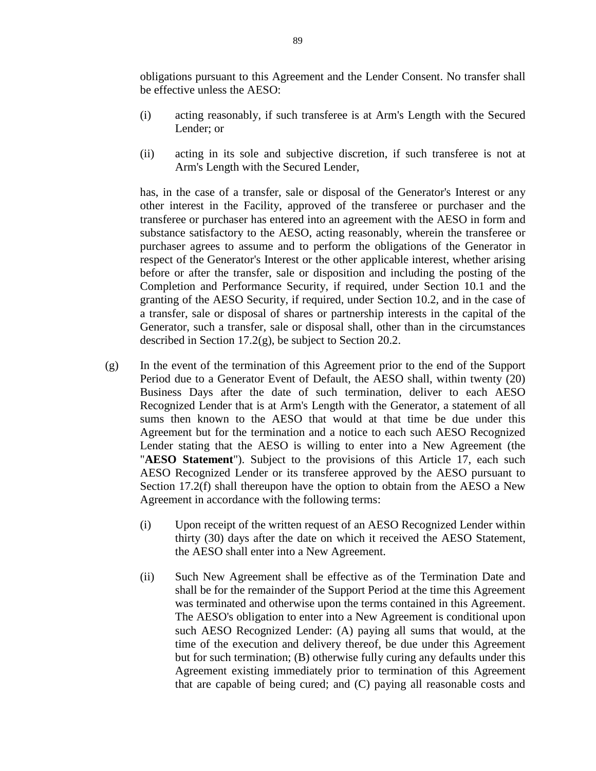obligations pursuant to this Agreement and the Lender Consent. No transfer shall be effective unless the AESO:

- (i) acting reasonably, if such transferee is at Arm's Length with the Secured Lender; or
- (ii) acting in its sole and subjective discretion, if such transferee is not at Arm's Length with the Secured Lender,

has, in the case of a transfer, sale or disposal of the Generator's Interest or any other interest in the Facility, approved of the transferee or purchaser and the transferee or purchaser has entered into an agreement with the AESO in form and substance satisfactory to the AESO, acting reasonably, wherein the transferee or purchaser agrees to assume and to perform the obligations of the Generator in respect of the Generator's Interest or the other applicable interest, whether arising before or after the transfer, sale or disposition and including the posting of the Completion and Performance Security, if required, under Section 10.1 and the granting of the AESO Security, if required, under Section 10.2, and in the case of a transfer, sale or disposal of shares or partnership interests in the capital of the Generator, such a transfer, sale or disposal shall, other than in the circumstances described in Section 17.2(g), be subject to Section 20.2.

- (g) In the event of the termination of this Agreement prior to the end of the Support Period due to a Generator Event of Default, the AESO shall, within twenty (20) Business Days after the date of such termination, deliver to each AESO Recognized Lender that is at Arm's Length with the Generator, a statement of all sums then known to the AESO that would at that time be due under this Agreement but for the termination and a notice to each such AESO Recognized Lender stating that the AESO is willing to enter into a New Agreement (the "**AESO Statement**"). Subject to the provisions of this Article 17, each such AESO Recognized Lender or its transferee approved by the AESO pursuant to Section 17.2(f) shall thereupon have the option to obtain from the AESO a New Agreement in accordance with the following terms:
	- (i) Upon receipt of the written request of an AESO Recognized Lender within thirty (30) days after the date on which it received the AESO Statement, the AESO shall enter into a New Agreement.
	- (ii) Such New Agreement shall be effective as of the Termination Date and shall be for the remainder of the Support Period at the time this Agreement was terminated and otherwise upon the terms contained in this Agreement. The AESO's obligation to enter into a New Agreement is conditional upon such AESO Recognized Lender: (A) paying all sums that would, at the time of the execution and delivery thereof, be due under this Agreement but for such termination; (B) otherwise fully curing any defaults under this Agreement existing immediately prior to termination of this Agreement that are capable of being cured; and (C) paying all reasonable costs and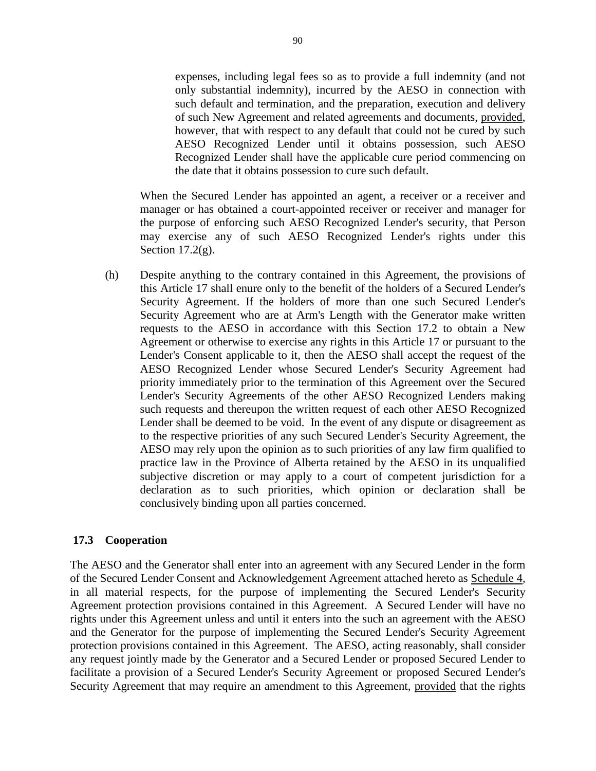expenses, including legal fees so as to provide a full indemnity (and not only substantial indemnity), incurred by the AESO in connection with such default and termination, and the preparation, execution and delivery of such New Agreement and related agreements and documents, provided, however, that with respect to any default that could not be cured by such AESO Recognized Lender until it obtains possession, such AESO Recognized Lender shall have the applicable cure period commencing on the date that it obtains possession to cure such default.

When the Secured Lender has appointed an agent, a receiver or a receiver and manager or has obtained a court-appointed receiver or receiver and manager for the purpose of enforcing such AESO Recognized Lender's security, that Person may exercise any of such AESO Recognized Lender's rights under this Section  $17.2(g)$ .

(h) Despite anything to the contrary contained in this Agreement, the provisions of this Article 17 shall enure only to the benefit of the holders of a Secured Lender's Security Agreement. If the holders of more than one such Secured Lender's Security Agreement who are at Arm's Length with the Generator make written requests to the AESO in accordance with this Section 17.2 to obtain a New Agreement or otherwise to exercise any rights in this Article 17 or pursuant to the Lender's Consent applicable to it, then the AESO shall accept the request of the AESO Recognized Lender whose Secured Lender's Security Agreement had priority immediately prior to the termination of this Agreement over the Secured Lender's Security Agreements of the other AESO Recognized Lenders making such requests and thereupon the written request of each other AESO Recognized Lender shall be deemed to be void. In the event of any dispute or disagreement as to the respective priorities of any such Secured Lender's Security Agreement, the AESO may rely upon the opinion as to such priorities of any law firm qualified to practice law in the Province of Alberta retained by the AESO in its unqualified subjective discretion or may apply to a court of competent jurisdiction for a declaration as to such priorities, which opinion or declaration shall be conclusively binding upon all parties concerned.

# **17.3 Cooperation**

The AESO and the Generator shall enter into an agreement with any Secured Lender in the form of the Secured Lender Consent and Acknowledgement Agreement attached hereto as Schedule 4, in all material respects, for the purpose of implementing the Secured Lender's Security Agreement protection provisions contained in this Agreement. A Secured Lender will have no rights under this Agreement unless and until it enters into the such an agreement with the AESO and the Generator for the purpose of implementing the Secured Lender's Security Agreement protection provisions contained in this Agreement. The AESO, acting reasonably, shall consider any request jointly made by the Generator and a Secured Lender or proposed Secured Lender to facilitate a provision of a Secured Lender's Security Agreement or proposed Secured Lender's Security Agreement that may require an amendment to this Agreement, provided that the rights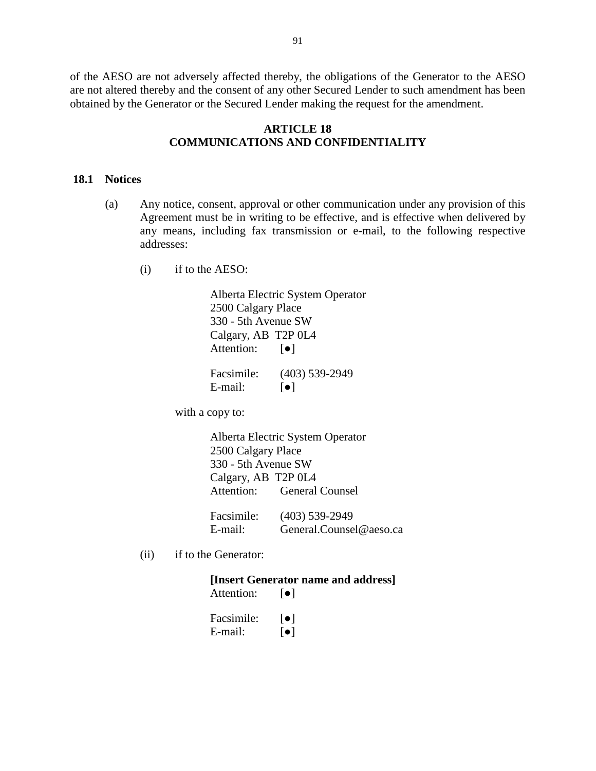of the AESO are not adversely affected thereby, the obligations of the Generator to the AESO are not altered thereby and the consent of any other Secured Lender to such amendment has been obtained by the Generator or the Secured Lender making the request for the amendment.

# **ARTICLE 18 COMMUNICATIONS AND CONFIDENTIALITY**

#### **18.1 Notices**

- (a) Any notice, consent, approval or other communication under any provision of this Agreement must be in writing to be effective, and is effective when delivered by any means, including fax transmission or e-mail, to the following respective addresses:
	- (i) if to the AESO:

Alberta Electric System Operator 2500 Calgary Place 330 - 5th Avenue SW Calgary, AB T2P 0L4 Attention: [●]

Facsimile: (403) 539-2949 E-mail:  $\lceil \bullet \rceil$ 

with a copy to:

Alberta Electric System Operator 2500 Calgary Place 330 - 5th Avenue SW Calgary, AB T2P 0L4 Attention: General Counsel Facsimile: (403) 539-2949

- E-mail: General.Counsel@aeso.ca
- (ii) if to the Generator:

# **[Insert Generator name and address]**

| Attention: | $\lceil \bullet \rceil$ |
|------------|-------------------------|
| Facsimile: | ●                       |
| E-mail:    | $\lceil \bullet \rceil$ |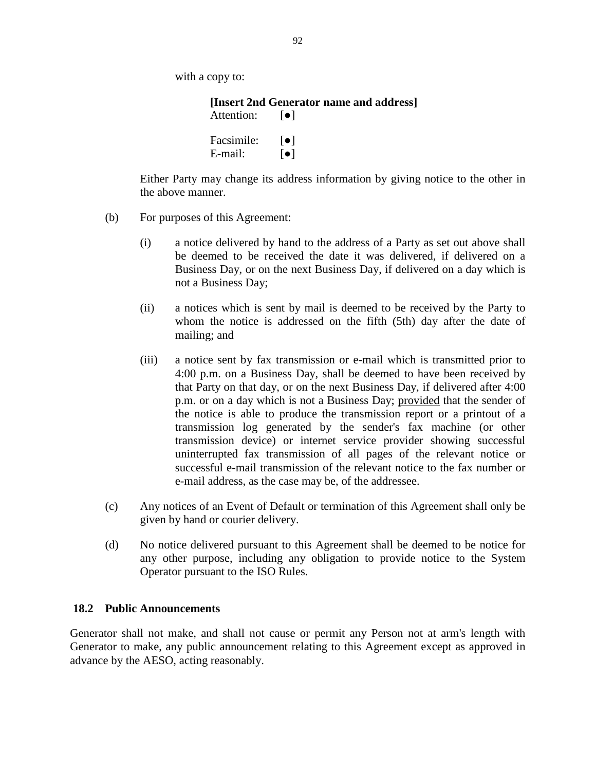with a copy to:

**[Insert 2nd Generator name and address]** Attention: [●] Facsimile:  $\lceil \bullet \rceil$ E-mail:  $\lceil \bullet \rceil$ 

Either Party may change its address information by giving notice to the other in the above manner.

- (b) For purposes of this Agreement:
	- (i) a notice delivered by hand to the address of a Party as set out above shall be deemed to be received the date it was delivered, if delivered on a Business Day, or on the next Business Day, if delivered on a day which is not a Business Day;
	- (ii) a notices which is sent by mail is deemed to be received by the Party to whom the notice is addressed on the fifth (5th) day after the date of mailing; and
	- (iii) a notice sent by fax transmission or e-mail which is transmitted prior to 4:00 p.m. on a Business Day, shall be deemed to have been received by that Party on that day, or on the next Business Day, if delivered after 4:00 p.m. or on a day which is not a Business Day; provided that the sender of the notice is able to produce the transmission report or a printout of a transmission log generated by the sender's fax machine (or other transmission device) or internet service provider showing successful uninterrupted fax transmission of all pages of the relevant notice or successful e-mail transmission of the relevant notice to the fax number or e-mail address, as the case may be, of the addressee.
- (c) Any notices of an Event of Default or termination of this Agreement shall only be given by hand or courier delivery.
- (d) No notice delivered pursuant to this Agreement shall be deemed to be notice for any other purpose, including any obligation to provide notice to the System Operator pursuant to the ISO Rules.

#### **18.2 Public Announcements**

Generator shall not make, and shall not cause or permit any Person not at arm's length with Generator to make, any public announcement relating to this Agreement except as approved in advance by the AESO, acting reasonably.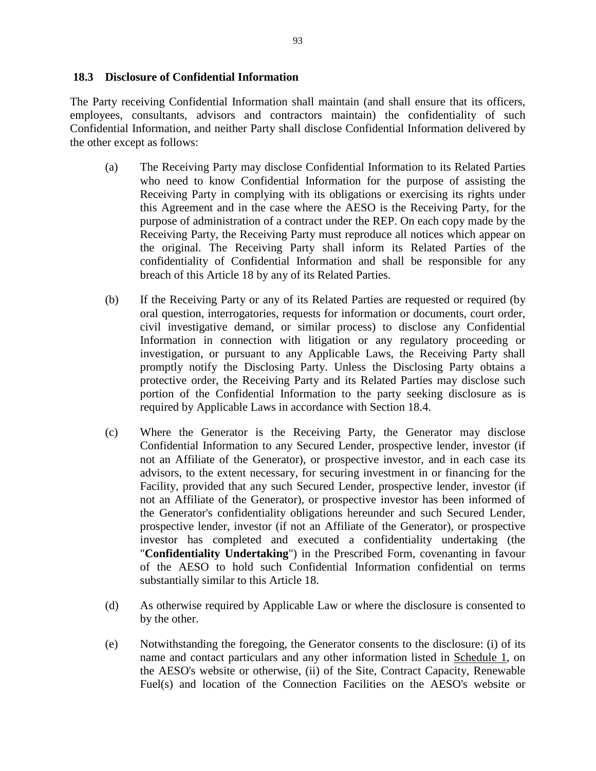The Party receiving Confidential Information shall maintain (and shall ensure that its officers, employees, consultants, advisors and contractors maintain) the confidentiality of such Confidential Information, and neither Party shall disclose Confidential Information delivered by the other except as follows:

- (a) The Receiving Party may disclose Confidential Information to its Related Parties who need to know Confidential Information for the purpose of assisting the Receiving Party in complying with its obligations or exercising its rights under this Agreement and in the case where the AESO is the Receiving Party, for the purpose of administration of a contract under the REP. On each copy made by the Receiving Party, the Receiving Party must reproduce all notices which appear on the original. The Receiving Party shall inform its Related Parties of the confidentiality of Confidential Information and shall be responsible for any breach of this Article 18 by any of its Related Parties.
- (b) If the Receiving Party or any of its Related Parties are requested or required (by oral question, interrogatories, requests for information or documents, court order, civil investigative demand, or similar process) to disclose any Confidential Information in connection with litigation or any regulatory proceeding or investigation, or pursuant to any Applicable Laws, the Receiving Party shall promptly notify the Disclosing Party. Unless the Disclosing Party obtains a protective order, the Receiving Party and its Related Parties may disclose such portion of the Confidential Information to the party seeking disclosure as is required by Applicable Laws in accordance with Section 18.4.
- (c) Where the Generator is the Receiving Party, the Generator may disclose Confidential Information to any Secured Lender, prospective lender, investor (if not an Affiliate of the Generator), or prospective investor, and in each case its advisors, to the extent necessary, for securing investment in or financing for the Facility, provided that any such Secured Lender, prospective lender, investor (if not an Affiliate of the Generator), or prospective investor has been informed of the Generator's confidentiality obligations hereunder and such Secured Lender, prospective lender, investor (if not an Affiliate of the Generator), or prospective investor has completed and executed a confidentiality undertaking (the "**Confidentiality Undertaking**") in the Prescribed Form, covenanting in favour of the AESO to hold such Confidential Information confidential on terms substantially similar to this Article 18.
- (d) As otherwise required by Applicable Law or where the disclosure is consented to by the other.
- (e) Notwithstanding the foregoing, the Generator consents to the disclosure: (i) of its name and contact particulars and any other information listed in Schedule 1, on the AESO's website or otherwise, (ii) of the Site, Contract Capacity, Renewable Fuel(s) and location of the Connection Facilities on the AESO's website or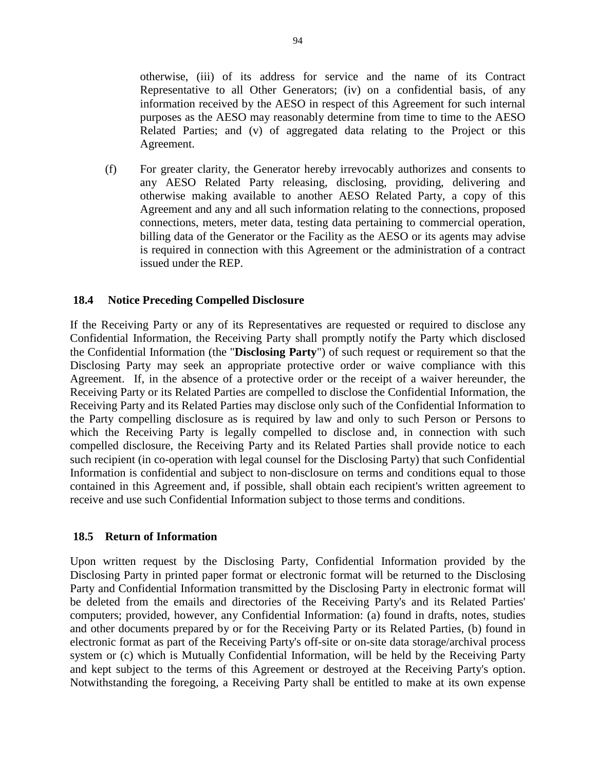otherwise, (iii) of its address for service and the name of its Contract Representative to all Other Generators; (iv) on a confidential basis, of any information received by the AESO in respect of this Agreement for such internal purposes as the AESO may reasonably determine from time to time to the AESO Related Parties; and (v) of aggregated data relating to the Project or this Agreement.

(f) For greater clarity, the Generator hereby irrevocably authorizes and consents to any AESO Related Party releasing, disclosing, providing, delivering and otherwise making available to another AESO Related Party, a copy of this Agreement and any and all such information relating to the connections, proposed connections, meters, meter data, testing data pertaining to commercial operation, billing data of the Generator or the Facility as the AESO or its agents may advise is required in connection with this Agreement or the administration of a contract issued under the REP.

# **18.4 Notice Preceding Compelled Disclosure**

If the Receiving Party or any of its Representatives are requested or required to disclose any Confidential Information, the Receiving Party shall promptly notify the Party which disclosed the Confidential Information (the "**Disclosing Party**") of such request or requirement so that the Disclosing Party may seek an appropriate protective order or waive compliance with this Agreement. If, in the absence of a protective order or the receipt of a waiver hereunder, the Receiving Party or its Related Parties are compelled to disclose the Confidential Information, the Receiving Party and its Related Parties may disclose only such of the Confidential Information to the Party compelling disclosure as is required by law and only to such Person or Persons to which the Receiving Party is legally compelled to disclose and, in connection with such compelled disclosure, the Receiving Party and its Related Parties shall provide notice to each such recipient (in co-operation with legal counsel for the Disclosing Party) that such Confidential Information is confidential and subject to non-disclosure on terms and conditions equal to those contained in this Agreement and, if possible, shall obtain each recipient's written agreement to receive and use such Confidential Information subject to those terms and conditions.

#### **18.5 Return of Information**

Upon written request by the Disclosing Party, Confidential Information provided by the Disclosing Party in printed paper format or electronic format will be returned to the Disclosing Party and Confidential Information transmitted by the Disclosing Party in electronic format will be deleted from the emails and directories of the Receiving Party's and its Related Parties' computers; provided, however, any Confidential Information: (a) found in drafts, notes, studies and other documents prepared by or for the Receiving Party or its Related Parties, (b) found in electronic format as part of the Receiving Party's off-site or on-site data storage/archival process system or (c) which is Mutually Confidential Information, will be held by the Receiving Party and kept subject to the terms of this Agreement or destroyed at the Receiving Party's option. Notwithstanding the foregoing, a Receiving Party shall be entitled to make at its own expense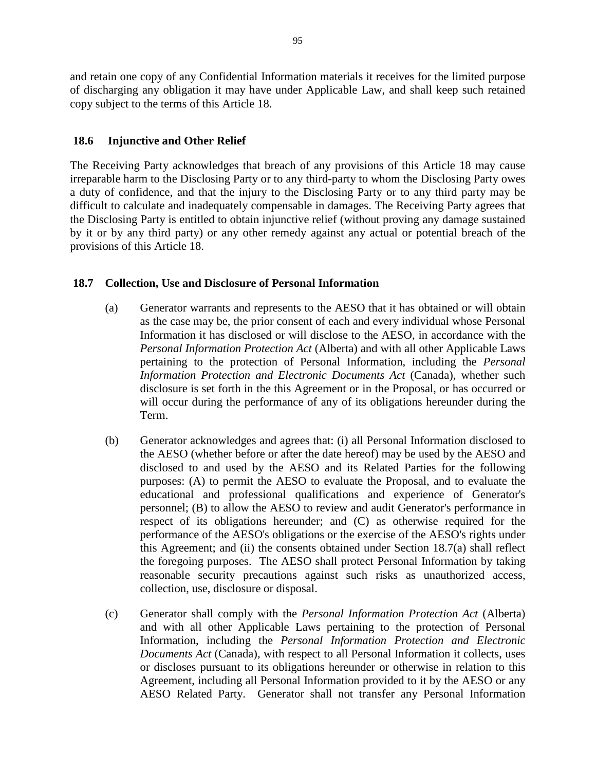and retain one copy of any Confidential Information materials it receives for the limited purpose of discharging any obligation it may have under Applicable Law, and shall keep such retained copy subject to the terms of this Article 18.

# **18.6 Injunctive and Other Relief**

The Receiving Party acknowledges that breach of any provisions of this Article 18 may cause irreparable harm to the Disclosing Party or to any third-party to whom the Disclosing Party owes a duty of confidence, and that the injury to the Disclosing Party or to any third party may be difficult to calculate and inadequately compensable in damages. The Receiving Party agrees that the Disclosing Party is entitled to obtain injunctive relief (without proving any damage sustained by it or by any third party) or any other remedy against any actual or potential breach of the provisions of this Article 18.

# **18.7 Collection, Use and Disclosure of Personal Information**

- (a) Generator warrants and represents to the AESO that it has obtained or will obtain as the case may be, the prior consent of each and every individual whose Personal Information it has disclosed or will disclose to the AESO, in accordance with the *Personal Information Protection Act* (Alberta) and with all other Applicable Laws pertaining to the protection of Personal Information, including the *Personal Information Protection and Electronic Documents Act* (Canada), whether such disclosure is set forth in the this Agreement or in the Proposal, or has occurred or will occur during the performance of any of its obligations hereunder during the Term.
- (b) Generator acknowledges and agrees that: (i) all Personal Information disclosed to the AESO (whether before or after the date hereof) may be used by the AESO and disclosed to and used by the AESO and its Related Parties for the following purposes: (A) to permit the AESO to evaluate the Proposal, and to evaluate the educational and professional qualifications and experience of Generator's personnel; (B) to allow the AESO to review and audit Generator's performance in respect of its obligations hereunder; and (C) as otherwise required for the performance of the AESO's obligations or the exercise of the AESO's rights under this Agreement; and (ii) the consents obtained under Section 18.7(a) shall reflect the foregoing purposes. The AESO shall protect Personal Information by taking reasonable security precautions against such risks as unauthorized access, collection, use, disclosure or disposal.
- (c) Generator shall comply with the *Personal Information Protection Act* (Alberta) and with all other Applicable Laws pertaining to the protection of Personal Information, including the *Personal Information Protection and Electronic Documents Act* (Canada), with respect to all Personal Information it collects, uses or discloses pursuant to its obligations hereunder or otherwise in relation to this Agreement, including all Personal Information provided to it by the AESO or any AESO Related Party. Generator shall not transfer any Personal Information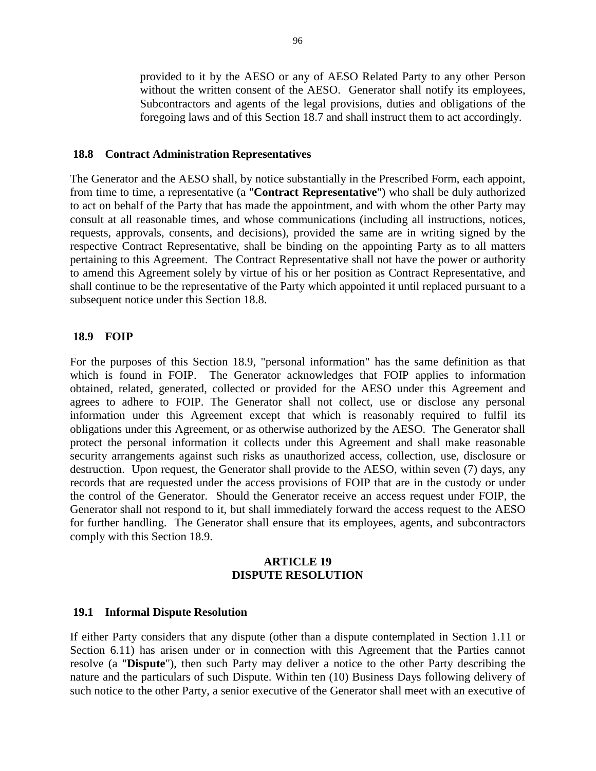provided to it by the AESO or any of AESO Related Party to any other Person without the written consent of the AESO. Generator shall notify its employees, Subcontractors and agents of the legal provisions, duties and obligations of the foregoing laws and of this Section 18.7 and shall instruct them to act accordingly.

#### **18.8 Contract Administration Representatives**

The Generator and the AESO shall, by notice substantially in the Prescribed Form, each appoint, from time to time, a representative (a "**Contract Representative**") who shall be duly authorized to act on behalf of the Party that has made the appointment, and with whom the other Party may consult at all reasonable times, and whose communications (including all instructions, notices, requests, approvals, consents, and decisions), provided the same are in writing signed by the respective Contract Representative, shall be binding on the appointing Party as to all matters pertaining to this Agreement. The Contract Representative shall not have the power or authority to amend this Agreement solely by virtue of his or her position as Contract Representative, and shall continue to be the representative of the Party which appointed it until replaced pursuant to a subsequent notice under this Section 18.8.

#### **18.9 FOIP**

For the purposes of this Section 18.9, "personal information" has the same definition as that which is found in FOIP. The Generator acknowledges that FOIP applies to information obtained, related, generated, collected or provided for the AESO under this Agreement and agrees to adhere to FOIP. The Generator shall not collect, use or disclose any personal information under this Agreement except that which is reasonably required to fulfil its obligations under this Agreement, or as otherwise authorized by the AESO. The Generator shall protect the personal information it collects under this Agreement and shall make reasonable security arrangements against such risks as unauthorized access, collection, use, disclosure or destruction. Upon request, the Generator shall provide to the AESO, within seven (7) days, any records that are requested under the access provisions of FOIP that are in the custody or under the control of the Generator. Should the Generator receive an access request under FOIP, the Generator shall not respond to it, but shall immediately forward the access request to the AESO for further handling. The Generator shall ensure that its employees, agents, and subcontractors comply with this Section 18.9.

## **ARTICLE 19 DISPUTE RESOLUTION**

#### **19.1 Informal Dispute Resolution**

If either Party considers that any dispute (other than a dispute contemplated in Section 1.11 or Section 6.11) has arisen under or in connection with this Agreement that the Parties cannot resolve (a "**Dispute**"), then such Party may deliver a notice to the other Party describing the nature and the particulars of such Dispute. Within ten (10) Business Days following delivery of such notice to the other Party, a senior executive of the Generator shall meet with an executive of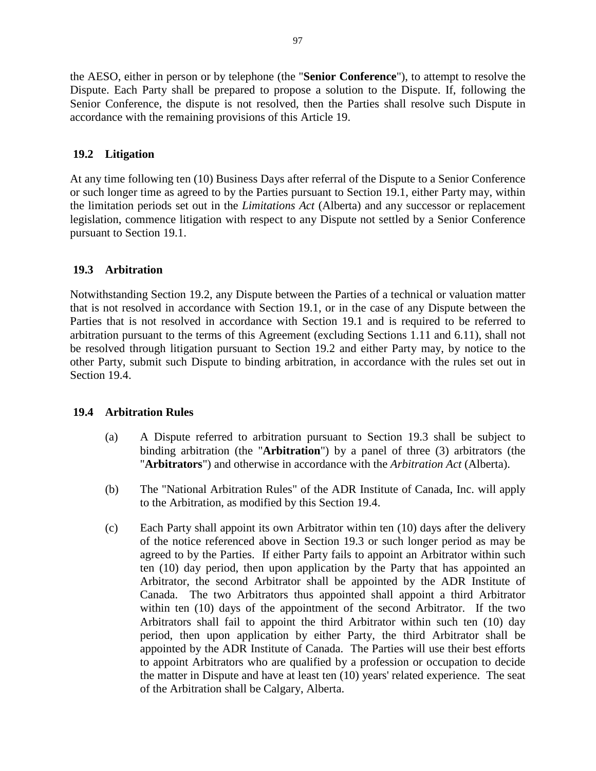the AESO, either in person or by telephone (the "**Senior Conference**"), to attempt to resolve the Dispute. Each Party shall be prepared to propose a solution to the Dispute. If, following the Senior Conference, the dispute is not resolved, then the Parties shall resolve such Dispute in accordance with the remaining provisions of this Article 19.

# **19.2 Litigation**

At any time following ten (10) Business Days after referral of the Dispute to a Senior Conference or such longer time as agreed to by the Parties pursuant to Section 19.1, either Party may, within the limitation periods set out in the *Limitations Act* (Alberta) and any successor or replacement legislation, commence litigation with respect to any Dispute not settled by a Senior Conference pursuant to Section 19.1.

# **19.3 Arbitration**

Notwithstanding Section 19.2, any Dispute between the Parties of a technical or valuation matter that is not resolved in accordance with Section 19.1, or in the case of any Dispute between the Parties that is not resolved in accordance with Section 19.1 and is required to be referred to arbitration pursuant to the terms of this Agreement (excluding Sections 1.11 and 6.11), shall not be resolved through litigation pursuant to Section 19.2 and either Party may, by notice to the other Party, submit such Dispute to binding arbitration, in accordance with the rules set out in Section 19.4.

# **19.4 Arbitration Rules**

- (a) A Dispute referred to arbitration pursuant to Section 19.3 shall be subject to binding arbitration (the "**Arbitration**") by a panel of three (3) arbitrators (the "**Arbitrators**") and otherwise in accordance with the *Arbitration Act* (Alberta).
- (b) The "National Arbitration Rules" of the ADR Institute of Canada, Inc. will apply to the Arbitration, as modified by this Section 19.4.
- (c) Each Party shall appoint its own Arbitrator within ten (10) days after the delivery of the notice referenced above in Section 19.3 or such longer period as may be agreed to by the Parties. If either Party fails to appoint an Arbitrator within such ten (10) day period, then upon application by the Party that has appointed an Arbitrator, the second Arbitrator shall be appointed by the ADR Institute of Canada. The two Arbitrators thus appointed shall appoint a third Arbitrator within ten (10) days of the appointment of the second Arbitrator. If the two Arbitrators shall fail to appoint the third Arbitrator within such ten (10) day period, then upon application by either Party, the third Arbitrator shall be appointed by the ADR Institute of Canada. The Parties will use their best efforts to appoint Arbitrators who are qualified by a profession or occupation to decide the matter in Dispute and have at least ten (10) years' related experience. The seat of the Arbitration shall be Calgary, Alberta.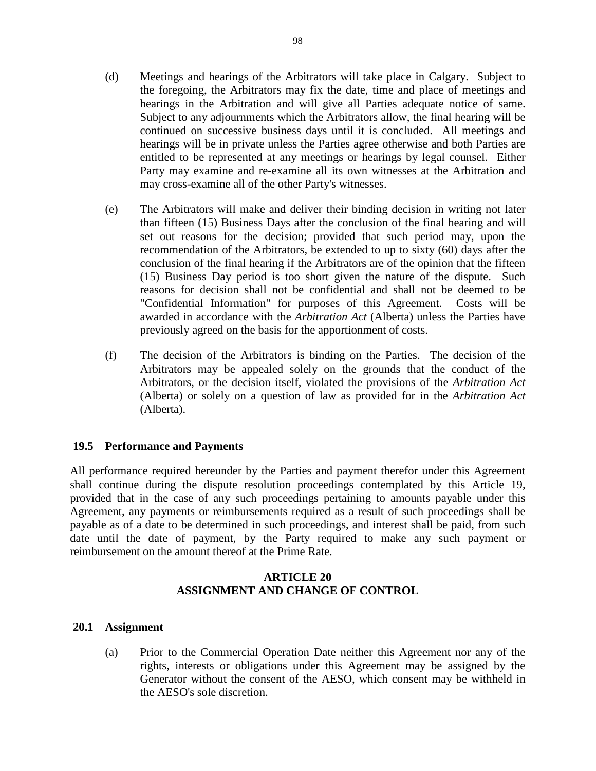- (d) Meetings and hearings of the Arbitrators will take place in Calgary. Subject to the foregoing, the Arbitrators may fix the date, time and place of meetings and hearings in the Arbitration and will give all Parties adequate notice of same. Subject to any adjournments which the Arbitrators allow, the final hearing will be continued on successive business days until it is concluded. All meetings and hearings will be in private unless the Parties agree otherwise and both Parties are entitled to be represented at any meetings or hearings by legal counsel. Either Party may examine and re-examine all its own witnesses at the Arbitration and may cross-examine all of the other Party's witnesses.
- (e) The Arbitrators will make and deliver their binding decision in writing not later than fifteen (15) Business Days after the conclusion of the final hearing and will set out reasons for the decision; provided that such period may, upon the recommendation of the Arbitrators, be extended to up to sixty (60) days after the conclusion of the final hearing if the Arbitrators are of the opinion that the fifteen (15) Business Day period is too short given the nature of the dispute. Such reasons for decision shall not be confidential and shall not be deemed to be "Confidential Information" for purposes of this Agreement. Costs will be awarded in accordance with the *Arbitration Act* (Alberta) unless the Parties have previously agreed on the basis for the apportionment of costs.
- (f) The decision of the Arbitrators is binding on the Parties. The decision of the Arbitrators may be appealed solely on the grounds that the conduct of the Arbitrators, or the decision itself, violated the provisions of the *Arbitration Act* (Alberta) or solely on a question of law as provided for in the *Arbitration Act* (Alberta).

# **19.5 Performance and Payments**

All performance required hereunder by the Parties and payment therefor under this Agreement shall continue during the dispute resolution proceedings contemplated by this Article 19, provided that in the case of any such proceedings pertaining to amounts payable under this Agreement, any payments or reimbursements required as a result of such proceedings shall be payable as of a date to be determined in such proceedings, and interest shall be paid, from such date until the date of payment, by the Party required to make any such payment or reimbursement on the amount thereof at the Prime Rate.

# **ARTICLE 20 ASSIGNMENT AND CHANGE OF CONTROL**

# **20.1 Assignment**

(a) Prior to the Commercial Operation Date neither this Agreement nor any of the rights, interests or obligations under this Agreement may be assigned by the Generator without the consent of the AESO, which consent may be withheld in the AESO's sole discretion.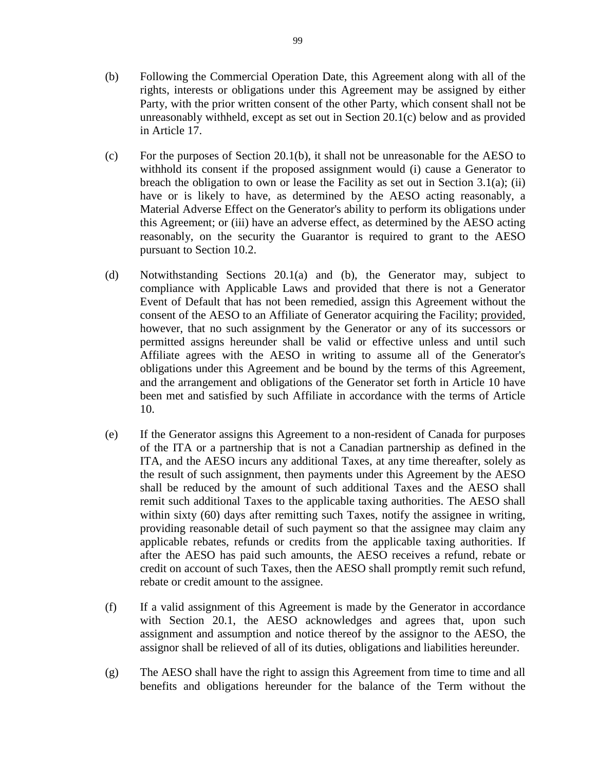- (b) Following the Commercial Operation Date, this Agreement along with all of the rights, interests or obligations under this Agreement may be assigned by either Party, with the prior written consent of the other Party, which consent shall not be unreasonably withheld, except as set out in Section 20.1(c) below and as provided in Article 17.
- (c) For the purposes of Section 20.1(b), it shall not be unreasonable for the AESO to withhold its consent if the proposed assignment would (i) cause a Generator to breach the obligation to own or lease the Facility as set out in Section 3.1(a); (ii) have or is likely to have, as determined by the AESO acting reasonably, a Material Adverse Effect on the Generator's ability to perform its obligations under this Agreement; or (iii) have an adverse effect, as determined by the AESO acting reasonably, on the security the Guarantor is required to grant to the AESO pursuant to Section 10.2.
- (d) Notwithstanding Sections 20.1(a) and (b), the Generator may, subject to compliance with Applicable Laws and provided that there is not a Generator Event of Default that has not been remedied, assign this Agreement without the consent of the AESO to an Affiliate of Generator acquiring the Facility; provided, however, that no such assignment by the Generator or any of its successors or permitted assigns hereunder shall be valid or effective unless and until such Affiliate agrees with the AESO in writing to assume all of the Generator's obligations under this Agreement and be bound by the terms of this Agreement, and the arrangement and obligations of the Generator set forth in Article 10 have been met and satisfied by such Affiliate in accordance with the terms of Article 10.
- (e) If the Generator assigns this Agreement to a non-resident of Canada for purposes of the ITA or a partnership that is not a Canadian partnership as defined in the ITA, and the AESO incurs any additional Taxes, at any time thereafter, solely as the result of such assignment, then payments under this Agreement by the AESO shall be reduced by the amount of such additional Taxes and the AESO shall remit such additional Taxes to the applicable taxing authorities. The AESO shall within sixty (60) days after remitting such Taxes, notify the assignee in writing, providing reasonable detail of such payment so that the assignee may claim any applicable rebates, refunds or credits from the applicable taxing authorities. If after the AESO has paid such amounts, the AESO receives a refund, rebate or credit on account of such Taxes, then the AESO shall promptly remit such refund, rebate or credit amount to the assignee.
- (f) If a valid assignment of this Agreement is made by the Generator in accordance with Section 20.1, the AESO acknowledges and agrees that, upon such assignment and assumption and notice thereof by the assignor to the AESO, the assignor shall be relieved of all of its duties, obligations and liabilities hereunder.
- (g) The AESO shall have the right to assign this Agreement from time to time and all benefits and obligations hereunder for the balance of the Term without the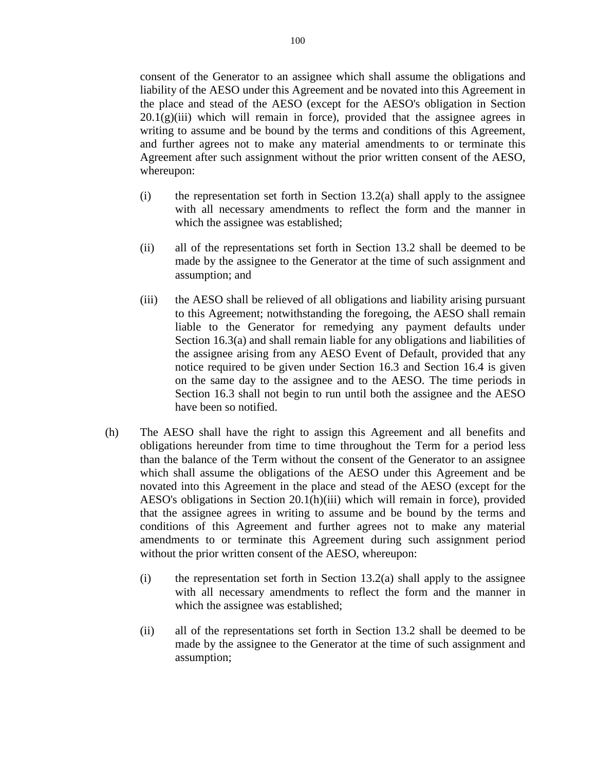consent of the Generator to an assignee which shall assume the obligations and liability of the AESO under this Agreement and be novated into this Agreement in the place and stead of the AESO (except for the AESO's obligation in Section  $20.1(g)(iii)$  which will remain in force), provided that the assignee agrees in writing to assume and be bound by the terms and conditions of this Agreement, and further agrees not to make any material amendments to or terminate this Agreement after such assignment without the prior written consent of the AESO, whereupon:

- $(i)$  the representation set forth in Section 13.2(a) shall apply to the assignee with all necessary amendments to reflect the form and the manner in which the assignee was established;
- (ii) all of the representations set forth in Section 13.2 shall be deemed to be made by the assignee to the Generator at the time of such assignment and assumption; and
- (iii) the AESO shall be relieved of all obligations and liability arising pursuant to this Agreement; notwithstanding the foregoing, the AESO shall remain liable to the Generator for remedying any payment defaults under Section 16.3(a) and shall remain liable for any obligations and liabilities of the assignee arising from any AESO Event of Default, provided that any notice required to be given under Section 16.3 and Section 16.4 is given on the same day to the assignee and to the AESO. The time periods in Section 16.3 shall not begin to run until both the assignee and the AESO have been so notified.
- (h) The AESO shall have the right to assign this Agreement and all benefits and obligations hereunder from time to time throughout the Term for a period less than the balance of the Term without the consent of the Generator to an assignee which shall assume the obligations of the AESO under this Agreement and be novated into this Agreement in the place and stead of the AESO (except for the AESO's obligations in Section 20.1(h)(iii) which will remain in force), provided that the assignee agrees in writing to assume and be bound by the terms and conditions of this Agreement and further agrees not to make any material amendments to or terminate this Agreement during such assignment period without the prior written consent of the AESO, whereupon:
	- $(i)$  the representation set forth in Section 13.2(a) shall apply to the assignee with all necessary amendments to reflect the form and the manner in which the assignee was established;
	- (ii) all of the representations set forth in Section 13.2 shall be deemed to be made by the assignee to the Generator at the time of such assignment and assumption;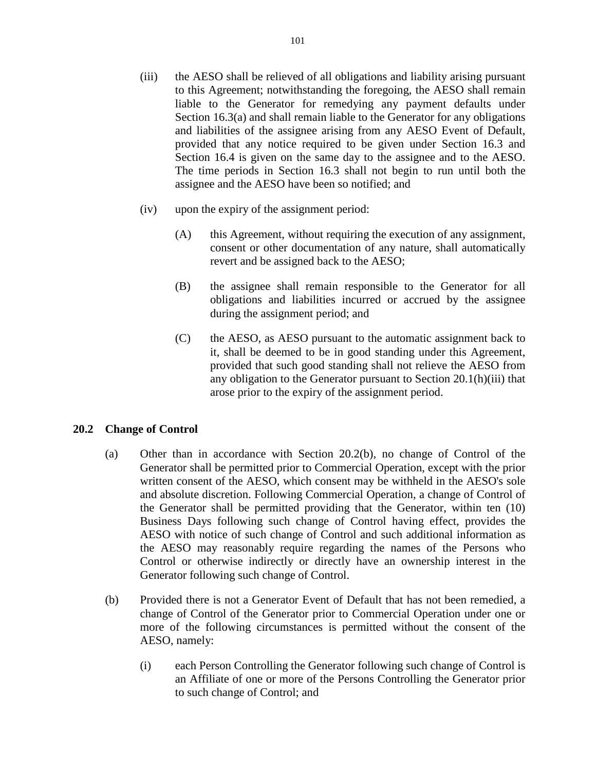- (iii) the AESO shall be relieved of all obligations and liability arising pursuant to this Agreement; notwithstanding the foregoing, the AESO shall remain liable to the Generator for remedying any payment defaults under Section 16.3(a) and shall remain liable to the Generator for any obligations and liabilities of the assignee arising from any AESO Event of Default, provided that any notice required to be given under Section 16.3 and Section 16.4 is given on the same day to the assignee and to the AESO. The time periods in Section 16.3 shall not begin to run until both the assignee and the AESO have been so notified; and
- (iv) upon the expiry of the assignment period:
	- (A) this Agreement, without requiring the execution of any assignment, consent or other documentation of any nature, shall automatically revert and be assigned back to the AESO;
	- (B) the assignee shall remain responsible to the Generator for all obligations and liabilities incurred or accrued by the assignee during the assignment period; and
	- (C) the AESO, as AESO pursuant to the automatic assignment back to it, shall be deemed to be in good standing under this Agreement, provided that such good standing shall not relieve the AESO from any obligation to the Generator pursuant to Section 20.1(h)(iii) that arose prior to the expiry of the assignment period.

# **20.2 Change of Control**

- (a) Other than in accordance with Section 20.2(b), no change of Control of the Generator shall be permitted prior to Commercial Operation, except with the prior written consent of the AESO, which consent may be withheld in the AESO's sole and absolute discretion. Following Commercial Operation, a change of Control of the Generator shall be permitted providing that the Generator, within ten (10) Business Days following such change of Control having effect, provides the AESO with notice of such change of Control and such additional information as the AESO may reasonably require regarding the names of the Persons who Control or otherwise indirectly or directly have an ownership interest in the Generator following such change of Control.
- (b) Provided there is not a Generator Event of Default that has not been remedied, a change of Control of the Generator prior to Commercial Operation under one or more of the following circumstances is permitted without the consent of the AESO, namely:
	- (i) each Person Controlling the Generator following such change of Control is an Affiliate of one or more of the Persons Controlling the Generator prior to such change of Control; and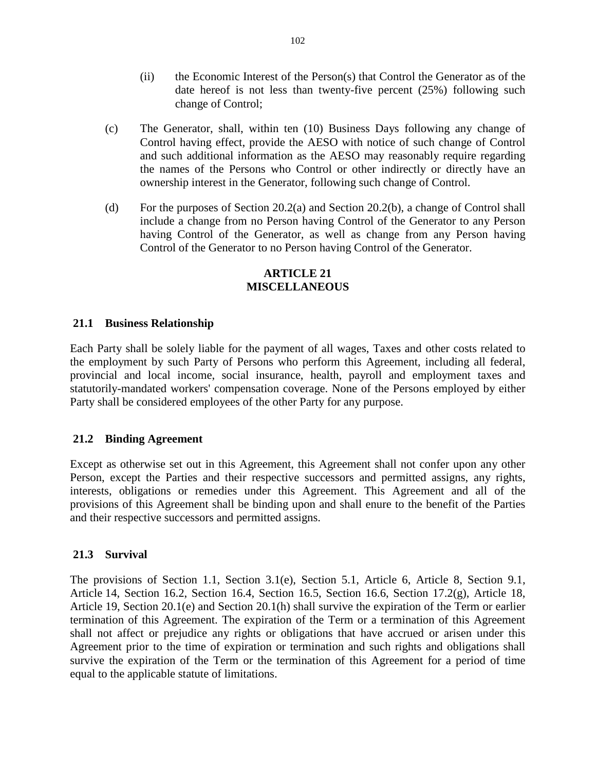- (ii) the Economic Interest of the Person(s) that Control the Generator as of the date hereof is not less than twenty-five percent (25%) following such change of Control;
- (c) The Generator, shall, within ten (10) Business Days following any change of Control having effect, provide the AESO with notice of such change of Control and such additional information as the AESO may reasonably require regarding the names of the Persons who Control or other indirectly or directly have an ownership interest in the Generator, following such change of Control.
- (d) For the purposes of Section 20.2(a) and Section 20.2(b), a change of Control shall include a change from no Person having Control of the Generator to any Person having Control of the Generator, as well as change from any Person having Control of the Generator to no Person having Control of the Generator.

### **ARTICLE 21 MISCELLANEOUS**

# **21.1 Business Relationship**

Each Party shall be solely liable for the payment of all wages, Taxes and other costs related to the employment by such Party of Persons who perform this Agreement, including all federal, provincial and local income, social insurance, health, payroll and employment taxes and statutorily-mandated workers' compensation coverage. None of the Persons employed by either Party shall be considered employees of the other Party for any purpose.

#### **21.2 Binding Agreement**

Except as otherwise set out in this Agreement, this Agreement shall not confer upon any other Person, except the Parties and their respective successors and permitted assigns, any rights, interests, obligations or remedies under this Agreement. This Agreement and all of the provisions of this Agreement shall be binding upon and shall enure to the benefit of the Parties and their respective successors and permitted assigns.

#### **21.3 Survival**

The provisions of Section 1.1, Section 3.1(e), Section 5.1, Article 6, Article 8, Section 9.1, Article 14, Section 16.2, Section 16.4, Section 16.5, Section 16.6, Section 17.2(g), Article 18, Article 19, Section 20.1(e) and Section 20.1(h) shall survive the expiration of the Term or earlier termination of this Agreement. The expiration of the Term or a termination of this Agreement shall not affect or prejudice any rights or obligations that have accrued or arisen under this Agreement prior to the time of expiration or termination and such rights and obligations shall survive the expiration of the Term or the termination of this Agreement for a period of time equal to the applicable statute of limitations.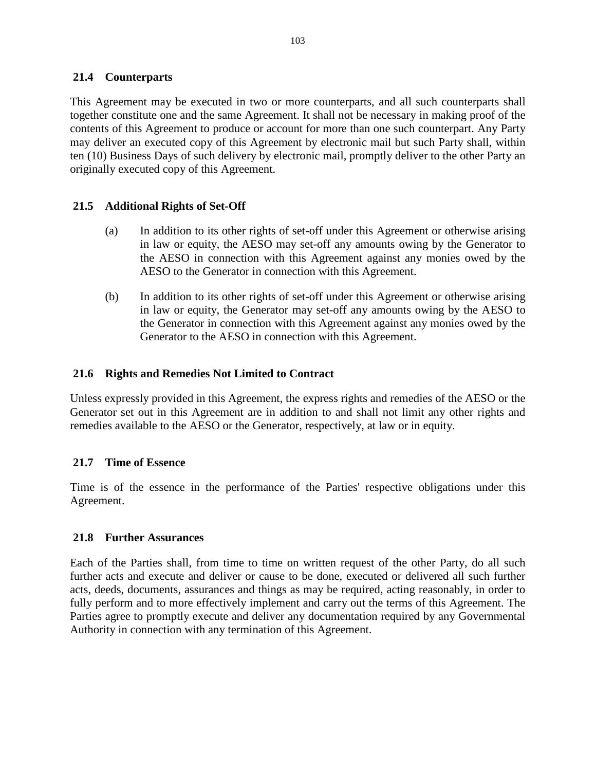# **21.4 Counterparts**

This Agreement may be executed in two or more counterparts, and all such counterparts shall together constitute one and the same Agreement. It shall not be necessary in making proof of the contents of this Agreement to produce or account for more than one such counterpart. Any Party may deliver an executed copy of this Agreement by electronic mail but such Party shall, within ten (10) Business Days of such delivery by electronic mail, promptly deliver to the other Party an originally executed copy of this Agreement.

# **21.5 Additional Rights of Set-Off**

- (a) In addition to its other rights of set-off under this Agreement or otherwise arising in law or equity, the AESO may set-off any amounts owing by the Generator to the AESO in connection with this Agreement against any monies owed by the AESO to the Generator in connection with this Agreement.
- (b) In addition to its other rights of set-off under this Agreement or otherwise arising in law or equity, the Generator may set-off any amounts owing by the AESO to the Generator in connection with this Agreement against any monies owed by the Generator to the AESO in connection with this Agreement.

# **21.6 Rights and Remedies Not Limited to Contract**

Unless expressly provided in this Agreement, the express rights and remedies of the AESO or the Generator set out in this Agreement are in addition to and shall not limit any other rights and remedies available to the AESO or the Generator, respectively, at law or in equity.

# **21.7 Time of Essence**

Time is of the essence in the performance of the Parties' respective obligations under this Agreement.

# **21.8 Further Assurances**

Each of the Parties shall, from time to time on written request of the other Party, do all such further acts and execute and deliver or cause to be done, executed or delivered all such further acts, deeds, documents, assurances and things as may be required, acting reasonably, in order to fully perform and to more effectively implement and carry out the terms of this Agreement. The Parties agree to promptly execute and deliver any documentation required by any Governmental Authority in connection with any termination of this Agreement.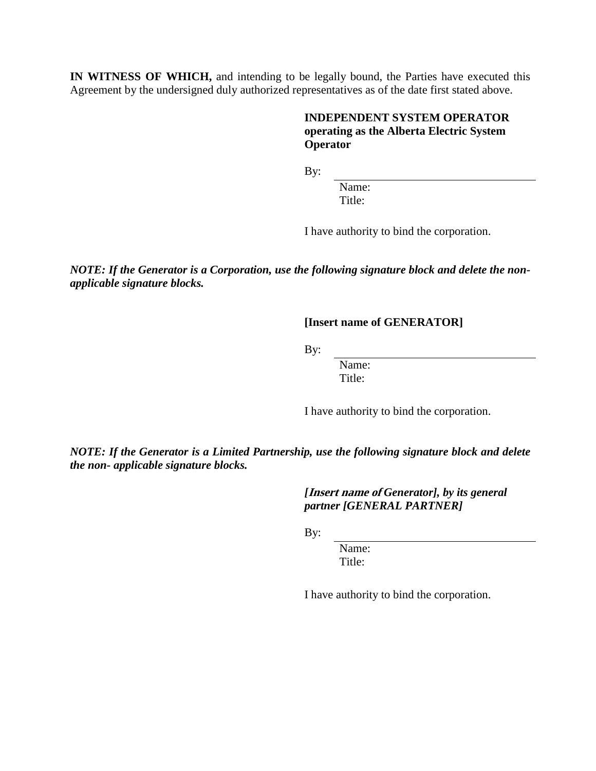**IN WITNESS OF WHICH,** and intending to be legally bound, the Parties have executed this Agreement by the undersigned duly authorized representatives as of the date first stated above.

## **INDEPENDENT SYSTEM OPERATOR operating as the Alberta Electric System Operator**

By:

Name: Title:

I have authority to bind the corporation.

*NOTE: If the Generator is a Corporation, use the following signature block and delete the nonapplicable signature blocks.*

**[Insert name of GENERATOR]**

By:

Name: Title:

I have authority to bind the corporation.

*NOTE: If the Generator is a Limited Partnership, use the following signature block and delete the non- applicable signature blocks.*

> *[***Insert name of** *Generator], by its general partner [GENERAL PARTNER]*

By:

Name: Title:

I have authority to bind the corporation.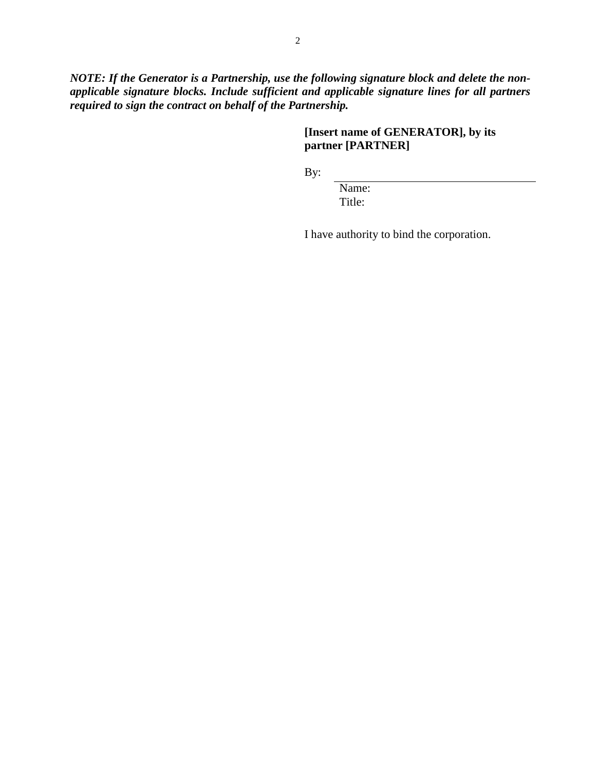*NOTE: If the Generator is a Partnership, use the following signature block and delete the nonapplicable signature blocks. Include sufficient and applicable signature lines for all partners required to sign the contract on behalf of the Partnership.*

# **[Insert name of GENERATOR], by its partner [PARTNER]**

By:

Name: Title:

I have authority to bind the corporation.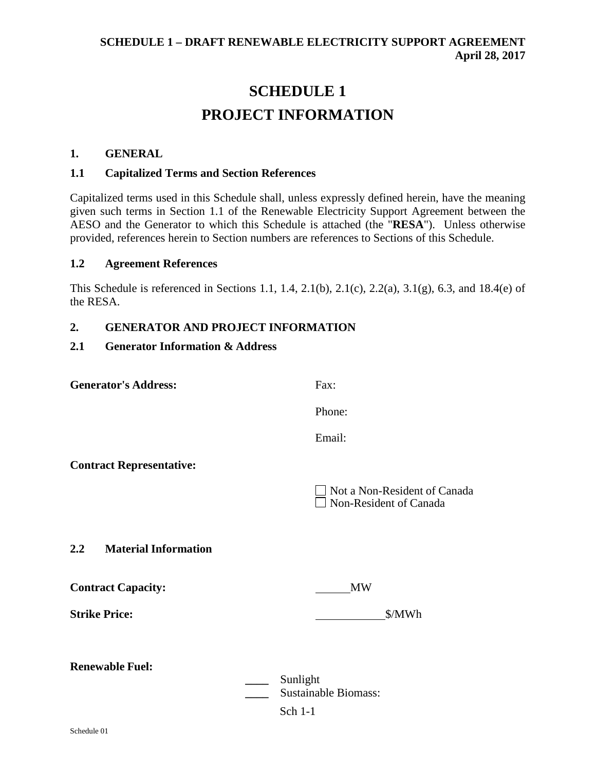# **SCHEDULE 1 PROJECT INFORMATION**

#### **1. GENERAL**

#### **1.1 Capitalized Terms and Section References**

Capitalized terms used in this Schedule shall, unless expressly defined herein, have the meaning given such terms in Section 1.1 of the Renewable Electricity Support Agreement between the AESO and the Generator to which this Schedule is attached (the "**RESA**"). Unless otherwise provided, references herein to Section numbers are references to Sections of this Schedule.

#### **1.2 Agreement References**

This Schedule is referenced in Sections 1.1, 1.4, 2.1(b), 2.1(c), 2.2(a), 3.1(g), 6.3, and 18.4(e) of the RESA.

## **2. GENERATOR AND PROJECT INFORMATION**

#### **2.1 Generator Information & Address**

| <b>Generator's Address:</b>     | Fax:                                                          |  |
|---------------------------------|---------------------------------------------------------------|--|
|                                 | Phone:                                                        |  |
|                                 | Email:                                                        |  |
| <b>Contract Representative:</b> |                                                               |  |
|                                 | Not a Non-Resident of Canada<br>$\Box$ Non-Resident of Canada |  |
| 2.2 Material Information        |                                                               |  |
| <b>Contract Capacity:</b>       | <b>MW</b>                                                     |  |
| <b>Strike Price:</b>            | \$/MWh                                                        |  |
| <b>Renewable Fuel:</b>          |                                                               |  |
|                                 | Sunlight<br><b>Sustainable Biomass:</b>                       |  |
|                                 | Sch 1-1                                                       |  |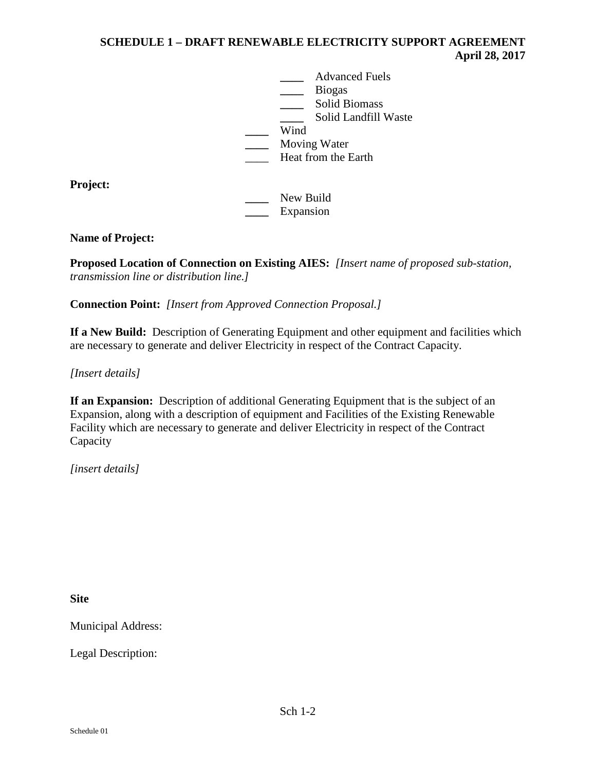**\_\_\_\_** Advanced Fuels **\_\_\_\_** Biogas **\_\_\_\_** Solid Biomass **\_\_\_\_** Solid Landfill Waste **\_\_\_\_** Wind **\_\_\_\_** Moving Water **Heat from the Earth** 

**Project:**

**\_\_\_\_** New Build **\_\_\_\_** Expansion

# **Name of Project:**

**Proposed Location of Connection on Existing AIES:** *[Insert name of proposed sub-station, transmission line or distribution line.]*

**Connection Point:** *[Insert from Approved Connection Proposal.]*

**If a New Build:** Description of Generating Equipment and other equipment and facilities which are necessary to generate and deliver Electricity in respect of the Contract Capacity.

*[Insert details]*

**If an Expansion:** Description of additional Generating Equipment that is the subject of an Expansion, along with a description of equipment and Facilities of the Existing Renewable Facility which are necessary to generate and deliver Electricity in respect of the Contract Capacity

*[insert details]*

**Site**

Municipal Address:

Legal Description: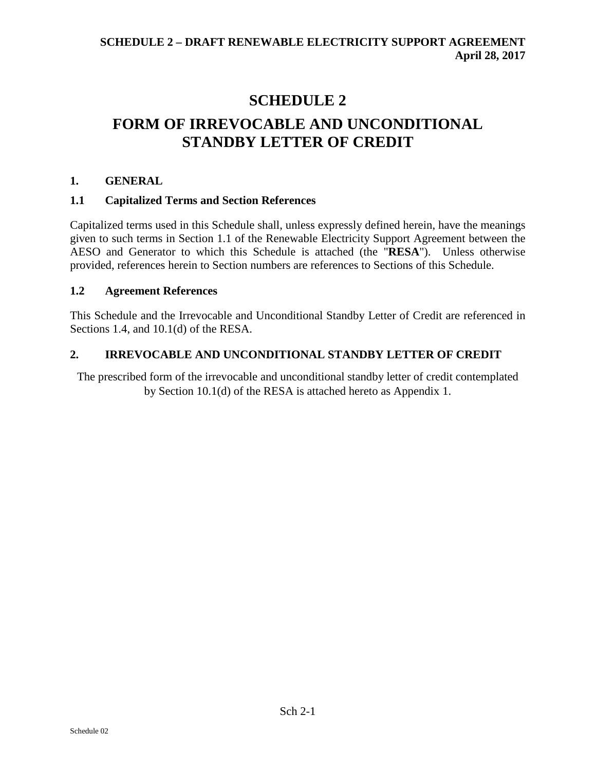# **SCHEDULE 2 FORM OF IRREVOCABLE AND UNCONDITIONAL STANDBY LETTER OF CREDIT**

# **1. GENERAL**

# **1.1 Capitalized Terms and Section References**

Capitalized terms used in this Schedule shall, unless expressly defined herein, have the meanings given to such terms in Section 1.1 of the Renewable Electricity Support Agreement between the AESO and Generator to which this Schedule is attached (the "**RESA**"). Unless otherwise provided, references herein to Section numbers are references to Sections of this Schedule.

# **1.2 Agreement References**

This Schedule and the Irrevocable and Unconditional Standby Letter of Credit are referenced in Sections 1.4, and 10.1(d) of the RESA.

# **2. IRREVOCABLE AND UNCONDITIONAL STANDBY LETTER OF CREDIT**

The prescribed form of the irrevocable and unconditional standby letter of credit contemplated by Section 10.1(d) of the RESA is attached hereto as Appendix 1.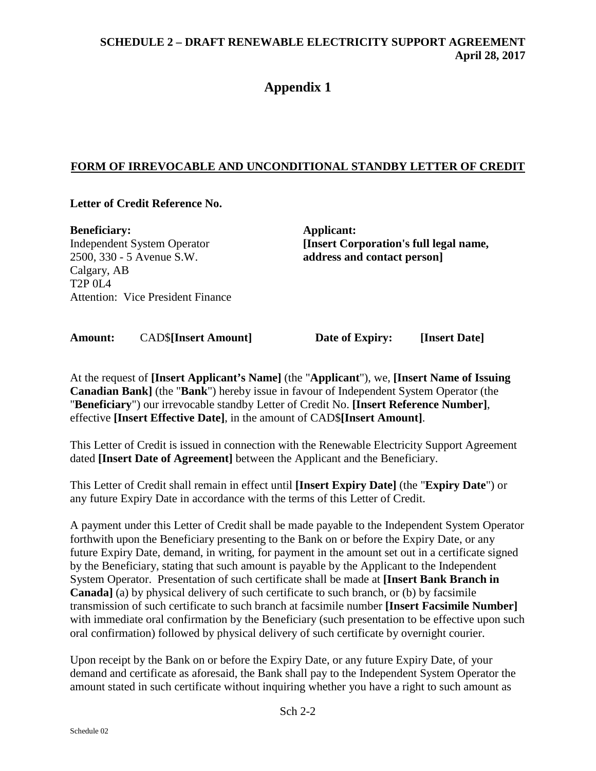# **Appendix 1**

# **FORM OF IRREVOCABLE AND UNCONDITIONAL STANDBY LETTER OF CREDIT**

# **Letter of Credit Reference No.**

**Beneficiary:** Independent System Operator 2500, 330 - 5 Avenue S.W. Calgary, AB T<sub>2</sub>P 0L<sub>4</sub> Attention: Vice President Finance **Applicant: [Insert Corporation's full legal name, address and contact person]**

**Amount:** CAD\$**[Insert Amount] Date of Expiry: [Insert Date]**

At the request of **[Insert Applicant's Name]** (the "**Applicant**"), we, **[Insert Name of Issuing Canadian Bank]** (the "**Bank**") hereby issue in favour of Independent System Operator (the "**Beneficiary**") our irrevocable standby Letter of Credit No. **[Insert Reference Number]**, effective **[Insert Effective Date]**, in the amount of CAD\$**[Insert Amount]**.

This Letter of Credit is issued in connection with the Renewable Electricity Support Agreement dated **[Insert Date of Agreement]** between the Applicant and the Beneficiary.

This Letter of Credit shall remain in effect until **[Insert Expiry Date]** (the "**Expiry Date**") or any future Expiry Date in accordance with the terms of this Letter of Credit.

A payment under this Letter of Credit shall be made payable to the Independent System Operator forthwith upon the Beneficiary presenting to the Bank on or before the Expiry Date, or any future Expiry Date, demand, in writing, for payment in the amount set out in a certificate signed by the Beneficiary, stating that such amount is payable by the Applicant to the Independent System Operator. Presentation of such certificate shall be made at **[Insert Bank Branch in Canada]** (a) by physical delivery of such certificate to such branch, or (b) by facsimile transmission of such certificate to such branch at facsimile number **[Insert Facsimile Number]**  with immediate oral confirmation by the Beneficiary (such presentation to be effective upon such oral confirmation) followed by physical delivery of such certificate by overnight courier.

Upon receipt by the Bank on or before the Expiry Date, or any future Expiry Date, of your demand and certificate as aforesaid, the Bank shall pay to the Independent System Operator the amount stated in such certificate without inquiring whether you have a right to such amount as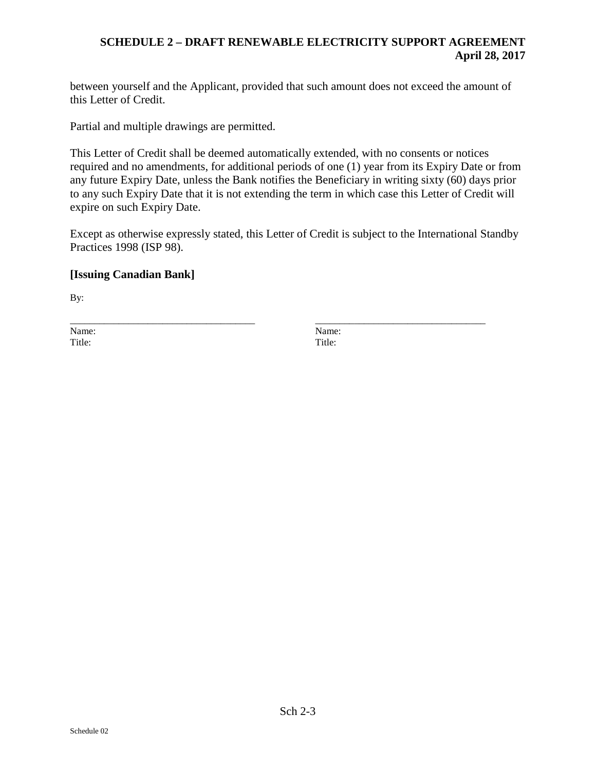between yourself and the Applicant, provided that such amount does not exceed the amount of this Letter of Credit.

Partial and multiple drawings are permitted.

This Letter of Credit shall be deemed automatically extended, with no consents or notices required and no amendments, for additional periods of one (1) year from its Expiry Date or from any future Expiry Date, unless the Bank notifies the Beneficiary in writing sixty (60) days prior to any such Expiry Date that it is not extending the term in which case this Letter of Credit will expire on such Expiry Date.

Except as otherwise expressly stated, this Letter of Credit is subject to the International Standby Practices 1998 (ISP 98).

# **[Issuing Canadian Bank]**

By:

\_\_\_\_\_\_\_\_\_\_\_\_\_\_\_\_\_\_\_\_\_\_\_\_\_\_\_\_\_\_\_\_\_\_\_\_\_\_ \_\_\_\_\_\_\_\_\_\_\_\_\_\_\_\_\_\_\_\_\_\_\_\_\_\_\_\_\_\_\_\_\_\_\_ Name: Name: Title: The Title: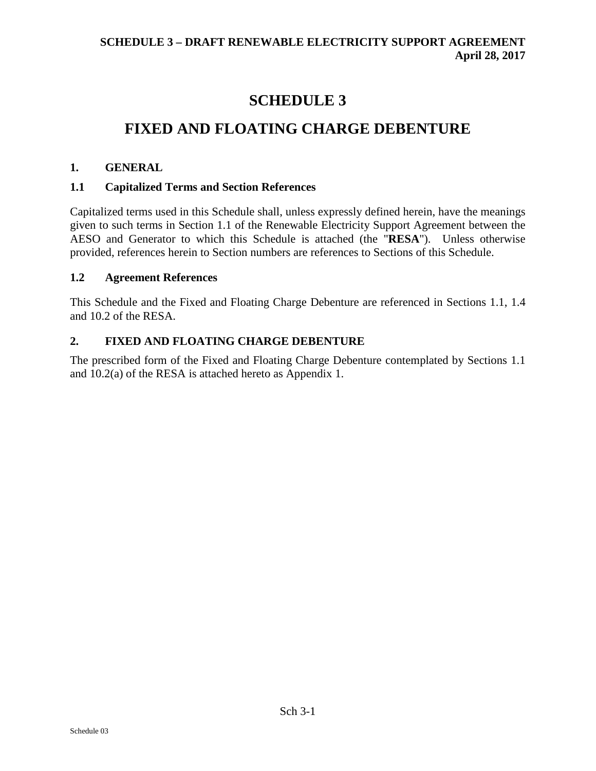# **SCHEDULE 3**

# **FIXED AND FLOATING CHARGE DEBENTURE**

# **1. GENERAL**

# **1.1 Capitalized Terms and Section References**

Capitalized terms used in this Schedule shall, unless expressly defined herein, have the meanings given to such terms in Section 1.1 of the Renewable Electricity Support Agreement between the AESO and Generator to which this Schedule is attached (the "**RESA**"). Unless otherwise provided, references herein to Section numbers are references to Sections of this Schedule.

# **1.2 Agreement References**

This Schedule and the Fixed and Floating Charge Debenture are referenced in Sections 1.1, 1.4 and 10.2 of the RESA.

# **2. FIXED AND FLOATING CHARGE DEBENTURE**

The prescribed form of the Fixed and Floating Charge Debenture contemplated by Sections 1.1 and 10.2(a) of the RESA is attached hereto as Appendix 1.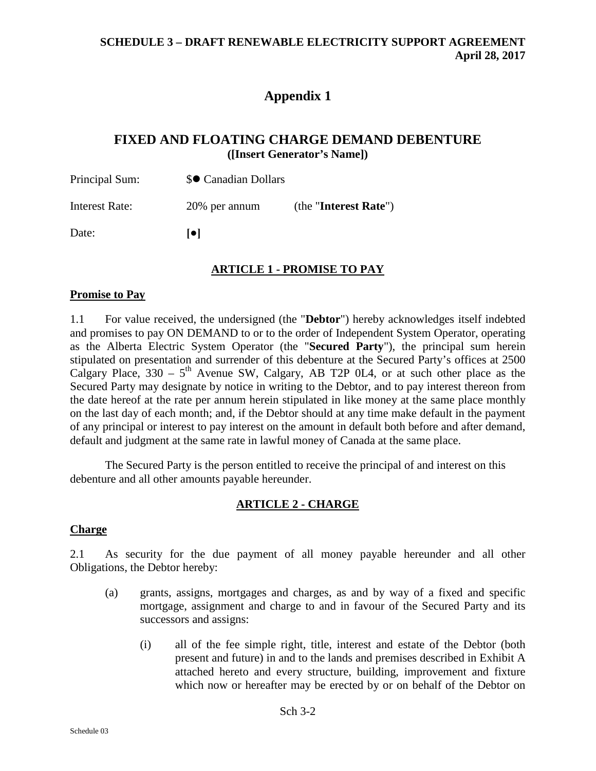# **Appendix 1**

# **FIXED AND FLOATING CHARGE DEMAND DEBENTURE ([Insert Generator's Name])**

| Principal Sum: | \$● Canadian Dollars |                       |
|----------------|----------------------|-----------------------|
| Interest Rate: | 20% per annum        | (the "Interest Rate") |
| Date:          | lo i                 |                       |

## **ARTICLE 1 - PROMISE TO PAY**

#### **Promise to Pay**

1.1 For value received, the undersigned (the "**Debtor**") hereby acknowledges itself indebted and promises to pay ON DEMAND to or to the order of Independent System Operator, operating as the Alberta Electric System Operator (the "**Secured Party**"), the principal sum herein stipulated on presentation and surrender of this debenture at the Secured Party's offices at 2500 Calgary Place,  $330 - 5$ <sup>th</sup> Avenue SW, Calgary, AB T2P 0L4, or at such other place as the Secured Party may designate by notice in writing to the Debtor, and to pay interest thereon from the date hereof at the rate per annum herein stipulated in like money at the same place monthly on the last day of each month; and, if the Debtor should at any time make default in the payment of any principal or interest to pay interest on the amount in default both before and after demand, default and judgment at the same rate in lawful money of Canada at the same place.

The Secured Party is the person entitled to receive the principal of and interest on this debenture and all other amounts payable hereunder.

#### **ARTICLE 2 - CHARGE**

#### **Charge**

2.1 As security for the due payment of all money payable hereunder and all other Obligations, the Debtor hereby:

- (a) grants, assigns, mortgages and charges, as and by way of a fixed and specific mortgage, assignment and charge to and in favour of the Secured Party and its successors and assigns:
	- (i) all of the fee simple right, title, interest and estate of the Debtor (both present and future) in and to the lands and premises described in Exhibit A attached hereto and every structure, building, improvement and fixture which now or hereafter may be erected by or on behalf of the Debtor on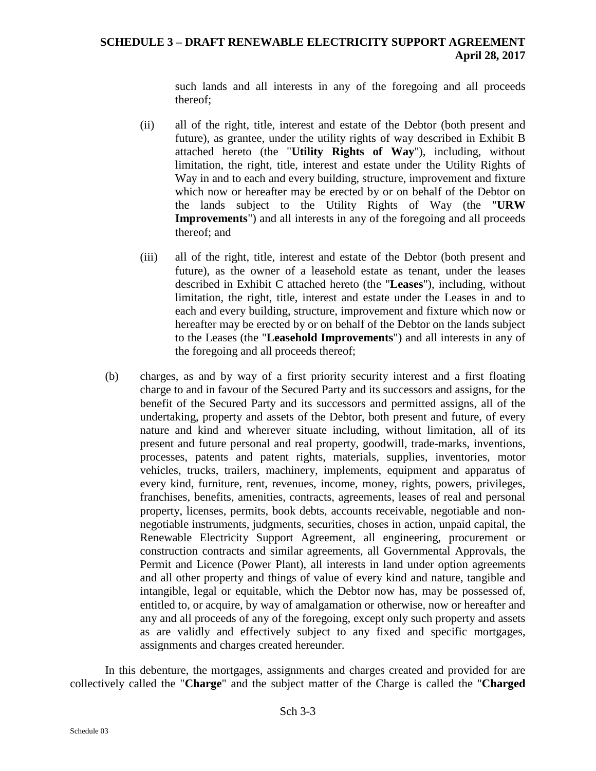such lands and all interests in any of the foregoing and all proceeds thereof;

- (ii) all of the right, title, interest and estate of the Debtor (both present and future), as grantee, under the utility rights of way described in Exhibit B attached hereto (the "**Utility Rights of Way**"), including, without limitation, the right, title, interest and estate under the Utility Rights of Way in and to each and every building, structure, improvement and fixture which now or hereafter may be erected by or on behalf of the Debtor on the lands subject to the Utility Rights of Way (the "**URW Improvements**") and all interests in any of the foregoing and all proceeds thereof; and
- (iii) all of the right, title, interest and estate of the Debtor (both present and future), as the owner of a leasehold estate as tenant, under the leases described in Exhibit C attached hereto (the "**Leases**"), including, without limitation, the right, title, interest and estate under the Leases in and to each and every building, structure, improvement and fixture which now or hereafter may be erected by or on behalf of the Debtor on the lands subject to the Leases (the "**Leasehold Improvements**") and all interests in any of the foregoing and all proceeds thereof;
- <span id="page-117-0"></span>(b) charges, as and by way of a first priority security interest and a first floating charge to and in favour of the Secured Party and its successors and assigns, for the benefit of the Secured Party and its successors and permitted assigns, all of the undertaking, property and assets of the Debtor, both present and future, of every nature and kind and wherever situate including, without limitation, all of its present and future personal and real property, goodwill, trade-marks, inventions, processes, patents and patent rights, materials, supplies, inventories, motor vehicles, trucks, trailers, machinery, implements, equipment and apparatus of every kind, furniture, rent, revenues, income, money, rights, powers, privileges, franchises, benefits, amenities, contracts, agreements, leases of real and personal property, licenses, permits, book debts, accounts receivable, negotiable and nonnegotiable instruments, judgments, securities, choses in action, unpaid capital, the Renewable Electricity Support Agreement, all engineering, procurement or construction contracts and similar agreements, all Governmental Approvals, the Permit and Licence (Power Plant), all interests in land under option agreements and all other property and things of value of every kind and nature, tangible and intangible, legal or equitable, which the Debtor now has, may be possessed of, entitled to, or acquire, by way of amalgamation or otherwise, now or hereafter and any and all proceeds of any of the foregoing, except only such property and assets as are validly and effectively subject to any fixed and specific mortgages, assignments and charges created hereunder.

In this debenture, the mortgages, assignments and charges created and provided for are collectively called the "**Charge**" and the subject matter of the Charge is called the "**Charged**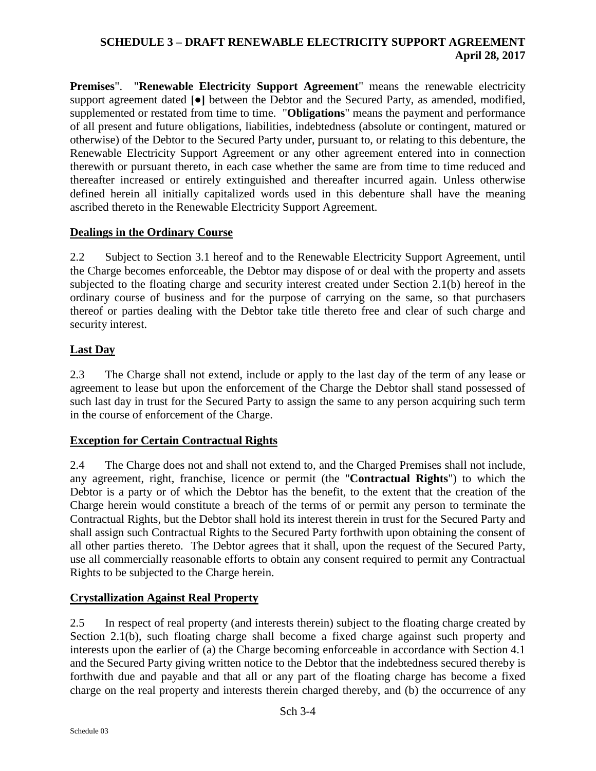**Premises**". "**Renewable Electricity Support Agreement**" means the renewable electricity support agreement dated **[●]** between the Debtor and the Secured Party, as amended, modified, supplemented or restated from time to time. "**Obligations**" means the payment and performance of all present and future obligations, liabilities, indebtedness (absolute or contingent, matured or otherwise) of the Debtor to the Secured Party under, pursuant to, or relating to this debenture, the Renewable Electricity Support Agreement or any other agreement entered into in connection therewith or pursuant thereto, in each case whether the same are from time to time reduced and thereafter increased or entirely extinguished and thereafter incurred again. Unless otherwise defined herein all initially capitalized words used in this debenture shall have the meaning ascribed thereto in the Renewable Electricity Support Agreement.

## **Dealings in the Ordinary Course**

2.2 Subject to Section [3.1](#page-119-0) hereof and to the Renewable Electricity Support Agreement, until the Charge becomes enforceable, the Debtor may dispose of or deal with the property and assets subjected to the floating charge and security interest created under Section [2.1\(b\)](#page-117-0) hereof in the ordinary course of business and for the purpose of carrying on the same, so that purchasers thereof or parties dealing with the Debtor take title thereto free and clear of such charge and security interest.

# **Last Day**

2.3 The Charge shall not extend, include or apply to the last day of the term of any lease or agreement to lease but upon the enforcement of the Charge the Debtor shall stand possessed of such last day in trust for the Secured Party to assign the same to any person acquiring such term in the course of enforcement of the Charge.

# **Exception for Certain Contractual Rights**

2.4 The Charge does not and shall not extend to, and the Charged Premises shall not include, any agreement, right, franchise, licence or permit (the "**Contractual Rights**") to which the Debtor is a party or of which the Debtor has the benefit, to the extent that the creation of the Charge herein would constitute a breach of the terms of or permit any person to terminate the Contractual Rights, but the Debtor shall hold its interest therein in trust for the Secured Party and shall assign such Contractual Rights to the Secured Party forthwith upon obtaining the consent of all other parties thereto. The Debtor agrees that it shall, upon the request of the Secured Party, use all commercially reasonable efforts to obtain any consent required to permit any Contractual Rights to be subjected to the Charge herein.

# **Crystallization Against Real Property**

2.5 In respect of real property (and interests therein) subject to the floating charge created by Section [2.1\(b\),](#page-117-0) such floating charge shall become a fixed charge against such property and interests upon the earlier of (a) the Charge becoming enforceable in accordance with Section [4.1](#page-119-1) and the Secured Party giving written notice to the Debtor that the indebtedness secured thereby is forthwith due and payable and that all or any part of the floating charge has become a fixed charge on the real property and interests therein charged thereby, and (b) the occurrence of any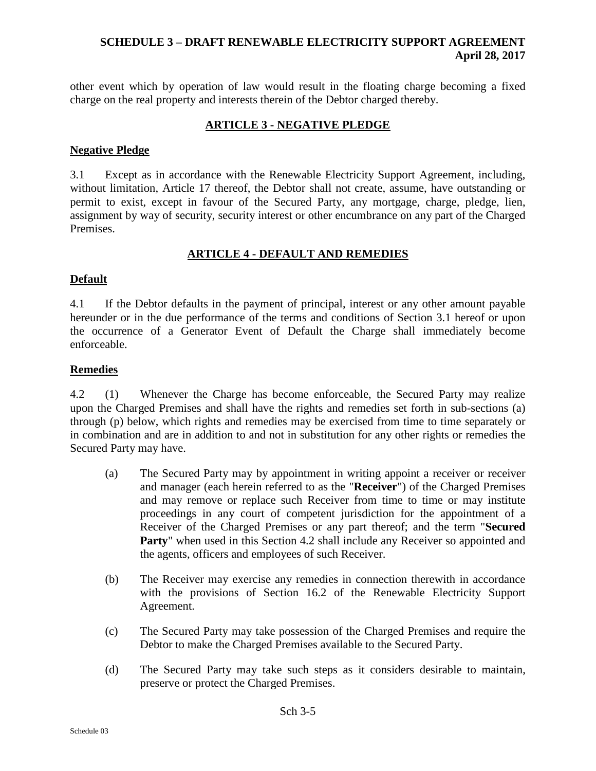other event which by operation of law would result in the floating charge becoming a fixed charge on the real property and interests therein of the Debtor charged thereby.

# **ARTICLE 3 - NEGATIVE PLEDGE**

#### **Negative Pledge**

<span id="page-119-0"></span>3.1 Except as in accordance with the Renewable Electricity Support Agreement, including, without limitation, Article 17 thereof, the Debtor shall not create, assume, have outstanding or permit to exist, except in favour of the Secured Party, any mortgage, charge, pledge, lien, assignment by way of security, security interest or other encumbrance on any part of the Charged Premises.

## **ARTICLE 4 - DEFAULT AND REMEDIES**

## **Default**

<span id="page-119-1"></span>4.1 If the Debtor defaults in the payment of principal, interest or any other amount payable hereunder or in the due performance of the terms and conditions of Section [3.1](#page-119-0) hereof or upon the occurrence of a Generator Event of Default the Charge shall immediately become enforceable.

## **Remedies**

4.2 (1) Whenever the Charge has become enforceable, the Secured Party may realize upon the Charged Premises and shall have the rights and remedies set forth in sub-sections (a) through (p) below, which rights and remedies may be exercised from time to time separately or in combination and are in addition to and not in substitution for any other rights or remedies the Secured Party may have.

- (a) The Secured Party may by appointment in writing appoint a receiver or receiver and manager (each herein referred to as the "**Receiver**") of the Charged Premises and may remove or replace such Receiver from time to time or may institute proceedings in any court of competent jurisdiction for the appointment of a Receiver of the Charged Premises or any part thereof; and the term "**Secured Party**" when used in this Section 4.2 shall include any Receiver so appointed and the agents, officers and employees of such Receiver.
- (b) The Receiver may exercise any remedies in connection therewith in accordance with the provisions of Section 16.2 of the Renewable Electricity Support Agreement.
- (c) The Secured Party may take possession of the Charged Premises and require the Debtor to make the Charged Premises available to the Secured Party.
- (d) The Secured Party may take such steps as it considers desirable to maintain, preserve or protect the Charged Premises.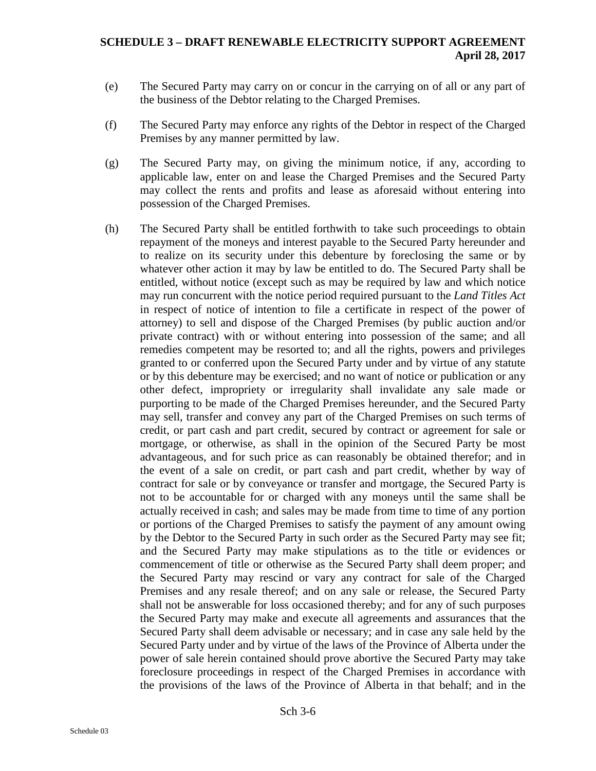- (e) The Secured Party may carry on or concur in the carrying on of all or any part of the business of the Debtor relating to the Charged Premises.
- (f) The Secured Party may enforce any rights of the Debtor in respect of the Charged Premises by any manner permitted by law.
- (g) The Secured Party may, on giving the minimum notice, if any, according to applicable law, enter on and lease the Charged Premises and the Secured Party may collect the rents and profits and lease as aforesaid without entering into possession of the Charged Premises.
- (h) The Secured Party shall be entitled forthwith to take such proceedings to obtain repayment of the moneys and interest payable to the Secured Party hereunder and to realize on its security under this debenture by foreclosing the same or by whatever other action it may by law be entitled to do. The Secured Party shall be entitled, without notice (except such as may be required by law and which notice may run concurrent with the notice period required pursuant to the *Land Titles Act* in respect of notice of intention to file a certificate in respect of the power of attorney) to sell and dispose of the Charged Premises (by public auction and/or private contract) with or without entering into possession of the same; and all remedies competent may be resorted to; and all the rights, powers and privileges granted to or conferred upon the Secured Party under and by virtue of any statute or by this debenture may be exercised; and no want of notice or publication or any other defect, impropriety or irregularity shall invalidate any sale made or purporting to be made of the Charged Premises hereunder, and the Secured Party may sell, transfer and convey any part of the Charged Premises on such terms of credit, or part cash and part credit, secured by contract or agreement for sale or mortgage, or otherwise, as shall in the opinion of the Secured Party be most advantageous, and for such price as can reasonably be obtained therefor; and in the event of a sale on credit, or part cash and part credit, whether by way of contract for sale or by conveyance or transfer and mortgage, the Secured Party is not to be accountable for or charged with any moneys until the same shall be actually received in cash; and sales may be made from time to time of any portion or portions of the Charged Premises to satisfy the payment of any amount owing by the Debtor to the Secured Party in such order as the Secured Party may see fit; and the Secured Party may make stipulations as to the title or evidences or commencement of title or otherwise as the Secured Party shall deem proper; and the Secured Party may rescind or vary any contract for sale of the Charged Premises and any resale thereof; and on any sale or release, the Secured Party shall not be answerable for loss occasioned thereby; and for any of such purposes the Secured Party may make and execute all agreements and assurances that the Secured Party shall deem advisable or necessary; and in case any sale held by the Secured Party under and by virtue of the laws of the Province of Alberta under the power of sale herein contained should prove abortive the Secured Party may take foreclosure proceedings in respect of the Charged Premises in accordance with the provisions of the laws of the Province of Alberta in that behalf; and in the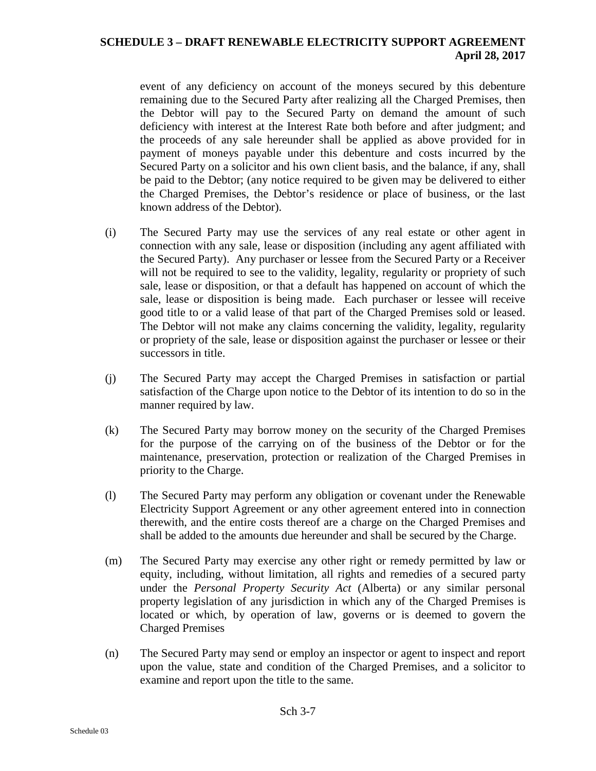event of any deficiency on account of the moneys secured by this debenture remaining due to the Secured Party after realizing all the Charged Premises, then the Debtor will pay to the Secured Party on demand the amount of such deficiency with interest at the Interest Rate both before and after judgment; and the proceeds of any sale hereunder shall be applied as above provided for in payment of moneys payable under this debenture and costs incurred by the Secured Party on a solicitor and his own client basis, and the balance, if any, shall be paid to the Debtor; (any notice required to be given may be delivered to either the Charged Premises, the Debtor's residence or place of business, or the last known address of the Debtor).

- (i) The Secured Party may use the services of any real estate or other agent in connection with any sale, lease or disposition (including any agent affiliated with the Secured Party). Any purchaser or lessee from the Secured Party or a Receiver will not be required to see to the validity, legality, regularity or propriety of such sale, lease or disposition, or that a default has happened on account of which the sale, lease or disposition is being made. Each purchaser or lessee will receive good title to or a valid lease of that part of the Charged Premises sold or leased. The Debtor will not make any claims concerning the validity, legality, regularity or propriety of the sale, lease or disposition against the purchaser or lessee or their successors in title.
- (j) The Secured Party may accept the Charged Premises in satisfaction or partial satisfaction of the Charge upon notice to the Debtor of its intention to do so in the manner required by law.
- (k) The Secured Party may borrow money on the security of the Charged Premises for the purpose of the carrying on of the business of the Debtor or for the maintenance, preservation, protection or realization of the Charged Premises in priority to the Charge.
- (l) The Secured Party may perform any obligation or covenant under the Renewable Electricity Support Agreement or any other agreement entered into in connection therewith, and the entire costs thereof are a charge on the Charged Premises and shall be added to the amounts due hereunder and shall be secured by the Charge.
- (m) The Secured Party may exercise any other right or remedy permitted by law or equity, including, without limitation, all rights and remedies of a secured party under the *Personal Property Security Act* (Alberta) or any similar personal property legislation of any jurisdiction in which any of the Charged Premises is located or which, by operation of law, governs or is deemed to govern the Charged Premises
- (n) The Secured Party may send or employ an inspector or agent to inspect and report upon the value, state and condition of the Charged Premises, and a solicitor to examine and report upon the title to the same.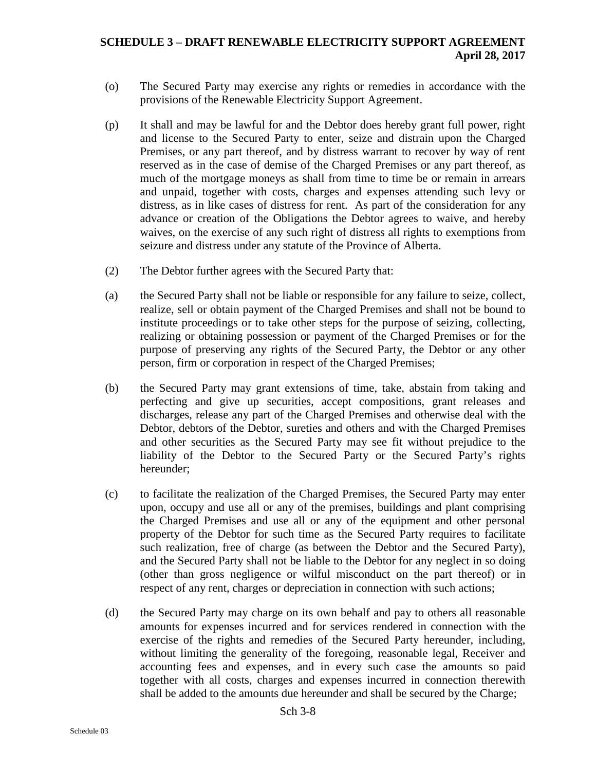- (o) The Secured Party may exercise any rights or remedies in accordance with the provisions of the Renewable Electricity Support Agreement.
- (p) It shall and may be lawful for and the Debtor does hereby grant full power, right and license to the Secured Party to enter, seize and distrain upon the Charged Premises, or any part thereof, and by distress warrant to recover by way of rent reserved as in the case of demise of the Charged Premises or any part thereof, as much of the mortgage moneys as shall from time to time be or remain in arrears and unpaid, together with costs, charges and expenses attending such levy or distress, as in like cases of distress for rent. As part of the consideration for any advance or creation of the Obligations the Debtor agrees to waive, and hereby waives, on the exercise of any such right of distress all rights to exemptions from seizure and distress under any statute of the Province of Alberta.
- (2) The Debtor further agrees with the Secured Party that:
- (a) the Secured Party shall not be liable or responsible for any failure to seize, collect, realize, sell or obtain payment of the Charged Premises and shall not be bound to institute proceedings or to take other steps for the purpose of seizing, collecting, realizing or obtaining possession or payment of the Charged Premises or for the purpose of preserving any rights of the Secured Party, the Debtor or any other person, firm or corporation in respect of the Charged Premises;
- (b) the Secured Party may grant extensions of time, take, abstain from taking and perfecting and give up securities, accept compositions, grant releases and discharges, release any part of the Charged Premises and otherwise deal with the Debtor, debtors of the Debtor, sureties and others and with the Charged Premises and other securities as the Secured Party may see fit without prejudice to the liability of the Debtor to the Secured Party or the Secured Party's rights hereunder;
- (c) to facilitate the realization of the Charged Premises, the Secured Party may enter upon, occupy and use all or any of the premises, buildings and plant comprising the Charged Premises and use all or any of the equipment and other personal property of the Debtor for such time as the Secured Party requires to facilitate such realization, free of charge (as between the Debtor and the Secured Party), and the Secured Party shall not be liable to the Debtor for any neglect in so doing (other than gross negligence or wilful misconduct on the part thereof) or in respect of any rent, charges or depreciation in connection with such actions;
- (d) the Secured Party may charge on its own behalf and pay to others all reasonable amounts for expenses incurred and for services rendered in connection with the exercise of the rights and remedies of the Secured Party hereunder, including, without limiting the generality of the foregoing, reasonable legal, Receiver and accounting fees and expenses, and in every such case the amounts so paid together with all costs, charges and expenses incurred in connection therewith shall be added to the amounts due hereunder and shall be secured by the Charge;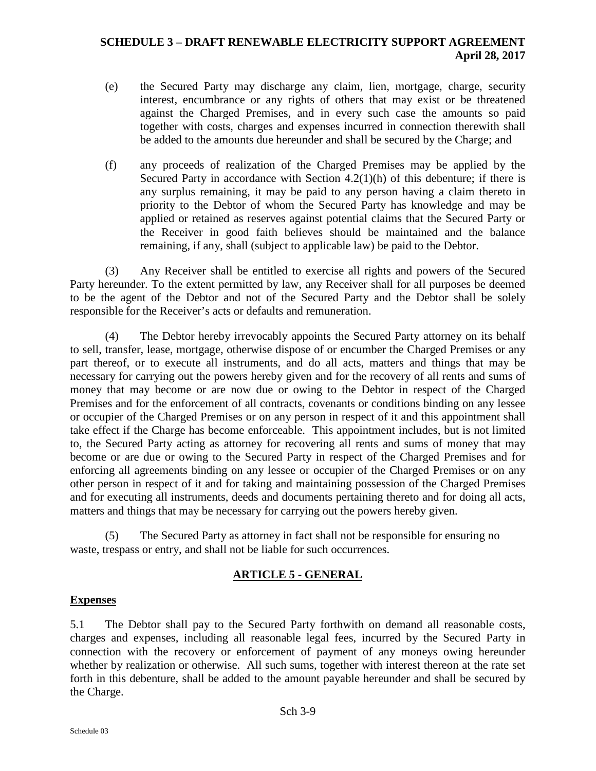- (e) the Secured Party may discharge any claim, lien, mortgage, charge, security interest, encumbrance or any rights of others that may exist or be threatened against the Charged Premises, and in every such case the amounts so paid together with costs, charges and expenses incurred in connection therewith shall be added to the amounts due hereunder and shall be secured by the Charge; and
- (f) any proceeds of realization of the Charged Premises may be applied by the Secured Party in accordance with Section 4.2(1)(h) of this debenture; if there is any surplus remaining, it may be paid to any person having a claim thereto in priority to the Debtor of whom the Secured Party has knowledge and may be applied or retained as reserves against potential claims that the Secured Party or the Receiver in good faith believes should be maintained and the balance remaining, if any, shall (subject to applicable law) be paid to the Debtor.

(3) Any Receiver shall be entitled to exercise all rights and powers of the Secured Party hereunder. To the extent permitted by law, any Receiver shall for all purposes be deemed to be the agent of the Debtor and not of the Secured Party and the Debtor shall be solely responsible for the Receiver's acts or defaults and remuneration.

(4) The Debtor hereby irrevocably appoints the Secured Party attorney on its behalf to sell, transfer, lease, mortgage, otherwise dispose of or encumber the Charged Premises or any part thereof, or to execute all instruments, and do all acts, matters and things that may be necessary for carrying out the powers hereby given and for the recovery of all rents and sums of money that may become or are now due or owing to the Debtor in respect of the Charged Premises and for the enforcement of all contracts, covenants or conditions binding on any lessee or occupier of the Charged Premises or on any person in respect of it and this appointment shall take effect if the Charge has become enforceable. This appointment includes, but is not limited to, the Secured Party acting as attorney for recovering all rents and sums of money that may become or are due or owing to the Secured Party in respect of the Charged Premises and for enforcing all agreements binding on any lessee or occupier of the Charged Premises or on any other person in respect of it and for taking and maintaining possession of the Charged Premises and for executing all instruments, deeds and documents pertaining thereto and for doing all acts, matters and things that may be necessary for carrying out the powers hereby given.

(5) The Secured Party as attorney in fact shall not be responsible for ensuring no waste, trespass or entry, and shall not be liable for such occurrences.

# **ARTICLE 5 - GENERAL**

# **Expenses**

5.1 The Debtor shall pay to the Secured Party forthwith on demand all reasonable costs, charges and expenses, including all reasonable legal fees, incurred by the Secured Party in connection with the recovery or enforcement of payment of any moneys owing hereunder whether by realization or otherwise. All such sums, together with interest thereon at the rate set forth in this debenture, shall be added to the amount payable hereunder and shall be secured by the Charge.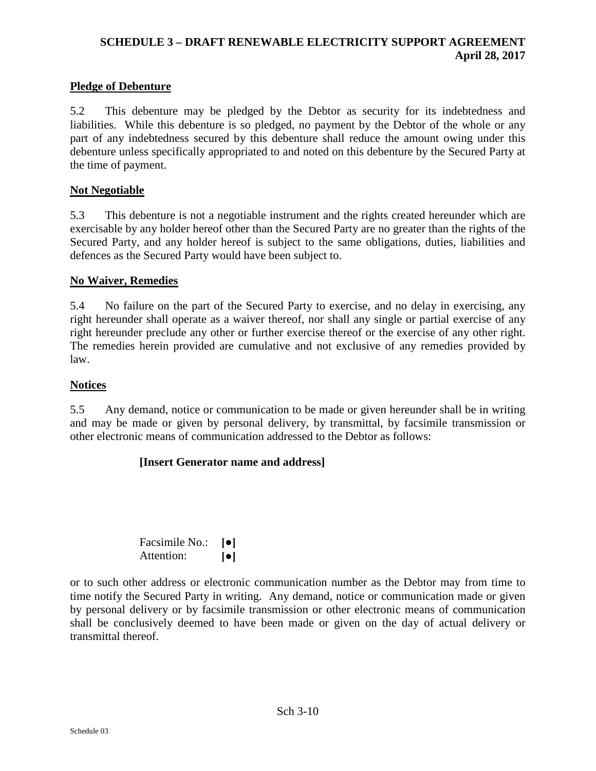## **Pledge of Debenture**

5.2 This debenture may be pledged by the Debtor as security for its indebtedness and liabilities. While this debenture is so pledged, no payment by the Debtor of the whole or any part of any indebtedness secured by this debenture shall reduce the amount owing under this debenture unless specifically appropriated to and noted on this debenture by the Secured Party at the time of payment.

#### **Not Negotiable**

5.3 This debenture is not a negotiable instrument and the rights created hereunder which are exercisable by any holder hereof other than the Secured Party are no greater than the rights of the Secured Party, and any holder hereof is subject to the same obligations, duties, liabilities and defences as the Secured Party would have been subject to.

#### **No Waiver, Remedies**

5.4 No failure on the part of the Secured Party to exercise, and no delay in exercising, any right hereunder shall operate as a waiver thereof, nor shall any single or partial exercise of any right hereunder preclude any other or further exercise thereof or the exercise of any other right. The remedies herein provided are cumulative and not exclusive of any remedies provided by law.

#### **Notices**

5.5 Any demand, notice or communication to be made or given hereunder shall be in writing and may be made or given by personal delivery, by transmittal, by facsimile transmission or other electronic means of communication addressed to the Debtor as follows:

#### **[Insert Generator name and address]**

| Facsimile No.: | $\lceil \bullet \rceil$ |
|----------------|-------------------------|
| Attention:     | $\lceil \bullet \rceil$ |

or to such other address or electronic communication number as the Debtor may from time to time notify the Secured Party in writing. Any demand, notice or communication made or given by personal delivery or by facsimile transmission or other electronic means of communication shall be conclusively deemed to have been made or given on the day of actual delivery or transmittal thereof.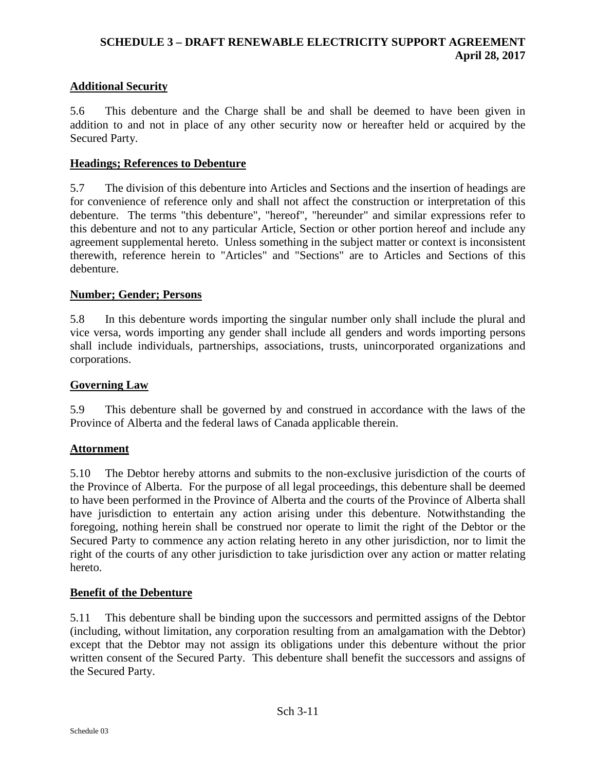# **Additional Security**

5.6 This debenture and the Charge shall be and shall be deemed to have been given in addition to and not in place of any other security now or hereafter held or acquired by the Secured Party.

#### **Headings; References to Debenture**

5.7 The division of this debenture into Articles and Sections and the insertion of headings are for convenience of reference only and shall not affect the construction or interpretation of this debenture. The terms "this debenture", "hereof", "hereunder" and similar expressions refer to this debenture and not to any particular Article, Section or other portion hereof and include any agreement supplemental hereto. Unless something in the subject matter or context is inconsistent therewith, reference herein to "Articles" and "Sections" are to Articles and Sections of this debenture.

#### **Number; Gender; Persons**

5.8 In this debenture words importing the singular number only shall include the plural and vice versa, words importing any gender shall include all genders and words importing persons shall include individuals, partnerships, associations, trusts, unincorporated organizations and corporations.

## **Governing Law**

5.9 This debenture shall be governed by and construed in accordance with the laws of the Province of Alberta and the federal laws of Canada applicable therein.

# **Attornment**

5.10 The Debtor hereby attorns and submits to the non-exclusive jurisdiction of the courts of the Province of Alberta. For the purpose of all legal proceedings, this debenture shall be deemed to have been performed in the Province of Alberta and the courts of the Province of Alberta shall have jurisdiction to entertain any action arising under this debenture. Notwithstanding the foregoing, nothing herein shall be construed nor operate to limit the right of the Debtor or the Secured Party to commence any action relating hereto in any other jurisdiction, nor to limit the right of the courts of any other jurisdiction to take jurisdiction over any action or matter relating hereto.

#### **Benefit of the Debenture**

5.11 This debenture shall be binding upon the successors and permitted assigns of the Debtor (including, without limitation, any corporation resulting from an amalgamation with the Debtor) except that the Debtor may not assign its obligations under this debenture without the prior written consent of the Secured Party. This debenture shall benefit the successors and assigns of the Secured Party.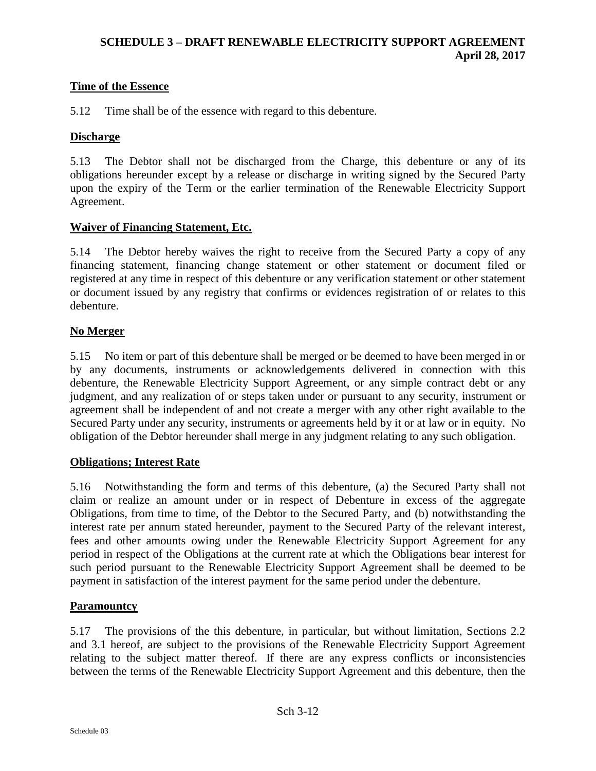# **Time of the Essence**

5.12 Time shall be of the essence with regard to this debenture.

## **Discharge**

5.13 The Debtor shall not be discharged from the Charge, this debenture or any of its obligations hereunder except by a release or discharge in writing signed by the Secured Party upon the expiry of the Term or the earlier termination of the Renewable Electricity Support Agreement.

## **Waiver of Financing Statement, Etc.**

5.14 The Debtor hereby waives the right to receive from the Secured Party a copy of any financing statement, financing change statement or other statement or document filed or registered at any time in respect of this debenture or any verification statement or other statement or document issued by any registry that confirms or evidences registration of or relates to this debenture.

## **No Merger**

5.15 No item or part of this debenture shall be merged or be deemed to have been merged in or by any documents, instruments or acknowledgements delivered in connection with this debenture, the Renewable Electricity Support Agreement, or any simple contract debt or any judgment, and any realization of or steps taken under or pursuant to any security, instrument or agreement shall be independent of and not create a merger with any other right available to the Secured Party under any security, instruments or agreements held by it or at law or in equity. No obligation of the Debtor hereunder shall merge in any judgment relating to any such obligation.

#### **Obligations; Interest Rate**

5.16 Notwithstanding the form and terms of this debenture, (a) the Secured Party shall not claim or realize an amount under or in respect of Debenture in excess of the aggregate Obligations, from time to time, of the Debtor to the Secured Party, and (b) notwithstanding the interest rate per annum stated hereunder, payment to the Secured Party of the relevant interest, fees and other amounts owing under the Renewable Electricity Support Agreement for any period in respect of the Obligations at the current rate at which the Obligations bear interest for such period pursuant to the Renewable Electricity Support Agreement shall be deemed to be payment in satisfaction of the interest payment for the same period under the debenture.

#### **Paramountcy**

5.17 The provisions of the this debenture, in particular, but without limitation, Sections 2.2 and 3.1 hereof, are subject to the provisions of the Renewable Electricity Support Agreement relating to the subject matter thereof. If there are any express conflicts or inconsistencies between the terms of the Renewable Electricity Support Agreement and this debenture, then the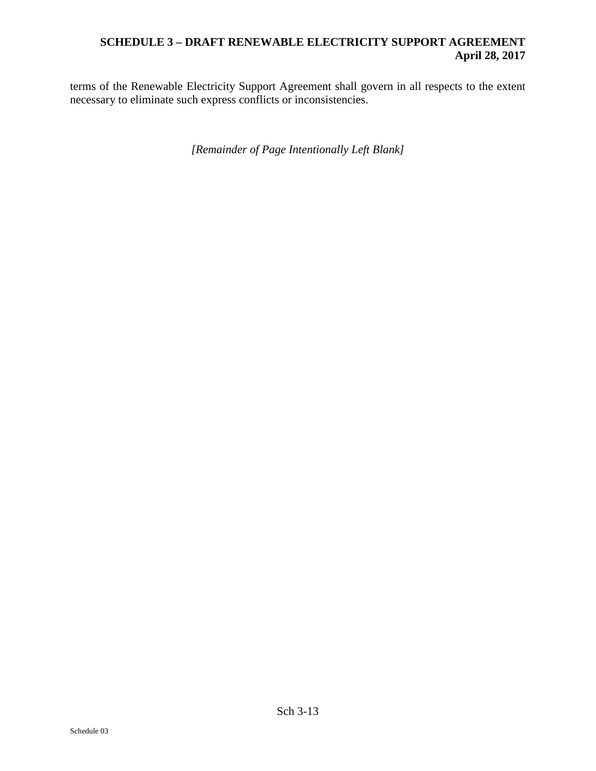terms of the Renewable Electricity Support Agreement shall govern in all respects to the extent necessary to eliminate such express conflicts or inconsistencies.

*[Remainder of Page Intentionally Left Blank]*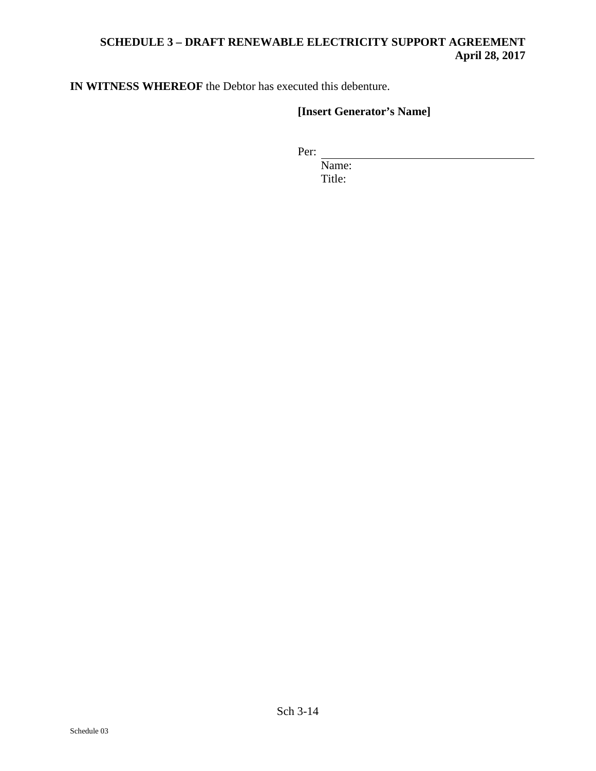**IN WITNESS WHEREOF** the Debtor has executed this debenture.

# **[Insert Generator's Name]**

Per:

Name: Title: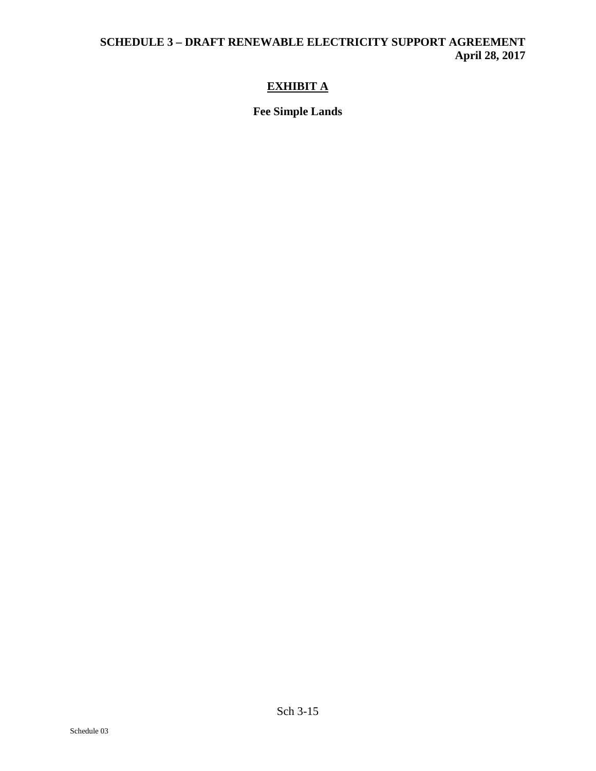# **EXHIBIT A**

**Fee Simple Lands**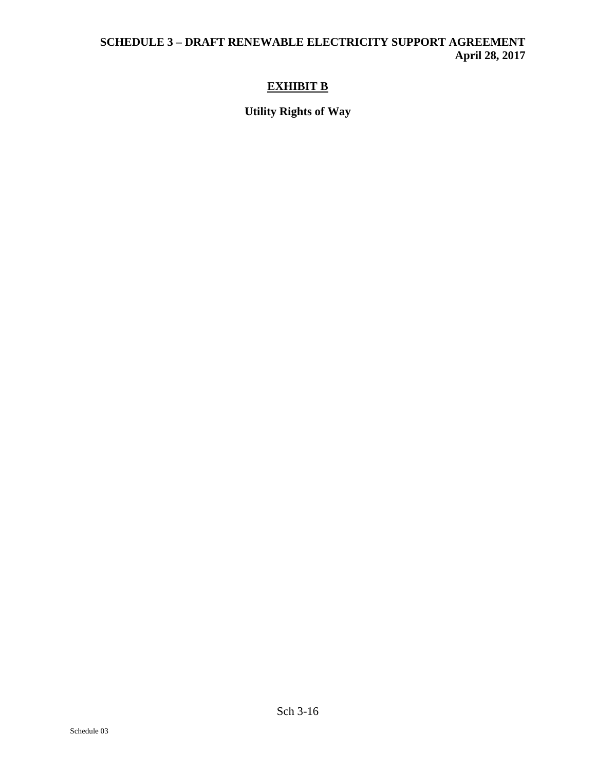# **EXHIBIT B**

**Utility Rights of Way**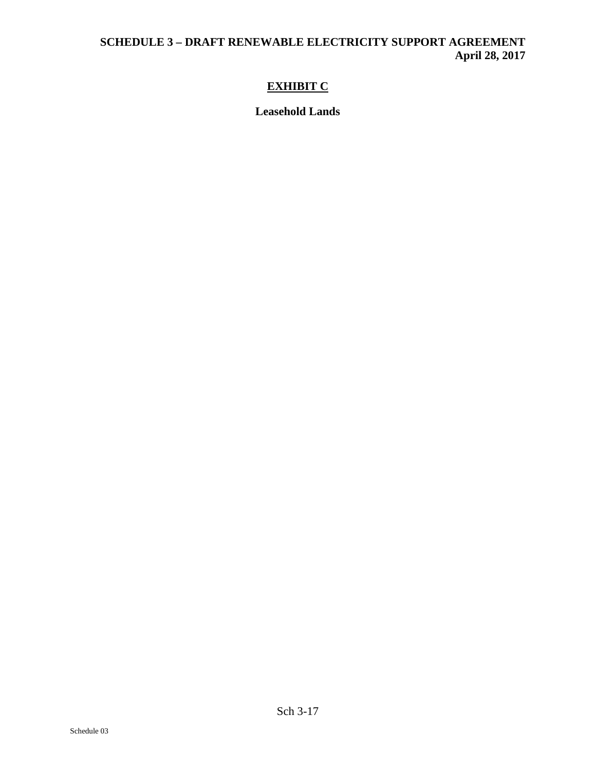# **EXHIBIT C**

**Leasehold Lands**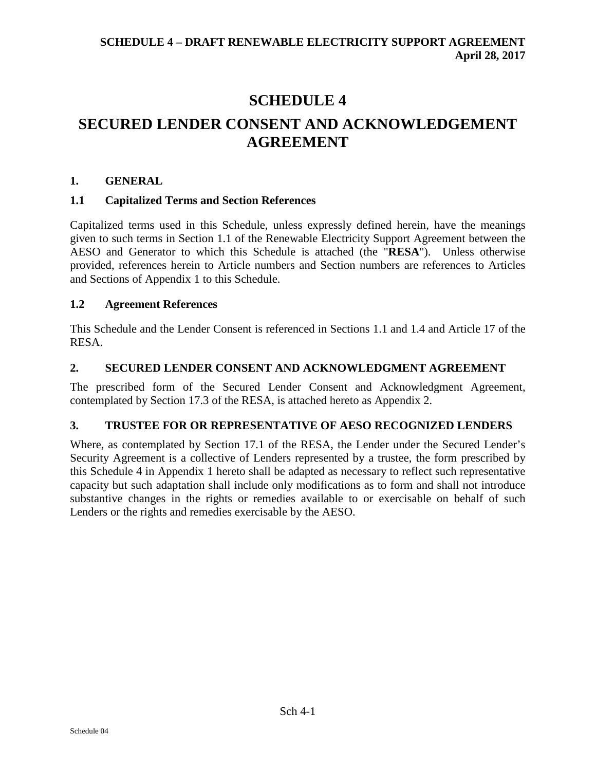# **SCHEDULE 4 SECURED LENDER CONSENT AND ACKNOWLEDGEMENT AGREEMENT**

# **1. GENERAL**

# **1.1 Capitalized Terms and Section References**

Capitalized terms used in this Schedule, unless expressly defined herein, have the meanings given to such terms in Section 1.1 of the Renewable Electricity Support Agreement between the AESO and Generator to which this Schedule is attached (the "**RESA**"). Unless otherwise provided, references herein to Article numbers and Section numbers are references to Articles and Sections of Appendix 1 to this Schedule.

# **1.2 Agreement References**

This Schedule and the Lender Consent is referenced in Sections 1.1 and 1.4 and Article 17 of the RESA.

# **2. SECURED LENDER CONSENT AND ACKNOWLEDGMENT AGREEMENT**

The prescribed form of the Secured Lender Consent and Acknowledgment Agreement, contemplated by Section 17.3 of the RESA, is attached hereto as Appendix 2.

# **3. TRUSTEE FOR OR REPRESENTATIVE OF AESO RECOGNIZED LENDERS**

Where, as contemplated by Section 17.1 of the RESA, the Lender under the Secured Lender's Security Agreement is a collective of Lenders represented by a trustee, the form prescribed by this Schedule 4 in Appendix 1 hereto shall be adapted as necessary to reflect such representative capacity but such adaptation shall include only modifications as to form and shall not introduce substantive changes in the rights or remedies available to or exercisable on behalf of such Lenders or the rights and remedies exercisable by the AESO.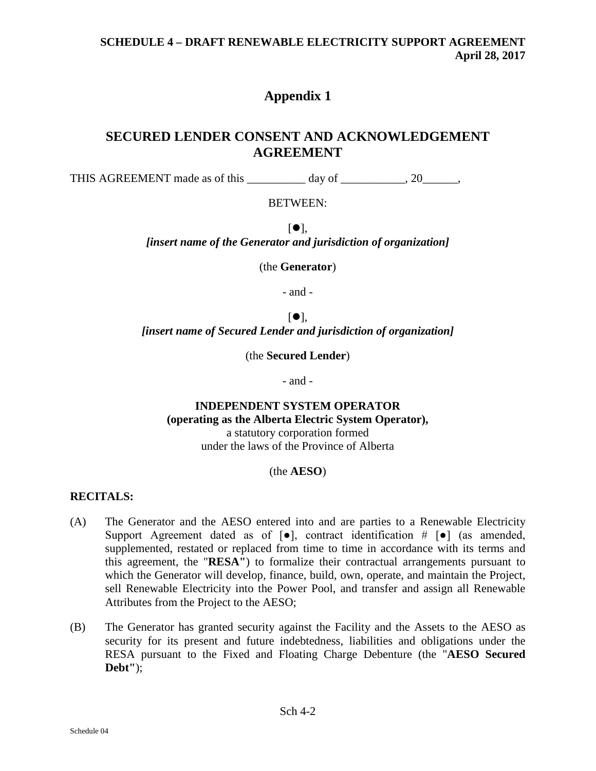# **Appendix 1**

# **SECURED LENDER CONSENT AND ACKNOWLEDGEMENT AGREEMENT**

THIS AGREEMENT made as of this day of \_\_\_\_\_\_\_\_, 20\_\_\_\_\_,

## BETWEEN:

 $[•]$ . *[insert name of the Generator and jurisdiction of organization]*

(the **Generator**)

- and -

 $\lceil \bullet \rceil$ , *[insert name of Secured Lender and jurisdiction of organization]*

(the **Secured Lender**)

- and -

# **INDEPENDENT SYSTEM OPERATOR (operating as the Alberta Electric System Operator),**

a statutory corporation formed under the laws of the Province of Alberta

#### (the **AESO**)

# **RECITALS:**

- (A) The Generator and the AESO entered into and are parties to a Renewable Electricity Support Agreement dated as of  $[\bullet]$ , contract identification  $\# [\bullet]$  (as amended, supplemented, restated or replaced from time to time in accordance with its terms and this agreement, the "**RESA"**) to formalize their contractual arrangements pursuant to which the Generator will develop, finance, build, own, operate, and maintain the Project, sell Renewable Electricity into the Power Pool, and transfer and assign all Renewable Attributes from the Project to the AESO;
- (B) The Generator has granted security against the Facility and the Assets to the AESO as security for its present and future indebtedness, liabilities and obligations under the RESA pursuant to the Fixed and Floating Charge Debenture (the "**AESO Secured Debt"**);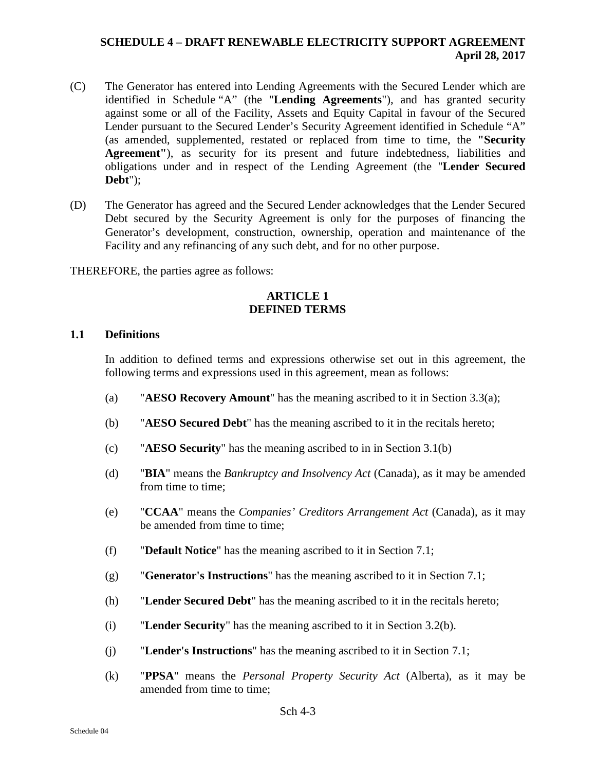- (C) The Generator has entered into Lending Agreements with the Secured Lender which are identified in Schedule "A" (the "**Lending Agreements**"), and has granted security against some or all of the Facility, Assets and Equity Capital in favour of the Secured Lender pursuant to the Secured Lender's Security Agreement identified in Schedule "A" (as amended, supplemented, restated or replaced from time to time, the **"Security Agreement"**), as security for its present and future indebtedness, liabilities and obligations under and in respect of the Lending Agreement (the "**Lender Secured Debt**");
- (D) The Generator has agreed and the Secured Lender acknowledges that the Lender Secured Debt secured by the Security Agreement is only for the purposes of financing the Generator's development, construction, ownership, operation and maintenance of the Facility and any refinancing of any such debt, and for no other purpose.

THEREFORE, the parties agree as follows:

#### **ARTICLE 1 DEFINED TERMS**

#### **1.1 Definitions**

In addition to defined terms and expressions otherwise set out in this agreement, the following terms and expressions used in this agreement, mean as follows:

- (a) "**AESO Recovery Amount**" has the meaning ascribed to it in Section [3.3\(a\);](#page-137-0)
- (b) "**AESO Secured Debt**" has the meaning ascribed to it in the recitals hereto;
- (c) "**AESO Security**" has the meaning ascribed to in in Section [3.1\(b\)](#page-136-0)
- (d) "**BIA**" means the *Bankruptcy and Insolvency Act* (Canada), as it may be amended from time to time;
- (e) "**CCAA**" means the *Companies' Creditors Arrangement Act* (Canada), as it may be amended from time to time;
- (f) "**Default Notice**" has the meaning ascribed to it in Section 7.1;
- (g) "**Generator's Instructions**" has the meaning ascribed to it in Section 7.1;
- (h) "**Lender Secured Debt**" has the meaning ascribed to it in the recitals hereto;
- (i) "**Lender Security**" has the meaning ascribed to it in Section [3.2\(b\).](#page-136-1)
- (j) "**Lender's Instructions**" has the meaning ascribed to it in Section 7.1;
- (k) "**PPSA**" means the *Personal Property Security Act* (Alberta), as it may be amended from time to time: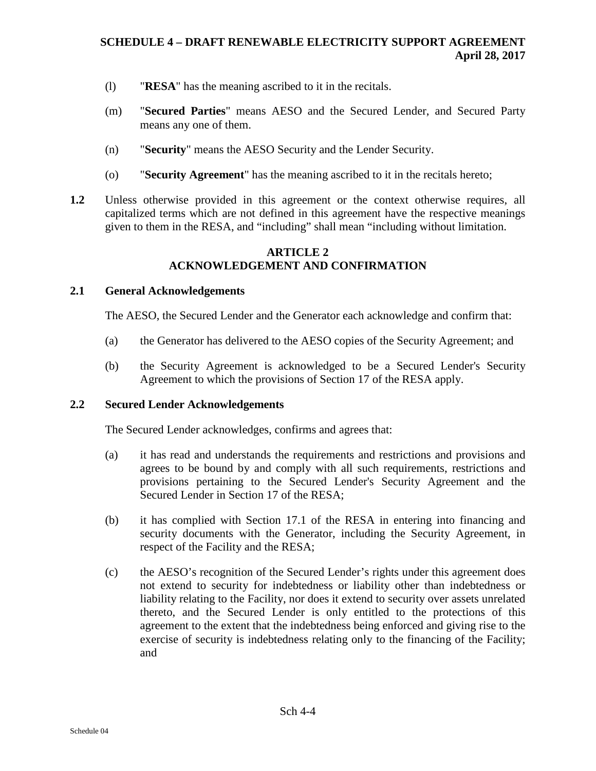- (l) "**RESA**" has the meaning ascribed to it in the recitals.
- (m) "**Secured Parties**" means AESO and the Secured Lender, and Secured Party means any one of them.
- (n) "**Security**" means the AESO Security and the Lender Security.
- (o) "**Security Agreement**" has the meaning ascribed to it in the recitals hereto;
- **1.2** Unless otherwise provided in this agreement or the context otherwise requires, all capitalized terms which are not defined in this agreement have the respective meanings given to them in the RESA, and "including" shall mean "including without limitation.

# **ARTICLE 2 ACKNOWLEDGEMENT AND CONFIRMATION**

#### **2.1 General Acknowledgements**

The AESO, the Secured Lender and the Generator each acknowledge and confirm that:

- (a) the Generator has delivered to the AESO copies of the Security Agreement; and
- (b) the Security Agreement is acknowledged to be a Secured Lender's Security Agreement to which the provisions of Section 17 of the RESA apply.

#### <span id="page-135-0"></span>**2.2 Secured Lender Acknowledgements**

The Secured Lender acknowledges, confirms and agrees that:

- (a) it has read and understands the requirements and restrictions and provisions and agrees to be bound by and comply with all such requirements, restrictions and provisions pertaining to the Secured Lender's Security Agreement and the Secured Lender in Section 17 of the RESA;
- (b) it has complied with Section 17.1 of the RESA in entering into financing and security documents with the Generator, including the Security Agreement, in respect of the Facility and the RESA;
- (c) the AESO's recognition of the Secured Lender's rights under this agreement does not extend to security for indebtedness or liability other than indebtedness or liability relating to the Facility, nor does it extend to security over assets unrelated thereto, and the Secured Lender is only entitled to the protections of this agreement to the extent that the indebtedness being enforced and giving rise to the exercise of security is indebtedness relating only to the financing of the Facility; and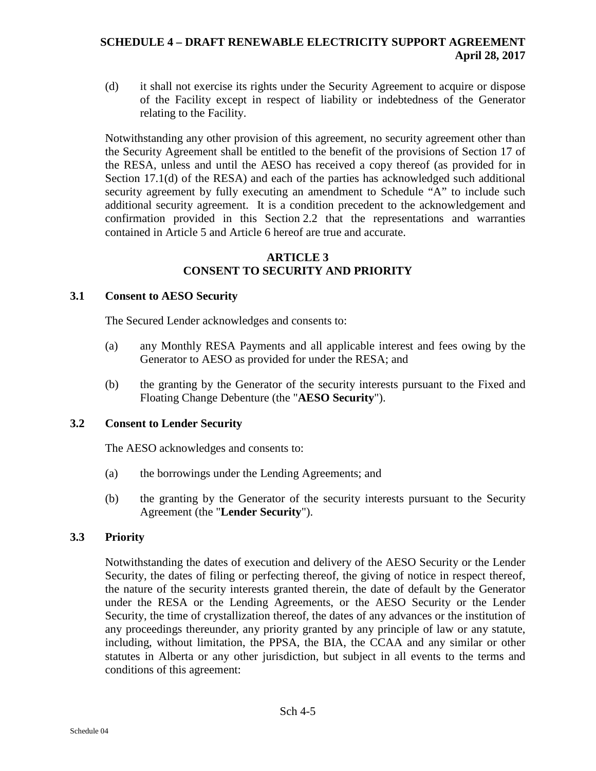(d) it shall not exercise its rights under the Security Agreement to acquire or dispose of the Facility except in respect of liability or indebtedness of the Generator relating to the Facility.

Notwithstanding any other provision of this agreement, no security agreement other than the Security Agreement shall be entitled to the benefit of the provisions of Section 17 of the RESA, unless and until the AESO has received a copy thereof (as provided for in Section 17.1(d) of the RESA) and each of the parties has acknowledged such additional security agreement by fully executing an amendment to Schedule "A" to include such additional security agreement. It is a condition precedent to the acknowledgement and confirmation provided in this Section [2.2](#page-135-0) that the representations and warranties contained in Article 5 and Article 6 hereof are true and accurate.

## **ARTICLE 3 CONSENT TO SECURITY AND PRIORITY**

# **3.1 Consent to AESO Security**

The Secured Lender acknowledges and consents to:

- (a) any Monthly RESA Payments and all applicable interest and fees owing by the Generator to AESO as provided for under the RESA; and
- (b) the granting by the Generator of the security interests pursuant to the Fixed and Floating Change Debenture (the "**AESO Security**").

# **3.2 Consent to Lender Security**

The AESO acknowledges and consents to:

- <span id="page-136-0"></span>(a) the borrowings under the Lending Agreements; and
- <span id="page-136-1"></span>(b) the granting by the Generator of the security interests pursuant to the Security Agreement (the "**Lender Security**").

# **3.3 Priority**

Notwithstanding the dates of execution and delivery of the AESO Security or the Lender Security, the dates of filing or perfecting thereof, the giving of notice in respect thereof, the nature of the security interests granted therein, the date of default by the Generator under the RESA or the Lending Agreements, or the AESO Security or the Lender Security, the time of crystallization thereof, the dates of any advances or the institution of any proceedings thereunder, any priority granted by any principle of law or any statute, including, without limitation, the PPSA, the BIA, the CCAA and any similar or other statutes in Alberta or any other jurisdiction, but subject in all events to the terms and conditions of this agreement: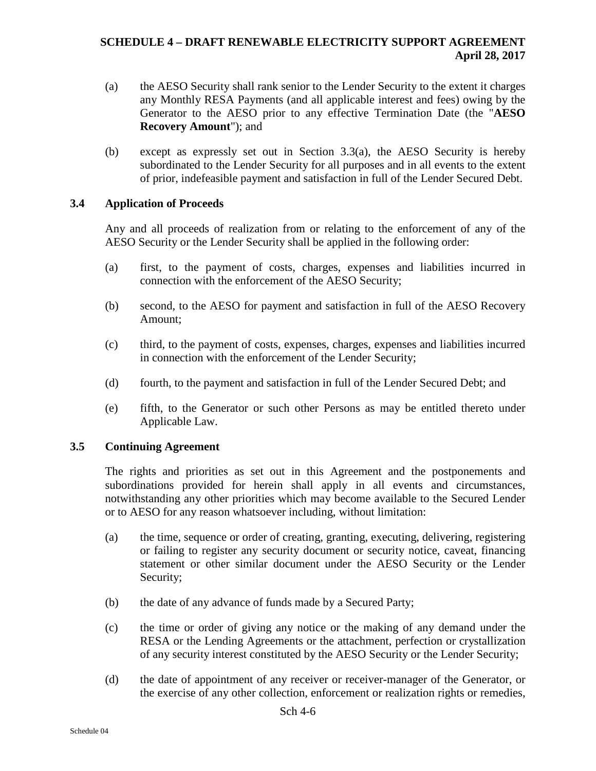- <span id="page-137-0"></span>(a) the AESO Security shall rank senior to the Lender Security to the extent it charges any Monthly RESA Payments (and all applicable interest and fees) owing by the Generator to the AESO prior to any effective Termination Date (the "**AESO Recovery Amount**"); and
- (b) except as expressly set out in Section 3.3(a), the AESO Security is hereby subordinated to the Lender Security for all purposes and in all events to the extent of prior, indefeasible payment and satisfaction in full of the Lender Secured Debt.

## **3.4 Application of Proceeds**

Any and all proceeds of realization from or relating to the enforcement of any of the AESO Security or the Lender Security shall be applied in the following order:

- (a) first, to the payment of costs, charges, expenses and liabilities incurred in connection with the enforcement of the AESO Security;
- (b) second, to the AESO for payment and satisfaction in full of the AESO Recovery Amount;
- (c) third, to the payment of costs, expenses, charges, expenses and liabilities incurred in connection with the enforcement of the Lender Security;
- (d) fourth, to the payment and satisfaction in full of the Lender Secured Debt; and
- (e) fifth, to the Generator or such other Persons as may be entitled thereto under Applicable Law.

#### **3.5 Continuing Agreement**

The rights and priorities as set out in this Agreement and the postponements and subordinations provided for herein shall apply in all events and circumstances, notwithstanding any other priorities which may become available to the Secured Lender or to AESO for any reason whatsoever including, without limitation:

- (a) the time, sequence or order of creating, granting, executing, delivering, registering or failing to register any security document or security notice, caveat, financing statement or other similar document under the AESO Security or the Lender Security;
- (b) the date of any advance of funds made by a Secured Party;
- (c) the time or order of giving any notice or the making of any demand under the RESA or the Lending Agreements or the attachment, perfection or crystallization of any security interest constituted by the AESO Security or the Lender Security;
- (d) the date of appointment of any receiver or receiver-manager of the Generator, or the exercise of any other collection, enforcement or realization rights or remedies,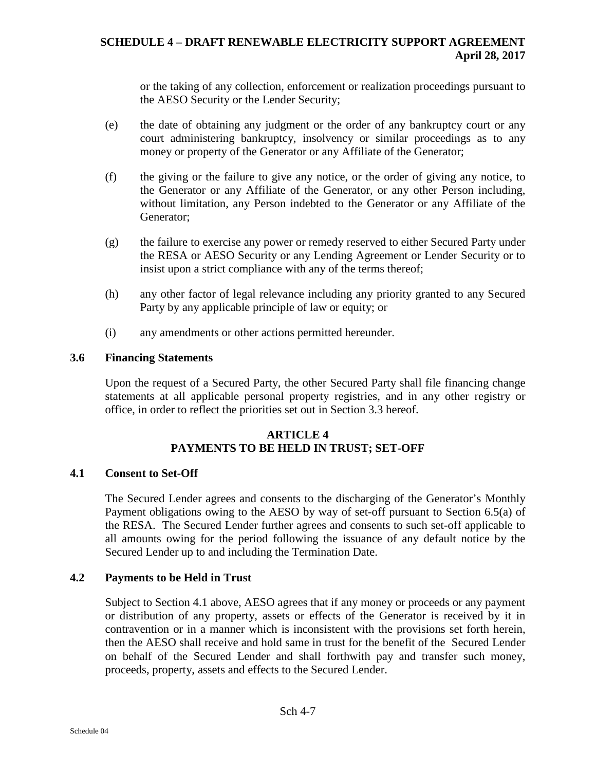or the taking of any collection, enforcement or realization proceedings pursuant to the AESO Security or the Lender Security;

- (e) the date of obtaining any judgment or the order of any bankruptcy court or any court administering bankruptcy, insolvency or similar proceedings as to any money or property of the Generator or any Affiliate of the Generator;
- (f) the giving or the failure to give any notice, or the order of giving any notice, to the Generator or any Affiliate of the Generator, or any other Person including, without limitation, any Person indebted to the Generator or any Affiliate of the Generator;
- (g) the failure to exercise any power or remedy reserved to either Secured Party under the RESA or AESO Security or any Lending Agreement or Lender Security or to insist upon a strict compliance with any of the terms thereof;
- (h) any other factor of legal relevance including any priority granted to any Secured Party by any applicable principle of law or equity; or
- (i) any amendments or other actions permitted hereunder.

## **3.6 Financing Statements**

Upon the request of a Secured Party, the other Secured Party shall file financing change statements at all applicable personal property registries, and in any other registry or office, in order to reflect the priorities set out in Section 3.3 hereof.

## **ARTICLE 4 PAYMENTS TO BE HELD IN TRUST; SET-OFF**

#### <span id="page-138-0"></span>**4.1 Consent to Set-Off**

The Secured Lender agrees and consents to the discharging of the Generator's Monthly Payment obligations owing to the AESO by way of set-off pursuant to Section 6.5(a) of the RESA. The Secured Lender further agrees and consents to such set-off applicable to all amounts owing for the period following the issuance of any default notice by the Secured Lender up to and including the Termination Date.

#### **4.2 Payments to be Held in Trust**

Subject to Section [4.1](#page-138-0) above, AESO agrees that if any money or proceeds or any payment or distribution of any property, assets or effects of the Generator is received by it in contravention or in a manner which is inconsistent with the provisions set forth herein, then the AESO shall receive and hold same in trust for the benefit of the Secured Lender on behalf of the Secured Lender and shall forthwith pay and transfer such money, proceeds, property, assets and effects to the Secured Lender.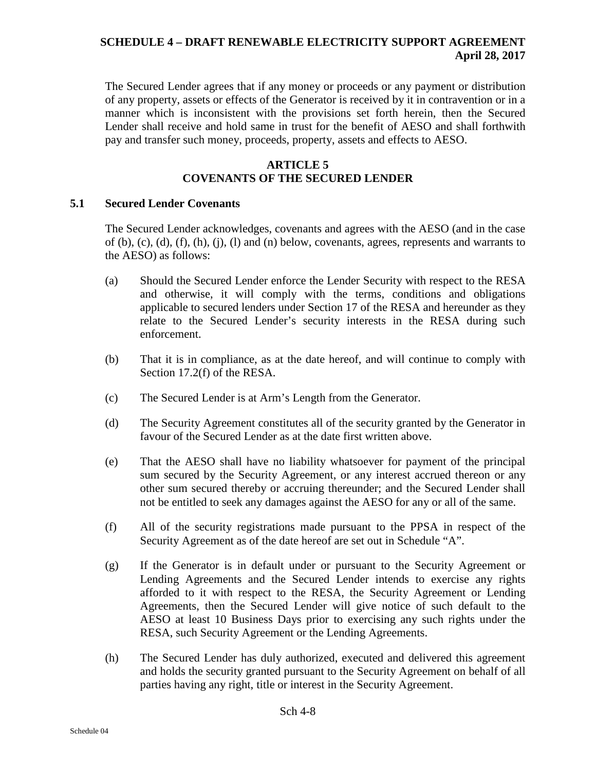The Secured Lender agrees that if any money or proceeds or any payment or distribution of any property, assets or effects of the Generator is received by it in contravention or in a manner which is inconsistent with the provisions set forth herein, then the Secured Lender shall receive and hold same in trust for the benefit of AESO and shall forthwith pay and transfer such money, proceeds, property, assets and effects to AESO.

# **ARTICLE 5 COVENANTS OF THE SECURED LENDER**

#### **5.1 Secured Lender Covenants**

The Secured Lender acknowledges, covenants and agrees with the AESO (and in the case of (b), (c), (d), (f), (h), (j), (l) and (n) below, covenants, agrees, represents and warrants to the AESO) as follows:

- (a) Should the Secured Lender enforce the Lender Security with respect to the RESA and otherwise, it will comply with the terms, conditions and obligations applicable to secured lenders under Section 17 of the RESA and hereunder as they relate to the Secured Lender's security interests in the RESA during such enforcement.
- (b) That it is in compliance, as at the date hereof, and will continue to comply with Section 17.2(f) of the RESA.
- (c) The Secured Lender is at Arm's Length from the Generator.
- (d) The Security Agreement constitutes all of the security granted by the Generator in favour of the Secured Lender as at the date first written above.
- (e) That the AESO shall have no liability whatsoever for payment of the principal sum secured by the Security Agreement, or any interest accrued thereon or any other sum secured thereby or accruing thereunder; and the Secured Lender shall not be entitled to seek any damages against the AESO for any or all of the same.
- (f) All of the security registrations made pursuant to the PPSA in respect of the Security Agreement as of the date hereof are set out in Schedule "A".
- (g) If the Generator is in default under or pursuant to the Security Agreement or Lending Agreements and the Secured Lender intends to exercise any rights afforded to it with respect to the RESA, the Security Agreement or Lending Agreements, then the Secured Lender will give notice of such default to the AESO at least 10 Business Days prior to exercising any such rights under the RESA, such Security Agreement or the Lending Agreements.
- (h) The Secured Lender has duly authorized, executed and delivered this agreement and holds the security granted pursuant to the Security Agreement on behalf of all parties having any right, title or interest in the Security Agreement.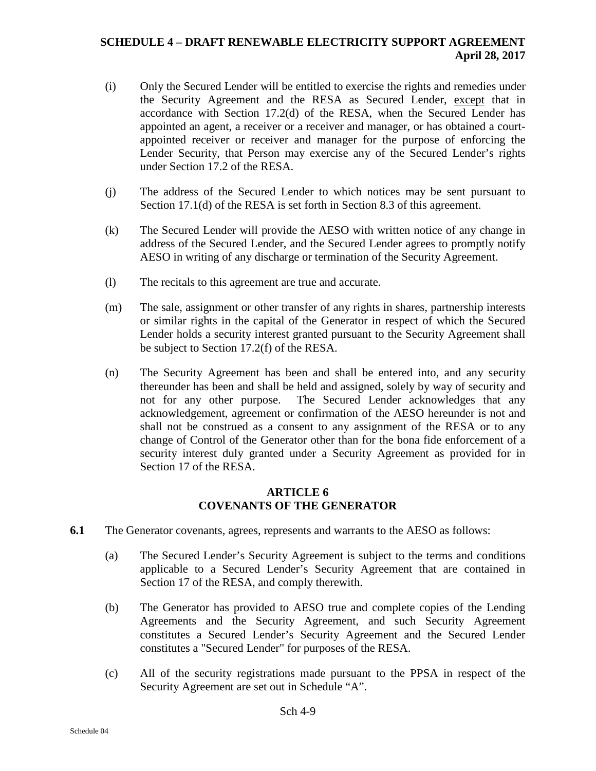- (i) Only the Secured Lender will be entitled to exercise the rights and remedies under the Security Agreement and the RESA as Secured Lender, except that in accordance with Section 17.2(d) of the RESA, when the Secured Lender has appointed an agent, a receiver or a receiver and manager, or has obtained a courtappointed receiver or receiver and manager for the purpose of enforcing the Lender Security, that Person may exercise any of the Secured Lender's rights under Section 17.2 of the RESA.
- (j) The address of the Secured Lender to which notices may be sent pursuant to Section 17.1(d) of the RESA is set forth in Section [8.3](#page-142-0) of this agreement.
- (k) The Secured Lender will provide the AESO with written notice of any change in address of the Secured Lender, and the Secured Lender agrees to promptly notify AESO in writing of any discharge or termination of the Security Agreement.
- (l) The recitals to this agreement are true and accurate.
- (m) The sale, assignment or other transfer of any rights in shares, partnership interests or similar rights in the capital of the Generator in respect of which the Secured Lender holds a security interest granted pursuant to the Security Agreement shall be subject to Section 17.2(f) of the RESA.
- (n) The Security Agreement has been and shall be entered into, and any security thereunder has been and shall be held and assigned, solely by way of security and not for any other purpose. The Secured Lender acknowledges that any acknowledgement, agreement or confirmation of the AESO hereunder is not and shall not be construed as a consent to any assignment of the RESA or to any change of Control of the Generator other than for the bona fide enforcement of a security interest duly granted under a Security Agreement as provided for in Section 17 of the RESA.

## **ARTICLE 6 COVENANTS OF THE GENERATOR**

- **6.1** The Generator covenants, agrees, represents and warrants to the AESO as follows:
	- (a) The Secured Lender's Security Agreement is subject to the terms and conditions applicable to a Secured Lender's Security Agreement that are contained in Section 17 of the RESA, and comply therewith.
	- (b) The Generator has provided to AESO true and complete copies of the Lending Agreements and the Security Agreement, and such Security Agreement constitutes a Secured Lender's Security Agreement and the Secured Lender constitutes a "Secured Lender" for purposes of the RESA.
	- (c) All of the security registrations made pursuant to the PPSA in respect of the Security Agreement are set out in Schedule "A".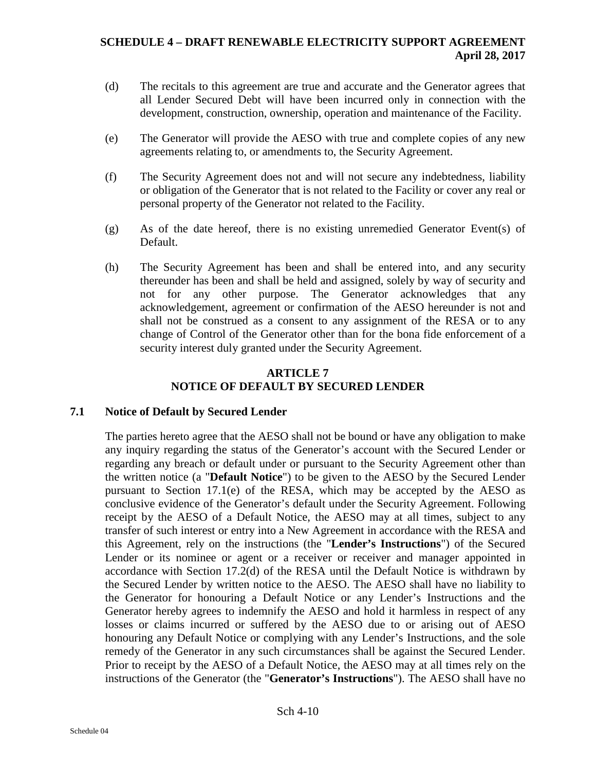- (d) The recitals to this agreement are true and accurate and the Generator agrees that all Lender Secured Debt will have been incurred only in connection with the development, construction, ownership, operation and maintenance of the Facility.
- (e) The Generator will provide the AESO with true and complete copies of any new agreements relating to, or amendments to, the Security Agreement.
- (f) The Security Agreement does not and will not secure any indebtedness, liability or obligation of the Generator that is not related to the Facility or cover any real or personal property of the Generator not related to the Facility.
- (g) As of the date hereof, there is no existing unremedied Generator Event(s) of Default.
- (h) The Security Agreement has been and shall be entered into, and any security thereunder has been and shall be held and assigned, solely by way of security and not for any other purpose. The Generator acknowledges that any acknowledgement, agreement or confirmation of the AESO hereunder is not and shall not be construed as a consent to any assignment of the RESA or to any change of Control of the Generator other than for the bona fide enforcement of a security interest duly granted under the Security Agreement.

# **ARTICLE 7 NOTICE OF DEFAULT BY SECURED LENDER**

# **7.1 Notice of Default by Secured Lender**

The parties hereto agree that the AESO shall not be bound or have any obligation to make any inquiry regarding the status of the Generator's account with the Secured Lender or regarding any breach or default under or pursuant to the Security Agreement other than the written notice (a "**Default Notice**") to be given to the AESO by the Secured Lender pursuant to Section  $17.1(e)$  of the RESA, which may be accepted by the AESO as conclusive evidence of the Generator's default under the Security Agreement. Following receipt by the AESO of a Default Notice, the AESO may at all times, subject to any transfer of such interest or entry into a New Agreement in accordance with the RESA and this Agreement, rely on the instructions (the "**Lender's Instructions**") of the Secured Lender or its nominee or agent or a receiver or receiver and manager appointed in accordance with Section 17.2(d) of the RESA until the Default Notice is withdrawn by the Secured Lender by written notice to the AESO. The AESO shall have no liability to the Generator for honouring a Default Notice or any Lender's Instructions and the Generator hereby agrees to indemnify the AESO and hold it harmless in respect of any losses or claims incurred or suffered by the AESO due to or arising out of AESO honouring any Default Notice or complying with any Lender's Instructions, and the sole remedy of the Generator in any such circumstances shall be against the Secured Lender. Prior to receipt by the AESO of a Default Notice, the AESO may at all times rely on the instructions of the Generator (the "**Generator's Instructions**"). The AESO shall have no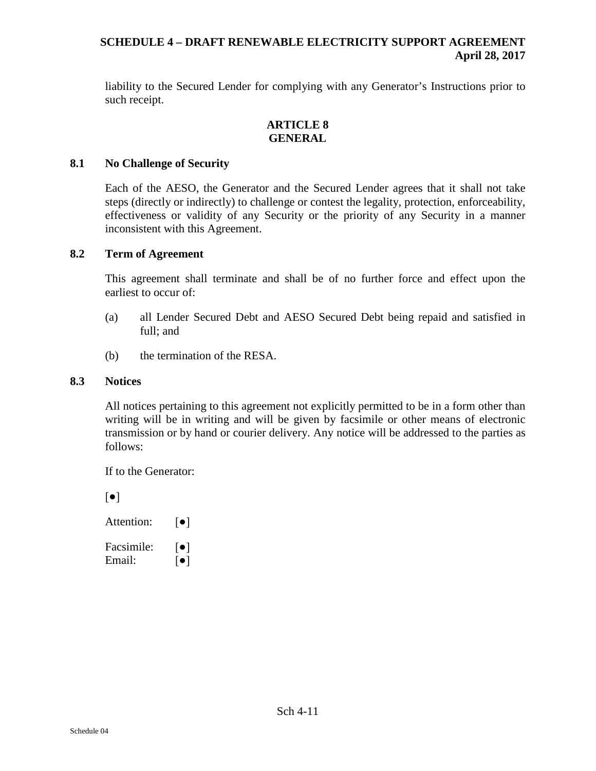liability to the Secured Lender for complying with any Generator's Instructions prior to such receipt.

## **ARTICLE 8 GENERAL**

## **8.1 No Challenge of Security**

Each of the AESO, the Generator and the Secured Lender agrees that it shall not take steps (directly or indirectly) to challenge or contest the legality, protection, enforceability, effectiveness or validity of any Security or the priority of any Security in a manner inconsistent with this Agreement.

## **8.2 Term of Agreement**

This agreement shall terminate and shall be of no further force and effect upon the earliest to occur of:

- (a) all Lender Secured Debt and AESO Secured Debt being repaid and satisfied in full; and
- (b) the termination of the RESA.

#### <span id="page-142-0"></span>**8.3 Notices**

All notices pertaining to this agreement not explicitly permitted to be in a form other than writing will be in writing and will be given by facsimile or other means of electronic transmission or by hand or courier delivery. Any notice will be addressed to the parties as follows:

If to the Generator:

[●]

| Attention: | $\lceil \bullet \rceil$ |
|------------|-------------------------|
| Facsimile: | $  \bullet  $           |
| Email:     | $\lceil \bullet \rceil$ |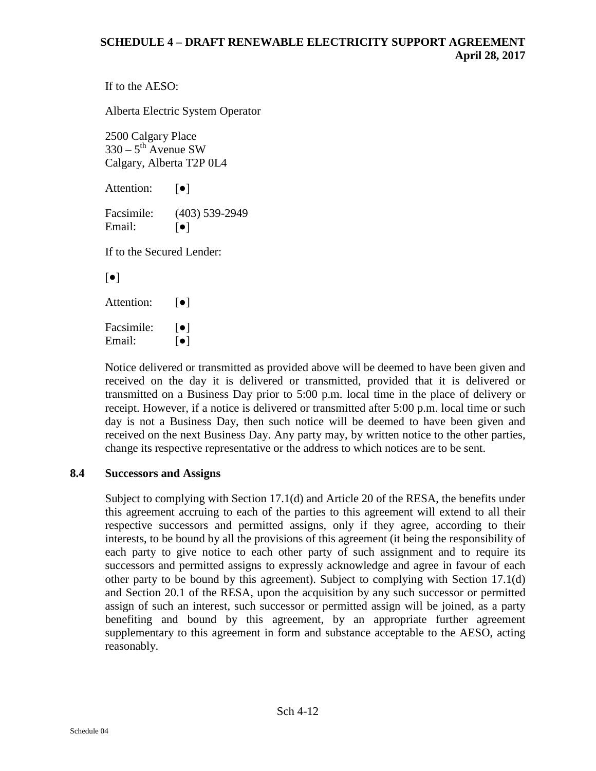```
If to the AESO:
```
Alberta Electric System Operator

2500 Calgary Place  $330 - 5$ <sup>th</sup> Avenue SW Calgary, Alberta T2P 0L4

Attention: **[●]** 

Facsimile: (403) 539-2949 Email:  $\lceil \bullet \rceil$ 

If to the Secured Lender:

[●]

Attention: **[●]** 

Facsimile:  $\lceil \bullet \rceil$ Email:  $\lceil \bullet \rceil$ 

Notice delivered or transmitted as provided above will be deemed to have been given and received on the day it is delivered or transmitted, provided that it is delivered or transmitted on a Business Day prior to 5:00 p.m. local time in the place of delivery or receipt. However, if a notice is delivered or transmitted after 5:00 p.m. local time or such day is not a Business Day, then such notice will be deemed to have been given and received on the next Business Day. Any party may, by written notice to the other parties, change its respective representative or the address to which notices are to be sent.

# **8.4 Successors and Assigns**

Subject to complying with Section 17.1(d) and Article 20 of the RESA, the benefits under this agreement accruing to each of the parties to this agreement will extend to all their respective successors and permitted assigns, only if they agree, according to their interests, to be bound by all the provisions of this agreement (it being the responsibility of each party to give notice to each other party of such assignment and to require its successors and permitted assigns to expressly acknowledge and agree in favour of each other party to be bound by this agreement). Subject to complying with Section 17.1(d) and Section 20.1 of the RESA, upon the acquisition by any such successor or permitted assign of such an interest, such successor or permitted assign will be joined, as a party benefiting and bound by this agreement, by an appropriate further agreement supplementary to this agreement in form and substance acceptable to the AESO, acting reasonably.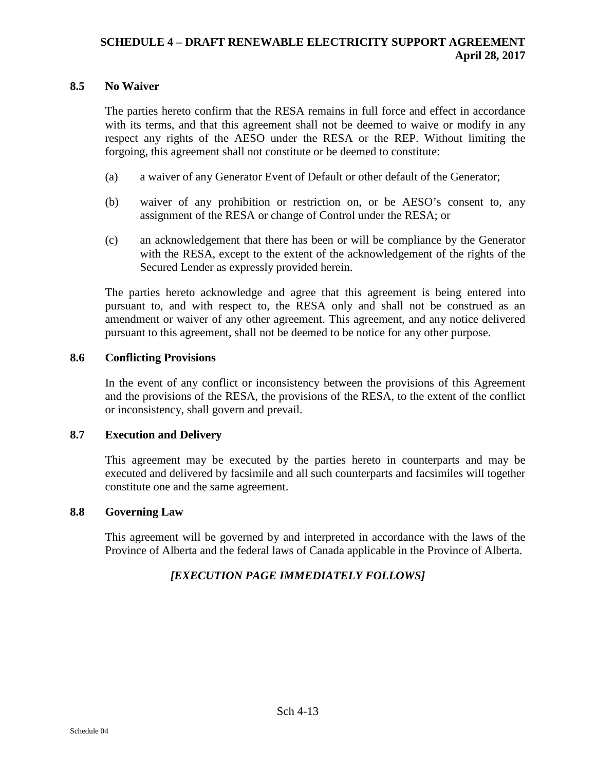#### **8.5 No Waiver**

The parties hereto confirm that the RESA remains in full force and effect in accordance with its terms, and that this agreement shall not be deemed to waive or modify in any respect any rights of the AESO under the RESA or the REP. Without limiting the forgoing, this agreement shall not constitute or be deemed to constitute:

- (a) a waiver of any Generator Event of Default or other default of the Generator;
- (b) waiver of any prohibition or restriction on, or be AESO's consent to, any assignment of the RESA or change of Control under the RESA; or
- (c) an acknowledgement that there has been or will be compliance by the Generator with the RESA, except to the extent of the acknowledgement of the rights of the Secured Lender as expressly provided herein.

The parties hereto acknowledge and agree that this agreement is being entered into pursuant to, and with respect to, the RESA only and shall not be construed as an amendment or waiver of any other agreement. This agreement, and any notice delivered pursuant to this agreement, shall not be deemed to be notice for any other purpose.

#### **8.6 Conflicting Provisions**

In the event of any conflict or inconsistency between the provisions of this Agreement and the provisions of the RESA, the provisions of the RESA, to the extent of the conflict or inconsistency, shall govern and prevail.

#### **8.7 Execution and Delivery**

This agreement may be executed by the parties hereto in counterparts and may be executed and delivered by facsimile and all such counterparts and facsimiles will together constitute one and the same agreement.

#### **8.8 Governing Law**

This agreement will be governed by and interpreted in accordance with the laws of the Province of Alberta and the federal laws of Canada applicable in the Province of Alberta.

#### *[EXECUTION PAGE IMMEDIATELY FOLLOWS]*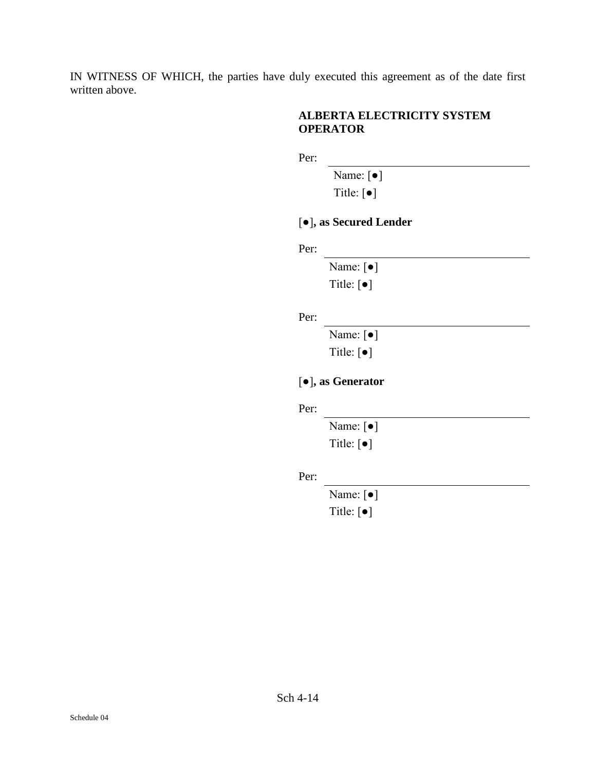IN WITNESS OF WHICH, the parties have duly executed this agreement as of the date first written above.

#### **ALBERTA ELECTRICITY SYSTEM OPERATOR**

Per:

Name: [●]

Title: [●]

## [●]**, as Secured Lender**

Per:

Name: [●] Title: [●]

Per:

Name: [●] Title: [●]

# [●]**, as Generator**

Per:

Name: [●] Title: [●]

Per:

Name: [●] Title: [●]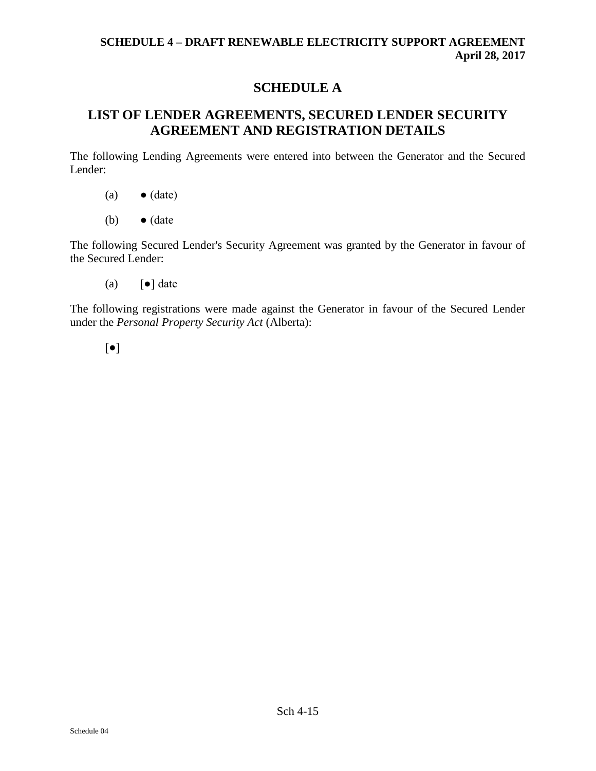## **SCHEDULE A**

# **LIST OF LENDER AGREEMENTS, SECURED LENDER SECURITY AGREEMENT AND REGISTRATION DETAILS**

The following Lending Agreements were entered into between the Generator and the Secured Lender:

- $(a) \qquad \bullet$  (date)
- (b)  $\bullet$  (date

The following Secured Lender's Security Agreement was granted by the Generator in favour of the Secured Lender:

(a)  $\lceil \bullet \rceil$  date

The following registrations were made against the Generator in favour of the Secured Lender under the *Personal Property Security Act* (Alberta):

[●]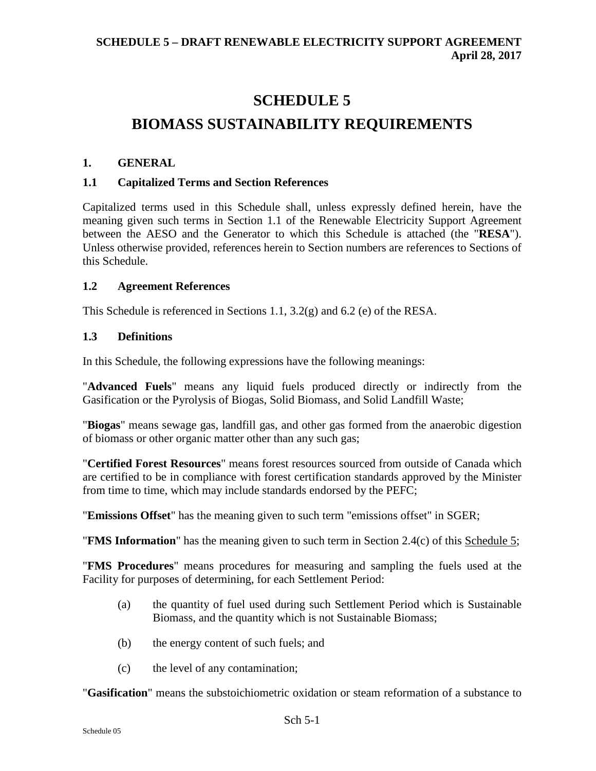# **SCHEDULE 5**

# **BIOMASS SUSTAINABILITY REQUIREMENTS**

#### **1. GENERAL**

#### **1.1 Capitalized Terms and Section References**

Capitalized terms used in this Schedule shall, unless expressly defined herein, have the meaning given such terms in Section 1.1 of the Renewable Electricity Support Agreement between the AESO and the Generator to which this Schedule is attached (the "**RESA**"). Unless otherwise provided, references herein to Section numbers are references to Sections of this Schedule.

#### **1.2 Agreement References**

This Schedule is referenced in Sections 1.1, 3.2(g) and 6.2 (e) of the RESA.

#### **1.3 Definitions**

In this Schedule, the following expressions have the following meanings:

"**Advanced Fuels**" means any liquid fuels produced directly or indirectly from the Gasification or the Pyrolysis of Biogas, Solid Biomass, and Solid Landfill Waste;

"**Biogas**" means sewage gas, landfill gas, and other gas formed from the anaerobic digestion of biomass or other organic matter other than any such gas;

"**Certified Forest Resources**" means forest resources sourced from outside of Canada which are certified to be in compliance with forest certification standards approved by the Minister from time to time, which may include standards endorsed by the PEFC;

"**Emissions Offset**" has the meaning given to such term "emissions offset" in SGER;

"**FMS Information**" has the meaning given to such term in Section 2.4(c) of this Schedule 5;

"**FMS Procedures**" means procedures for measuring and sampling the fuels used at the Facility for purposes of determining, for each Settlement Period:

- (a) the quantity of fuel used during such Settlement Period which is Sustainable Biomass, and the quantity which is not Sustainable Biomass;
- (b) the energy content of such fuels; and
- (c) the level of any contamination;

"**Gasification**" means the substoichiometric oxidation or steam reformation of a substance to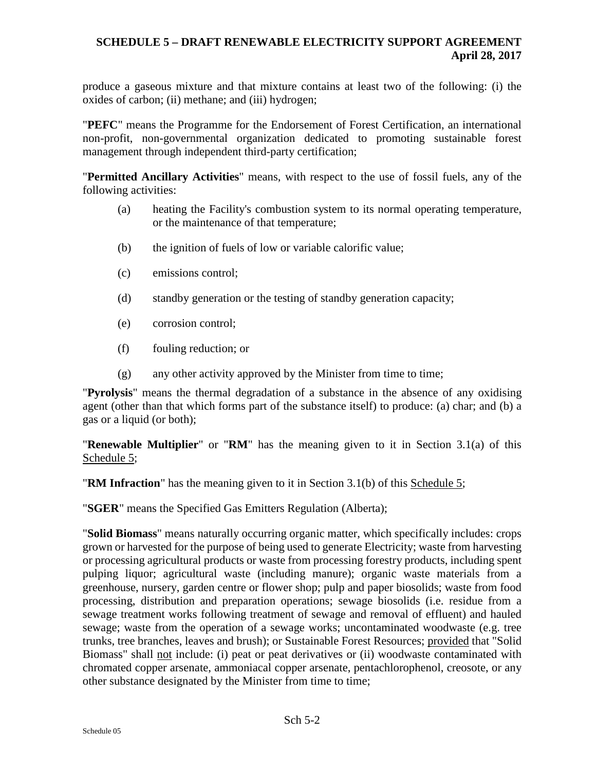produce a gaseous mixture and that mixture contains at least two of the following: (i) the oxides of carbon; (ii) methane; and (iii) hydrogen;

"**PEFC**" means the Programme for the Endorsement of Forest Certification, an international non-profit, non-governmental organization dedicated to promoting sustainable forest management through independent third-party certification;

"**Permitted Ancillary Activities**" means, with respect to the use of fossil fuels, any of the following activities:

- (a) heating the Facility's combustion system to its normal operating temperature, or the maintenance of that temperature;
- (b) the ignition of fuels of low or variable calorific value;
- (c) emissions control;
- (d) standby generation or the testing of standby generation capacity;
- (e) corrosion control;
- (f) fouling reduction; or
- (g) any other activity approved by the Minister from time to time;

"**Pyrolysis**" means the thermal degradation of a substance in the absence of any oxidising agent (other than that which forms part of the substance itself) to produce: (a) char; and (b) a gas or a liquid (or both);

"**Renewable Multiplier**" or "**RM**" has the meaning given to it in Section 3.1(a) of this Schedule 5:

"**RM Infraction**" has the meaning given to it in Section 3.1(b) of this Schedule 5;

"**SGER**" means the Specified Gas Emitters Regulation (Alberta);

"**Solid Biomass**" means naturally occurring organic matter, which specifically includes: crops grown or harvested for the purpose of being used to generate Electricity; waste from harvesting or processing agricultural products or waste from processing forestry products, including spent pulping liquor; agricultural waste (including manure); organic waste materials from a greenhouse, nursery, garden centre or flower shop; pulp and paper biosolids; waste from food processing, distribution and preparation operations; sewage biosolids (i.e. residue from a sewage treatment works following treatment of sewage and removal of effluent) and hauled sewage; waste from the operation of a sewage works; uncontaminated woodwaste (e.g. tree trunks, tree branches, leaves and brush); or Sustainable Forest Resources; provided that "Solid Biomass" shall not include: (i) peat or peat derivatives or (ii) woodwaste contaminated with chromated copper arsenate, ammoniacal copper arsenate, pentachlorophenol, creosote, or any other substance designated by the Minister from time to time;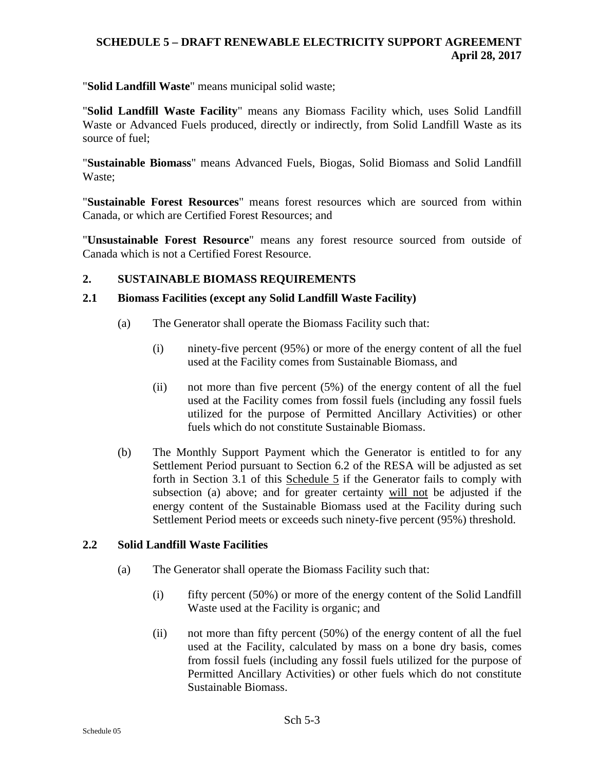"**Solid Landfill Waste**" means municipal solid waste;

"**Solid Landfill Waste Facility**" means any Biomass Facility which, uses Solid Landfill Waste or Advanced Fuels produced, directly or indirectly, from Solid Landfill Waste as its source of fuel;

"**Sustainable Biomass**" means Advanced Fuels, Biogas, Solid Biomass and Solid Landfill Waste;

"**Sustainable Forest Resources**" means forest resources which are sourced from within Canada, or which are Certified Forest Resources; and

"**Unsustainable Forest Resource**" means any forest resource sourced from outside of Canada which is not a Certified Forest Resource.

#### **2. SUSTAINABLE BIOMASS REQUIREMENTS**

#### **2.1 Biomass Facilities (except any Solid Landfill Waste Facility)**

- (a) The Generator shall operate the Biomass Facility such that:
	- (i) ninety-five percent (95%) or more of the energy content of all the fuel used at the Facility comes from Sustainable Biomass, and
	- (ii) not more than five percent (5%) of the energy content of all the fuel used at the Facility comes from fossil fuels (including any fossil fuels utilized for the purpose of Permitted Ancillary Activities) or other fuels which do not constitute Sustainable Biomass.
- (b) The Monthly Support Payment which the Generator is entitled to for any Settlement Period pursuant to Section 6.2 of the RESA will be adjusted as set forth in Section 3.1 of this Schedule 5 if the Generator fails to comply with subsection (a) above; and for greater certainty will not be adjusted if the energy content of the Sustainable Biomass used at the Facility during such Settlement Period meets or exceeds such ninety-five percent (95%) threshold.

#### **2.2 Solid Landfill Waste Facilities**

- (a) The Generator shall operate the Biomass Facility such that:
	- $(i)$  fifty percent (50%) or more of the energy content of the Solid Landfill Waste used at the Facility is organic; and
	- (ii) not more than fifty percent (50%) of the energy content of all the fuel used at the Facility, calculated by mass on a bone dry basis, comes from fossil fuels (including any fossil fuels utilized for the purpose of Permitted Ancillary Activities) or other fuels which do not constitute Sustainable Biomass.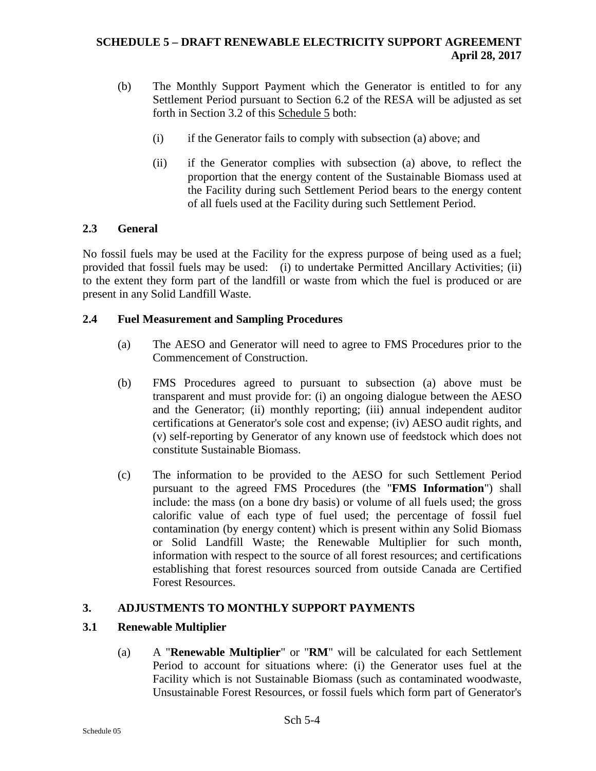- (b) The Monthly Support Payment which the Generator is entitled to for any Settlement Period pursuant to Section 6.2 of the RESA will be adjusted as set forth in Section 3.2 of this Schedule 5 both:
	- (i) if the Generator fails to comply with subsection (a) above; and
	- (ii) if the Generator complies with subsection (a) above, to reflect the proportion that the energy content of the Sustainable Biomass used at the Facility during such Settlement Period bears to the energy content of all fuels used at the Facility during such Settlement Period.

#### **2.3 General**

No fossil fuels may be used at the Facility for the express purpose of being used as a fuel; provided that fossil fuels may be used: (i) to undertake Permitted Ancillary Activities; (ii) to the extent they form part of the landfill or waste from which the fuel is produced or are present in any Solid Landfill Waste.

#### **2.4 Fuel Measurement and Sampling Procedures**

- (a) The AESO and Generator will need to agree to FMS Procedures prior to the Commencement of Construction.
- (b) FMS Procedures agreed to pursuant to subsection (a) above must be transparent and must provide for: (i) an ongoing dialogue between the AESO and the Generator; (ii) monthly reporting; (iii) annual independent auditor certifications at Generator's sole cost and expense; (iv) AESO audit rights, and (v) self-reporting by Generator of any known use of feedstock which does not constitute Sustainable Biomass.
- (c) The information to be provided to the AESO for such Settlement Period pursuant to the agreed FMS Procedures (the "**FMS Information**") shall include: the mass (on a bone dry basis) or volume of all fuels used; the gross calorific value of each type of fuel used; the percentage of fossil fuel contamination (by energy content) which is present within any Solid Biomass or Solid Landfill Waste; the Renewable Multiplier for such month, information with respect to the source of all forest resources; and certifications establishing that forest resources sourced from outside Canada are Certified Forest Resources.

#### **3. ADJUSTMENTS TO MONTHLY SUPPORT PAYMENTS**

#### **3.1 Renewable Multiplier**

(a) A "**Renewable Multiplier**" or "**RM**" will be calculated for each Settlement Period to account for situations where: (i) the Generator uses fuel at the Facility which is not Sustainable Biomass (such as contaminated woodwaste, Unsustainable Forest Resources, or fossil fuels which form part of Generator's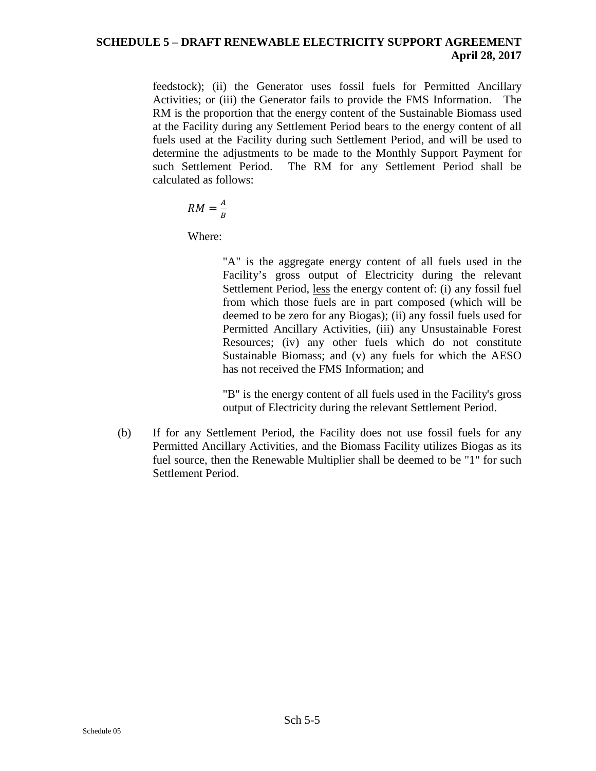feedstock); (ii) the Generator uses fossil fuels for Permitted Ancillary Activities; or (iii) the Generator fails to provide the FMS Information. The RM is the proportion that the energy content of the Sustainable Biomass used at the Facility during any Settlement Period bears to the energy content of all fuels used at the Facility during such Settlement Period, and will be used to determine the adjustments to be made to the Monthly Support Payment for such Settlement Period. The RM for any Settlement Period shall be calculated as follows:

$$
RM = \frac{A}{B}
$$

Where:

"A" is the aggregate energy content of all fuels used in the Facility's gross output of Electricity during the relevant Settlement Period, less the energy content of: (i) any fossil fuel from which those fuels are in part composed (which will be deemed to be zero for any Biogas); (ii) any fossil fuels used for Permitted Ancillary Activities, (iii) any Unsustainable Forest Resources; (iv) any other fuels which do not constitute Sustainable Biomass; and (v) any fuels for which the AESO has not received the FMS Information; and

"B" is the energy content of all fuels used in the Facility's gross output of Electricity during the relevant Settlement Period.

(b) If for any Settlement Period, the Facility does not use fossil fuels for any Permitted Ancillary Activities, and the Biomass Facility utilizes Biogas as its fuel source, then the Renewable Multiplier shall be deemed to be "1" for such Settlement Period.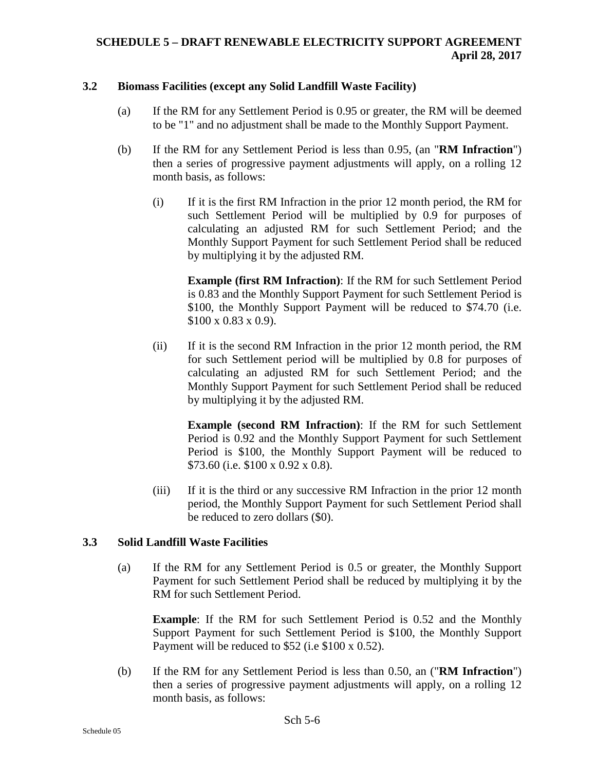#### **3.2 Biomass Facilities (except any Solid Landfill Waste Facility)**

- (a) If the RM for any Settlement Period is 0.95 or greater, the RM will be deemed to be "1" and no adjustment shall be made to the Monthly Support Payment.
- (b) If the RM for any Settlement Period is less than 0.95, (an "**RM Infraction**") then a series of progressive payment adjustments will apply, on a rolling 12 month basis, as follows:
	- (i) If it is the first RM Infraction in the prior 12 month period, the RM for such Settlement Period will be multiplied by 0.9 for purposes of calculating an adjusted RM for such Settlement Period; and the Monthly Support Payment for such Settlement Period shall be reduced by multiplying it by the adjusted RM.

**Example (first RM Infraction)**: If the RM for such Settlement Period is 0.83 and the Monthly Support Payment for such Settlement Period is \$100, the Monthly Support Payment will be reduced to \$74.70 (i.e. \$100 x 0.83 x 0.9).

(ii) If it is the second RM Infraction in the prior 12 month period, the RM for such Settlement period will be multiplied by 0.8 for purposes of calculating an adjusted RM for such Settlement Period; and the Monthly Support Payment for such Settlement Period shall be reduced by multiplying it by the adjusted RM.

**Example (second RM Infraction)**: If the RM for such Settlement Period is 0.92 and the Monthly Support Payment for such Settlement Period is \$100, the Monthly Support Payment will be reduced to \$73.60 (i.e. \$100 x 0.92 x 0.8).

(iii) If it is the third or any successive RM Infraction in the prior 12 month period, the Monthly Support Payment for such Settlement Period shall be reduced to zero dollars (\$0).

#### **3.3 Solid Landfill Waste Facilities**

(a) If the RM for any Settlement Period is 0.5 or greater, the Monthly Support Payment for such Settlement Period shall be reduced by multiplying it by the RM for such Settlement Period.

**Example**: If the RM for such Settlement Period is 0.52 and the Monthly Support Payment for such Settlement Period is \$100, the Monthly Support Payment will be reduced to \$52 (i.e \$100 x 0.52).

(b) If the RM for any Settlement Period is less than 0.50, an ("**RM Infraction**") then a series of progressive payment adjustments will apply, on a rolling 12 month basis, as follows: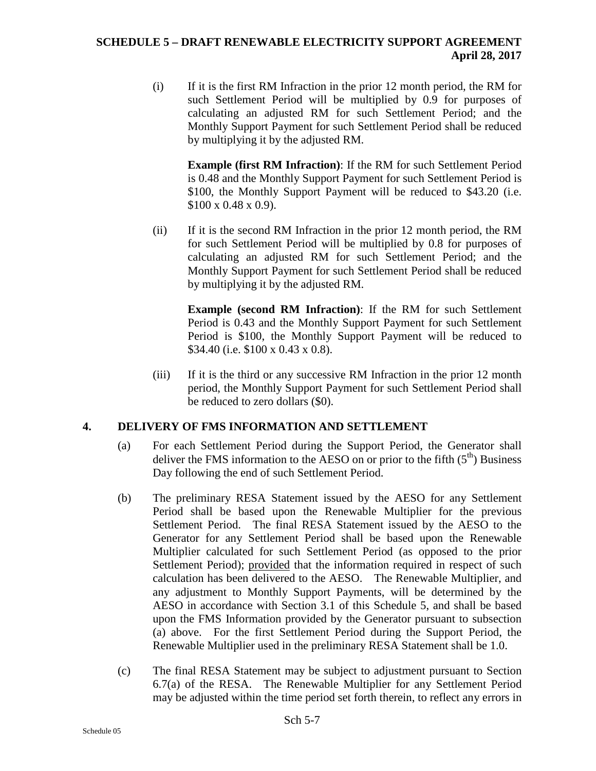(i) If it is the first RM Infraction in the prior 12 month period, the RM for such Settlement Period will be multiplied by 0.9 for purposes of calculating an adjusted RM for such Settlement Period; and the Monthly Support Payment for such Settlement Period shall be reduced by multiplying it by the adjusted RM.

**Example (first RM Infraction)**: If the RM for such Settlement Period is 0.48 and the Monthly Support Payment for such Settlement Period is \$100, the Monthly Support Payment will be reduced to \$43.20 (i.e. \$100 x 0.48 x 0.9).

(ii) If it is the second RM Infraction in the prior 12 month period, the RM for such Settlement Period will be multiplied by 0.8 for purposes of calculating an adjusted RM for such Settlement Period; and the Monthly Support Payment for such Settlement Period shall be reduced by multiplying it by the adjusted RM.

**Example (second RM Infraction)**: If the RM for such Settlement Period is 0.43 and the Monthly Support Payment for such Settlement Period is \$100, the Monthly Support Payment will be reduced to \$34.40 (i.e. \$100 x 0.43 x 0.8).

(iii) If it is the third or any successive RM Infraction in the prior 12 month period, the Monthly Support Payment for such Settlement Period shall be reduced to zero dollars (\$0).

#### **4. DELIVERY OF FMS INFORMATION AND SETTLEMENT**

- (a) For each Settlement Period during the Support Period, the Generator shall deliver the FMS information to the AESO on or prior to the fifth  $(5<sup>th</sup>)$  Business Day following the end of such Settlement Period.
- (b) The preliminary RESA Statement issued by the AESO for any Settlement Period shall be based upon the Renewable Multiplier for the previous Settlement Period. The final RESA Statement issued by the AESO to the Generator for any Settlement Period shall be based upon the Renewable Multiplier calculated for such Settlement Period (as opposed to the prior Settlement Period); provided that the information required in respect of such calculation has been delivered to the AESO. The Renewable Multiplier, and any adjustment to Monthly Support Payments, will be determined by the AESO in accordance with Section 3.1 of this Schedule 5, and shall be based upon the FMS Information provided by the Generator pursuant to subsection (a) above. For the first Settlement Period during the Support Period, the Renewable Multiplier used in the preliminary RESA Statement shall be 1.0.
- (c) The final RESA Statement may be subject to adjustment pursuant to Section 6.7(a) of the RESA. The Renewable Multiplier for any Settlement Period may be adjusted within the time period set forth therein, to reflect any errors in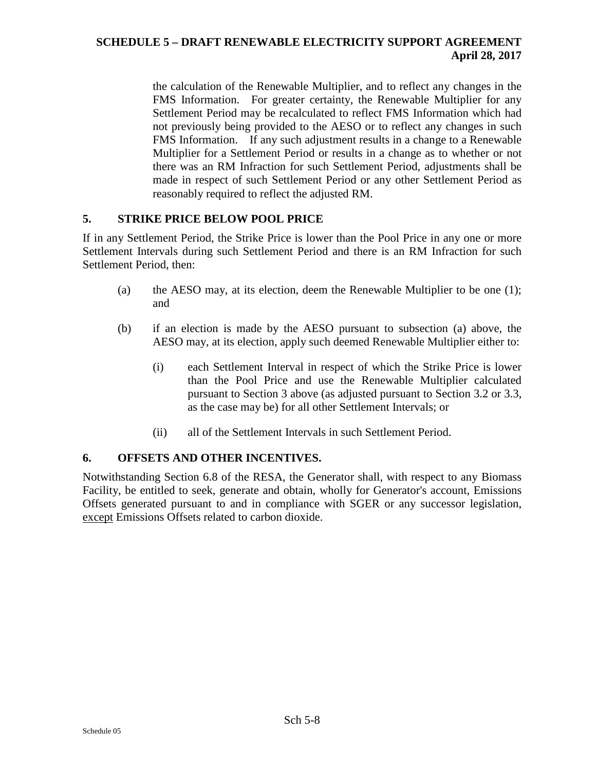the calculation of the Renewable Multiplier, and to reflect any changes in the FMS Information. For greater certainty, the Renewable Multiplier for any Settlement Period may be recalculated to reflect FMS Information which had not previously being provided to the AESO or to reflect any changes in such FMS Information. If any such adjustment results in a change to a Renewable Multiplier for a Settlement Period or results in a change as to whether or not there was an RM Infraction for such Settlement Period, adjustments shall be made in respect of such Settlement Period or any other Settlement Period as reasonably required to reflect the adjusted RM.

#### **5. STRIKE PRICE BELOW POOL PRICE**

If in any Settlement Period, the Strike Price is lower than the Pool Price in any one or more Settlement Intervals during such Settlement Period and there is an RM Infraction for such Settlement Period, then:

- (a) the AESO may, at its election, deem the Renewable Multiplier to be one (1); and
- (b) if an election is made by the AESO pursuant to subsection (a) above, the AESO may, at its election, apply such deemed Renewable Multiplier either to:
	- (i) each Settlement Interval in respect of which the Strike Price is lower than the Pool Price and use the Renewable Multiplier calculated pursuant to Section 3 above (as adjusted pursuant to Section 3.2 or 3.3, as the case may be) for all other Settlement Intervals; or
	- (ii) all of the Settlement Intervals in such Settlement Period.

#### **6. OFFSETS AND OTHER INCENTIVES.**

Notwithstanding Section 6.8 of the RESA, the Generator shall, with respect to any Biomass Facility, be entitled to seek, generate and obtain, wholly for Generator's account, Emissions Offsets generated pursuant to and in compliance with SGER or any successor legislation, except Emissions Offsets related to carbon dioxide.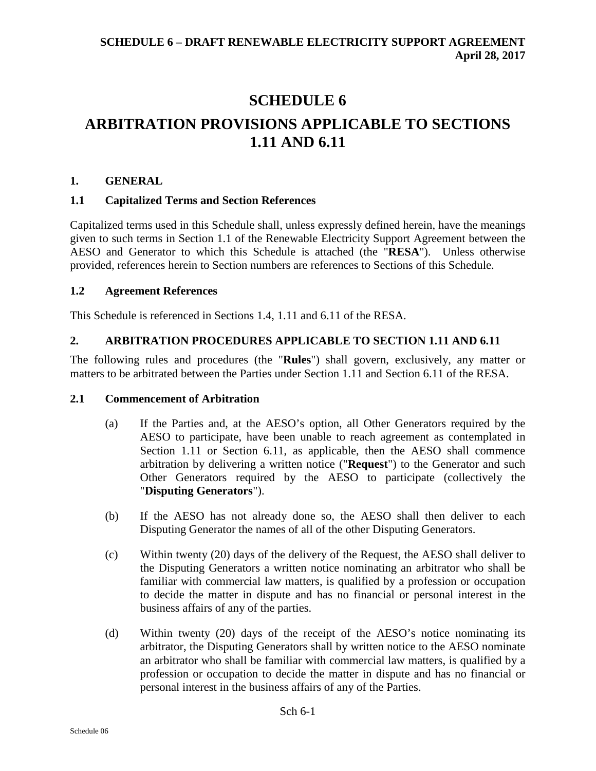# **SCHEDULE 6 ARBITRATION PROVISIONS APPLICABLE TO SECTIONS 1.11 AND 6.11**

#### **1. GENERAL**

#### **1.1 Capitalized Terms and Section References**

Capitalized terms used in this Schedule shall, unless expressly defined herein, have the meanings given to such terms in Section 1.1 of the Renewable Electricity Support Agreement between the AESO and Generator to which this Schedule is attached (the "**RESA**"). Unless otherwise provided, references herein to Section numbers are references to Sections of this Schedule.

#### **1.2 Agreement References**

This Schedule is referenced in Sections 1.4, 1.11 and 6.11 of the RESA.

#### **2. ARBITRATION PROCEDURES APPLICABLE TO SECTION 1.11 AND 6.11**

The following rules and procedures (the "**Rules**") shall govern, exclusively, any matter or matters to be arbitrated between the Parties under Section 1.11 and Section 6.11 of the RESA.

#### **2.1 Commencement of Arbitration**

- (a) If the Parties and, at the AESO's option, all Other Generators required by the AESO to participate, have been unable to reach agreement as contemplated in Section 1.11 or Section 6.11, as applicable, then the AESO shall commence arbitration by delivering a written notice ("**Request**") to the Generator and such Other Generators required by the AESO to participate (collectively the "**Disputing Generators**").
- (b) If the AESO has not already done so, the AESO shall then deliver to each Disputing Generator the names of all of the other Disputing Generators.
- (c) Within twenty (20) days of the delivery of the Request, the AESO shall deliver to the Disputing Generators a written notice nominating an arbitrator who shall be familiar with commercial law matters, is qualified by a profession or occupation to decide the matter in dispute and has no financial or personal interest in the business affairs of any of the parties.
- (d) Within twenty (20) days of the receipt of the AESO's notice nominating its arbitrator, the Disputing Generators shall by written notice to the AESO nominate an arbitrator who shall be familiar with commercial law matters, is qualified by a profession or occupation to decide the matter in dispute and has no financial or personal interest in the business affairs of any of the Parties.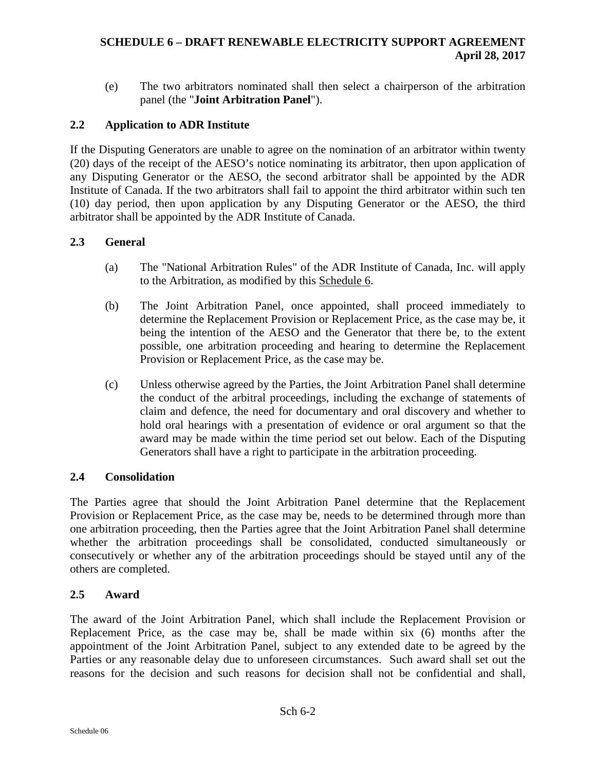(e) The two arbitrators nominated shall then select a chairperson of the arbitration panel (the "**Joint Arbitration Panel**").

#### **2.2 Application to ADR Institute**

If the Disputing Generators are unable to agree on the nomination of an arbitrator within twenty (20) days of the receipt of the AESO's notice nominating its arbitrator, then upon application of any Disputing Generator or the AESO, the second arbitrator shall be appointed by the ADR Institute of Canada. If the two arbitrators shall fail to appoint the third arbitrator within such ten (10) day period, then upon application by any Disputing Generator or the AESO, the third arbitrator shall be appointed by the ADR Institute of Canada.

#### **2.3 General**

- (a) The "National Arbitration Rules" of the ADR Institute of Canada, Inc. will apply to the Arbitration, as modified by this Schedule 6.
- (b) The Joint Arbitration Panel, once appointed, shall proceed immediately to determine the Replacement Provision or Replacement Price, as the case may be, it being the intention of the AESO and the Generator that there be, to the extent possible, one arbitration proceeding and hearing to determine the Replacement Provision or Replacement Price, as the case may be.
- (c) Unless otherwise agreed by the Parties, the Joint Arbitration Panel shall determine the conduct of the arbitral proceedings, including the exchange of statements of claim and defence, the need for documentary and oral discovery and whether to hold oral hearings with a presentation of evidence or oral argument so that the award may be made within the time period set out below. Each of the Disputing Generators shall have a right to participate in the arbitration proceeding.

#### **2.4 Consolidation**

The Parties agree that should the Joint Arbitration Panel determine that the Replacement Provision or Replacement Price, as the case may be, needs to be determined through more than one arbitration proceeding, then the Parties agree that the Joint Arbitration Panel shall determine whether the arbitration proceedings shall be consolidated, conducted simultaneously or consecutively or whether any of the arbitration proceedings should be stayed until any of the others are completed.

#### **2.5 Award**

The award of the Joint Arbitration Panel, which shall include the Replacement Provision or Replacement Price, as the case may be, shall be made within six (6) months after the appointment of the Joint Arbitration Panel, subject to any extended date to be agreed by the Parties or any reasonable delay due to unforeseen circumstances. Such award shall set out the reasons for the decision and such reasons for decision shall not be confidential and shall,